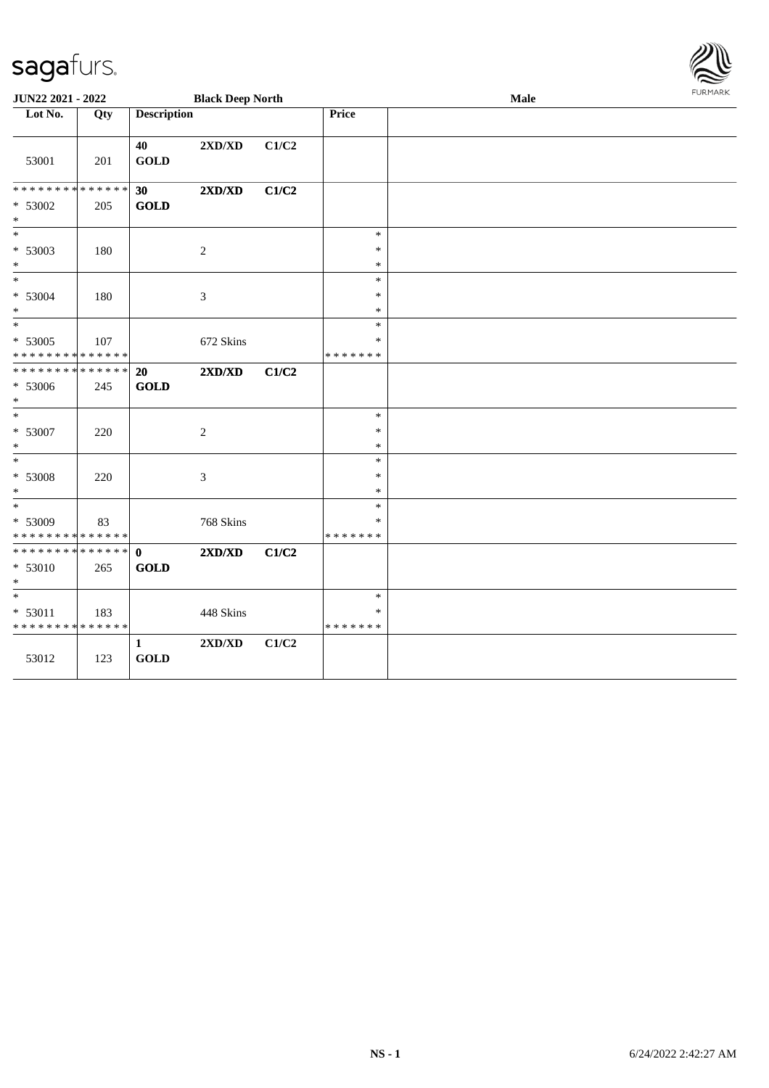| <b>Black Deep North</b><br><b>Description</b><br>Lot No.<br>Price<br>Qty<br>40<br>2XD/XD<br>C1/C2<br><b>GOLD</b><br>53001<br>201<br>**************<br>2XD/XD<br>C1/C2<br>30 <sup>°</sup> |  |
|------------------------------------------------------------------------------------------------------------------------------------------------------------------------------------------|--|
|                                                                                                                                                                                          |  |
|                                                                                                                                                                                          |  |
|                                                                                                                                                                                          |  |
| <b>GOLD</b><br>* 53002<br>205<br>$\ast$                                                                                                                                                  |  |
| $\ast$<br>$\ast$                                                                                                                                                                         |  |
| * 53003<br>$\sqrt{2}$<br>$\ast$<br>180<br>$\ast$<br>$\ast$                                                                                                                               |  |
| $*$<br>$\ast$                                                                                                                                                                            |  |
| * 53004<br>180<br>3<br>$\ast$<br>$\ast$<br>$\ast$                                                                                                                                        |  |
| $\overline{\ast}$<br>$\ast$                                                                                                                                                              |  |
| $* 53005$<br>107<br>672 Skins<br>*                                                                                                                                                       |  |
| * * * * * * * * * * * * * *<br>* * * * * * *                                                                                                                                             |  |
| * * * * * * * * * * * * * *<br>2XD/XD<br>20<br>C1/C2                                                                                                                                     |  |
| $* 53006$<br><b>GOLD</b><br>245<br>$\ast$                                                                                                                                                |  |
| $\ast$<br>$\ast$                                                                                                                                                                         |  |
| * 53007<br>$\ast$<br>$\sqrt{2}$<br>220<br>$\ast$<br>$\ast$                                                                                                                               |  |
| $\ast$<br>$\ast$                                                                                                                                                                         |  |
| * 53008<br>$\ensuremath{\mathfrak{Z}}$<br>$\ast$<br>220<br>$\ast$<br>$\ast$                                                                                                              |  |
| $*$<br>$\ast$                                                                                                                                                                            |  |
| * 53009<br>768 Skins<br>83<br>*                                                                                                                                                          |  |
| * * * * * * * * * * * * * *<br>* * * * * * *                                                                                                                                             |  |
| **************<br>2XD/XD<br>C1/C2<br>$\mathbf{0}$                                                                                                                                        |  |
| <b>GOLD</b><br>* 53010<br>265<br>$\ast$                                                                                                                                                  |  |
| $\ast$<br>$\ast$                                                                                                                                                                         |  |
| * 53011<br>448 Skins<br>183<br>∗<br>* * * * * * * * * * * * * *<br>* * * * * * *                                                                                                         |  |
| $\mathbf{1}$<br>2XD/XD<br>C1/C2<br><b>GOLD</b><br>53012<br>123                                                                                                                           |  |

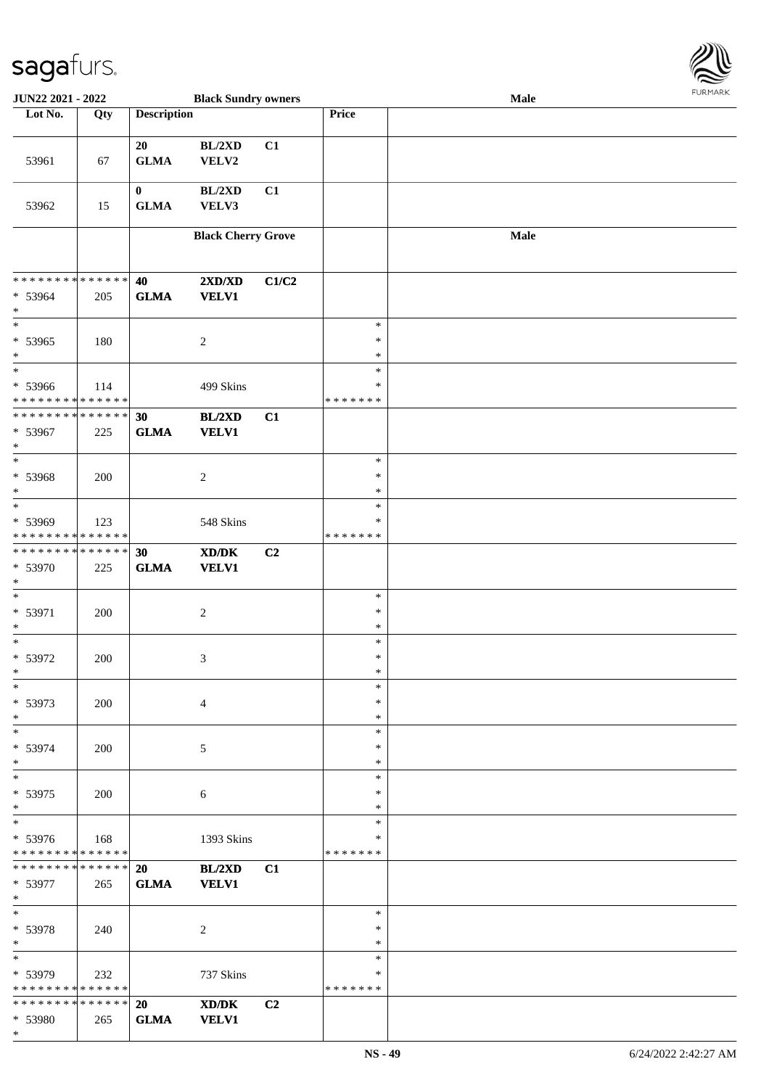

| JUN22 2021 - 2022                                            |     |                         | <b>Black Sundry owners</b>                                                                                           |                |                                   | Male |  |
|--------------------------------------------------------------|-----|-------------------------|----------------------------------------------------------------------------------------------------------------------|----------------|-----------------------------------|------|--|
| Lot No.                                                      | Qty | <b>Description</b>      |                                                                                                                      |                | Price                             |      |  |
| 53961                                                        | 67  | 20<br><b>GLMA</b>       | BL/2XD<br>VELV2                                                                                                      | C1             |                                   |      |  |
| 53962                                                        | 15  | $\bf{0}$<br><b>GLMA</b> | BL/2XD<br>VELV3                                                                                                      | C1             |                                   |      |  |
|                                                              |     |                         | <b>Black Cherry Grove</b>                                                                                            |                |                                   | Male |  |
| * * * * * * * * * * * * * *<br>* 53964<br>$\ast$             | 205 | 40<br><b>GLMA</b>       | 2XD/XD<br><b>VELV1</b>                                                                                               | C1/C2          |                                   |      |  |
| $\ast$<br>* 53965<br>$\ast$                                  | 180 |                         | $\sqrt{2}$                                                                                                           |                | $\ast$<br>$\ast$<br>$\ast$        |      |  |
| $*$<br>* 53966<br>* * * * * * * * * * * * * *                | 114 |                         | 499 Skins                                                                                                            |                | $\ast$<br>$\ast$<br>* * * * * * * |      |  |
| * * * * * * * * * * * * * *<br>* 53967<br>$\ast$             | 225 | 30<br><b>GLMA</b>       | BL/2XD<br><b>VELV1</b>                                                                                               | C1             |                                   |      |  |
| $\ast$<br>* 53968<br>$\ast$                                  | 200 |                         | $\sqrt{2}$                                                                                                           |                | $\ast$<br>$\ast$<br>$\ast$        |      |  |
| $\ast$<br>* 53969<br>* * * * * * * * * * * * * *             | 123 |                         | 548 Skins                                                                                                            |                | $\ast$<br>$\ast$<br>* * * * * * * |      |  |
| * * * * * * * * <mark>* * * * * * *</mark><br>* 53970<br>$*$ | 225 | 30<br><b>GLMA</b>       | $\boldsymbol{\text{X}}\boldsymbol{\text{D}}\boldsymbol{/}\boldsymbol{\text{D}}\boldsymbol{\text{K}}$<br><b>VELV1</b> | C <sub>2</sub> |                                   |      |  |
| $\ast$<br>* 53971<br>$\ast$                                  | 200 |                         | $\sqrt{2}$                                                                                                           |                | $\ast$<br>$\ast$<br>$\ast$        |      |  |
| $*$<br>$* 53972$<br>$*$                                      | 200 |                         | 3                                                                                                                    |                | $\ast$<br>$\ast$<br>$\ast$        |      |  |
| $*$<br>* 53973<br>$*$                                        | 200 |                         | $\overline{4}$                                                                                                       |                | $\ast$<br>$\ast$<br>$\ast$        |      |  |
| $*$<br>* 53974<br>$*$                                        | 200 |                         | 5                                                                                                                    |                | $\ast$<br>$\ast$<br>∗             |      |  |
| $*$<br>* 53975<br>$*$                                        | 200 |                         | 6                                                                                                                    |                | $\ast$<br>$\ast$<br>$\ast$        |      |  |
| $\overline{\ast}$<br>* 53976<br>* * * * * * * * * * * * * *  | 168 |                         | 1393 Skins                                                                                                           |                | $\ast$<br>∗<br>*******            |      |  |
| * * * * * * * * <mark>* * * * * * *</mark><br>* 53977<br>$*$ | 265 | 20<br><b>GLMA</b>       | BL/2XD<br><b>VELV1</b>                                                                                               | C1             |                                   |      |  |
| $*$<br>* 53978<br>$*$                                        | 240 |                         | $\overline{2}$                                                                                                       |                | $\ast$<br>$\ast$<br>$\ast$        |      |  |
| $\ast$<br>* 53979<br>* * * * * * * * * * * * * *             | 232 |                         | 737 Skins                                                                                                            |                | $\ast$<br>∗<br>* * * * * * *      |      |  |
| * * * * * * * * <mark>* * * * * * *</mark><br>* 53980        | 265 | 20<br><b>GLMA</b>       | $\mathbf{X}\mathbf{D}/\mathbf{D}\mathbf{K}$<br><b>VELV1</b>                                                          | C <sub>2</sub> |                                   |      |  |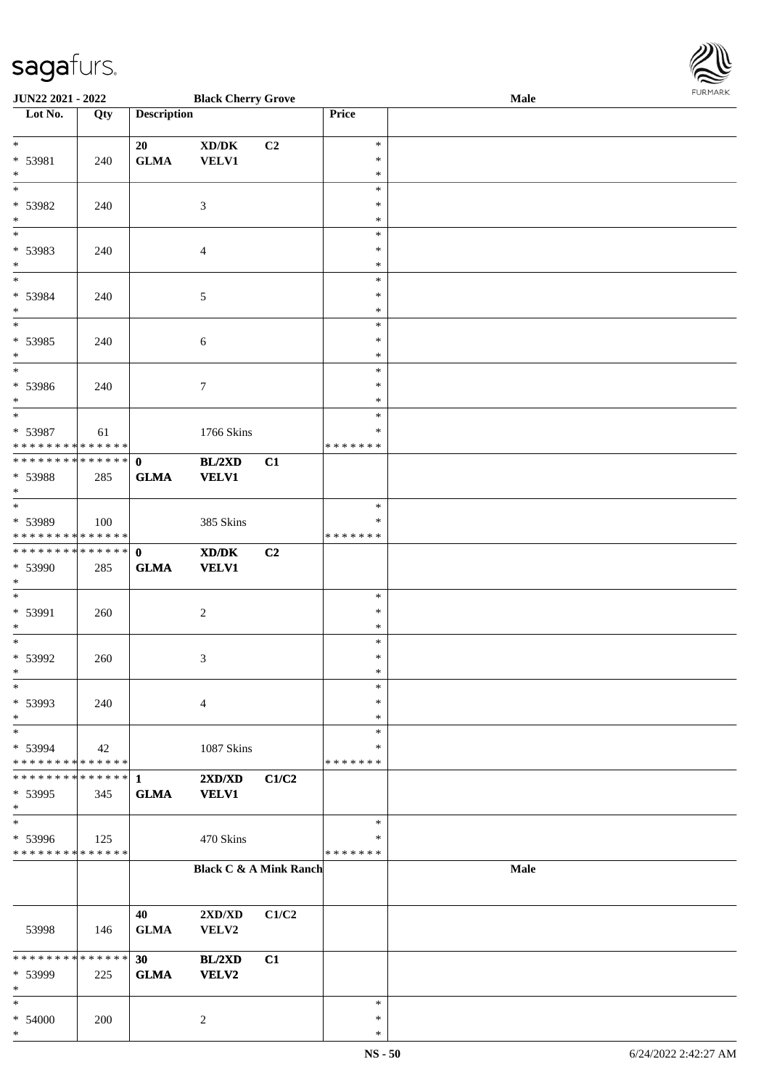\*

| Lot No.                                                   | Qty               | <b>Description</b>          |                                                             |       | Price                                |      |
|-----------------------------------------------------------|-------------------|-----------------------------|-------------------------------------------------------------|-------|--------------------------------------|------|
| $*$<br>* 53981<br>$\ast$                                  | 240               | 20<br>${\bf GLMA}$          | $\bold{X}\bold{D}/\bold{D}\bold{K}$<br><b>VELV1</b>         | C2    | $\ast$<br>$\ast$<br>$\ast$           |      |
| $\overline{\phantom{a}^*}$<br>* 53982<br>$\ast$           | 240               |                             | $\mathfrak{Z}$                                              |       | $\ast$<br>$\ast$<br>$\ast$           |      |
| $\ast$<br>* 53983<br>$*$                                  | 240               |                             | $\overline{4}$                                              |       | $\ast$<br>$\ast$<br>$\ast$           |      |
| * 53984<br>$*$                                            | 240               |                             | $\mathfrak{S}$                                              |       | $\ast$<br>$\ast$<br>$\ast$           |      |
| $\overline{\phantom{0}}$<br>$* 53985$<br>$*$              | 240               |                             | $\sqrt{6}$                                                  |       | $\ast$<br>$\ast$<br>$\ast$           |      |
| $*$<br>* 53986<br>$*$<br>$\overline{\phantom{a}^*}$       | 240               |                             | $\tau$                                                      |       | $\ast$<br>$\ast$<br>$\ast$           |      |
| * 53987<br>* * * * * * * * * * * * * * *                  | 61                |                             | 1766 Skins                                                  |       | $\ast$<br>$\ast$<br>* * * * * * *    |      |
| ************** 0<br>* 53988<br>$*$                        | 285               | <b>GLMA</b>                 | BL/2XD<br><b>VELV1</b>                                      | C1    |                                      |      |
| $*$<br>* 53989<br>* * * * * * * * * * * * * *             | 100               |                             | 385 Skins                                                   |       | $\ast$<br>$\ast$<br>* * * * * * *    |      |
| **************<br>* 53990<br>$*$                          | 285               | $\mathbf{0}$<br><b>GLMA</b> | $\mathbf{X}\mathbf{D}/\mathbf{D}\mathbf{K}$<br><b>VELV1</b> | C2    |                                      |      |
| $\overline{\phantom{0}}$<br>* 53991<br>$*$                | 260               |                             | $\overline{2}$                                              |       | $\ast$<br>$\ast$<br>$\ast$           |      |
| $*$<br>* 53992<br>$*$<br>$*$                              | 260               |                             | $\mathfrak{Z}$                                              |       | $\ast$<br>$\ast$<br>$\ast$<br>$\ast$ |      |
| * 53993<br>$\ast$<br>$\ast$                               | 240               |                             | $\overline{4}$                                              |       | $\ast$<br>$\ast$<br>$\ast$           |      |
| * 53994<br>* * * * * * * * * * * * * *<br>* * * * * * * * | 42<br>* * * * * * | 1                           | 1087 Skins<br>2XD/XD                                        | C1/C2 | $\ast$<br>* * * * * * *              |      |
| * 53995<br>$\ast$<br>$\ast$                               | 345               | <b>GLMA</b>                 | <b>VELV1</b>                                                |       | $\ast$                               |      |
| * 53996<br>* * * * * * * * * * * * * *                    | 125               |                             | 470 Skins                                                   |       | ∗<br>* * * * * * *                   | Male |
|                                                           |                   |                             | <b>Black C &amp; A Mink Ranch</b>                           |       |                                      |      |
| 53998                                                     | 146               | 40<br><b>GLMA</b>           | 2XD/XD<br>VELV2                                             | C1/C2 |                                      |      |
| * * * * * * * * * * * * * *<br>* 53999<br>$\ast$          | 225               | 30<br><b>GLMA</b>           | BL/2XD<br><b>VELV2</b>                                      | C1    |                                      |      |
| $\ast$<br>$* 54000$<br>$\ast$                             | 200               |                             | 2                                                           |       | $\ast$<br>$\ast$<br>$\ast$           |      |

**JUN22 2021 - 2022 Black Cherry Grove Male**

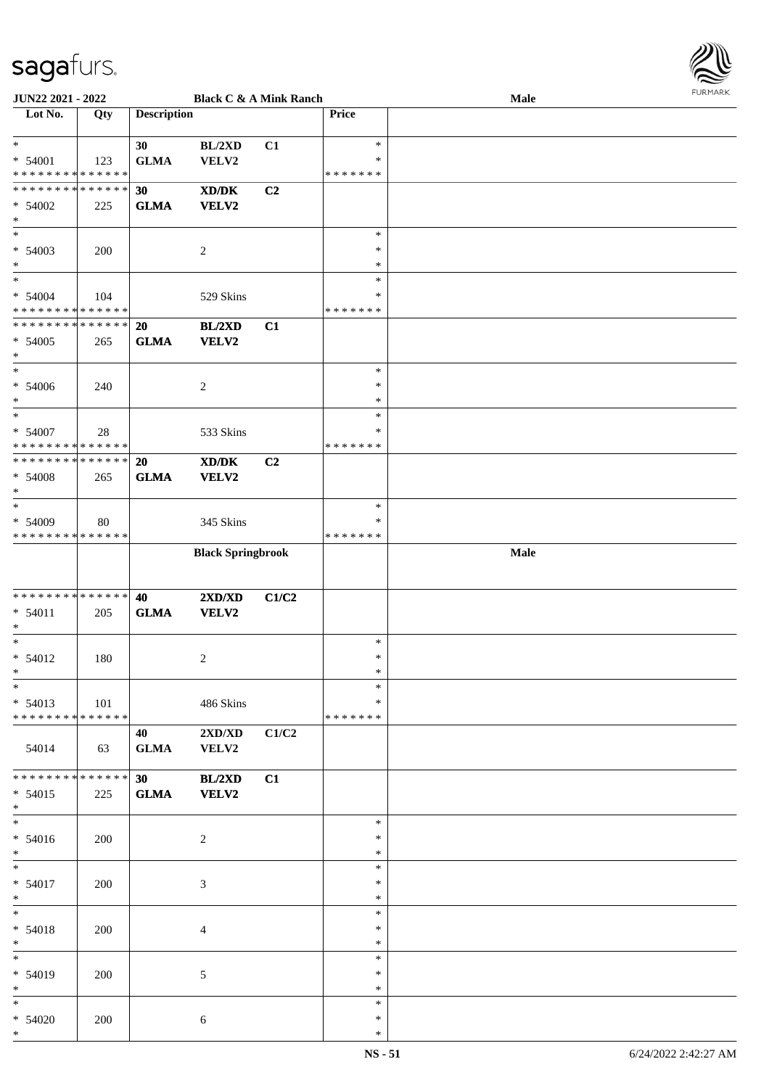

| <b>JUN22 2021 - 2022</b>                                         |     |                    |                                  | <b>Black C &amp; A Mink Ranch</b> |                  | <b>Male</b> |  |
|------------------------------------------------------------------|-----|--------------------|----------------------------------|-----------------------------------|------------------|-------------|--|
| Lot No.                                                          | Qty | <b>Description</b> |                                  |                                   | Price            |             |  |
|                                                                  |     |                    |                                  |                                   |                  |             |  |
| $\ast$                                                           |     | 30                 | BL/2XD                           | C1                                | $\ast$           |             |  |
| $* 54001$                                                        | 123 | <b>GLMA</b>        | VELV2                            |                                   | $\ast$           |             |  |
| * * * * * * * * <mark>* * * * * *</mark>                         |     |                    |                                  |                                   | *******          |             |  |
| * * * * * * * * <mark>* * * * * *</mark>                         |     | 30                 | XD/DK                            | C <sub>2</sub>                    |                  |             |  |
|                                                                  |     |                    |                                  |                                   |                  |             |  |
| $* 54002$                                                        | 225 | <b>GLMA</b>        | <b>VELV2</b>                     |                                   |                  |             |  |
| $\ast$                                                           |     |                    |                                  |                                   |                  |             |  |
|                                                                  |     |                    |                                  |                                   | $\ast$           |             |  |
| $* 54003$                                                        | 200 |                    | $\overline{c}$                   |                                   | $\ast$           |             |  |
| $\ast$                                                           |     |                    |                                  |                                   | $\ast$           |             |  |
| $\ddot{x}$                                                       |     |                    |                                  |                                   | $\ast$           |             |  |
| $* 54004$                                                        | 104 |                    | 529 Skins                        |                                   | $\ast$           |             |  |
| * * * * * * * * <mark>* * * * * *</mark>                         |     |                    |                                  |                                   | * * * * * * *    |             |  |
| * * * * * * * * <mark>* * * * * * *</mark>                       |     | 20                 | BL/2XD                           | C1                                |                  |             |  |
| $* 54005$                                                        | 265 | <b>GLMA</b>        | VELV2                            |                                   |                  |             |  |
| $\ast$                                                           |     |                    |                                  |                                   |                  |             |  |
| $*$                                                              |     |                    |                                  |                                   | $\ast$           |             |  |
|                                                                  |     |                    |                                  |                                   | $\ast$           |             |  |
| $* 54006$                                                        | 240 |                    | 2                                |                                   |                  |             |  |
| $\ast$                                                           |     |                    |                                  |                                   | $\ast$           |             |  |
| $\ast$                                                           |     |                    |                                  |                                   | $\ast$           |             |  |
| * 54007                                                          | 28  |                    | 533 Skins                        |                                   | $\ast$           |             |  |
| * * * * * * * * <mark>* * * * * *</mark>                         |     |                    |                                  |                                   | * * * * * * *    |             |  |
| * * * * * * * * <mark>* * * * * * *</mark>                       |     | 20                 | XD/DK                            | C <sub>2</sub>                    |                  |             |  |
| $* 54008$                                                        | 265 | <b>GLMA</b>        | <b>VELV2</b>                     |                                   |                  |             |  |
| $\ast$                                                           |     |                    |                                  |                                   |                  |             |  |
| $\ast$                                                           |     |                    |                                  |                                   | $\ast$           |             |  |
| $* 54009$                                                        | 80  |                    | 345 Skins                        |                                   | $\ast$           |             |  |
| * * * * * * * * * * * * * *                                      |     |                    |                                  |                                   | * * * * * * *    |             |  |
|                                                                  |     |                    | <b>Black Springbrook</b>         |                                   |                  | Male        |  |
|                                                                  |     |                    |                                  |                                   |                  |             |  |
|                                                                  |     |                    |                                  |                                   |                  |             |  |
|                                                                  |     |                    |                                  |                                   |                  |             |  |
|                                                                  |     |                    |                                  |                                   |                  |             |  |
|                                                                  |     | 40                 | 2XD/XD                           | C1/C2                             |                  |             |  |
| * * * * * * * * <mark>* * * * * * *</mark><br>$* 54011$          | 205 | <b>GLMA</b>        | VELV2                            |                                   |                  |             |  |
| $\ast$                                                           |     |                    |                                  |                                   |                  |             |  |
| $\ast$                                                           |     |                    |                                  |                                   | $\ast$           |             |  |
|                                                                  | 180 |                    | 2                                |                                   | $\ast$           |             |  |
| $* 54012$<br>$*$                                                 |     |                    |                                  |                                   | $\ast$           |             |  |
| $\ast$                                                           |     |                    |                                  |                                   | $\ast$           |             |  |
|                                                                  | 101 |                    | 486 Skins                        |                                   | $\ast$           |             |  |
| $* 54013$<br>* * * * * * * * <mark>* * * * * * *</mark>          |     |                    |                                  |                                   | *******          |             |  |
|                                                                  |     |                    |                                  |                                   |                  |             |  |
|                                                                  |     | 40 — 10            | $2{\bf X}{\bf D}/{\bf X}{\bf D}$ | C1/C2                             |                  |             |  |
|                                                                  | 63  | <b>GLMA</b>        | <b>VELV2</b>                     |                                   |                  |             |  |
|                                                                  |     |                    |                                  |                                   |                  |             |  |
|                                                                  |     | 30                 | BL/2XD                           | C1                                |                  |             |  |
| 54014<br>* * * * * * * * <mark>* * * * * * *</mark><br>$* 54015$ | 225 | <b>GLMA</b>        | <b>VELV2</b>                     |                                   |                  |             |  |
| $*$                                                              |     |                    |                                  |                                   |                  |             |  |
| $*$                                                              |     |                    |                                  |                                   | $\ast$           |             |  |
| $* 54016$                                                        | 200 |                    | 2                                |                                   | $\ast$           |             |  |
| $*$                                                              |     |                    |                                  |                                   | $\ast$           |             |  |
| $*$                                                              |     |                    |                                  |                                   | $\ast$           |             |  |
| $* 54017$                                                        | 200 |                    | $\mathfrak{Z}$                   |                                   | $\ast$           |             |  |
| $*$                                                              |     |                    |                                  |                                   | $\ast$           |             |  |
| $*$ $-$                                                          |     |                    |                                  |                                   | $\ast$           |             |  |
|                                                                  |     |                    |                                  |                                   | $\ast$           |             |  |
|                                                                  | 200 |                    | 4                                |                                   | $\ast$           |             |  |
|                                                                  |     |                    |                                  |                                   |                  |             |  |
| $* 54018$<br>$*$<br>$*$                                          |     |                    |                                  |                                   | $\ast$           |             |  |
| * 54019                                                          | 200 |                    | 5                                |                                   | $\ast$           |             |  |
| $*$                                                              |     |                    |                                  |                                   | $\ast$           |             |  |
| $*$                                                              |     |                    |                                  |                                   | $\ast$           |             |  |
| $* 54020$<br>$\ast$                                              | 200 |                    | $\sqrt{6}$                       |                                   | $\ast$<br>$\ast$ |             |  |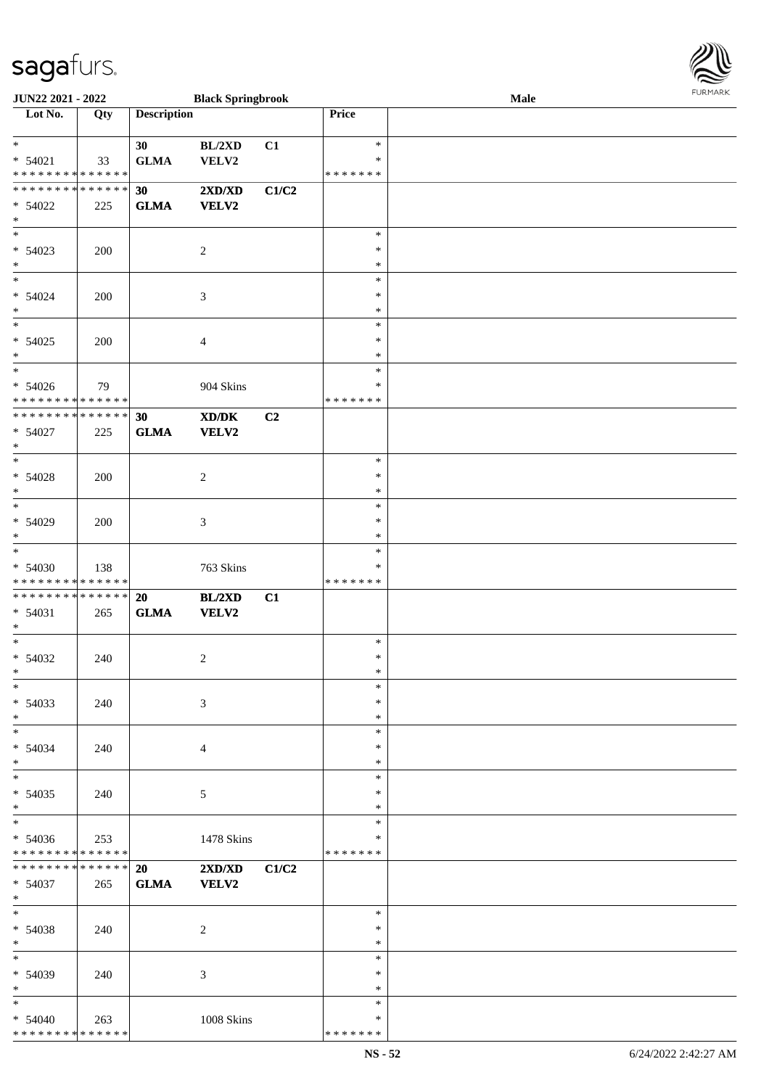\* \* \* \* \* \* \* \* \* \* \* \* \* \* \*

| <b>JUN22 2021 - 2022</b>                   |     |                    | <b>Black Springbrook</b>                                                                             |                |               | Male |  |
|--------------------------------------------|-----|--------------------|------------------------------------------------------------------------------------------------------|----------------|---------------|------|--|
| Lot No.                                    | Qty | <b>Description</b> |                                                                                                      |                | Price         |      |  |
|                                            |     |                    |                                                                                                      |                |               |      |  |
| $*$                                        |     | 30                 | BL/2XD                                                                                               | C1             | $\ast$        |      |  |
| $* 54021$                                  | 33  | <b>GLMA</b>        | VELV2                                                                                                |                | $\ast$        |      |  |
| * * * * * * * * <mark>* * * * * * *</mark> |     |                    |                                                                                                      |                | * * * * * * * |      |  |
| * * * * * * * * <mark>* * * * * * *</mark> |     | 30                 | 2XD/XD                                                                                               | C1/C2          |               |      |  |
| $* 54022$                                  | 225 | <b>GLMA</b>        | <b>VELV2</b>                                                                                         |                |               |      |  |
| $\ast$                                     |     |                    |                                                                                                      |                |               |      |  |
|                                            |     |                    |                                                                                                      |                | $\ast$        |      |  |
| $* 54023$                                  | 200 |                    | $\overline{2}$                                                                                       |                | $\ast$        |      |  |
| $\ast$                                     |     |                    |                                                                                                      |                | $\ast$        |      |  |
| $*$                                        |     |                    |                                                                                                      |                | $\ast$        |      |  |
|                                            |     |                    |                                                                                                      |                |               |      |  |
| $* 54024$                                  | 200 |                    | 3                                                                                                    |                | $\ast$        |      |  |
| $*$<br>$\overline{\ast}$                   |     |                    |                                                                                                      |                | $\ast$        |      |  |
|                                            |     |                    |                                                                                                      |                | $\ast$        |      |  |
| $* 54025$                                  | 200 |                    | $\overline{4}$                                                                                       |                | $\ast$        |      |  |
| $\ast$                                     |     |                    |                                                                                                      |                | $\ast$        |      |  |
| $\ddot{x}$                                 |     |                    |                                                                                                      |                | $\ast$        |      |  |
| $* 54026$                                  | 79  |                    | 904 Skins                                                                                            |                | $\ast$        |      |  |
| * * * * * * * * <mark>* * * * * * *</mark> |     |                    |                                                                                                      |                | * * * * * * * |      |  |
| **************                             |     | 30                 | $\boldsymbol{\text{X}}\boldsymbol{\text{D}}\boldsymbol{/}\boldsymbol{\text{D}}\boldsymbol{\text{K}}$ | C <sub>2</sub> |               |      |  |
| $* 54027$                                  | 225 | <b>GLMA</b>        | VELV2                                                                                                |                |               |      |  |
| $\ast$                                     |     |                    |                                                                                                      |                |               |      |  |
| $\overline{\ast}$                          |     |                    |                                                                                                      |                | $\ast$        |      |  |
| $* 54028$                                  | 200 |                    | 2                                                                                                    |                | $\ast$        |      |  |
| $\ast$                                     |     |                    |                                                                                                      |                | $\ast$        |      |  |
| $\overline{\phantom{0}}$                   |     |                    |                                                                                                      |                | $\ast$        |      |  |
| $* 54029$                                  | 200 |                    | $\mathfrak{Z}$                                                                                       |                | $\ast$        |      |  |
| $\ast$                                     |     |                    |                                                                                                      |                | $\ast$        |      |  |
| $\overline{\ast}$                          |     |                    |                                                                                                      |                | $\ast$        |      |  |
| $* 54030$                                  | 138 |                    | 763 Skins                                                                                            |                | ∗             |      |  |
| * * * * * * * * <mark>* * * * * * *</mark> |     |                    |                                                                                                      |                | * * * * * * * |      |  |
| * * * * * * * * * * * * * * *              |     | 20                 | BL/2XD                                                                                               | C1             |               |      |  |
| $* 54031$                                  | 265 | <b>GLMA</b>        | <b>VELV2</b>                                                                                         |                |               |      |  |
| $\ast$                                     |     |                    |                                                                                                      |                |               |      |  |
| $\ast$                                     |     |                    |                                                                                                      |                | $\ast$        |      |  |
| $* 54032$                                  | 240 |                    | 2                                                                                                    |                | $\ast$        |      |  |
| $\ddot{x}$                                 |     |                    |                                                                                                      |                | $\ast$        |      |  |
| $\ast$                                     |     |                    |                                                                                                      |                | $\ast$        |      |  |
|                                            |     |                    |                                                                                                      |                |               |      |  |
| $* 54033$                                  | 240 |                    | 3                                                                                                    |                | $\ast$        |      |  |
| $*$                                        |     |                    |                                                                                                      |                | $\ast$        |      |  |
| $\ddot{x}$                                 |     |                    |                                                                                                      |                | $\ast$        |      |  |
| $* 54034$                                  | 240 |                    | $\overline{4}$                                                                                       |                | $\ast$        |      |  |
| $\ast$<br>$*$                              |     |                    |                                                                                                      |                | $\ast$        |      |  |
|                                            |     |                    |                                                                                                      |                | $\ast$        |      |  |
| * 54035                                    | 240 |                    | $\sqrt{5}$                                                                                           |                | $\ast$        |      |  |
| $\ast$                                     |     |                    |                                                                                                      |                | $\ast$        |      |  |
| $*$                                        |     |                    |                                                                                                      |                | $\ast$        |      |  |
| $* 54036$                                  | 253 |                    | 1478 Skins                                                                                           |                | ∗             |      |  |
| * * * * * * * * <mark>* * * * * *</mark>   |     |                    |                                                                                                      |                | *******       |      |  |
| * * * * * * * * <mark>* * * * * * *</mark> |     | 20                 | $2{\bf X}{\bf D}/{\bf X}{\bf D}$                                                                     | C1/C2          |               |      |  |
| $* 54037$                                  | 265 | <b>GLMA</b>        | <b>VELV2</b>                                                                                         |                |               |      |  |
| $*$                                        |     |                    |                                                                                                      |                |               |      |  |
| $\ast$                                     |     |                    |                                                                                                      |                | $\ast$        |      |  |
| $* 54038$                                  | 240 |                    | 2                                                                                                    |                | $\ast$        |      |  |
| $*$                                        |     |                    |                                                                                                      |                | $\ast$        |      |  |
| $*$                                        |     |                    |                                                                                                      |                | $\ast$        |      |  |
| * 54039                                    | 240 |                    | 3                                                                                                    |                | $\ast$        |      |  |
| $*$                                        |     |                    |                                                                                                      |                | $\ast$        |      |  |
| $\ast$                                     |     |                    |                                                                                                      |                | $\ast$        |      |  |
| $* 54040$                                  | 263 |                    | 1008 Skins                                                                                           |                | $\ast$        |      |  |

\* \* \* \* \* \* \*

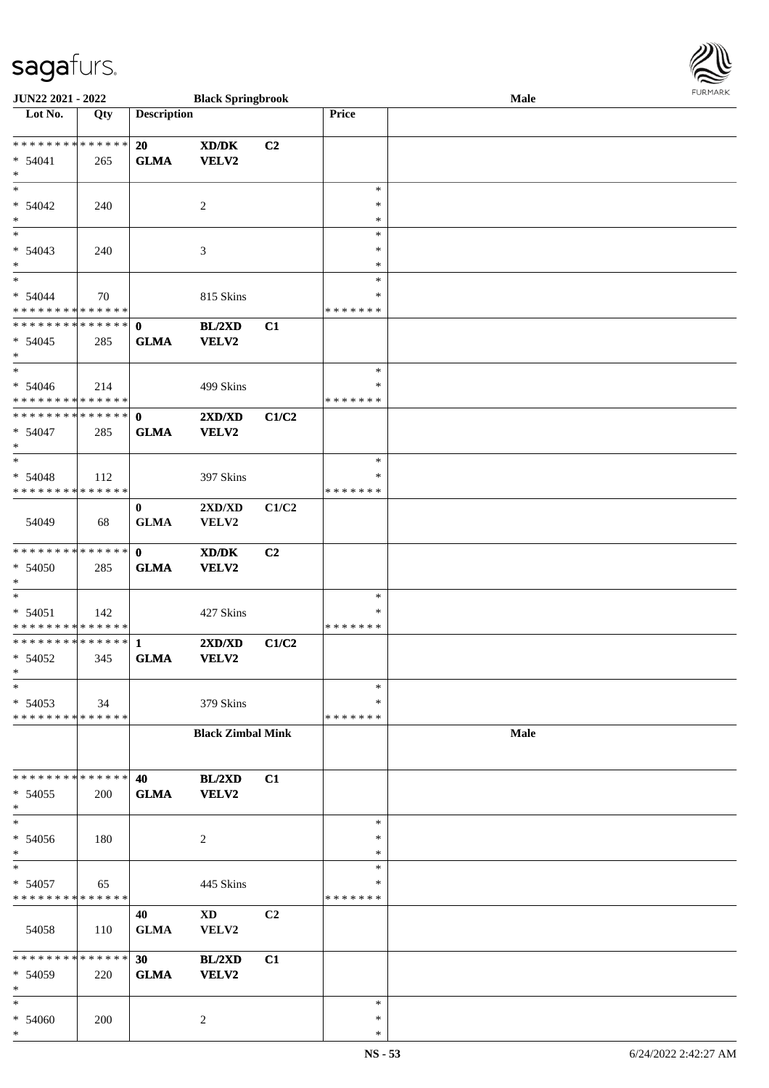| JUN22 2021 - 2022                                  |     |                             | <b>Black Springbrook</b>                  |       |                                   | Male        | $1$ $0.1$ $1.$ $1.$ $1.$ $0.$ |
|----------------------------------------------------|-----|-----------------------------|-------------------------------------------|-------|-----------------------------------|-------------|-------------------------------|
| Lot No.                                            | Qty | <b>Description</b>          |                                           |       | Price                             |             |                               |
| * * * * * * * * * * * * * * *<br>$* 54041$<br>$*$  | 265 | 20<br><b>GLMA</b>           | XD/DK<br><b>VELV2</b>                     | C2    |                                   |             |                               |
| $*$<br>$* 54042$<br>$*$                            | 240 |                             | 2                                         |       | $\ast$<br>$\ast$<br>$\ast$        |             |                               |
| $\overline{\phantom{0}}$<br>$* 54043$<br>$*$       | 240 |                             | 3                                         |       | $\ast$<br>∗<br>$\ast$             |             |                               |
| $*$<br>$* 54044$<br>* * * * * * * * * * * * * *    | 70  |                             | 815 Skins                                 |       | $\ast$<br>$\ast$<br>* * * * * * * |             |                               |
| * * * * * * * * * * * * * * *<br>$* 54045$<br>$*$  | 285 | $\mathbf{0}$<br><b>GLMA</b> | BL/2XD<br>VELV2                           | C1    |                                   |             |                               |
| $*$<br>$* 54046$<br>******** <mark>******</mark>   | 214 |                             | 499 Skins                                 |       | $\ast$<br>$\ast$<br>* * * * * * * |             |                               |
| * * * * * * * * * * * * * * *<br>$* 54047$<br>$*$  | 285 | $\mathbf 0$<br><b>GLMA</b>  | 2XD/XD<br><b>VELV2</b>                    | C1/C2 |                                   |             |                               |
| $*$<br>$* 54048$<br>******** <mark>******</mark>   | 112 |                             | 397 Skins                                 |       | $\ast$<br>∗<br>* * * * * * *      |             |                               |
| 54049                                              | 68  | $\bf{0}$<br><b>GLMA</b>     | $2{\bf X}{\bf D}/{\bf X}{\bf D}$<br>VELV2 | C1/C2 |                                   |             |                               |
| * * * * * * * * * * * * * *<br>* 54050<br>$*$      | 285 | $\mathbf{0}$<br><b>GLMA</b> | XD/DK<br>VELV2                            | C2    |                                   |             |                               |
| $*$<br>$* 54051$<br>* * * * * * * * * * * * * * *  | 142 |                             | 427 Skins                                 |       | $\ast$<br>$\ast$<br>* * * * * * * |             |                               |
| ******** <mark>******</mark><br>* 54052<br>$*$     | 345 | $\mathbf{1}$<br><b>GLMA</b> | 2XD/XD<br><b>VELV2</b>                    | C1/C2 |                                   |             |                               |
| $\ast$<br>$* 54053$<br>* * * * * * * * * * * * * * | 34  |                             | 379 Skins                                 |       | $\ast$<br>$\ast$<br>* * * * * * * |             |                               |
|                                                    |     |                             | <b>Black Zimbal Mink</b>                  |       |                                   | <b>Male</b> |                               |
| * * * * * * * * * * * * * * *<br>$* 54055$<br>$*$  | 200 | 40<br><b>GLMA</b>           | BL/2XD<br><b>VELV2</b>                    | C1    |                                   |             |                               |
| $*$<br>$* 54056$<br>$*$                            | 180 |                             | 2                                         |       | $\ast$<br>$\ast$<br>$\ast$        |             |                               |
| $\ast$<br>$* 54057$<br>* * * * * * * * * * * * * * | 65  |                             | 445 Skins                                 |       | $\ast$<br>∗<br>*******            |             |                               |
| 54058                                              | 110 | 40<br><b>GLMA</b>           | $\mathbf{X}\mathbf{D}$<br>VELV2           | C2    |                                   |             |                               |
| * * * * * * * * * * * * * * *<br>* 54059<br>$*$    | 220 | 30<br><b>GLMA</b>           | BL/2XD<br>VELV2                           | C1    |                                   |             |                               |
| $*$<br>* 54060<br>$\ast$                           | 200 |                             | 2                                         |       | $\ast$<br>$\ast$<br>$\ast$        |             |                               |

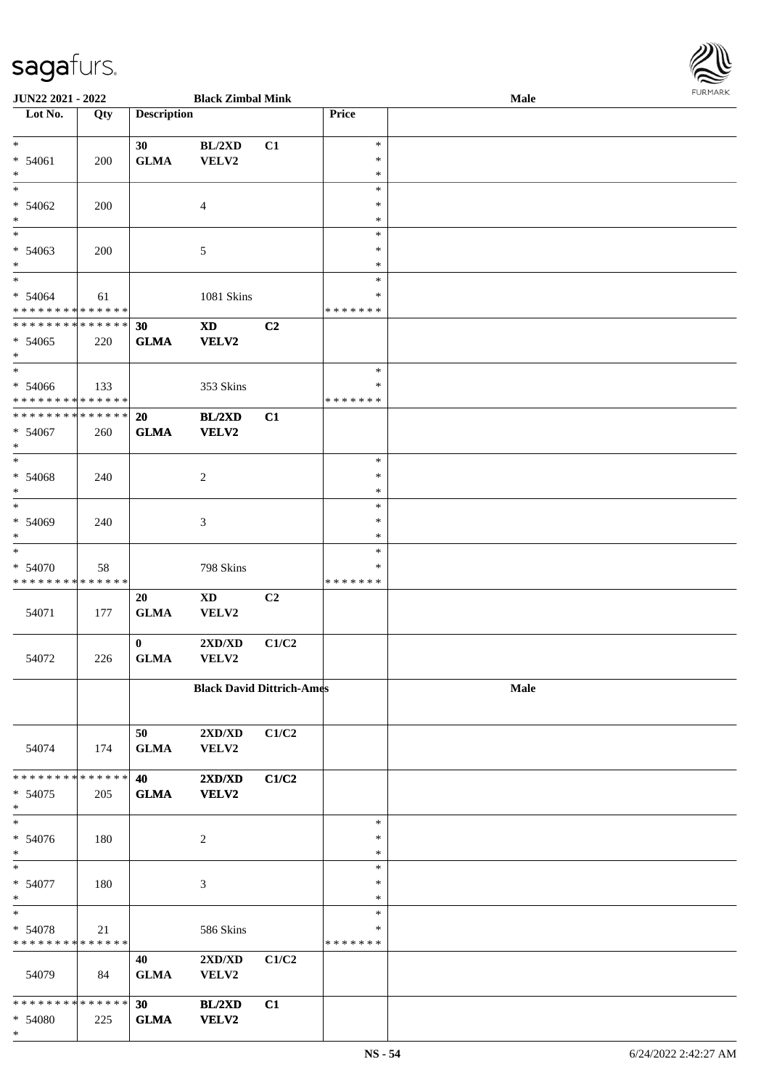| <b>JUN22 2021 - 2022</b>                                                    |     |                    | <b>Black Zimbal Mink</b>                   |                |                  | Male | $1 \times 1$ |
|-----------------------------------------------------------------------------|-----|--------------------|--------------------------------------------|----------------|------------------|------|--------------|
| Lot No.                                                                     | Qty | <b>Description</b> |                                            |                | Price            |      |              |
| $*$                                                                         |     |                    |                                            |                | $\ast$           |      |              |
| $* 54061$                                                                   |     | 30<br><b>GLMA</b>  | BL/2XD<br>VELV2                            | C1             | $\ast$           |      |              |
| $\ast$                                                                      | 200 |                    |                                            |                | $\ast$           |      |              |
|                                                                             |     |                    |                                            |                | $\ast$           |      |              |
| $* 54062$                                                                   | 200 |                    | $\overline{4}$                             |                | $\ast$           |      |              |
| $*$                                                                         |     |                    |                                            |                | $\ast$           |      |              |
|                                                                             |     |                    |                                            |                | $\ast$           |      |              |
| $* 54063$                                                                   | 200 |                    | 5                                          |                | $\ast$           |      |              |
| $\ast$                                                                      |     |                    |                                            |                | $\ast$           |      |              |
| $\overline{\ast}$                                                           |     |                    |                                            |                | $\ast$           |      |              |
| * 54064                                                                     | 61  |                    | 1081 Skins                                 |                | $\ast$           |      |              |
| * * * * * * * * * * * * * * *<br>* * * * * * * * <mark>* * * * * * *</mark> |     | 30                 |                                            | C2             | *******          |      |              |
| $* 54065$                                                                   | 220 | <b>GLMA</b>        | $\boldsymbol{\mathrm{XD}}$<br><b>VELV2</b> |                |                  |      |              |
| $*$                                                                         |     |                    |                                            |                |                  |      |              |
| $*$                                                                         |     |                    |                                            |                | $\ast$           |      |              |
| $* 54066$                                                                   | 133 |                    | 353 Skins                                  |                | $\ast$           |      |              |
| * * * * * * * * <mark>* * * * * *</mark>                                    |     |                    |                                            |                | * * * * * * *    |      |              |
| * * * * * * * * <mark>* * * * * * *</mark>                                  |     | 20                 | BL/2XD                                     | C1             |                  |      |              |
| $* 54067$                                                                   | 260 | <b>GLMA</b>        | <b>VELV2</b>                               |                |                  |      |              |
| $\ast$                                                                      |     |                    |                                            |                |                  |      |              |
|                                                                             |     |                    |                                            |                | $\ast$           |      |              |
| $* 54068$                                                                   | 240 |                    | 2                                          |                | $\ast$<br>$\ast$ |      |              |
| $*$<br>$*$                                                                  |     |                    |                                            |                | $\ast$           |      |              |
| $* 54069$                                                                   | 240 |                    | 3                                          |                | $\ast$           |      |              |
| $\ast$                                                                      |     |                    |                                            |                | $\ast$           |      |              |
| $\overline{\ast}$                                                           |     |                    |                                            |                | $\ast$           |      |              |
| $* 54070$                                                                   | 58  |                    | 798 Skins                                  |                | $\ast$           |      |              |
| * * * * * * * * <mark>* * * * * * *</mark>                                  |     |                    |                                            |                | * * * * * * *    |      |              |
|                                                                             |     | 20                 | $\mathbf{X}\mathbf{D}$                     | C <sub>2</sub> |                  |      |              |
| 54071                                                                       | 177 | <b>GLMA</b>        | VELV2                                      |                |                  |      |              |
|                                                                             |     |                    |                                            |                |                  |      |              |
|                                                                             |     | $\mathbf{0}$       | 2XD/XD                                     | C1/C2          |                  |      |              |
| 54072                                                                       | 226 | <b>GLMA</b>        | VELV2                                      |                |                  |      |              |
|                                                                             |     |                    | <b>Black David Dittrich-Ames</b>           |                |                  | Male |              |
|                                                                             |     |                    |                                            |                |                  |      |              |
|                                                                             |     |                    |                                            |                |                  |      |              |
|                                                                             |     | 50                 | $2{\bf X}{\bf D}/{\bf X}{\bf D}$           | C1/C2          |                  |      |              |
| 54074                                                                       | 174 | <b>GLMA</b>        | VELV2                                      |                |                  |      |              |
|                                                                             |     |                    |                                            |                |                  |      |              |
| * * * * * * * * <mark>* * * * * *</mark>                                    |     | 40                 | $2{\bf X}{\bf D}/{\bf X}{\bf D}$           | C1/C2          |                  |      |              |
| $* 54075$<br>$\ast$                                                         | 205 | <b>GLMA</b>        | <b>VELV2</b>                               |                |                  |      |              |
| $\ast$                                                                      |     |                    |                                            |                | $\ast$           |      |              |
| * 54076                                                                     | 180 |                    | 2                                          |                | $\ast$           |      |              |
| $*$                                                                         |     |                    |                                            |                | $\ast$           |      |              |
| $\ast$                                                                      |     |                    |                                            |                | $\ast$           |      |              |
| * 54077                                                                     | 180 |                    | 3                                          |                | $\ast$           |      |              |
| $*$                                                                         |     |                    |                                            |                | $\ast$           |      |              |
| $\ast$                                                                      |     |                    |                                            |                | $\ast$           |      |              |
| * 54078                                                                     | 21  |                    | 586 Skins                                  |                | ∗                |      |              |
| * * * * * * * * * * * * * *                                                 |     |                    |                                            |                | * * * * * * *    |      |              |
|                                                                             |     | 40                 | $2{\bf X}{\bf D}/{\bf X}{\bf D}$           | C1/C2          |                  |      |              |
| 54079                                                                       | 84  | <b>GLMA</b>        | VELV2                                      |                |                  |      |              |
| * * * * * * * * <mark>* * * * * *</mark>                                    |     | 30                 | BL/2XD                                     | C1             |                  |      |              |
| $* 54080$                                                                   | 225 | <b>GLMA</b>        | <b>VELV2</b>                               |                |                  |      |              |
|                                                                             |     |                    |                                            |                |                  |      |              |

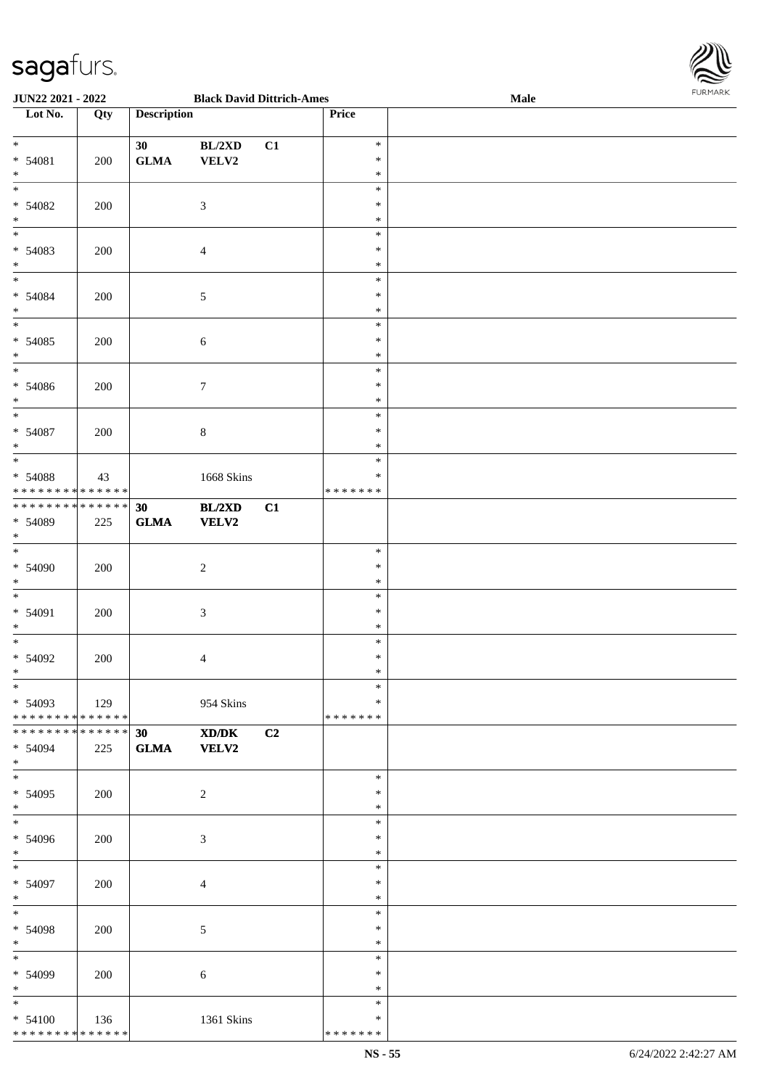

| JUN22 2021 - 2022                          |             |                    | <b>Black David Dittrich-Ames</b> |    |               | Male |
|--------------------------------------------|-------------|--------------------|----------------------------------|----|---------------|------|
| Lot No.                                    | Qty         | <b>Description</b> |                                  |    | Price         |      |
|                                            |             |                    |                                  |    |               |      |
| $\ast$                                     |             | 30                 | BL/2XD                           | C1 | $\ast$        |      |
| $* 54081$                                  | 200         | ${\bf GLMA}$       | VELV2                            |    | $\ast$        |      |
| $\ast$                                     |             |                    |                                  |    | $\ast$        |      |
| $\overline{\phantom{a}^*}$                 |             |                    |                                  |    | $\ast$        |      |
| $* 54082$                                  | 200         |                    | $\mathfrak{Z}$                   |    | $\ast$        |      |
| $\ast$                                     |             |                    |                                  |    | $\ast$        |      |
| $\overline{\phantom{0}}$                   |             |                    |                                  |    |               |      |
|                                            |             |                    |                                  |    | $\ast$        |      |
| $* 54083$                                  | 200         |                    | $\overline{4}$                   |    | $\ast$        |      |
| $\ast$                                     |             |                    |                                  |    | $\ast$        |      |
| $\overline{\phantom{0}}$                   |             |                    |                                  |    | $\ast$        |      |
| $* 54084$                                  | 200         |                    | 5                                |    | $\ast$        |      |
| $\ast$                                     |             |                    |                                  |    | $\ast$        |      |
| $\overline{\phantom{a}^*}$                 |             |                    |                                  |    | $\ast$        |      |
| $* 54085$                                  | 200         |                    | $\sqrt{6}$                       |    | $\ast$        |      |
| $\ast$                                     |             |                    |                                  |    | $\ast$        |      |
| $_{\ast}^{-}$                              |             |                    |                                  |    | $\ast$        |      |
| $* 54086$                                  | 200         |                    | $\tau$                           |    | $\ast$        |      |
| $\ast$                                     |             |                    |                                  |    | $\ast$        |      |
| $\overline{\phantom{a}^*}$                 |             |                    |                                  |    | $\ast$        |      |
|                                            |             |                    |                                  |    |               |      |
| * 54087                                    | 200         |                    | $8\,$                            |    | $\ast$        |      |
| $\ast$                                     |             |                    |                                  |    | $\ast$        |      |
| $\ast$                                     |             |                    |                                  |    | $\ast$        |      |
| * 54088                                    | 43          |                    | 1668 Skins                       |    | $\ast$        |      |
| * * * * * * * * <mark>* * * * * * *</mark> |             |                    |                                  |    | * * * * * * * |      |
| **************                             |             | 30                 | BL/2XD                           | C1 |               |      |
| * 54089                                    | 225         | <b>GLMA</b>        | VELV2                            |    |               |      |
| $*$                                        |             |                    |                                  |    |               |      |
| $\overline{\phantom{0}}$                   |             |                    |                                  |    | $\ast$        |      |
| $* 54090$                                  | 200         |                    | $\boldsymbol{2}$                 |    | $\ast$        |      |
| $\ast$                                     |             |                    |                                  |    | $\ast$        |      |
| $\ast$                                     |             |                    |                                  |    | $\ast$        |      |
| * 54091                                    |             |                    |                                  |    | $\ast$        |      |
| $\ast$                                     | 200         |                    | 3                                |    | $\ast$        |      |
| $\ast$                                     |             |                    |                                  |    | $\ast$        |      |
|                                            |             |                    |                                  |    |               |      |
| $* 54092$                                  | 200         |                    | 4                                |    | $\ast$        |      |
| $*$                                        |             |                    |                                  |    | $\ast$        |      |
| $*$                                        |             |                    |                                  |    | $\ast$        |      |
| $* 54093$                                  | $\vert$ 129 |                    | 954 Skins                        |    | ∗             |      |
| ******** <mark>******</mark>               |             |                    |                                  |    | *******       |      |
| * * * * * * * * * * * * * * *              |             | 30                 | XD/DK                            | C2 |               |      |
| $* 54094$                                  | 225         | <b>GLMA</b>        | <b>VELV2</b>                     |    |               |      |
| $*$                                        |             |                    |                                  |    |               |      |
| $\overline{\phantom{0}}$                   |             |                    |                                  |    | $\ast$        |      |
| * 54095                                    | 200         |                    | $\sqrt{2}$                       |    | $\ast$        |      |
| $*$                                        |             |                    |                                  |    | $\ast$        |      |
| $\overline{\phantom{0}}$                   |             |                    |                                  |    | $\ast$        |      |
| * 54096                                    | 200         |                    | 3                                |    | $\ast$        |      |
| $*$                                        |             |                    |                                  |    | $\ast$        |      |
| $*$                                        |             |                    |                                  |    | $\ast$        |      |
|                                            |             |                    |                                  |    |               |      |
| $* 54097$                                  | 200         |                    | $\overline{4}$                   |    | $\ast$        |      |
| $*$                                        |             |                    |                                  |    | $\ast$        |      |
| $*$                                        |             |                    |                                  |    | $\ast$        |      |
| $* 54098$                                  | 200         |                    | 5                                |    | $\ast$        |      |
| $*$                                        |             |                    |                                  |    | $\ast$        |      |
| $\overline{\phantom{0}}$                   |             |                    |                                  |    | $\ast$        |      |
| * 54099                                    | 200         |                    | 6                                |    | $\ast$        |      |
| $*$                                        |             |                    |                                  |    | $\ast$        |      |
| $\ast$                                     |             |                    |                                  |    | $\ast$        |      |
| $* 54100$                                  | 136         |                    | 1361 Skins                       |    | $\ast$        |      |
| * * * * * * * * * * * * * *                |             |                    |                                  |    | *******       |      |
|                                            |             |                    |                                  |    |               |      |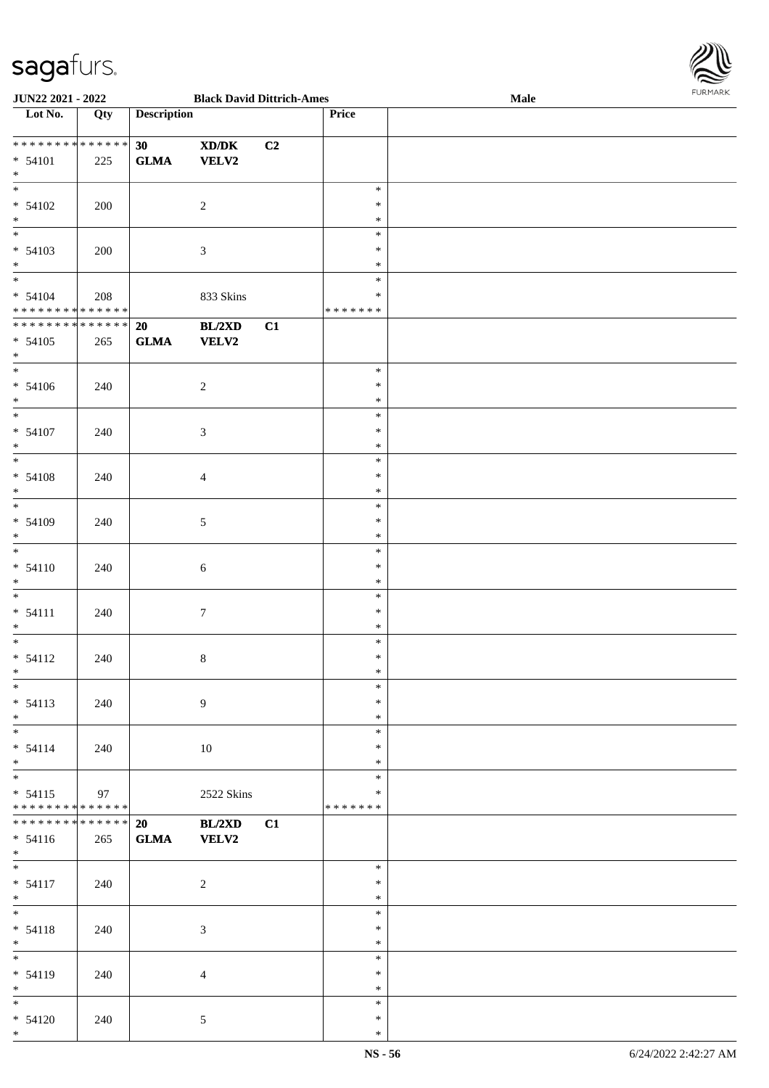

| <b>JUN22 2021 - 2022</b>                   |     |                    | <b>Black David Dittrich-Ames</b> |    |         | Male | <b>FURMARK</b> |
|--------------------------------------------|-----|--------------------|----------------------------------|----|---------|------|----------------|
| Lot No.                                    | Qty | <b>Description</b> |                                  |    | Price   |      |                |
|                                            |     |                    |                                  |    |         |      |                |
| ******** <mark>*******</mark>              |     | 30                 | XD/DK                            | C2 |         |      |                |
| $* 54101$                                  | 225 | <b>GLMA</b>        | <b>VELV2</b>                     |    |         |      |                |
| $*$                                        |     |                    |                                  |    |         |      |                |
|                                            |     |                    |                                  |    | $\ast$  |      |                |
| $* 54102$                                  |     |                    |                                  |    | $\ast$  |      |                |
| $*$                                        | 200 |                    | $\overline{c}$                   |    |         |      |                |
|                                            |     |                    |                                  |    | $\ast$  |      |                |
|                                            |     |                    |                                  |    | $\ast$  |      |                |
| $* 54103$                                  | 200 |                    | 3                                |    | $\ast$  |      |                |
| $*$                                        |     |                    |                                  |    | $\ast$  |      |                |
| $\overline{\ast}$                          |     |                    |                                  |    | $\ast$  |      |                |
| $* 54104$                                  | 208 |                    | 833 Skins                        |    | $\ast$  |      |                |
| * * * * * * * * * * * * * *                |     |                    |                                  |    | ******* |      |                |
| * * * * * * * * <mark>* * * * * * *</mark> |     | 20                 | BL/2XD                           | C1 |         |      |                |
| $* 54105$                                  | 265 | <b>GLMA</b>        | <b>VELV2</b>                     |    |         |      |                |
| $*$                                        |     |                    |                                  |    |         |      |                |
|                                            |     |                    |                                  |    | $\ast$  |      |                |
|                                            |     |                    |                                  |    | $\ast$  |      |                |
| $* 54106$                                  | 240 |                    | $\sqrt{2}$                       |    |         |      |                |
| $*$<br>$\overline{\ast}$                   |     |                    |                                  |    | $\ast$  |      |                |
|                                            |     |                    |                                  |    | $\ast$  |      |                |
| $* 54107$                                  | 240 |                    | $\mathfrak{Z}$                   |    | $\ast$  |      |                |
| $*$                                        |     |                    |                                  |    | $\ast$  |      |                |
|                                            |     |                    |                                  |    | $\ast$  |      |                |
| $* 54108$                                  | 240 |                    | $\overline{4}$                   |    | $\ast$  |      |                |
| $*$                                        |     |                    |                                  |    | $\ast$  |      |                |
|                                            |     |                    |                                  |    | $\ast$  |      |                |
| * 54109                                    |     |                    |                                  |    | $\ast$  |      |                |
|                                            | 240 |                    | $\mathfrak{S}$                   |    |         |      |                |
| $*$                                        |     |                    |                                  |    | $\ast$  |      |                |
|                                            |     |                    |                                  |    | $\ast$  |      |                |
| $* 54110$                                  | 240 |                    | $\sqrt{6}$                       |    | $\ast$  |      |                |
| $*$                                        |     |                    |                                  |    | $\ast$  |      |                |
| $*$                                        |     |                    |                                  |    | $\ast$  |      |                |
| $* 54111$                                  | 240 |                    | $\tau$                           |    | $\ast$  |      |                |
| $*$                                        |     |                    |                                  |    | $\ast$  |      |                |
| $\overline{\phantom{0}}$                   |     |                    |                                  |    | $\ast$  |      |                |
| $* 54112$                                  | 240 |                    | $8\,$                            |    | $\ast$  |      |                |
| $*$                                        |     |                    |                                  |    | $\ast$  |      |                |
| $*$                                        |     |                    |                                  |    | $\ast$  |      |                |
|                                            |     |                    |                                  |    |         |      |                |
| $* 54113$                                  | 240 |                    | 9                                |    | $\ast$  |      |                |
| $*$                                        |     |                    |                                  |    | $\ast$  |      |                |
|                                            |     |                    |                                  |    | $\ast$  |      |                |
| $* 54114$                                  | 240 |                    | 10                               |    | $\ast$  |      |                |
| $*$                                        |     |                    |                                  |    | $\ast$  |      |                |
|                                            |     |                    |                                  |    | $\ast$  |      |                |
| $* 54115$                                  | 97  |                    | 2522 Skins                       |    | $\ast$  |      |                |
| * * * * * * * * <mark>* * * * * * *</mark> |     |                    |                                  |    | ******* |      |                |
| * * * * * * * * <mark>* * * * * * *</mark> |     | 20                 | BL/2XD                           | C1 |         |      |                |
|                                            |     |                    |                                  |    |         |      |                |
| $* 54116$                                  | 265 | <b>GLMA</b>        | <b>VELV2</b>                     |    |         |      |                |
| $*$                                        |     |                    |                                  |    |         |      |                |
| $*$                                        |     |                    |                                  |    | $\ast$  |      |                |
| $* 54117$                                  | 240 |                    | $\overline{c}$                   |    | $\ast$  |      |                |
| $*$                                        |     |                    |                                  |    | $\ast$  |      |                |
|                                            |     |                    |                                  |    | $\ast$  |      |                |
| $* 54118$                                  | 240 |                    | $\mathfrak{Z}$                   |    | $\ast$  |      |                |
| $*$                                        |     |                    |                                  |    | $*$     |      |                |
| $\frac{1}{1}$                              |     |                    |                                  |    | $\ast$  |      |                |
| * 54119                                    | 240 |                    | $\overline{4}$                   |    | $\ast$  |      |                |
| $*$                                        |     |                    |                                  |    | $\ast$  |      |                |
| $*$                                        |     |                    |                                  |    | $\ast$  |      |                |
|                                            |     |                    |                                  |    |         |      |                |
| $* 54120$                                  | 240 |                    | 5                                |    | $\ast$  |      |                |
| $*$                                        |     |                    |                                  |    | $\ast$  |      |                |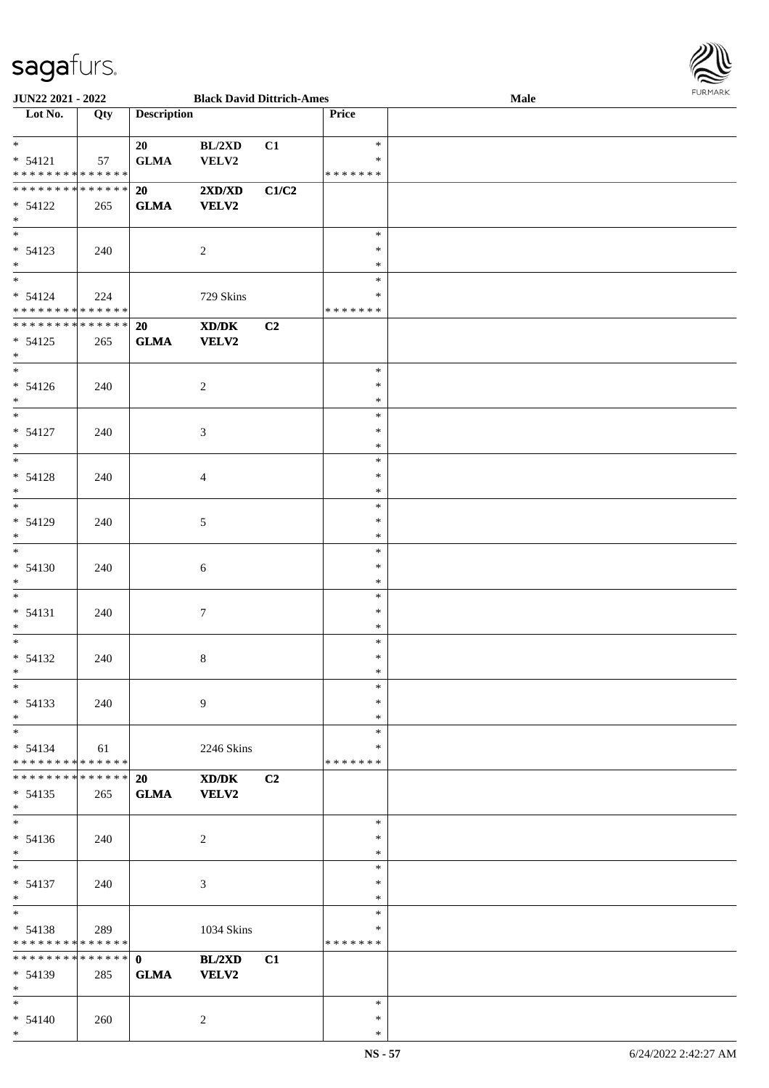

| JUN22 2021 - 2022                        |     |                    | <b>Black David Dittrich-Ames</b> |                |                    | Male | <b>FURMARK</b> |
|------------------------------------------|-----|--------------------|----------------------------------|----------------|--------------------|------|----------------|
| Lot No.                                  | Qty | <b>Description</b> |                                  |                | Price              |      |                |
| $\ast$                                   |     | 20                 | BL/2XD                           | C1             | $\ast$             |      |                |
| $* 54121$                                | 57  | ${\bf GLMA}$       | VELV2                            |                | ∗                  |      |                |
| * * * * * * * * * * * * * *              |     |                    |                                  |                | * * * * * * *      |      |                |
| **************                           |     | 20                 | 2XD/XD                           | C1/C2          |                    |      |                |
| $* 54122$                                | 265 | <b>GLMA</b>        | <b>VELV2</b>                     |                |                    |      |                |
| $\ast$                                   |     |                    |                                  |                |                    |      |                |
| $\overline{\phantom{a}^*}$               |     |                    |                                  |                | $\ast$             |      |                |
| $* 54123$                                | 240 |                    | $\boldsymbol{2}$                 |                | ∗                  |      |                |
| $*$<br>$_{\ast}^{-}$                     |     |                    |                                  |                | $\ast$             |      |                |
| $* 54124$                                |     |                    |                                  |                | $\ast$<br>∗        |      |                |
| * * * * * * * * * * * * * *              | 224 |                    | 729 Skins                        |                | *******            |      |                |
| **************                           |     | 20                 | XD/DK                            | C2             |                    |      |                |
| $* 54125$                                | 265 | ${\bf GLMA}$       | VELV2                            |                |                    |      |                |
| $*$                                      |     |                    |                                  |                |                    |      |                |
| $\ast$                                   |     |                    |                                  |                | $\ast$             |      |                |
| $* 54126$                                | 240 |                    | $\overline{c}$                   |                | $\ast$             |      |                |
| $\ast$                                   |     |                    |                                  |                | $\ast$             |      |                |
| $\ast$                                   |     |                    |                                  |                | $\ast$             |      |                |
| $* 54127$                                | 240 |                    | 3                                |                | $\ast$             |      |                |
| $\ast$<br>$*$                            |     |                    |                                  |                | $\ast$<br>$\ast$   |      |                |
| $* 54128$                                |     |                    |                                  |                | $\ast$             |      |                |
| $\ast$                                   | 240 |                    | $\overline{4}$                   |                | $\ast$             |      |                |
| $\overline{\phantom{0}}$                 |     |                    |                                  |                | $\ast$             |      |                |
| * 54129                                  | 240 |                    | $\mathfrak{S}$                   |                | $\ast$             |      |                |
| $\ast$                                   |     |                    |                                  |                | $\ast$             |      |                |
| $\overline{\phantom{0}}$                 |     |                    |                                  |                | $\ast$             |      |                |
| $* 54130$                                | 240 |                    | 6                                |                | $\ast$             |      |                |
| $\ast$                                   |     |                    |                                  |                | $\ast$             |      |                |
| $*$                                      |     |                    |                                  |                | $\ast$             |      |                |
| $* 54131$<br>$\ast$                      | 240 |                    | $\tau$                           |                | $\ast$<br>$\ast$   |      |                |
| $\ast$                                   |     |                    |                                  |                | $\ast$             |      |                |
| $* 54132$                                | 240 |                    | 8                                |                | $\ast$             |      |                |
| $\ast$                                   |     |                    |                                  |                | $\ast$             |      |                |
| $\ast$                                   |     |                    |                                  |                | $\ast$             |      |                |
| $* 54133$                                | 240 |                    | 9                                |                | ∗                  |      |                |
| $\ast$                                   |     |                    |                                  |                | ∗                  |      |                |
| $\ast$                                   |     |                    |                                  |                | $\ast$             |      |                |
| $* 54134$<br>* * * * * * * * * * * * * * | 61  |                    | 2246 Skins                       |                | ∗<br>* * * * * * * |      |                |
| **************                           |     | 20                 | XD/DK                            | C <sub>2</sub> |                    |      |                |
| $* 54135$                                | 265 | <b>GLMA</b>        | <b>VELV2</b>                     |                |                    |      |                |
| $*$                                      |     |                    |                                  |                |                    |      |                |
| $\overline{\phantom{a}^*}$               |     |                    |                                  |                | $\ast$             |      |                |
| $* 54136$                                | 240 |                    | 2                                |                | *                  |      |                |
| $\ast$                                   |     |                    |                                  |                | $\ast$             |      |                |
| $\ast$                                   |     |                    |                                  |                | $\ast$             |      |                |
| $* 54137$                                | 240 |                    | $\mathfrak{Z}$                   |                | $\ast$             |      |                |
| $\ast$<br>$\overline{\phantom{1}}$       |     |                    |                                  |                | $\ast$             |      |                |
|                                          |     |                    |                                  |                | $\ast$<br>$\ast$   |      |                |
| $* 54138$<br>* * * * * * * * * * * * * * | 289 |                    | 1034 Skins                       |                | *******            |      |                |
| **************                           |     | $\mathbf{0}$       | BL/2XD                           | C1             |                    |      |                |
| * 54139                                  | 285 | <b>GLMA</b>        | <b>VELV2</b>                     |                |                    |      |                |
| $*$                                      |     |                    |                                  |                |                    |      |                |
| $*$                                      |     |                    |                                  |                | $\ast$             |      |                |
| $* 54140$                                | 260 |                    | $\overline{c}$                   |                | $\ast$             |      |                |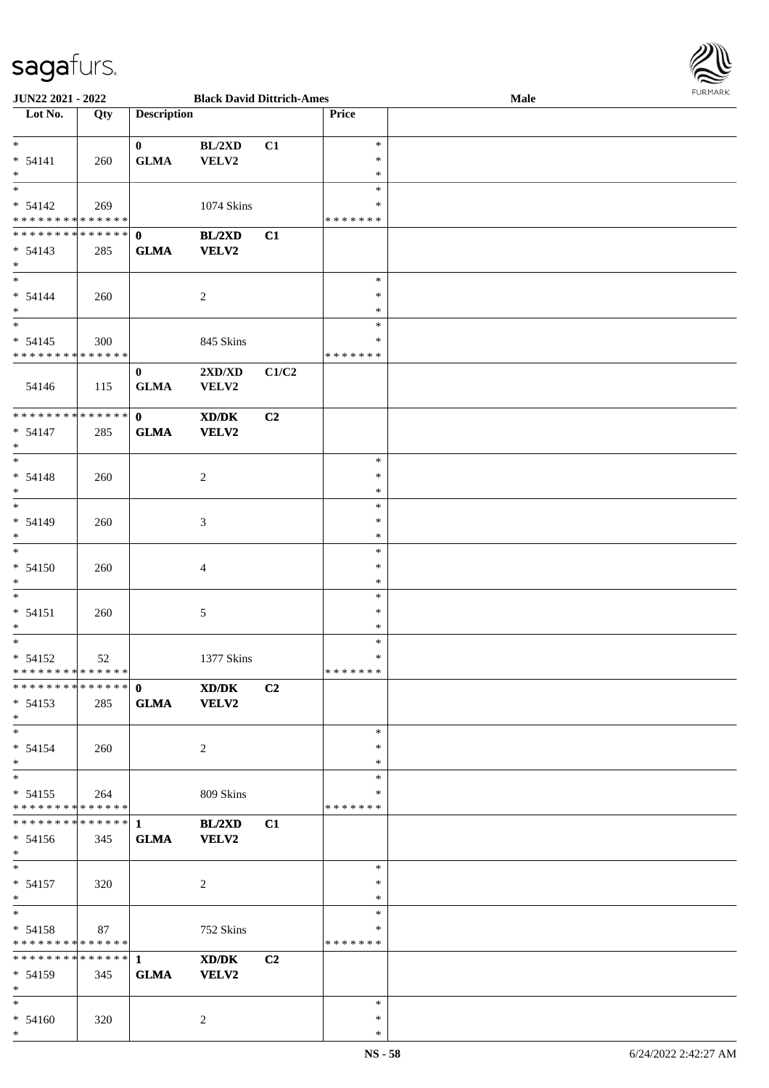

| <b>JUN22 2021 - 2022</b>                   |     |                    | <b>Black David Dittrich-Ames</b>                                                                     |       |               | Male |
|--------------------------------------------|-----|--------------------|------------------------------------------------------------------------------------------------------|-------|---------------|------|
| Lot No.                                    | Qty | <b>Description</b> |                                                                                                      |       | Price         |      |
|                                            |     |                    |                                                                                                      |       |               |      |
| $*$                                        |     | $\mathbf{0}$       | $BL/2{\rm X}D$                                                                                       | C1    | $\ast$        |      |
| $* 54141$                                  | 260 | <b>GLMA</b>        | VELV2                                                                                                |       | $\ast$        |      |
| $*$                                        |     |                    |                                                                                                      |       | $\ast$        |      |
|                                            |     |                    |                                                                                                      |       | $\ast$        |      |
|                                            |     |                    |                                                                                                      |       |               |      |
| $* 54142$                                  | 269 |                    | 1074 Skins                                                                                           |       | *             |      |
| * * * * * * * * <mark>* * * * * *</mark>   |     |                    |                                                                                                      |       | * * * * * * * |      |
| * * * * * * * * * * * * * * *              |     | $\mathbf{0}$       | BL/2XD                                                                                               | C1    |               |      |
| $* 54143$                                  | 285 | <b>GLMA</b>        | <b>VELV2</b>                                                                                         |       |               |      |
| $*$                                        |     |                    |                                                                                                      |       |               |      |
| $*$                                        |     |                    |                                                                                                      |       | $\ast$        |      |
| $* 54144$                                  | 260 |                    | 2                                                                                                    |       | $\ast$        |      |
| $*$                                        |     |                    |                                                                                                      |       | $\ast$        |      |
| $*$                                        |     |                    |                                                                                                      |       | $\ast$        |      |
| $* 54145$                                  | 300 |                    | 845 Skins                                                                                            |       | $\ast$        |      |
| * * * * * * * * <mark>* * * * * * *</mark> |     |                    |                                                                                                      |       | *******       |      |
|                                            |     |                    |                                                                                                      |       |               |      |
|                                            |     | $\mathbf{0}$       | 2XD/XD                                                                                               | C1/C2 |               |      |
| 54146                                      | 115 | <b>GLMA</b>        | <b>VELV2</b>                                                                                         |       |               |      |
|                                            |     |                    |                                                                                                      |       |               |      |
| * * * * * * * * <mark>* * * * * * *</mark> |     | $\mathbf{0}$       | $\boldsymbol{\text{X}}\boldsymbol{\text{D}}\boldsymbol{/}\boldsymbol{\text{D}}\boldsymbol{\text{K}}$ | C2    |               |      |
| $* 54147$                                  | 285 | <b>GLMA</b>        | <b>VELV2</b>                                                                                         |       |               |      |
| $*$                                        |     |                    |                                                                                                      |       |               |      |
| $*$                                        |     |                    |                                                                                                      |       | $\ast$        |      |
| $* 54148$                                  | 260 |                    | 2                                                                                                    |       | $\ast$        |      |
| $*$                                        |     |                    |                                                                                                      |       | $\ast$        |      |
| $*$                                        |     |                    |                                                                                                      |       | $\ast$        |      |
| $* 54149$                                  | 260 |                    | 3                                                                                                    |       | $\ast$        |      |
| $*$                                        |     |                    |                                                                                                      |       | $\ast$        |      |
| $\overline{\ast}$                          |     |                    |                                                                                                      |       | $\ast$        |      |
|                                            |     |                    |                                                                                                      |       |               |      |
| $* 54150$                                  | 260 |                    | 4                                                                                                    |       | $\ast$        |      |
| $*$                                        |     |                    |                                                                                                      |       | $\ast$        |      |
| $*$                                        |     |                    |                                                                                                      |       | $\ast$        |      |
| $* 54151$                                  | 260 |                    | 5                                                                                                    |       | $\ast$        |      |
| $\ast$                                     |     |                    |                                                                                                      |       | $\ast$        |      |
| $*$                                        |     |                    |                                                                                                      |       | $\ast$        |      |
| $* 54152$                                  | 52  |                    | 1377 Skins                                                                                           |       | $\ast$        |      |
| * * * * * * * * <mark>* * * * * * *</mark> |     |                    |                                                                                                      |       | *******       |      |
|                                            |     |                    | XD/DK                                                                                                | C2    |               |      |
| $* 54153$                                  |     | <b>GLMA</b>        | <b>VELV2</b>                                                                                         |       |               |      |
|                                            | 285 |                    |                                                                                                      |       |               |      |
| $*$                                        |     |                    |                                                                                                      |       |               |      |
| $*$                                        |     |                    |                                                                                                      |       | $\ast$        |      |
| $* 54154$                                  | 260 |                    | 2                                                                                                    |       | $\ast$        |      |
| $*$                                        |     |                    |                                                                                                      |       | $\ast$        |      |
| $\overline{\mathbf{r}}$                    |     |                    |                                                                                                      |       | $\ast$        |      |
| $* 54155$                                  | 264 |                    | 809 Skins                                                                                            |       | ∗             |      |
| * * * * * * * * * * * * * *                |     |                    |                                                                                                      |       | *******       |      |
|                                            |     |                    | BL/2XD                                                                                               | C1    |               |      |
| $* 54156$                                  | 345 | <b>GLMA</b>        | <b>VELV2</b>                                                                                         |       |               |      |
| $*$ $-$                                    |     |                    |                                                                                                      |       |               |      |
| $*$ and $*$                                |     |                    |                                                                                                      |       | $\ast$        |      |
|                                            |     |                    |                                                                                                      |       | $\ast$        |      |
| $* 54157$                                  | 320 |                    | 2                                                                                                    |       |               |      |
| $*$ $-$                                    |     |                    |                                                                                                      |       | $\ast$        |      |
| $*$ $-$                                    |     |                    |                                                                                                      |       | $\ast$        |      |
| $* 54158$                                  | 87  |                    | 752 Skins                                                                                            |       | $\ast$        |      |
| * * * * * * * * <mark>* * * * * * *</mark> |     |                    |                                                                                                      |       | *******       |      |
|                                            |     |                    | XD/DK                                                                                                | C2    |               |      |
| $* 54159$                                  | 345 | <b>GLMA</b>        | <b>VELV2</b>                                                                                         |       |               |      |
| $*$                                        |     |                    |                                                                                                      |       |               |      |
| $*$                                        |     |                    |                                                                                                      |       | $\ast$        |      |
| $* 54160$                                  | 320 |                    | 2                                                                                                    |       | $\ast$        |      |
| $*$                                        |     |                    |                                                                                                      |       | $\ast$        |      |
|                                            |     |                    |                                                                                                      |       |               |      |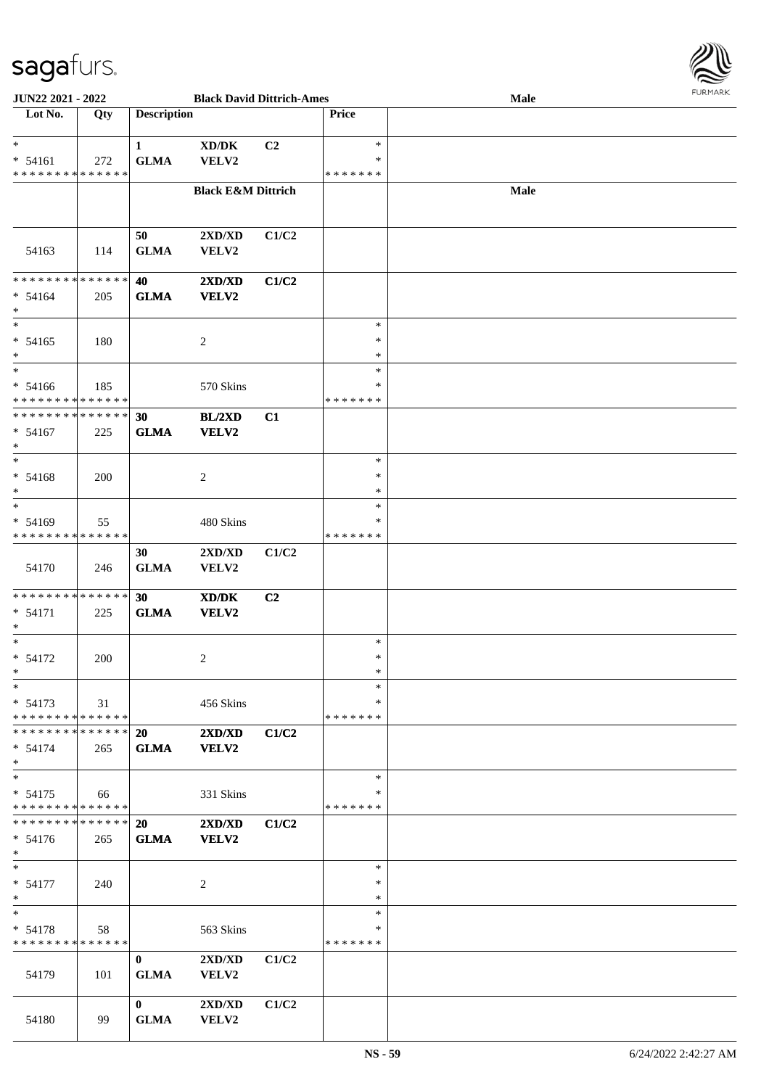

| <b>JUN22 2021 - 2022</b>                              |     |                    | <b>Black David Dittrich-Ames</b> |                |               | Male |  |
|-------------------------------------------------------|-----|--------------------|----------------------------------|----------------|---------------|------|--|
| Lot No.                                               | Qty | <b>Description</b> |                                  |                | <b>Price</b>  |      |  |
|                                                       |     |                    |                                  |                |               |      |  |
| $\ast$                                                |     | $\mathbf{1}$       | XD/DK                            | C <sub>2</sub> | $*$           |      |  |
| $* 54161$                                             | 272 | <b>GLMA</b>        | VELV2                            |                | ∗             |      |  |
| * * * * * * * * <mark>* * * * * *</mark>              |     |                    |                                  |                | * * * * * * * |      |  |
|                                                       |     |                    |                                  |                |               |      |  |
|                                                       |     |                    | <b>Black E&amp;M Dittrich</b>    |                |               | Male |  |
|                                                       |     |                    |                                  |                |               |      |  |
|                                                       |     |                    |                                  |                |               |      |  |
|                                                       |     | 50                 | 2XD/XD                           | C1/C2          |               |      |  |
| 54163                                                 | 114 | <b>GLMA</b>        | VELV2                            |                |               |      |  |
|                                                       |     |                    |                                  |                |               |      |  |
| **************                                        |     | 40                 | 2XD/XD                           | C1/C2          |               |      |  |
| $* 54164$                                             | 205 | <b>GLMA</b>        | VELV2                            |                |               |      |  |
| $*$                                                   |     |                    |                                  |                |               |      |  |
| $\ast$                                                |     |                    |                                  |                | $\ast$        |      |  |
|                                                       |     |                    |                                  |                | $\ast$        |      |  |
| $* 54165$                                             | 180 |                    | 2                                |                |               |      |  |
| $\ast$                                                |     |                    |                                  |                | $\ast$        |      |  |
| $\ast$                                                |     |                    |                                  |                | $\ast$        |      |  |
| $* 54166$                                             | 185 |                    | 570 Skins                        |                | $\ast$        |      |  |
| * * * * * * * * <mark>* * * * * * *</mark>            |     |                    |                                  |                | * * * * * * * |      |  |
| * * * * * * * * * * * * * * <mark>*</mark>            |     | 30                 | BL/2XD                           | C1             |               |      |  |
| $* 54167$                                             | 225 | <b>GLMA</b>        | VELV2                            |                |               |      |  |
| $\ast$                                                |     |                    |                                  |                |               |      |  |
| $\ast$                                                |     |                    |                                  |                | $\ast$        |      |  |
| $* 54168$                                             |     |                    |                                  |                | $\ast$        |      |  |
|                                                       | 200 |                    | 2                                |                |               |      |  |
| $\ast$<br>$\overline{\ast}$                           |     |                    |                                  |                | $\ast$        |      |  |
|                                                       |     |                    |                                  |                | $\ast$        |      |  |
| $* 54169$                                             | 55  |                    | 480 Skins                        |                | *             |      |  |
| * * * * * * * * <mark>* * * * * * *</mark>            |     |                    |                                  |                | *******       |      |  |
|                                                       |     | 30                 | 2XD/XD                           | C1/C2          |               |      |  |
| 54170                                                 | 246 | <b>GLMA</b>        | VELV2                            |                |               |      |  |
|                                                       |     |                    |                                  |                |               |      |  |
| * * * * * * * * * * * * * *                           |     | 30 <sup>°</sup>    | XD/DK                            | C <sub>2</sub> |               |      |  |
| $* 54171$                                             | 225 | <b>GLMA</b>        | VELV2                            |                |               |      |  |
| $\ast$                                                |     |                    |                                  |                |               |      |  |
| $*$                                                   |     |                    |                                  |                | $\ast$        |      |  |
|                                                       |     |                    |                                  |                | $\ast$        |      |  |
| $* 54172$                                             | 200 |                    | 2                                |                |               |      |  |
| $\ddot{x}$                                            |     |                    |                                  |                | $\ast$        |      |  |
| $\ast$                                                |     |                    |                                  |                | $*$           |      |  |
| $* 54173$                                             | 31  |                    | 456 Skins                        |                | ∗             |      |  |
| * * * * * * * * * * * * * * <mark>*</mark>            |     |                    |                                  |                | *******       |      |  |
| * * * * * * * * * * * * * * <mark>*</mark>            |     | 20                 | $2{\bf X}{\bf D}/{\bf X}{\bf D}$ | C1/C2          |               |      |  |
| $* 54174$                                             | 265 | <b>GLMA</b>        | <b>VELV2</b>                     |                |               |      |  |
| $\ast$                                                |     |                    |                                  |                |               |      |  |
| $\overline{\ast}$                                     |     |                    |                                  |                | $*$           |      |  |
|                                                       |     |                    | 331 Skins                        |                | ∗             |      |  |
| $* 54175$<br>* * * * * * * * <mark>* * * * * *</mark> | 66  |                    |                                  |                | * * * * * * * |      |  |
|                                                       |     |                    |                                  |                |               |      |  |
| * * * * * * * * * * * * * * <mark>*</mark>            |     | 20                 | 2XD/XD                           | C1/C2          |               |      |  |
| $* 54176$                                             | 265 | <b>GLMA</b>        | <b>VELV2</b>                     |                |               |      |  |
| $*$                                                   |     |                    |                                  |                |               |      |  |
| $*$ $-$                                               |     |                    |                                  |                | $\ast$        |      |  |
| $* 54177$                                             | 240 |                    | 2                                |                | $\ast$        |      |  |
| $*$                                                   |     |                    |                                  |                | $\ast$        |      |  |
| $\ddot{x}$                                            |     |                    |                                  |                | $\ast$        |      |  |
| $* 54178$                                             | 58  |                    | 563 Skins                        |                | $\ast$        |      |  |
| * * * * * * * * * * * * * * *                         |     |                    |                                  |                | *******       |      |  |
|                                                       |     |                    |                                  |                |               |      |  |
|                                                       |     | $\mathbf{0}$       | 2XD/XD                           | C1/C2          |               |      |  |
| 54179                                                 | 101 | <b>GLMA</b>        | VELV2                            |                |               |      |  |
|                                                       |     |                    |                                  |                |               |      |  |
|                                                       |     | $\mathbf{0}$       | 2XD/XD                           | C1/C2          |               |      |  |
| 54180                                                 | 99  | <b>GLMA</b>        | VELV2                            |                |               |      |  |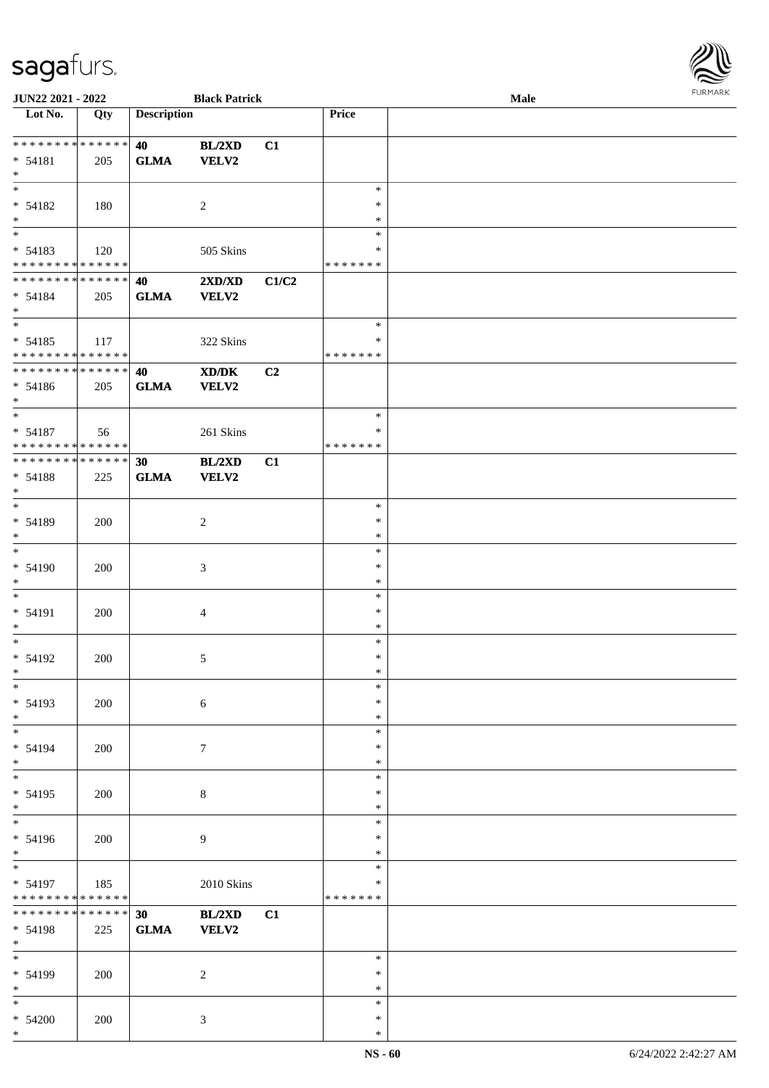| <b>JUN22 2021 - 2022</b>                   |     |                    | <b>Black Patrick</b>             |       |               | Male |  |
|--------------------------------------------|-----|--------------------|----------------------------------|-------|---------------|------|--|
| Lot No.                                    | Qty | <b>Description</b> |                                  |       | Price         |      |  |
|                                            |     |                    |                                  |       |               |      |  |
| * * * * * * * * * * * * * * *              |     | 40                 | BL/2XD                           | C1    |               |      |  |
| $* 54181$                                  | 205 | ${\bf GLMA}$       | VELV2                            |       |               |      |  |
| $*$                                        |     |                    |                                  |       |               |      |  |
|                                            |     |                    |                                  |       | $\ast$        |      |  |
| $* 54182$                                  | 180 |                    | 2                                |       | $\ast$        |      |  |
| $*$                                        |     |                    |                                  |       | $\ast$        |      |  |
|                                            |     |                    |                                  |       | $\ast$        |      |  |
| $* 54183$                                  | 120 |                    | 505 Skins                        |       | $\ast$        |      |  |
| * * * * * * * * <mark>* * * * * * *</mark> |     |                    |                                  |       | *******       |      |  |
| * * * * * * * * * * * * * * *              |     | 40                 | $2{\bf X}{\bf D}/{\bf X}{\bf D}$ | C1/C2 |               |      |  |
| $* 54184$                                  | 205 | <b>GLMA</b>        | <b>VELV2</b>                     |       |               |      |  |
| $*$                                        |     |                    |                                  |       |               |      |  |
| $\overline{\ast}$                          |     |                    |                                  |       | $\ast$        |      |  |
| $* 54185$                                  | 117 |                    | 322 Skins                        |       | $\ast$        |      |  |
| * * * * * * * * <mark>* * * * * * *</mark> |     |                    |                                  |       | *******       |      |  |
| * * * * * * * * <mark>* * * * * *</mark> * |     | 40                 | XD/DK                            | C2    |               |      |  |
| $* 54186$                                  | 205 | <b>GLMA</b>        | <b>VELV2</b>                     |       |               |      |  |
| $*$                                        |     |                    |                                  |       |               |      |  |
| $\overline{\phantom{0}}$                   |     |                    |                                  |       | $\ast$        |      |  |
| $* 54187$                                  | 56  |                    | 261 Skins                        |       | $\ast$        |      |  |
| * * * * * * * * <mark>* * * * * *</mark>   |     |                    |                                  |       | * * * * * * * |      |  |
| * * * * * * * * <mark>* * * * * * *</mark> |     | 30                 | BL/2XD                           | C1    |               |      |  |
|                                            |     |                    |                                  |       |               |      |  |
| * 54188<br>$*$                             | 225 | <b>GLMA</b>        | <b>VELV2</b>                     |       |               |      |  |
|                                            |     |                    |                                  |       | $\ast$        |      |  |
|                                            |     |                    |                                  |       |               |      |  |
| * 54189                                    | 200 |                    | $\overline{c}$                   |       | $\ast$        |      |  |
| $\ast$                                     |     |                    |                                  |       | $\ast$        |      |  |
| $\ast$                                     |     |                    |                                  |       | $\ast$        |      |  |
| $* 54190$                                  | 200 |                    | 3                                |       | $\ast$        |      |  |
| $*$                                        |     |                    |                                  |       | $\ast$        |      |  |
| $*$                                        |     |                    |                                  |       | $\ast$        |      |  |
| * 54191                                    | 200 |                    | $\overline{4}$                   |       | $\ast$        |      |  |
| $\ast$                                     |     |                    |                                  |       | $\ast$        |      |  |
| $\ast$                                     |     |                    |                                  |       | $\ast$        |      |  |
| $* 54192$                                  | 200 |                    | 5                                |       | $\ast$        |      |  |
| $\ast$                                     |     |                    |                                  |       | $\ast$        |      |  |
| $\ast$                                     |     |                    |                                  |       | $\ast$        |      |  |
| * 54193                                    | 200 |                    | $\sqrt{6}$                       |       | $\ast$        |      |  |
| $*$                                        |     |                    |                                  |       | $\ast$        |      |  |
| $\ddot{x}$                                 |     |                    |                                  |       | $\ast$        |      |  |
| * 54194                                    | 200 |                    | $\tau$                           |       | $\ast$        |      |  |
| $\ast$                                     |     |                    |                                  |       | $\ast$        |      |  |
| $*$                                        |     |                    |                                  |       | $\ast$        |      |  |
| $* 54195$                                  | 200 |                    | 8                                |       | $\ast$        |      |  |
| $*$                                        |     |                    |                                  |       | $\ast$        |      |  |
| $\overline{\ast}$                          |     |                    |                                  |       | $\ast$        |      |  |
| $* 54196$                                  | 200 |                    | $\overline{9}$                   |       | $\ast$        |      |  |
| $*$                                        |     |                    |                                  |       | $\ast$        |      |  |
| $\overline{\mathbf{r}^*}$                  |     |                    |                                  |       | $\ast$        |      |  |
| $* 54197$                                  | 185 |                    | 2010 Skins                       |       | $\ast$        |      |  |
| * * * * * * * * <mark>* * * * * *</mark>   |     |                    |                                  |       | *******       |      |  |
| * * * * * * * * <mark>* * * * * * *</mark> |     | 30                 |                                  |       |               |      |  |
|                                            |     |                    | BL/2XD                           | C1    |               |      |  |
| * 54198                                    | 225 | <b>GLMA</b>        | VELV2                            |       |               |      |  |
| $*$ $-$<br>$\overline{\ast}$               |     |                    |                                  |       |               |      |  |
|                                            |     |                    |                                  |       | $\ast$        |      |  |
| $* 54199$                                  | 200 |                    | 2                                |       | $\ast$        |      |  |
| $*$                                        |     |                    |                                  |       | $\ast$        |      |  |
| $\ast$                                     |     |                    |                                  |       | $\ast$        |      |  |
| $* 54200$                                  | 200 |                    | $\mathfrak{Z}$                   |       | $\ast$        |      |  |

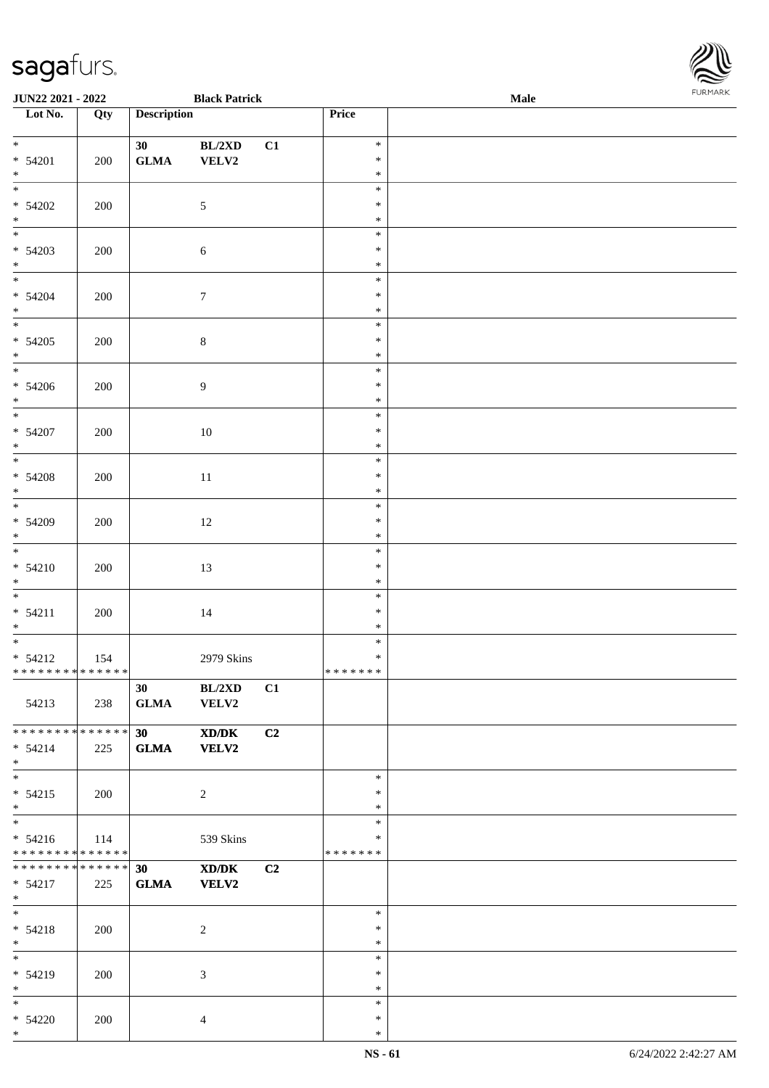| <b>JUN22 2021 - 2022</b>                     |     |                    | <b>Black Patrick</b> |    |                  | Male | <b>FURMARK</b> |
|----------------------------------------------|-----|--------------------|----------------------|----|------------------|------|----------------|
| Lot No.                                      | Qty | <b>Description</b> |                      |    | Price            |      |                |
| $\overline{\mathbf{r}}$                      |     |                    |                      |    |                  |      |                |
| $* 54201$                                    |     | 30 <sub>1</sub>    | $BL/2XD$             | C1 | $\ast$<br>$\ast$ |      |                |
| $*$                                          | 200 | ${\bf GLMA}$       | VELV2                |    | $\ast$           |      |                |
| $\overline{\ast}$                            |     |                    |                      |    | $\ast$           |      |                |
| $* 54202$                                    | 200 |                    | 5                    |    | $\ast$           |      |                |
|                                              |     |                    |                      |    | $\ast$           |      |                |
| $*$<br>*                                     |     |                    |                      |    | $\ast$           |      |                |
| $* 54203$                                    | 200 |                    | 6                    |    | $\ast$           |      |                |
| $*$                                          |     |                    |                      |    | $\ast$           |      |                |
| $*$                                          |     |                    |                      |    | $\ast$           |      |                |
| $* 54204$                                    | 200 |                    | $\tau$               |    | $\ast$           |      |                |
| $*$                                          |     |                    |                      |    | $\ast$<br>$\ast$ |      |                |
| $* 54205$                                    | 200 |                    | $\,8\,$              |    | $\ast$           |      |                |
| $*$                                          |     |                    |                      |    | $\ast$           |      |                |
| $\overline{\mathbf{r}}$                      |     |                    |                      |    | $\ast$           |      |                |
| $* 54206$                                    | 200 |                    | $\overline{9}$       |    | $\ast$           |      |                |
| $*$                                          |     |                    |                      |    | $\ast$           |      |                |
| $\overline{\phantom{0}}$                     |     |                    |                      |    | $\ast$           |      |                |
| $* 54207$                                    | 200 |                    | $10\,$               |    | $\ast$           |      |                |
| $*$                                          |     |                    |                      |    | $\ast$           |      |                |
|                                              |     |                    |                      |    | $\ast$<br>$\ast$ |      |                |
| $* 54208$<br>$*$                             | 200 |                    | $11\,$               |    | $\ast$           |      |                |
|                                              |     |                    |                      |    | $\ast$           |      |                |
| $* 54209$                                    | 200 |                    | 12                   |    | $\ast$           |      |                |
| $*$                                          |     |                    |                      |    | $\ast$           |      |                |
|                                              |     |                    |                      |    | $\ast$           |      |                |
| $* 54210$                                    | 200 |                    | 13                   |    | $\ast$           |      |                |
| $*$                                          |     |                    |                      |    | $\ast$           |      |                |
| $* 54211$                                    |     |                    |                      |    | $\ast$<br>$\ast$ |      |                |
| $*$                                          | 200 |                    | 14                   |    | $\ast$           |      |                |
| $\overline{\ast}$                            |     |                    |                      |    | $\ast$           |      |                |
| $* 54212$                                    | 154 |                    | 2979 Skins           |    | $\ast$           |      |                |
| * * * * * * * * * * * * * * *                |     |                    |                      |    | *******          |      |                |
|                                              |     | 30                 | BL/2XD               | C1 |                  |      |                |
| 54213                                        | 238 | <b>GLMA</b>        | VELV2                |    |                  |      |                |
| * * * * * * * * <mark>* * * * * * *</mark>   |     |                    |                      |    |                  |      |                |
| $* 54214$                                    |     | 30                 | XD/DK                | C2 |                  |      |                |
| $*$                                          | 225 | GLMA VELV2         |                      |    |                  |      |                |
| $\overline{\mathbf{r}}$                      |     |                    |                      |    | $\ast$           |      |                |
| $* 54215$                                    | 200 |                    | $\overline{2}$       |    | $\ast$           |      |                |
| $*$ $-$                                      |     |                    |                      |    | $\ast$           |      |                |
|                                              |     |                    |                      |    | $\ast$           |      |                |
| $* 54216$                                    | 114 |                    | 539 Skins            |    | ∗                |      |                |
| * * * * * * * * <mark>* * * * * * *</mark>   |     |                    |                      |    | * * * * * * *    |      |                |
| ******** <sup>*</sup> ****** <mark>30</mark> |     |                    | XD/DK                | C2 |                  |      |                |
| $* 54217$<br>$*$                             | 225 | GLMA VELV2         |                      |    |                  |      |                |
| $*$                                          |     |                    |                      |    | $\ast$           |      |                |
| $* 54218$                                    | 200 |                    | 2                    |    | $\ast$           |      |                |
| $*$                                          |     |                    |                      |    | $\ast$           |      |                |
| $*$ $-$                                      |     |                    |                      |    | $\ast$           |      |                |
| $* 54219$                                    | 200 |                    | 3                    |    | $\ast$           |      |                |
| $*$<br>$\ast$                                |     |                    |                      |    | $\ast$<br>$\ast$ |      |                |
| $* 54220$                                    | 200 |                    | $\overline{4}$       |    | $\ast$           |      |                |
| $\ast$                                       |     |                    |                      |    | $\ast$           |      |                |
|                                              |     |                    |                      |    |                  |      |                |

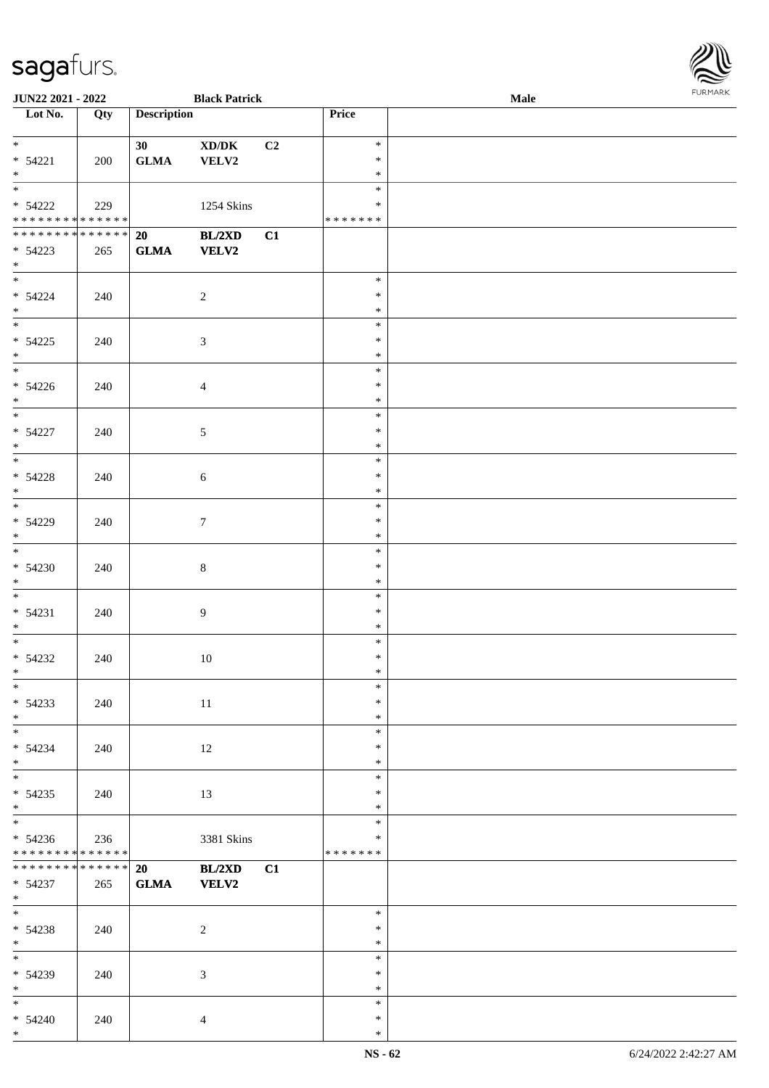| JUN22 2021 - 2022<br><b>Black Patrick</b>                                    |     |                    |                                              |                | FURMARK<br>Male                   |  |  |  |
|------------------------------------------------------------------------------|-----|--------------------|----------------------------------------------|----------------|-----------------------------------|--|--|--|
| Lot No.                                                                      | Qty | <b>Description</b> |                                              |                | Price                             |  |  |  |
| $*$<br>$* 54221$<br>$*$                                                      | 200 | 30<br>${\bf GLMA}$ | $\bold{X}\bold{D}/\bold{D}\bold{K}$<br>VELV2 | C <sub>2</sub> | $\ast$<br>$\ast$<br>$\ast$        |  |  |  |
| $\overline{\ast}$<br>$* 54222$<br>* * * * * * * * <mark>* * * * * * *</mark> | 229 |                    | 1254 Skins                                   |                | $\ast$<br>*<br>* * * * * * *      |  |  |  |
| * * * * * * * * * * * * * * *<br>$* 54223$<br>$*$                            | 265 | 20<br><b>GLMA</b>  | BL/2XD<br><b>VELV2</b>                       | C1             |                                   |  |  |  |
| $*$<br>$* 54224$<br>$*$                                                      | 240 |                    | $\overline{c}$                               |                | $\ast$<br>$\ast$<br>$\ast$        |  |  |  |
| $* 54225$<br>$*$                                                             | 240 |                    | 3                                            |                | $\ast$<br>$\ast$<br>$\ast$        |  |  |  |
| $* 54226$<br>$*$                                                             | 240 |                    | $\overline{4}$                               |                | $\ast$<br>$\ast$<br>$\ast$        |  |  |  |
| $*$<br>$* 54227$<br>$*$                                                      | 240 |                    | 5                                            |                | $\ast$<br>$\ast$<br>$\ast$        |  |  |  |
| $* 54228$<br>$*$                                                             | 240 |                    | $\sqrt{6}$                                   |                | $\ast$<br>$\ast$<br>$\ast$        |  |  |  |
| * 54229<br>$*$                                                               | 240 |                    | $\boldsymbol{7}$                             |                | $\ast$<br>$\ast$<br>$\ast$        |  |  |  |
| $*$<br>$* 54230$<br>$*$                                                      | 240 |                    | $\,8\,$                                      |                | $\ast$<br>$\ast$<br>$\ast$        |  |  |  |
| $*$<br>$* 54231$<br>$*$                                                      | 240 |                    | 9                                            |                | $\ast$<br>$\ast$<br>$\ast$        |  |  |  |
| $* 54232$<br>$\ast$                                                          | 240 |                    | 10                                           |                | $\ast$<br>$\ast$<br>$\ast$        |  |  |  |
| $\overline{\phantom{0}}$<br>$* 54233$<br>$*$                                 | 240 |                    | 11                                           |                | $\ast$<br>$\ast$<br>$\ast$        |  |  |  |
| $* 54234$<br>$*$                                                             | 240 |                    | 12                                           |                | $\ast$<br>$\ast$<br>$\ast$        |  |  |  |
| $* 54235$<br>$*$                                                             | 240 |                    | 13                                           |                | $\ast$<br>$\ast$<br>$\ast$        |  |  |  |
| $* 54236$<br>* * * * * * * * * * * * * *                                     | 236 |                    | 3381 Skins                                   |                | $\ast$<br>$\ast$<br>* * * * * * * |  |  |  |
| * * * * * * * * <mark>* * * * * * *</mark><br>$* 54237$<br>$*$               | 265 | 20<br>${\bf GLMA}$ | BL/2XD<br><b>VELV2</b>                       | C1             |                                   |  |  |  |
| $*$<br>$* 54238$<br>$*$                                                      | 240 |                    | $\overline{c}$                               |                | $\ast$<br>$\ast$<br>$\ast$        |  |  |  |
| * 54239<br>$*$                                                               | 240 |                    | 3                                            |                | $\ast$<br>$\ast$<br>$\ast$        |  |  |  |
| $*$<br>$* 54240$<br>$*$                                                      | 240 |                    | 4                                            |                | $\ast$<br>$\ast$<br>$\ast$        |  |  |  |

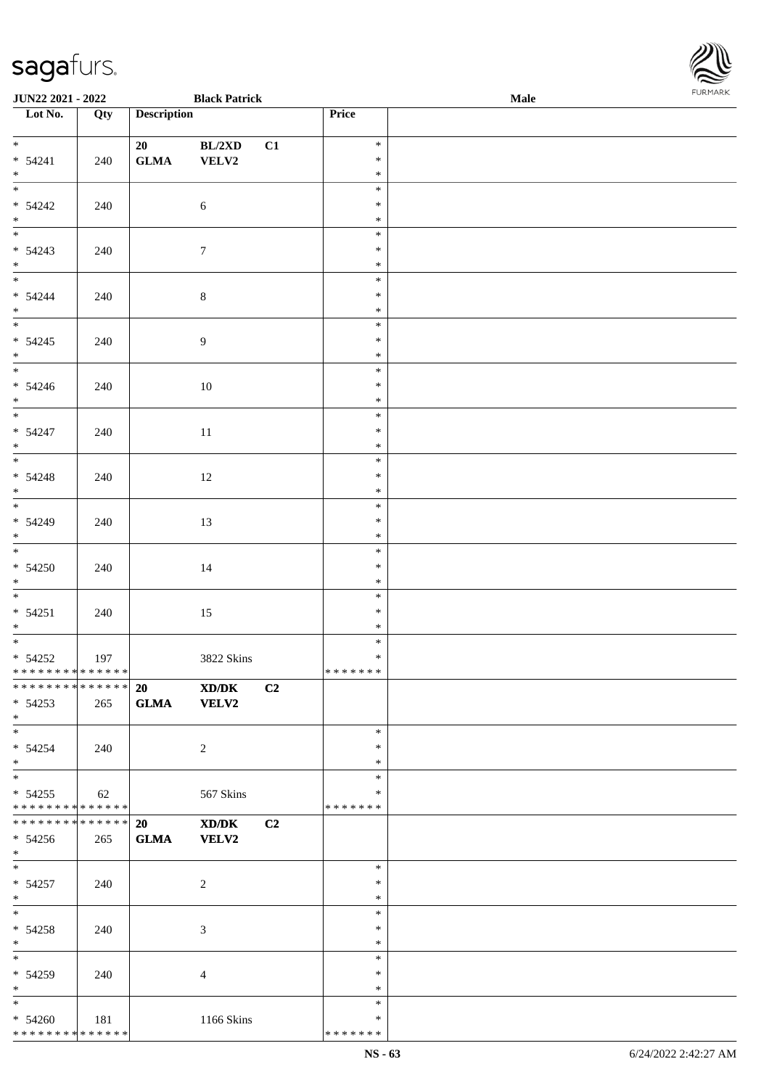| JUN22 2021 - 2022                      |            | <b>Black Patrick</b> |                |                |                  | Male | <b>FURPIARR</b> |
|----------------------------------------|------------|----------------------|----------------|----------------|------------------|------|-----------------|
| $\overline{\phantom{1}}$ Lot No.       | Qty        | <b>Description</b>   |                |                | Price            |      |                 |
|                                        |            |                      |                |                |                  |      |                 |
|                                        |            | 20                   | BL/2XD         | C1             | $\ast$           |      |                 |
| $* 54241$<br>$*$                       | 240        | <b>GLMA</b>          | VELV2          |                | $\ast$<br>$\ast$ |      |                 |
|                                        |            |                      |                |                | $\ast$           |      |                 |
| $* 54242$                              | 240        |                      | $\sqrt{6}$     |                | $\ast$           |      |                 |
| $*$                                    |            |                      |                |                | $\ast$           |      |                 |
|                                        |            |                      |                |                | $\ast$           |      |                 |
| $* 54243$                              | 240        |                      | $\tau$         |                | $\ast$           |      |                 |
| $*$                                    |            |                      |                |                | $\ast$           |      |                 |
| $*$                                    |            |                      |                |                | $\ast$           |      |                 |
| $* 54244$                              | 240        |                      | 8              |                | $\ast$           |      |                 |
| $*$                                    |            |                      |                |                | $\ast$           |      |                 |
|                                        |            |                      |                |                | $\ast$           |      |                 |
| $* 54245$                              | 240        |                      | $\overline{9}$ |                | $\ast$           |      |                 |
| $*$                                    |            |                      |                |                | $\ast$           |      |                 |
|                                        |            |                      |                |                | $\ast$           |      |                 |
| $* 54246$                              | 240        |                      | 10             |                | $\ast$           |      |                 |
| $*$                                    |            |                      |                |                | $\ast$           |      |                 |
|                                        |            |                      |                |                | $\ast$           |      |                 |
| $* 54247$                              | 240        |                      | 11             |                | $\ast$           |      |                 |
| $*$                                    |            |                      |                |                | $\ast$<br>$\ast$ |      |                 |
|                                        |            |                      |                |                | $\ast$           |      |                 |
| $* 54248$<br>$*$                       | 240        |                      | 12             |                | $\ast$           |      |                 |
|                                        |            |                      |                |                | $\ast$           |      |                 |
| $* 54249$                              | 240        |                      | 13             |                | $\ast$           |      |                 |
| $*$                                    |            |                      |                |                | $\ast$           |      |                 |
| $\overline{\phantom{0}}$               |            |                      |                |                | $\ast$           |      |                 |
| $* 54250$                              | 240        |                      | 14             |                | $\ast$           |      |                 |
| $*$                                    |            |                      |                |                | $\ast$           |      |                 |
| $\overline{\ast}$                      |            |                      |                |                | $\ast$           |      |                 |
| $* 54251$                              | 240        |                      | 15             |                | $\ast$           |      |                 |
| $*$                                    |            |                      |                |                | $\ast$           |      |                 |
|                                        |            |                      |                |                | $\ast$           |      |                 |
| $* 54252$                              | 197        |                      | 3822 Skins     |                | $\ast$           |      |                 |
| * * * * * * * * * * * * * *            |            |                      |                |                | *******          |      |                 |
| ********* <sup>*</sup> ****** 20 XD/DK |            |                      |                | C <sub>2</sub> |                  |      |                 |
| $* 54253$                              | 265        | GLMA VELV2           |                |                |                  |      |                 |
| $*$<br>$*$                             |            |                      |                |                | $\ast$           |      |                 |
| $* 54254$                              | 240        |                      | $\overline{2}$ |                | $\ast$           |      |                 |
| $*$                                    |            |                      |                |                | $\ast$           |      |                 |
|                                        |            |                      |                |                | $\ast$           |      |                 |
| $* 54255$                              | $\vert$ 62 |                      | 567 Skins      |                | ∗                |      |                 |
| * * * * * * * * * * * * * * *          |            |                      |                |                | * * * * * * *    |      |                 |
| ************** 20                      |            |                      | XD/DK          | C <sub>2</sub> |                  |      |                 |
| $* 54256$                              | 265        | GLMA VELV2           |                |                |                  |      |                 |
| $*$                                    |            |                      |                |                |                  |      |                 |
| $*$                                    |            |                      |                |                | $\ast$           |      |                 |
| $* 54257$                              | 240        |                      | $\overline{2}$ |                | $\ast$           |      |                 |
| $*$                                    |            |                      |                |                | $\ast$           |      |                 |
| $*$                                    |            |                      |                |                | $\ast$           |      |                 |
| $* 54258$                              | 240        |                      | 3              |                | $\ast$           |      |                 |
| $*$ $*$                                |            |                      |                |                | $\ast$           |      |                 |
| $*$                                    |            |                      |                |                | $\ast$           |      |                 |
| * 54259                                | 240        |                      | $\overline{4}$ |                | $\ast$           |      |                 |
| $*$<br>$*$ and $*$                     |            |                      |                |                | $\ast$<br>$\ast$ |      |                 |
| $* 54260$                              | 181        |                      | 1166 Skins     |                | ∗                |      |                 |
| * * * * * * * * * * * * * *            |            |                      |                |                | * * * * * * *    |      |                 |
|                                        |            |                      |                |                |                  |      |                 |

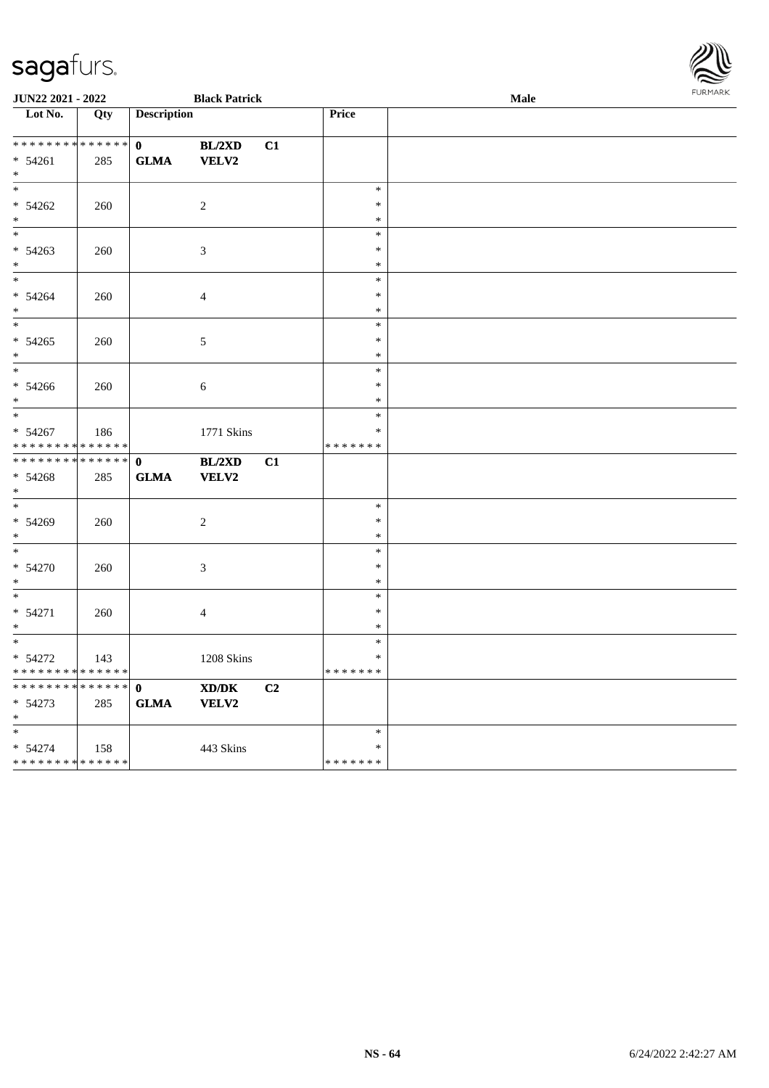| JUN22 2021 - 2022                    |     |                    | <b>Black Patrick</b> |    |                  | Male | FURMARK |
|--------------------------------------|-----|--------------------|----------------------|----|------------------|------|---------|
| $\overline{\phantom{1}}$ Lot No.     | Qty | <b>Description</b> |                      |    | Price            |      |         |
| ____<br>******** <mark>******</mark> |     | $\mathbf{0}$       | BL/2XD               | C1 |                  |      |         |
| $* 54261$                            | 285 | <b>GLMA</b>        | <b>VELV2</b>         |    |                  |      |         |
| $*$                                  |     |                    |                      |    |                  |      |         |
| $*$<br>$* 54262$                     | 260 |                    | $\overline{c}$       |    | $\ast$<br>$\ast$ |      |         |
| $*$                                  |     |                    |                      |    | $\ast$           |      |         |
| $*$                                  |     |                    |                      |    | $\ast$           |      |         |
| $* 54263$                            | 260 |                    | $\mathfrak{Z}$       |    | $\ast$           |      |         |
| $*$                                  |     |                    |                      |    | $\ast$           |      |         |
| $*$                                  |     |                    |                      |    | $\ast$           |      |         |
| $* 54264$<br>$*$                     | 260 |                    | $\overline{4}$       |    | $\ast$<br>$\ast$ |      |         |
| $*$                                  |     |                    |                      |    | $\ast$           |      |         |
| $* 54265$                            | 260 |                    | 5                    |    | $\ast$           |      |         |
| $\ast$                               |     |                    |                      |    | $\ast$           |      |         |
|                                      |     |                    |                      |    | $\ast$           |      |         |
| $* 54266$                            | 260 |                    | $\sqrt{6}$           |    | $\ast$           |      |         |
| $*$                                  |     |                    |                      |    | $\ast$<br>$\ast$ |      |         |
| $* 54267$                            | 186 |                    | 1771 Skins           |    | $\ast$           |      |         |
| * * * * * * * * * * * * * *          |     |                    |                      |    | * * * * * * *    |      |         |
| ******** <mark>******</mark>         |     | $\mathbf{0}$       | BL/2XD               | C1 |                  |      |         |
| $* 54268$                            | 285 | <b>GLMA</b>        | <b>VELV2</b>         |    |                  |      |         |
| $*$                                  |     |                    |                      |    |                  |      |         |
| $*$<br>* 54269                       |     |                    |                      |    | $\ast$<br>$\ast$ |      |         |
| $*$                                  | 260 |                    | $\overline{2}$       |    | $\ast$           |      |         |
| $*$                                  |     |                    |                      |    | $\ast$           |      |         |
| * 54270                              | 260 |                    | 3                    |    | $\ast$           |      |         |
| $*$                                  |     |                    |                      |    | $\ast$           |      |         |
| $*$                                  |     |                    |                      |    | $\ast$           |      |         |
| $* 54271$<br>$\ast$                  | 260 |                    | $\overline{4}$       |    | $\ast$<br>$\ast$ |      |         |
|                                      |     |                    |                      |    | $\ast$           |      |         |
| $* 54272$                            | 143 |                    | 1208 Skins           |    | $\ast$           |      |         |
| * * * * * * * * * * * * * *          |     |                    |                      |    | * * * * * * *    |      |         |
| * * * * * * * * * * * * * * *        |     | $\mathbf 0$        | XD/DK                | C2 |                  |      |         |
| $* 54273$                            | 285 | <b>GLMA</b>        | VELV2                |    |                  |      |         |
| $*$<br>$\ast$                        |     |                    |                      |    | $\ast$           |      |         |
| * 54274                              | 158 |                    | 443 Skins            |    | $\ast$           |      |         |
| * * * * * * * * * * * * * *          |     |                    |                      |    | * * * * * * *    |      |         |

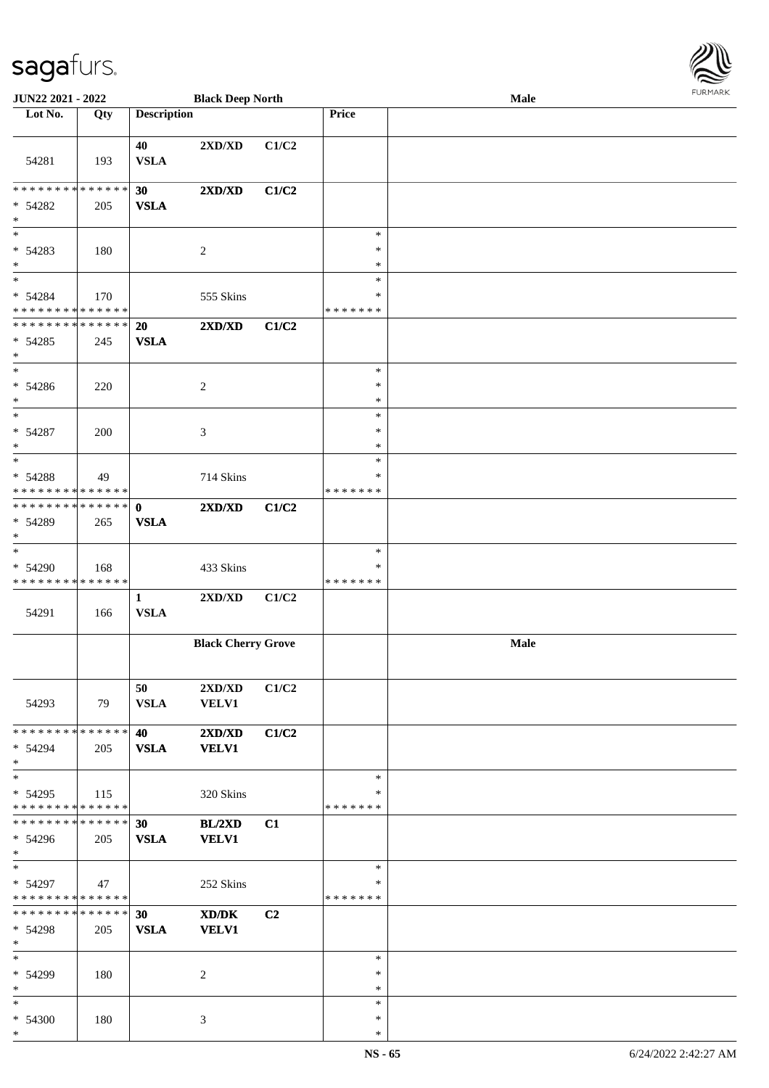| <b>JUN22 2021 - 2022</b>                                          |     |                                | <b>Black Deep North</b>          |                |                                   | <b>FURMARK</b><br>Male |  |  |  |
|-------------------------------------------------------------------|-----|--------------------------------|----------------------------------|----------------|-----------------------------------|------------------------|--|--|--|
| Lot No.                                                           | Qty | <b>Description</b>             |                                  |                | Price                             |                        |  |  |  |
| 54281                                                             | 193 | 40<br><b>VSLA</b>              | $2{\bf X}{\bf D}/{\bf X}{\bf D}$ | C1/C2          |                                   |                        |  |  |  |
| * * * * * * * * <mark>* * * * * * *</mark><br>$* 54282$<br>$\ast$ | 205 | 30<br><b>VSLA</b>              | 2XD/XD                           | C1/C2          |                                   |                        |  |  |  |
| $\ast$<br>$* 54283$<br>$\ast$                                     | 180 |                                | 2                                |                | $\ast$<br>$\ast$<br>$\ast$        |                        |  |  |  |
| $\ast$<br>* 54284<br>* * * * * * * * <mark>* * * * * *</mark>     | 170 |                                | 555 Skins                        |                | $\ast$<br>∗<br>* * * * * * *      |                        |  |  |  |
| * * * * * * * * <mark>* * * * * * *</mark><br>$* 54285$<br>$\ast$ | 245 | 20<br><b>VSLA</b>              | 2XD/XD                           | C1/C2          |                                   |                        |  |  |  |
| * 54286<br>$\ast$                                                 | 220 |                                | $\overline{c}$                   |                | $\ast$<br>$\ast$<br>$\ast$        |                        |  |  |  |
| $\overline{\ast}$<br>$* 54287$<br>$\ast$                          | 200 |                                | 3                                |                | $\ast$<br>$\ast$<br>$\ast$        |                        |  |  |  |
| $\ast$<br>$* 54288$<br>* * * * * * * * <mark>* * * * * *</mark>   | 49  |                                | 714 Skins                        |                | $\ast$<br>$\ast$<br>*******       |                        |  |  |  |
| * * * * * * * * <mark>* * * * * * *</mark><br>$* 54289$<br>$\ast$ | 265 | $\mathbf{0}$<br><b>VSLA</b>    | $2{\bf X}{\bf D}/{\bf X}{\bf D}$ | C1/C2          |                                   |                        |  |  |  |
| * 54290<br>* * * * * * * * <mark>* * * * * *</mark>               | 168 |                                | 433 Skins                        |                | $\ast$<br>$\ast$<br>* * * * * * * |                        |  |  |  |
| 54291                                                             | 166 | $\mathbf{1}$<br><b>VSLA</b>    | 2XD/XD                           | C1/C2          |                                   |                        |  |  |  |
|                                                                   |     |                                | <b>Black Cherry Grove</b>        |                |                                   | Male                   |  |  |  |
| 54293                                                             | 79  | 50<br><b>VSLA</b>              | 2XD/XD<br><b>VELV1</b>           | C1/C2          |                                   |                        |  |  |  |
| * * * * * * * * <mark>* * * * * *</mark><br>$* 54294$<br>$*$      | 205 | 40<br><b>VSLA</b>              | 2XD/XD<br><b>VELV1</b>           | C1/C2          |                                   |                        |  |  |  |
| $\ast$<br>$* 54295$<br>* * * * * * * * * * * * * * <mark>*</mark> | 115 |                                | 320 Skins                        |                | $\ast$<br>$\ast$<br>*******       |                        |  |  |  |
| * * * * * * * * <mark>* * * * * *</mark><br>$* 54296$<br>$*$      | 205 | 30 <sup>°</sup><br><b>VSLA</b> | BL/2XD<br><b>VELV1</b>           | C1             |                                   |                        |  |  |  |
| $*$<br>$* 54297$<br>* * * * * * * * <mark>* * * * * *</mark>      | 47  |                                | 252 Skins                        |                | $\ast$<br>∗<br>*******            |                        |  |  |  |
| * * * * * * * * * * * * * * <mark>*</mark><br>$* 54298$<br>$*$    | 205 | 30<br><b>VSLA</b>              | XD/DK<br><b>VELV1</b>            | C <sub>2</sub> |                                   |                        |  |  |  |
| $*$<br>$* 54299$<br>$*$                                           | 180 |                                | 2                                |                | $\ast$<br>$\ast$<br>$\ast$        |                        |  |  |  |
| $\ast$<br>$* 54300$                                               | 180 |                                | 3                                |                | $\ast$<br>$\ast$                  |                        |  |  |  |

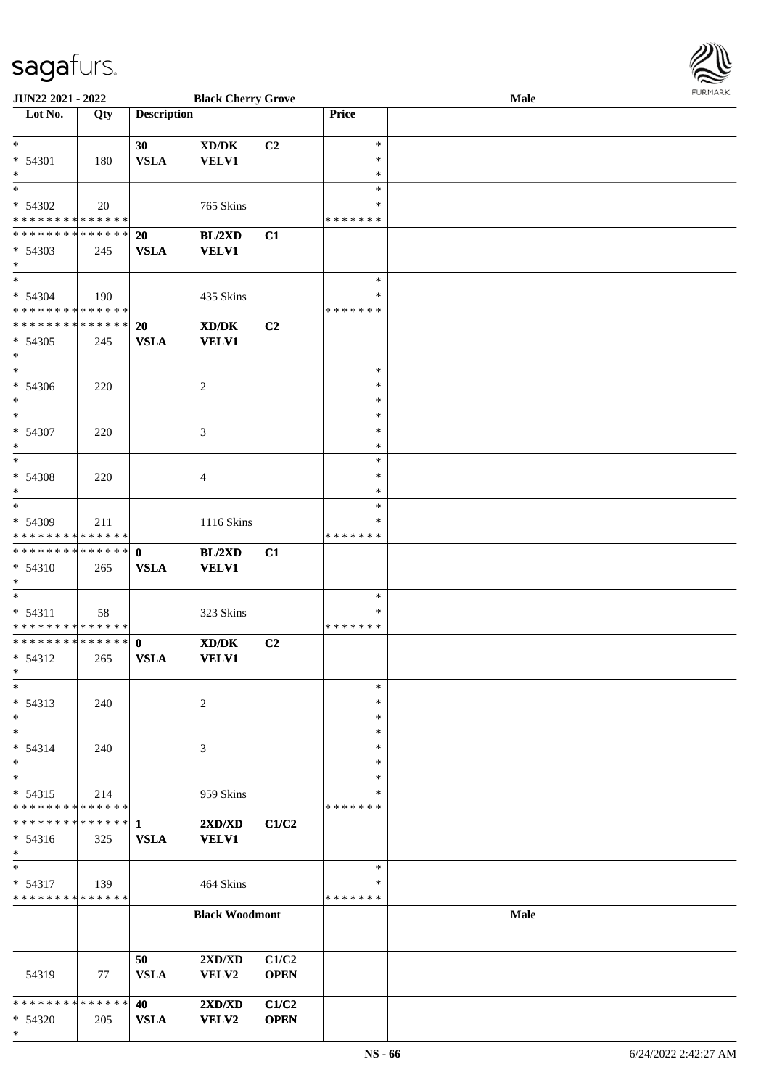

| <b>JUN22 2021 - 2022</b>      |     |                    | <b>Black Cherry Grove</b>           |                |               | <b>Male</b> |  |
|-------------------------------|-----|--------------------|-------------------------------------|----------------|---------------|-------------|--|
| Lot No.                       | Qty | <b>Description</b> |                                     |                | Price         |             |  |
|                               |     |                    |                                     |                |               |             |  |
| $*$                           |     | 30                 | $\bold{X}\bold{D}/\bold{D}\bold{K}$ | C <sub>2</sub> | $\ast$        |             |  |
| * 54301                       | 180 | <b>VSLA</b>        | <b>VELV1</b>                        |                | $\ast$        |             |  |
| $\ast$                        |     |                    |                                     |                | $\ast$        |             |  |
| $\overline{\ast}$             |     |                    |                                     |                | $\ast$        |             |  |
| $* 54302$                     | 20  |                    |                                     |                | ∗             |             |  |
| * * * * * * * * * * * * * *   |     |                    | 765 Skins                           |                |               |             |  |
|                               |     |                    |                                     |                | * * * * * * * |             |  |
| * * * * * * * * * * * * * * * |     | 20                 | BL/2XD                              | C1             |               |             |  |
| $* 54303$                     | 245 | <b>VSLA</b>        | <b>VELV1</b>                        |                |               |             |  |
| $*$                           |     |                    |                                     |                |               |             |  |
| $*$                           |     |                    |                                     |                | $\ast$        |             |  |
| $* 54304$                     | 190 |                    | 435 Skins                           |                | $\ast$        |             |  |
| * * * * * * * * * * * * * *   |     |                    |                                     |                | * * * * * * * |             |  |
| ******** <mark>******</mark>  |     | 20                 | XD/DK                               | C2             |               |             |  |
| $* 54305$                     | 245 | <b>VSLA</b>        | <b>VELV1</b>                        |                |               |             |  |
| $*$                           |     |                    |                                     |                |               |             |  |
|                               |     |                    |                                     |                |               |             |  |
| $*$                           |     |                    |                                     |                | $\ast$        |             |  |
| * 54306                       | 220 |                    | 2                                   |                | $\ast$        |             |  |
| $*$                           |     |                    |                                     |                | $\ast$        |             |  |
| $*$                           |     |                    |                                     |                | $\ast$        |             |  |
| * 54307                       | 220 |                    | 3                                   |                | $\ast$        |             |  |
| $\ast$                        |     |                    |                                     |                | $\ast$        |             |  |
| $*$                           |     |                    |                                     |                | $\ast$        |             |  |
| * 54308                       | 220 |                    | 4                                   |                | $\ast$        |             |  |
| $*$                           |     |                    |                                     |                | $\ast$        |             |  |
| $*$                           |     |                    |                                     |                | $\ast$        |             |  |
|                               |     |                    |                                     |                |               |             |  |
| * 54309                       | 211 |                    | 1116 Skins                          |                | $\ast$        |             |  |
| * * * * * * * * * * * * * *   |     |                    |                                     |                | * * * * * * * |             |  |
| * * * * * * * * * * * * * * * |     | $\mathbf{0}$       | BL/2XD                              | C1             |               |             |  |
| * 54310                       | 265 | <b>VSLA</b>        | <b>VELV1</b>                        |                |               |             |  |
| $*$                           |     |                    |                                     |                |               |             |  |
| $*$                           |     |                    |                                     |                | $\ast$        |             |  |
| $* 54311$                     | 58  |                    | 323 Skins                           |                | ∗             |             |  |
| * * * * * * * * * * * * * *   |     |                    |                                     |                | *******       |             |  |
| ******** <mark>******</mark>  |     | $\mathbf{0}$       | XD/DK                               | C2             |               |             |  |
| * 54312                       |     | <b>VSLA</b>        | <b>VELV1</b>                        |                |               |             |  |
| $*$                           | 265 |                    |                                     |                |               |             |  |
|                               |     |                    |                                     |                |               |             |  |
| $\ast$                        |     |                    |                                     |                | $\ast$        |             |  |
| $* 54313$                     | 240 |                    | 2                                   |                | $\ast$        |             |  |
| $*$                           |     |                    |                                     |                | $\ast$        |             |  |
| $\ast$                        |     |                    |                                     |                | $\ast$        |             |  |
| * 54314                       | 240 |                    | 3                                   |                | ∗             |             |  |
| $*$                           |     |                    |                                     |                | $\ast$        |             |  |
| $*$                           |     |                    |                                     |                | $\ast$        |             |  |
| $* 54315$                     | 214 |                    | 959 Skins                           |                | ∗             |             |  |
| * * * * * * * * * * * * * *   |     |                    |                                     |                | * * * * * * * |             |  |
| * * * * * * * * * * * * * * * |     | $\mathbf{1}$       |                                     |                |               |             |  |
|                               |     |                    | 2XD/XD                              | C1/C2          |               |             |  |
| $* 54316$                     | 325 | <b>VSLA</b>        | <b>VELV1</b>                        |                |               |             |  |
| $*$                           |     |                    |                                     |                |               |             |  |
| $*$                           |     |                    |                                     |                | $\ast$        |             |  |
| * 54317                       | 139 |                    | 464 Skins                           |                | ∗             |             |  |
| * * * * * * * * * * * * * *   |     |                    |                                     |                | * * * * * * * |             |  |
|                               |     |                    | <b>Black Woodmont</b>               |                |               | <b>Male</b> |  |
|                               |     |                    |                                     |                |               |             |  |
|                               |     |                    |                                     |                |               |             |  |
|                               |     | 50                 | $2{\bf X}{\bf D}/{\bf X}{\bf D}$    | C1/C2          |               |             |  |
| 54319                         | 77  | <b>VSLA</b>        | VELV2                               | <b>OPEN</b>    |               |             |  |
|                               |     |                    |                                     |                |               |             |  |
| * * * * * * * * * * * * * * * |     |                    |                                     |                |               |             |  |
|                               |     | 40                 | 2XD/XD                              | C1/C2          |               |             |  |
| * 54320                       | 205 | <b>VSLA</b>        | <b>VELV2</b>                        | <b>OPEN</b>    |               |             |  |
| $\ast$                        |     |                    |                                     |                |               |             |  |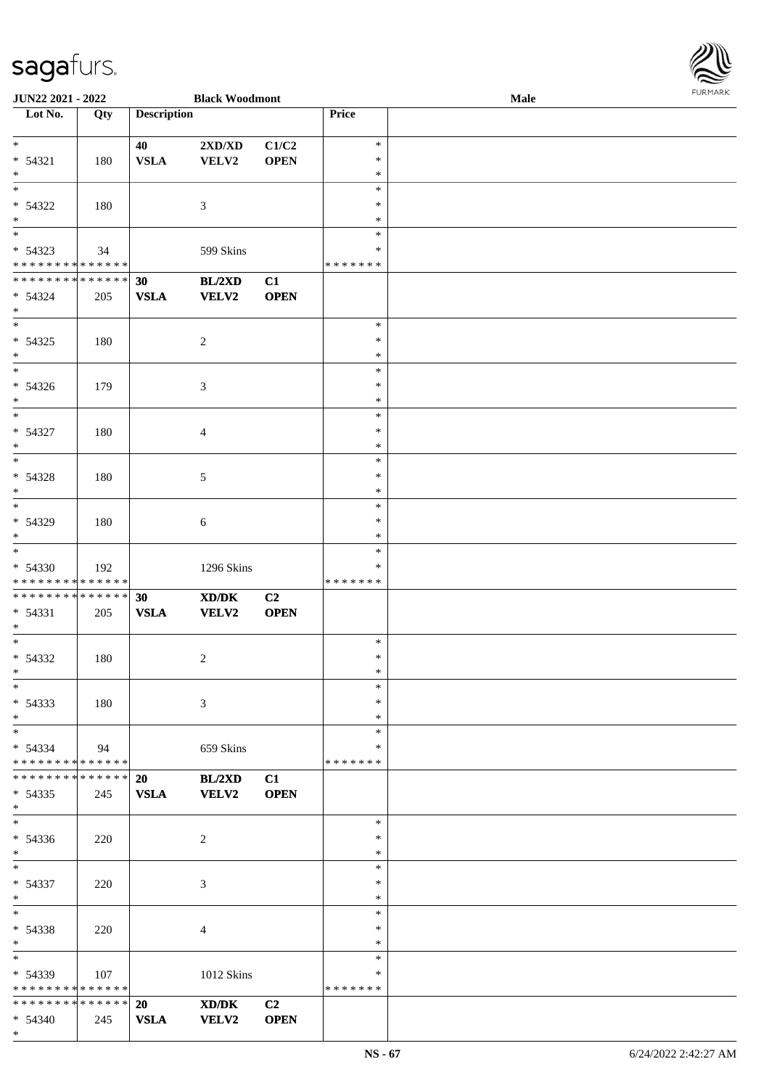| <b>JUN22 2021 - 2022</b>                   |     |                    | <b>Black Woodmont</b>                       |                |               | Male |  |
|--------------------------------------------|-----|--------------------|---------------------------------------------|----------------|---------------|------|--|
| Lot No.                                    | Qty | <b>Description</b> |                                             |                | Price         |      |  |
|                                            |     |                    |                                             |                |               |      |  |
| $*$                                        |     | 40                 | 2XD/XD                                      | C1/C2          | $\ast$        |      |  |
| $* 54321$                                  | 180 | <b>VSLA</b>        | VELV2                                       | <b>OPEN</b>    | $\ast$        |      |  |
| $*$                                        |     |                    |                                             |                | $\ast$        |      |  |
|                                            |     |                    |                                             |                | $\ast$        |      |  |
| * 54322                                    | 180 |                    | 3                                           |                | $\ast$        |      |  |
|                                            |     |                    |                                             |                |               |      |  |
| $\ast$                                     |     |                    |                                             |                | $\ast$        |      |  |
|                                            |     |                    |                                             |                | $\ast$        |      |  |
| * 54323                                    | 34  |                    | 599 Skins                                   |                | $\ast$        |      |  |
| * * * * * * * * * * * * * *                |     |                    |                                             |                | *******       |      |  |
| * * * * * * * * <mark>* * * * * * *</mark> |     | 30                 | BL/2XD                                      | C1             |               |      |  |
| $* 54324$                                  | 205 | <b>VSLA</b>        | <b>VELV2</b>                                | <b>OPEN</b>    |               |      |  |
| $*$                                        |     |                    |                                             |                |               |      |  |
| $*$                                        |     |                    |                                             |                | $\ast$        |      |  |
|                                            |     |                    |                                             |                |               |      |  |
| $* 54325$                                  | 180 |                    | $\overline{c}$                              |                | $\ast$        |      |  |
| $*$                                        |     |                    |                                             |                | $\ast$        |      |  |
| $\overline{\phantom{0}}$                   |     |                    |                                             |                | $\ast$        |      |  |
| $* 54326$                                  | 179 |                    | 3                                           |                | $\ast$        |      |  |
| $*$                                        |     |                    |                                             |                | $\ast$        |      |  |
| $\overline{\ast}$                          |     |                    |                                             |                | $\ast$        |      |  |
| * 54327                                    |     |                    |                                             |                | $\ast$        |      |  |
|                                            | 180 |                    | $\overline{4}$                              |                |               |      |  |
| $*$                                        |     |                    |                                             |                | $\ast$        |      |  |
|                                            |     |                    |                                             |                | $\ast$        |      |  |
| $* 54328$                                  | 180 |                    | 5                                           |                | $\ast$        |      |  |
| $*$                                        |     |                    |                                             |                | $\ast$        |      |  |
| $\overline{\phantom{0}}$                   |     |                    |                                             |                | $\ast$        |      |  |
| * 54329                                    | 180 |                    | 6                                           |                | $\ast$        |      |  |
| $*$                                        |     |                    |                                             |                | $\ast$        |      |  |
| $\overline{\phantom{0}}$                   |     |                    |                                             |                |               |      |  |
|                                            |     |                    |                                             |                | $\ast$        |      |  |
| * 54330                                    | 192 |                    | 1296 Skins                                  |                | ∗             |      |  |
| * * * * * * * * * * * * * *                |     |                    |                                             |                | *******       |      |  |
| * * * * * * * * <mark>* * * * * * *</mark> |     | 30                 | $\mathbf{X}\mathbf{D}/\mathbf{D}\mathbf{K}$ | C2             |               |      |  |
| $* 54331$                                  | 205 | <b>VSLA</b>        | VELV2                                       | <b>OPEN</b>    |               |      |  |
| $*$                                        |     |                    |                                             |                |               |      |  |
| $*$                                        |     |                    |                                             |                | $\ast$        |      |  |
| $* 54332$                                  | 180 |                    | $\overline{2}$                              |                | $\ast$        |      |  |
|                                            |     |                    |                                             |                |               |      |  |
| $*$                                        |     |                    |                                             |                | $\ast$        |      |  |
| $*$                                        |     |                    |                                             |                | $\ast$        |      |  |
| $* 54333$                                  | 180 |                    | 3                                           |                | $\ast$        |      |  |
| $*$                                        |     |                    |                                             |                | $\ast$        |      |  |
| $*$                                        |     |                    |                                             |                | $\ast$        |      |  |
| $* 54334$                                  | 94  |                    | 659 Skins                                   |                | ∗             |      |  |
| * * * * * * * * * * * * * *                |     |                    |                                             |                | *******       |      |  |
| * * * * * * * * * * * * * * *              |     | <b>20</b>          | BL/2XD                                      | C1             |               |      |  |
|                                            |     |                    |                                             |                |               |      |  |
| * 54335                                    | 245 | <b>VSLA</b>        | <b>VELV2</b>                                | <b>OPEN</b>    |               |      |  |
| $*$                                        |     |                    |                                             |                |               |      |  |
| $*$                                        |     |                    |                                             |                | $\ast$        |      |  |
| $* 54336$                                  | 220 |                    | 2                                           |                | $\ast$        |      |  |
| $*$                                        |     |                    |                                             |                | $\ast$        |      |  |
| $*$ $*$                                    |     |                    |                                             |                | $\ast$        |      |  |
| $* 54337$                                  | 220 |                    | $\mathfrak{Z}$                              |                | $\ast$        |      |  |
| $*$                                        |     |                    |                                             |                | $\ast$        |      |  |
| $*$ $-$                                    |     |                    |                                             |                | $\ast$        |      |  |
|                                            |     |                    |                                             |                |               |      |  |
| * 54338                                    | 220 |                    | $\overline{4}$                              |                | $\ast$        |      |  |
| $*$                                        |     |                    |                                             |                | $\ast$        |      |  |
| $*$                                        |     |                    |                                             |                | $\ast$        |      |  |
| $* 54339$                                  | 107 |                    | 1012 Skins                                  |                | ∗             |      |  |
| * * * * * * * * * * * * * *                |     |                    |                                             |                | * * * * * * * |      |  |
| * * * * * * * * * * * * * * *              |     | <b>20</b>          | XD/DK                                       | C <sub>2</sub> |               |      |  |
| $* 54340$                                  | 245 | <b>VSLA</b>        | <b>VELV2</b>                                | <b>OPEN</b>    |               |      |  |
|                                            |     |                    |                                             |                |               |      |  |

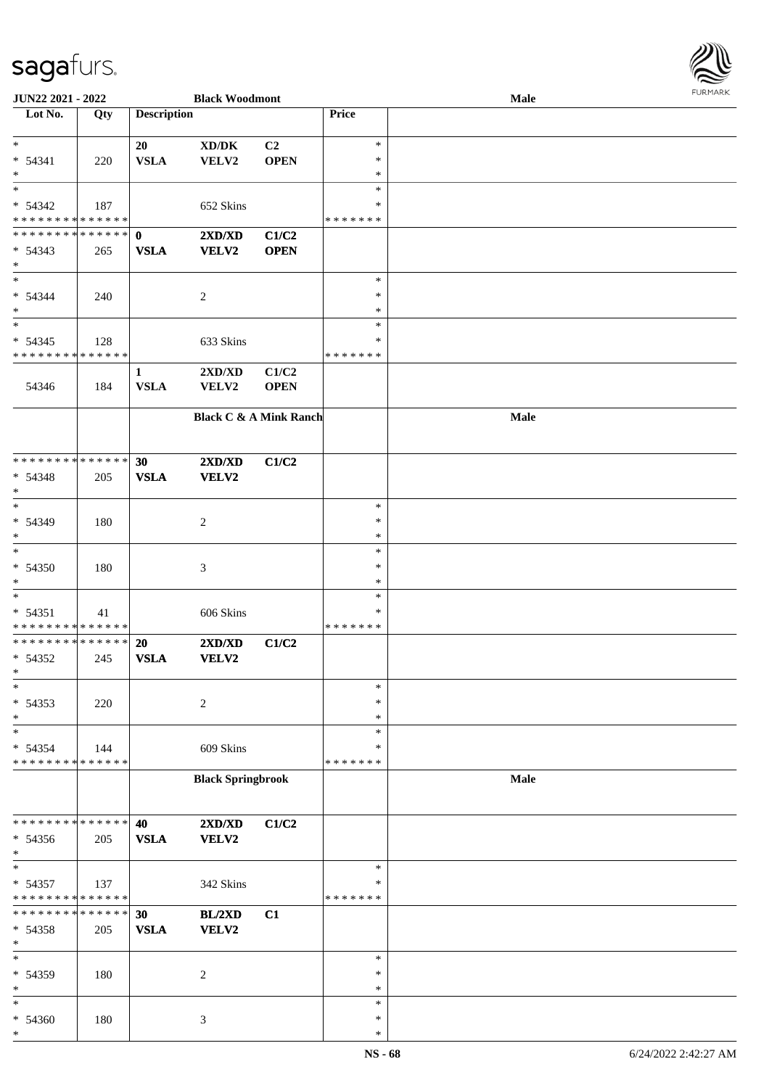

| JUN22 2021 - 2022             |     |                    | <b>Black Woodmont</b>               |             |               | Male |  |
|-------------------------------|-----|--------------------|-------------------------------------|-------------|---------------|------|--|
| Lot No.                       | Qty | <b>Description</b> |                                     |             | Price         |      |  |
|                               |     |                    |                                     |             |               |      |  |
| $\ast$                        |     | 20                 |                                     | C2          | $\ast$        |      |  |
|                               |     |                    | $\bold{X}\bold{D}/\bold{D}\bold{K}$ |             |               |      |  |
| $* 54341$                     | 220 | <b>VSLA</b>        | VELV2                               | <b>OPEN</b> | $\ast$        |      |  |
| $\ast$                        |     |                    |                                     |             | $\ast$        |      |  |
| $\overline{\phantom{0}}$      |     |                    |                                     |             | $\ast$        |      |  |
| $* 54342$                     | 187 |                    | 652 Skins                           |             | ∗             |      |  |
| * * * * * * * * * * * * * *   |     |                    |                                     |             | * * * * * * * |      |  |
|                               |     |                    |                                     |             |               |      |  |
| * * * * * * * * * * * * * * * |     | $\mathbf 0$        | 2XD/XD                              | C1/C2       |               |      |  |
| $* 54343$                     | 265 | <b>VSLA</b>        | VELV2                               | <b>OPEN</b> |               |      |  |
| $*$                           |     |                    |                                     |             |               |      |  |
| $*$                           |     |                    |                                     |             | $\ast$        |      |  |
| $* 54344$                     | 240 |                    | $\overline{c}$                      |             | $\ast$        |      |  |
| $\ast$                        |     |                    |                                     |             | $\ast$        |      |  |
| $\ast$                        |     |                    |                                     |             | $\ast$        |      |  |
|                               |     |                    |                                     |             |               |      |  |
| $* 54345$                     | 128 |                    | 633 Skins                           |             | $\ast$        |      |  |
| * * * * * * * * * * * * * *   |     |                    |                                     |             | *******       |      |  |
|                               |     | $\mathbf{1}$       | 2XD/XD                              | C1/C2       |               |      |  |
| 54346                         | 184 | <b>VSLA</b>        | VELV2                               | <b>OPEN</b> |               |      |  |
|                               |     |                    |                                     |             |               |      |  |
|                               |     |                    |                                     |             |               |      |  |
|                               |     |                    | <b>Black C &amp; A Mink Ranch</b>   |             |               | Male |  |
|                               |     |                    |                                     |             |               |      |  |
|                               |     |                    |                                     |             |               |      |  |
| * * * * * * * * * * * * * *   |     | 30                 | 2XD/XD                              | C1/C2       |               |      |  |
| $* 54348$                     | 205 | <b>VSLA</b>        | VELV2                               |             |               |      |  |
| $\ast$                        |     |                    |                                     |             |               |      |  |
| $*$                           |     |                    |                                     |             | $\ast$        |      |  |
|                               |     |                    |                                     |             | $\ast$        |      |  |
| * 54349                       | 180 |                    | $\overline{c}$                      |             |               |      |  |
| $*$                           |     |                    |                                     |             | $\ast$        |      |  |
| $\ast$                        |     |                    |                                     |             | $\ast$        |      |  |
| $* 54350$                     | 180 |                    | $\mathfrak{Z}$                      |             | $\ast$        |      |  |
| $*$                           |     |                    |                                     |             | $\ast$        |      |  |
| $*$                           |     |                    |                                     |             | $\ast$        |      |  |
| $* 54351$                     | 41  |                    | 606 Skins                           |             | $\ast$        |      |  |
| * * * * * * * * * * * * * *   |     |                    |                                     |             | *******       |      |  |
| * * * * * * * * * * * * * *   |     | 20                 |                                     |             |               |      |  |
|                               |     |                    | 2XD/XD                              | C1/C2       |               |      |  |
| $* 54352$                     | 245 | <b>VSLA</b>        | VELV2                               |             |               |      |  |
| $*$                           |     |                    |                                     |             |               |      |  |
| $\ast$                        |     |                    |                                     |             | $\ast$        |      |  |
| $* 54353$                     | 220 |                    | $\overline{c}$                      |             | $\ast$        |      |  |
| $\ast$                        |     |                    |                                     |             | $\ast$        |      |  |
| $\ast$                        |     |                    |                                     |             | $\ast$        |      |  |
| * 54354                       | 144 |                    | 609 Skins                           |             | ∗             |      |  |
| * * * * * * * * * * * * * *   |     |                    |                                     |             | * * * * * * * |      |  |
|                               |     |                    |                                     |             |               |      |  |
|                               |     |                    | <b>Black Springbrook</b>            |             |               | Male |  |
|                               |     |                    |                                     |             |               |      |  |
|                               |     |                    |                                     |             |               |      |  |
| * * * * * * * * * * * * * *   |     | 40                 | $2{\bf X}{\bf D}/{\bf X}{\bf D}$    | C1/C2       |               |      |  |
| * 54356                       | 205 | <b>VSLA</b>        | VELV2                               |             |               |      |  |
| $*$                           |     |                    |                                     |             |               |      |  |
| $\ast$                        |     |                    |                                     |             | $\ast$        |      |  |
|                               |     |                    |                                     |             | $\ast$        |      |  |
| * 54357                       | 137 |                    | 342 Skins                           |             |               |      |  |
| * * * * * * * * * * * * * *   |     |                    |                                     |             | *******       |      |  |
| * * * * * * * * * * * * * *   |     | 30                 | BL/2XD                              | C1          |               |      |  |
| * 54358                       | 205 | <b>VSLA</b>        | <b>VELV2</b>                        |             |               |      |  |
| $\ast$                        |     |                    |                                     |             |               |      |  |
| $\ast$                        |     |                    |                                     |             | $\ast$        |      |  |
| * 54359                       | 180 |                    | $\overline{2}$                      |             | $\ast$        |      |  |
| $\ast$                        |     |                    |                                     |             | $\ast$        |      |  |
|                               |     |                    |                                     |             |               |      |  |
| $\ast$                        |     |                    |                                     |             | $\ast$        |      |  |
| * 54360                       | 180 |                    | 3                                   |             | $\ast$        |      |  |
| $\ast$                        |     |                    |                                     |             | $\ast$        |      |  |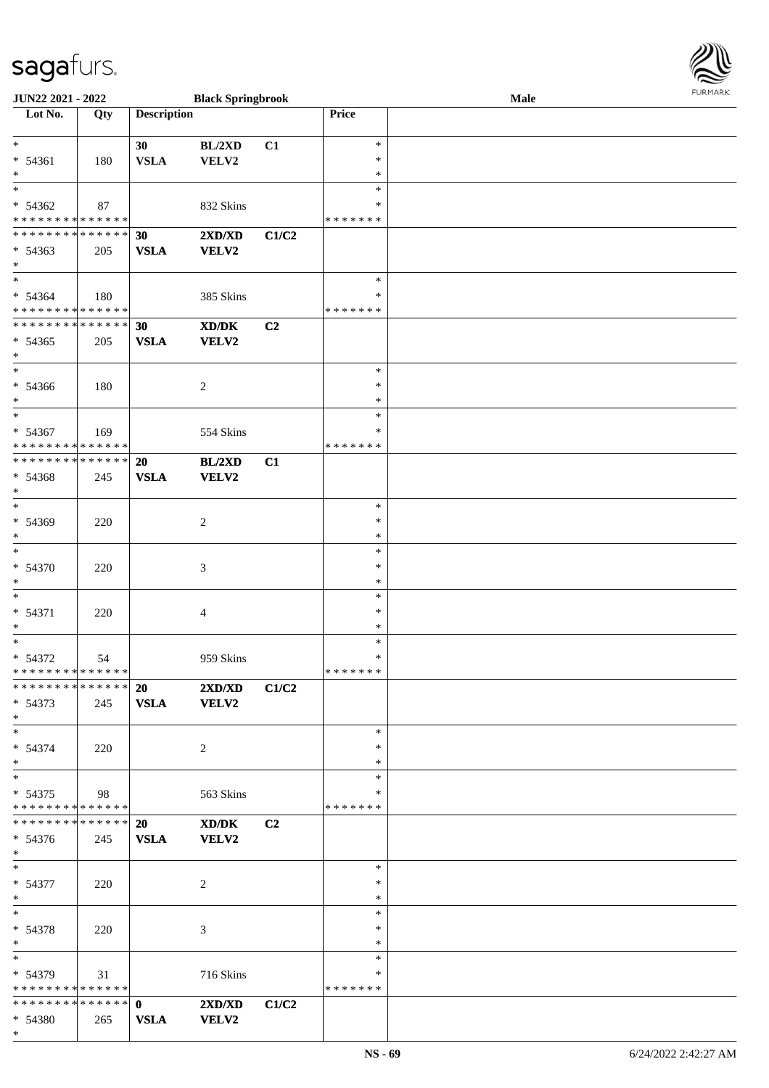| JUN22 2021 - 2022            |      |                    | <b>Black Springbrook</b>                                                                             |       |               | Male |  |
|------------------------------|------|--------------------|------------------------------------------------------------------------------------------------------|-------|---------------|------|--|
| Lot No.                      | Qty  | <b>Description</b> |                                                                                                      |       | Price         |      |  |
|                              |      |                    |                                                                                                      |       |               |      |  |
| $\ast$                       |      | 30                 | BL/2XD                                                                                               | C1    | $\ast$        |      |  |
| $* 54361$                    | 180  | <b>VSLA</b>        | VELV2                                                                                                |       | $\ast$        |      |  |
| $\ast$                       |      |                    |                                                                                                      |       | $\ast$        |      |  |
| $\ast$                       |      |                    |                                                                                                      |       | $\ast$        |      |  |
| $* 54362$                    | 87   |                    | 832 Skins                                                                                            |       | $\ast$        |      |  |
| **************               |      |                    |                                                                                                      |       | * * * * * * * |      |  |
| **************               |      | 30                 | 2XD/XD                                                                                               | C1/C2 |               |      |  |
| $* 54363$                    | 205  | <b>VSLA</b>        | <b>VELV2</b>                                                                                         |       |               |      |  |
| $\ast$                       |      |                    |                                                                                                      |       |               |      |  |
| $\overline{\phantom{a}^*}$   |      |                    |                                                                                                      |       | $\ast$        |      |  |
| $* 54364$                    | 180  |                    | 385 Skins                                                                                            |       | $\ast$        |      |  |
| * * * * * * * * * * * * * *  |      |                    |                                                                                                      |       | * * * * * * * |      |  |
| **************               |      | 30                 | $\boldsymbol{\text{X}}\boldsymbol{\text{D}}\boldsymbol{/}\boldsymbol{\text{D}}\boldsymbol{\text{K}}$ | C2    |               |      |  |
| $* 54365$                    | 205  | <b>VSLA</b>        | <b>VELV2</b>                                                                                         |       |               |      |  |
| $\ast$                       |      |                    |                                                                                                      |       |               |      |  |
| $\ast$                       |      |                    |                                                                                                      |       | $\ast$        |      |  |
| $* 54366$                    | 180  |                    | $\overline{c}$                                                                                       |       | $\ast$        |      |  |
| $\ast$                       |      |                    |                                                                                                      |       | $\ast$        |      |  |
| $\ast$                       |      |                    |                                                                                                      |       | $\ast$        |      |  |
| $* 54367$                    | 169  |                    | 554 Skins                                                                                            |       | $\ast$        |      |  |
| **************               |      |                    |                                                                                                      |       | * * * * * * * |      |  |
| **************               |      | 20                 | BL/2XD                                                                                               | C1    |               |      |  |
| $* 54368$                    | 245  | <b>VSLA</b>        | <b>VELV2</b>                                                                                         |       |               |      |  |
| $\ast$                       |      |                    |                                                                                                      |       |               |      |  |
| $\ast$                       |      |                    |                                                                                                      |       | $\ast$        |      |  |
| * 54369                      | 220  |                    | $\overline{c}$                                                                                       |       | $\ast$        |      |  |
| $\ast$                       |      |                    |                                                                                                      |       | $\ast$        |      |  |
| $\overline{\phantom{a}}$     |      |                    |                                                                                                      |       | $\ast$        |      |  |
| * 54370                      | 220  |                    | 3                                                                                                    |       | $\ast$        |      |  |
| ∗                            |      |                    |                                                                                                      |       | $\ast$        |      |  |
| $\ast$                       |      |                    |                                                                                                      |       | $\ast$        |      |  |
| $* 54371$                    | 220  |                    | $\overline{4}$                                                                                       |       | $\ast$        |      |  |
| $\ast$                       |      |                    |                                                                                                      |       | $\ast$        |      |  |
| $\ast$                       |      |                    |                                                                                                      |       | $\ast$        |      |  |
| $* 54372$                    | 54   |                    | 959 Skins                                                                                            |       | $\ast$        |      |  |
| ******** <mark>******</mark> |      |                    |                                                                                                      |       | *******       |      |  |
| **************               |      | 20                 | $2{\bf X}{\bf D}/{\bf X}{\bf D}$                                                                     | C1/C2 |               |      |  |
| $* 54373$                    | 245  | <b>VSLA</b>        | VELV2                                                                                                |       |               |      |  |
| $*$                          |      |                    |                                                                                                      |       |               |      |  |
| $\ast$                       |      |                    |                                                                                                      |       | $\ast$        |      |  |
| $* 54374$                    |      |                    |                                                                                                      |       | $\ast$        |      |  |
| $\ast$                       | 220  |                    | 2                                                                                                    |       | $\ast$        |      |  |
| $\ast$                       |      |                    |                                                                                                      |       | $\ast$        |      |  |
|                              |      |                    |                                                                                                      |       | $\ast$        |      |  |
| $* 54375$<br>**************  | - 98 |                    | 563 Skins                                                                                            |       | * * * * * * * |      |  |
| **************               |      |                    |                                                                                                      |       |               |      |  |
|                              |      | 20                 | XD/DK                                                                                                | C2    |               |      |  |
| $* 54376$                    | 245  | <b>VSLA</b>        | VELV2                                                                                                |       |               |      |  |
| $*$                          |      |                    |                                                                                                      |       |               |      |  |
| $\ast$                       |      |                    |                                                                                                      |       | $\ast$        |      |  |
| $* 54377$                    | 220  |                    | 2                                                                                                    |       | $\ast$        |      |  |
| $\ast$                       |      |                    |                                                                                                      |       | $\ast$        |      |  |
| $\ast$                       |      |                    |                                                                                                      |       | $\ast$        |      |  |
| $* 54378$                    | 220  |                    | 3                                                                                                    |       | $\ast$        |      |  |
| $\ast$                       |      |                    |                                                                                                      |       | $\ast$        |      |  |
| $\ast$                       |      |                    |                                                                                                      |       | $\ast$        |      |  |
| $*$ 54379                    | 31   |                    | 716 Skins                                                                                            |       | ∗             |      |  |
| **************               |      |                    |                                                                                                      |       | * * * * * * * |      |  |
| ************** 0             |      |                    | 2XD/XD                                                                                               | C1/C2 |               |      |  |
| $* 54380$                    | 265  | <b>VSLA</b>        | <b>VELV2</b>                                                                                         |       |               |      |  |

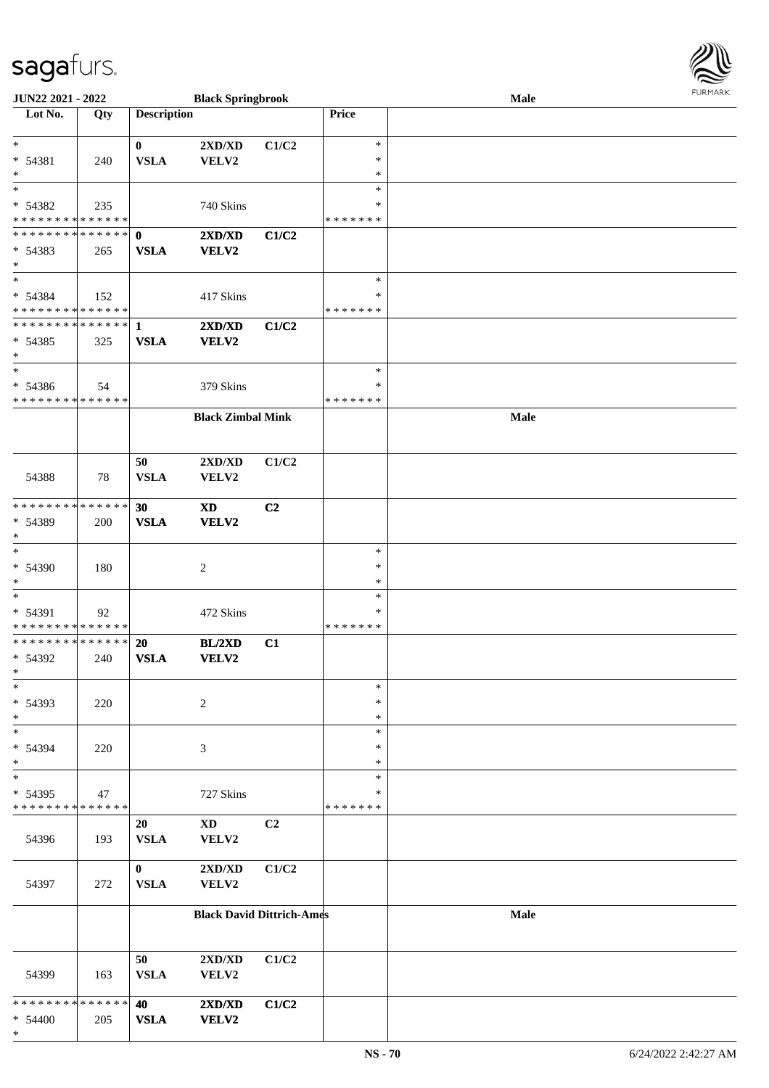| URMARK<br>F |
|-------------|

| JUN22 2021 - 2022                                |     |                             | <b>Black Springbrook</b>                  |       |                                      | Male | <b>FURMARK</b> |
|--------------------------------------------------|-----|-----------------------------|-------------------------------------------|-------|--------------------------------------|------|----------------|
| Lot No.                                          | Qty | <b>Description</b>          |                                           |       | Price                                |      |                |
| $*$<br>* 54381<br>$*$                            | 240 | $\bf{0}$<br><b>VSLA</b>     | 2XD/XD<br>VELV2                           | C1/C2 | $\ast$<br>∗<br>$\ast$                |      |                |
| $\ast$<br>* 54382<br>* * * * * * * * * * * * * * | 235 |                             | 740 Skins                                 |       | $\ast$<br>∗<br>* * * * * * *         |      |                |
| * * * * * * * * * * * * * * *<br>* 54383<br>$*$  | 265 | $\mathbf{0}$<br><b>VSLA</b> | 2XD/XD<br>VELV2                           | C1/C2 |                                      |      |                |
| $*$<br>* 54384<br>* * * * * * * * * * * * * *    | 152 |                             | 417 Skins                                 |       | $\ast$<br>∗<br>* * * * * * *         |      |                |
| ************** 1<br>* 54385<br>$\ast$            | 325 | <b>VSLA</b>                 | $2{\bf X}{\bf D}/{\bf X}{\bf D}$<br>VELV2 | C1/C2 |                                      |      |                |
| $*$<br>* 54386<br>* * * * * * * * * * * * * *    | 54  |                             | 379 Skins                                 |       | $\ast$<br>$\ast$<br>* * * * * * *    |      |                |
|                                                  |     |                             | <b>Black Zimbal Mink</b>                  |       |                                      | Male |                |
| 54388                                            | 78  | 50<br><b>VSLA</b>           | $2{\bf X}{\bf D}/{\bf X}{\bf D}$<br>VELV2 | C1/C2 |                                      |      |                |
| * * * * * * * * * * * * * *<br>* 54389<br>$\ast$ | 200 | 30<br><b>VSLA</b>           | <b>XD</b><br>VELV2                        | C2    |                                      |      |                |
| $*$<br>* 54390<br>$\ast$                         | 180 |                             | 2                                         |       | $\ast$<br>$\ast$<br>∗                |      |                |
| $\ast$<br>* 54391<br>* * * * * * * * * * * * * * | 92  |                             | 472 Skins                                 |       | $\ast$<br>∗<br>* * * * * * *         |      |                |
| * * * * * * * * * * * * * * *<br>* 54392<br>∗    | 240 | <b>20</b><br><b>VSLA</b>    | <b>BL/2XD</b><br>VELV2                    | C1    |                                      |      |                |
| $*$<br>* 54393<br>$*$                            | 220 |                             | $\overline{c}$                            |       | $\ast$<br>$\ast$<br>$\ast$           |      |                |
| $\ast$<br>* 54394<br>$*$<br>$\ast$               | 220 |                             | $\mathfrak{Z}$                            |       | $\ast$<br>$\ast$<br>$\ast$<br>$\ast$ |      |                |
| * 54395<br>* * * * * * * * * * * * * *           | 47  |                             | 727 Skins                                 |       | $\ast$<br>* * * * * * *              |      |                |
| 54396                                            | 193 | 20<br><b>VSLA</b>           | $\mathbf{X}\mathbf{D}$<br>VELV2           | C2    |                                      |      |                |
| 54397                                            | 272 | $\bf{0}$<br>${\bf VSLA}$    | $2{\bf X}{\bf D}/{\bf X}{\bf D}$<br>VELV2 | C1/C2 |                                      |      |                |
|                                                  |     |                             | <b>Black David Dittrich-Ames</b>          |       |                                      | Male |                |
| 54399                                            | 163 | 50<br><b>VSLA</b>           | 2XD/XD<br>VELV2                           | C1/C2 |                                      |      |                |
| * * * * * * * * * * * * * *<br>* 54400<br>$*$    | 205 | 40<br>${\bf VSLA}$          | 2XD/XD<br>VELV2                           | C1/C2 |                                      |      |                |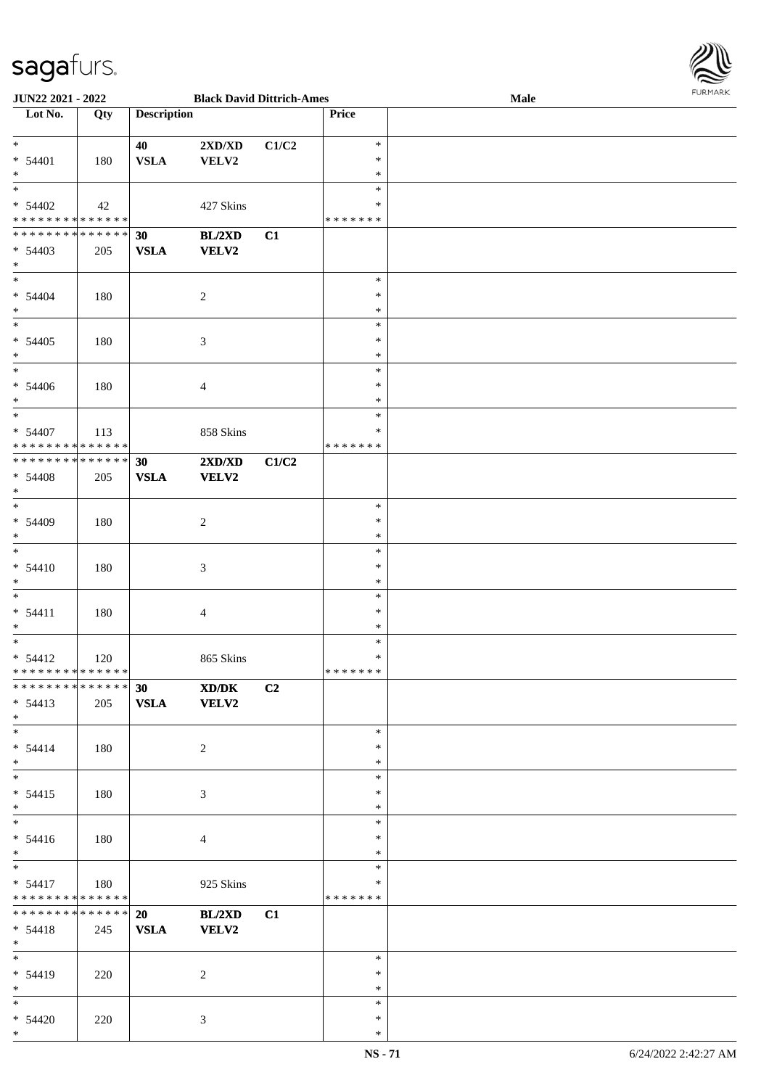

| <b>JUN22 2021 - 2022</b>                   |     |                    |                                  | <b>Black David Dittrich-Ames</b> |               | Male |  |
|--------------------------------------------|-----|--------------------|----------------------------------|----------------------------------|---------------|------|--|
| Lot No.                                    | Qty | <b>Description</b> |                                  |                                  | Price         |      |  |
|                                            |     |                    |                                  |                                  |               |      |  |
| $*$                                        |     | 40                 | $2{\bf X}{\bf D}/{\bf X}{\bf D}$ | C1/C2                            | $\ast$        |      |  |
| $* 54401$                                  | 180 | <b>VSLA</b>        | VELV2                            |                                  | $\ast$        |      |  |
| $*$                                        |     |                    |                                  |                                  | $\ast$        |      |  |
| $*$                                        |     |                    |                                  |                                  | $\ast$        |      |  |
|                                            |     |                    |                                  |                                  |               |      |  |
| $* 54402$                                  | 42  |                    | 427 Skins                        |                                  | $\ast$        |      |  |
| * * * * * * * * <mark>* * * * * *</mark>   |     |                    |                                  |                                  | *******       |      |  |
| * * * * * * * * <mark>* * * * * * *</mark> |     | 30                 | BL/2XD                           | C1                               |               |      |  |
| $* 54403$                                  | 205 | <b>VSLA</b>        | <b>VELV2</b>                     |                                  |               |      |  |
| $*$                                        |     |                    |                                  |                                  |               |      |  |
| $\ddot{x}$                                 |     |                    |                                  |                                  | $\ast$        |      |  |
| $* 54404$                                  | 180 |                    | $\overline{2}$                   |                                  | $\ast$        |      |  |
| $*$                                        |     |                    |                                  |                                  | $\ast$        |      |  |
|                                            |     |                    |                                  |                                  | $\ast$        |      |  |
|                                            |     |                    |                                  |                                  |               |      |  |
| $* 54405$                                  | 180 |                    | $\mathfrak{Z}$                   |                                  | $\ast$        |      |  |
| $\ast$                                     |     |                    |                                  |                                  | $\ast$        |      |  |
| $\overline{\ast}$                          |     |                    |                                  |                                  | $\ast$        |      |  |
| $* 54406$                                  | 180 |                    | 4                                |                                  | $\ast$        |      |  |
| $\ast$                                     |     |                    |                                  |                                  | $\ast$        |      |  |
| $\overline{\ast}$                          |     |                    |                                  |                                  | $\ast$        |      |  |
| $* 54407$                                  | 113 |                    | 858 Skins                        |                                  | $\ast$        |      |  |
| * * * * * * * * <mark>* * * * * *</mark>   |     |                    |                                  |                                  | *******       |      |  |
| * * * * * * * * <mark>* * * * * * *</mark> |     | 30                 |                                  |                                  |               |      |  |
|                                            |     |                    | 2XD/XD                           | C1/C2                            |               |      |  |
| $* 54408$                                  | 205 | <b>VSLA</b>        | <b>VELV2</b>                     |                                  |               |      |  |
| $*$                                        |     |                    |                                  |                                  |               |      |  |
| $*$                                        |     |                    |                                  |                                  | $\ast$        |      |  |
| $* 54409$                                  | 180 |                    | 2                                |                                  | $\ast$        |      |  |
| $\ast$                                     |     |                    |                                  |                                  | $\ast$        |      |  |
| $\overline{\ast}$                          |     |                    |                                  |                                  | $\ast$        |      |  |
| $* 54410$                                  | 180 |                    | $\mathfrak{Z}$                   |                                  | $\ast$        |      |  |
| $*$                                        |     |                    |                                  |                                  | $\ast$        |      |  |
| $\ast$                                     |     |                    |                                  |                                  | $\ast$        |      |  |
|                                            |     |                    |                                  |                                  | $\ast$        |      |  |
| $* 54411$                                  | 180 |                    | 4                                |                                  |               |      |  |
| $\ast$                                     |     |                    |                                  |                                  | $\ast$        |      |  |
| $\ast$                                     |     |                    |                                  |                                  | $\ast$        |      |  |
| $* 54412$                                  | 120 |                    | 865 Skins                        |                                  | $\ast$        |      |  |
| * * * * * * * * <mark>* * * * * * *</mark> |     |                    |                                  |                                  | * * * * * * * |      |  |
| ******** <mark>******</mark>               |     | 30                 | XD/DK                            | C2                               |               |      |  |
| $* 54413$                                  | 205 | VSLA VELV2         |                                  |                                  |               |      |  |
| $*$                                        |     |                    |                                  |                                  |               |      |  |
| $*$ $-$                                    |     |                    |                                  |                                  | $\ast$        |      |  |
| $* 54414$                                  | 180 |                    |                                  |                                  | $\ast$        |      |  |
| $\ddot{x}$                                 |     |                    | 2                                |                                  | $\ast$        |      |  |
| $*$                                        |     |                    |                                  |                                  |               |      |  |
|                                            |     |                    |                                  |                                  | $\ast$        |      |  |
| $* 54415$                                  | 180 |                    | 3                                |                                  | $\ast$        |      |  |
| $*$                                        |     |                    |                                  |                                  | $\ast$        |      |  |
| $\ast$                                     |     |                    |                                  |                                  | $\ast$        |      |  |
| $* 54416$                                  | 180 |                    | $\overline{4}$                   |                                  | $\ast$        |      |  |
| $*$                                        |     |                    |                                  |                                  | $\ast$        |      |  |
| $*$ $*$                                    |     |                    |                                  |                                  | $\ast$        |      |  |
| $* 54417$                                  | 180 |                    | 925 Skins                        |                                  | $\ast$        |      |  |
| * * * * * * * * <mark>* * * * * *</mark>   |     |                    |                                  |                                  | *******       |      |  |
| * * * * * * * * <mark>* * * * * * *</mark> |     |                    |                                  |                                  |               |      |  |
|                                            |     | 20                 | BL/2XD                           | C1                               |               |      |  |
| $* 54418$                                  | 245 | <b>VSLA</b>        | <b>VELV2</b>                     |                                  |               |      |  |
| $*$                                        |     |                    |                                  |                                  |               |      |  |
| $*$ $*$                                    |     |                    |                                  |                                  | $\ast$        |      |  |
| $* 54419$                                  | 220 |                    | 2                                |                                  | $\ast$        |      |  |
| $*$                                        |     |                    |                                  |                                  | $\ast$        |      |  |
| $*$                                        |     |                    |                                  |                                  | $\ast$        |      |  |
| $* 54420$                                  | 220 |                    | $\mathfrak{Z}$                   |                                  | $\ast$        |      |  |
| $\ast$                                     |     |                    |                                  |                                  | $\ast$        |      |  |
|                                            |     |                    |                                  |                                  |               |      |  |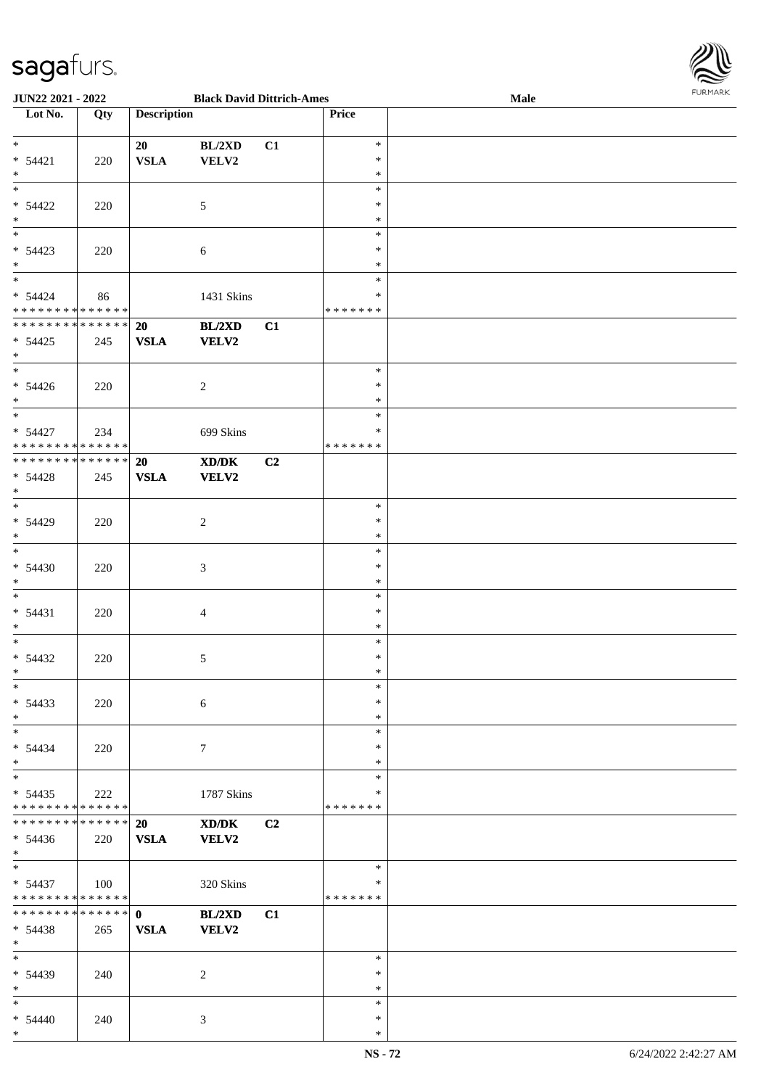

| <b>JUN22 2021 - 2022</b>                   |     |                    | <b>Black David Dittrich-Ames</b> |    |               | Male |  |
|--------------------------------------------|-----|--------------------|----------------------------------|----|---------------|------|--|
| Lot No.                                    | Qty | <b>Description</b> |                                  |    | Price         |      |  |
|                                            |     |                    |                                  |    |               |      |  |
| $*$                                        |     | 20                 | BL/2XD                           | C1 | $\ast$        |      |  |
| $* 54421$                                  | 220 | <b>VSLA</b>        | VELV2                            |    | $\ast$        |      |  |
| $*$                                        |     |                    |                                  |    | $\ast$        |      |  |
| $\overline{\mathbf{r}}$                    |     |                    |                                  |    | $\ast$        |      |  |
|                                            |     |                    |                                  |    |               |      |  |
| $* 54422$                                  | 220 |                    | 5                                |    | $\ast$        |      |  |
| $*$                                        |     |                    |                                  |    | $\ast$        |      |  |
| $\overline{\ast}$                          |     |                    |                                  |    | $\ast$        |      |  |
| $* 54423$                                  | 220 |                    | 6                                |    | $\ast$        |      |  |
| $*$                                        |     |                    |                                  |    | $\ast$        |      |  |
| $*$                                        |     |                    |                                  |    | $\ast$        |      |  |
| $* 54424$                                  | 86  |                    | 1431 Skins                       |    | $\ast$        |      |  |
| * * * * * * * * * * * * * * *              |     |                    |                                  |    | * * * * * * * |      |  |
| ******** <mark>******</mark>               |     |                    |                                  |    |               |      |  |
|                                            |     | 20                 | BL/2XD                           | C1 |               |      |  |
| $* 54425$                                  | 245 | <b>VSLA</b>        | <b>VELV2</b>                     |    |               |      |  |
| $*$                                        |     |                    |                                  |    |               |      |  |
| $*$                                        |     |                    |                                  |    | $\ast$        |      |  |
| $* 54426$                                  | 220 |                    | 2                                |    | $\ast$        |      |  |
| $\ast$                                     |     |                    |                                  |    | $\ast$        |      |  |
| $\overline{\ast}$                          |     |                    |                                  |    | $\ast$        |      |  |
| $* 54427$                                  | 234 |                    |                                  |    | $\ast$        |      |  |
|                                            |     |                    | 699 Skins                        |    |               |      |  |
| * * * * * * * * <mark>* * * * * * *</mark> |     |                    |                                  |    | *******       |      |  |
| * * * * * * * * <mark>* * * * * * *</mark> |     | 20                 | XD/DK                            | C2 |               |      |  |
| $* 54428$                                  | 245 | <b>VSLA</b>        | <b>VELV2</b>                     |    |               |      |  |
| $*$                                        |     |                    |                                  |    |               |      |  |
| $\overline{\ast}$                          |     |                    |                                  |    | $\ast$        |      |  |
| $* 54429$                                  | 220 |                    | 2                                |    | $\ast$        |      |  |
| $*$                                        |     |                    |                                  |    | $\ast$        |      |  |
|                                            |     |                    |                                  |    | $\ast$        |      |  |
|                                            |     |                    |                                  |    |               |      |  |
| $* 54430$                                  | 220 |                    | $\mathfrak{Z}$                   |    | $\ast$        |      |  |
| $*$                                        |     |                    |                                  |    | $\ast$        |      |  |
| $\ddot{x}$                                 |     |                    |                                  |    | $\ast$        |      |  |
| $* 54431$                                  | 220 |                    | $\overline{4}$                   |    | $\ast$        |      |  |
| $\ast$                                     |     |                    |                                  |    | $\ast$        |      |  |
| $*$                                        |     |                    |                                  |    | $\ast$        |      |  |
| $* 54432$                                  | 220 |                    | $\sqrt{5}$                       |    | $\ast$        |      |  |
| $*$                                        |     |                    |                                  |    | $\ast$        |      |  |
| $\ast$                                     |     |                    |                                  |    |               |      |  |
|                                            |     |                    |                                  |    | $\ast$        |      |  |
| $* 54433$                                  | 220 |                    | 6                                |    | $\ast$        |      |  |
| $*$                                        |     |                    |                                  |    | $\ast$        |      |  |
| $*$ $-$                                    |     |                    |                                  |    | $\ast$        |      |  |
| $* 54434$                                  | 220 |                    | $7\phantom{.0}$                  |    | $\ast$        |      |  |
| $\ast$                                     |     |                    |                                  |    | $\ast$        |      |  |
|                                            |     |                    |                                  |    | $\ast$        |      |  |
| $* 54435$                                  | 222 |                    | 1787 Skins                       |    | ∗             |      |  |
| * * * * * * * * <mark>* * * * * *</mark>   |     |                    |                                  |    | * * * * * * * |      |  |
| * * * * * * * * * * * * * * <mark>*</mark> |     |                    |                                  |    |               |      |  |
|                                            |     | 20                 | XD/DK                            | C2 |               |      |  |
| $* 54436$                                  | 220 | <b>VSLA</b>        | <b>VELV2</b>                     |    |               |      |  |
| $*$                                        |     |                    |                                  |    |               |      |  |
| $*$ $-$                                    |     |                    |                                  |    | $\ast$        |      |  |
| $* 54437$                                  | 100 |                    | 320 Skins                        |    | $\ast$        |      |  |
| * * * * * * * * <mark>* * * * * *</mark>   |     |                    |                                  |    | *******       |      |  |
| * * * * * * * * * * * * * * <mark>*</mark> |     | $\mathbf{0}$       | BL/2XD                           | C1 |               |      |  |
| $* 54438$                                  | 265 | <b>VSLA</b>        | <b>VELV2</b>                     |    |               |      |  |
| $\ast$                                     |     |                    |                                  |    |               |      |  |
|                                            |     |                    |                                  |    |               |      |  |
| $*$ $-$                                    |     |                    |                                  |    | $\ast$        |      |  |
| $* 54439$                                  | 240 |                    | 2                                |    | $\ast$        |      |  |
| $*$                                        |     |                    |                                  |    | $\ast$        |      |  |
| $\ast$                                     |     |                    |                                  |    | $\ast$        |      |  |
| $* 54440$                                  | 240 |                    | 3                                |    | $\ast$        |      |  |
| $\ast$                                     |     |                    |                                  |    | $\ast$        |      |  |
|                                            |     |                    |                                  |    |               |      |  |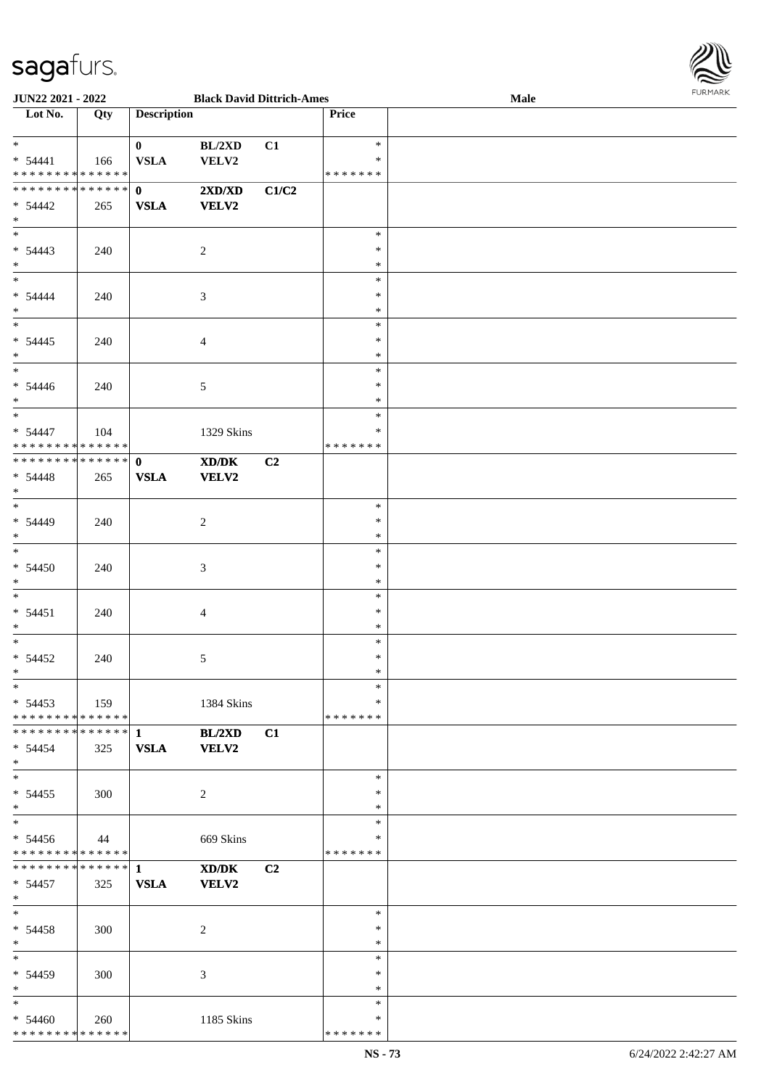

| JUN22 2021 - 2022              |       |                    | <b>Black David Dittrich-Ames</b>                                                                     |       |         | <b>Male</b> |
|--------------------------------|-------|--------------------|------------------------------------------------------------------------------------------------------|-------|---------|-------------|
| Lot No.                        | Qty   | <b>Description</b> |                                                                                                      |       | Price   |             |
|                                |       |                    |                                                                                                      |       |         |             |
| $*$                            |       | $\bf{0}$           | BL/2XD                                                                                               | C1    | $\ast$  |             |
| $* 54441$                      |       | <b>VSLA</b>        | <b>VELV2</b>                                                                                         |       | $\ast$  |             |
|                                | - 166 |                    |                                                                                                      |       |         |             |
| * * * * * * * * * * * * * *    |       |                    |                                                                                                      |       | ******* |             |
| * * * * * * * * * * * * * * *  |       | $\mathbf{0}$       | 2XD/XD                                                                                               | C1/C2 |         |             |
| $* 54442$                      | 265   | <b>VSLA</b>        | <b>VELV2</b>                                                                                         |       |         |             |
| $*$                            |       |                    |                                                                                                      |       |         |             |
|                                |       |                    |                                                                                                      |       | $\ast$  |             |
| $* 54443$                      | 240   |                    | $\sqrt{2}$                                                                                           |       | $\ast$  |             |
| $*$                            |       |                    |                                                                                                      |       | $\ast$  |             |
|                                |       |                    |                                                                                                      |       |         |             |
| $*$                            |       |                    |                                                                                                      |       | $\ast$  |             |
| $* 54444$                      | 240   |                    | $\mathfrak{Z}$                                                                                       |       | $\ast$  |             |
| $*$                            |       |                    |                                                                                                      |       | $\ast$  |             |
|                                |       |                    |                                                                                                      |       | $\ast$  |             |
| $* 54445$                      | 240   |                    | $\overline{4}$                                                                                       |       | $\ast$  |             |
| $*$                            |       |                    |                                                                                                      |       | $\ast$  |             |
| $*$                            |       |                    |                                                                                                      |       | $\ast$  |             |
|                                |       |                    |                                                                                                      |       |         |             |
| $* 54446$                      | 240   |                    | $\sqrt{5}$                                                                                           |       | $\ast$  |             |
| $*$                            |       |                    |                                                                                                      |       | $\ast$  |             |
| $*$                            |       |                    |                                                                                                      |       | $\ast$  |             |
| $* 54447$                      | 104   |                    | 1329 Skins                                                                                           |       | $\ast$  |             |
| * * * * * * * * * * * * * * *  |       |                    |                                                                                                      |       | ******* |             |
| * * * * * * * * * * * * * * *  |       | $\mathbf{0}$       | $\boldsymbol{\text{X}}\boldsymbol{\text{D}}\boldsymbol{/}\boldsymbol{\text{D}}\boldsymbol{\text{K}}$ | C2    |         |             |
|                                |       |                    |                                                                                                      |       |         |             |
| $* 54448$                      | 265   | <b>VSLA</b>        | <b>VELV2</b>                                                                                         |       |         |             |
| $*$                            |       |                    |                                                                                                      |       |         |             |
| $*$                            |       |                    |                                                                                                      |       | $\ast$  |             |
| $* 54449$                      | 240   |                    | $\sqrt{2}$                                                                                           |       | $\ast$  |             |
| $*$                            |       |                    |                                                                                                      |       | $\ast$  |             |
| $*$                            |       |                    |                                                                                                      |       | $\ast$  |             |
| $* 54450$                      | 240   |                    | $\mathfrak{Z}$                                                                                       |       | $\ast$  |             |
| $*$                            |       |                    |                                                                                                      |       | $\ast$  |             |
|                                |       |                    |                                                                                                      |       |         |             |
| $*$                            |       |                    |                                                                                                      |       | $\ast$  |             |
| $* 54451$                      | 240   |                    | $\overline{4}$                                                                                       |       | $\ast$  |             |
| $*$                            |       |                    |                                                                                                      |       | $\ast$  |             |
| $*$                            |       |                    |                                                                                                      |       | $\ast$  |             |
| $* 54452$                      | 240   |                    | 5                                                                                                    |       | $\ast$  |             |
| $*$                            |       |                    |                                                                                                      |       | $\ast$  |             |
| $*$                            |       |                    |                                                                                                      |       | $\ast$  |             |
|                                |       |                    |                                                                                                      |       |         |             |
| $* 54453$                      | 159   |                    | 1384 Skins                                                                                           |       | $\ast$  |             |
| * * * * * * * * * * * * * * *  |       |                    |                                                                                                      |       | ******* |             |
|                                |       |                    | BL/2XD                                                                                               | C1    |         |             |
| $* 54454$                      | 325   | <b>VSLA</b>        | <b>VELV2</b>                                                                                         |       |         |             |
| $*$                            |       |                    |                                                                                                      |       |         |             |
| $*$                            |       |                    |                                                                                                      |       | $\ast$  |             |
| $* 54455$                      | 300   |                    | 2                                                                                                    |       | $\ast$  |             |
| $*$                            |       |                    |                                                                                                      |       | $\ast$  |             |
| $*$                            |       |                    |                                                                                                      |       |         |             |
|                                |       |                    |                                                                                                      |       | $\ast$  |             |
| $* 54456$                      | 44    |                    | 669 Skins                                                                                            |       | $\ast$  |             |
| * * * * * * * * * * * * * *    |       |                    |                                                                                                      |       | ******* |             |
| ******** <mark>******</mark> 1 |       |                    | XD/DK                                                                                                | C2    |         |             |
| $* 54457$                      | 325   | <b>VSLA</b>        | <b>VELV2</b>                                                                                         |       |         |             |
| $*$                            |       |                    |                                                                                                      |       |         |             |
| $*$                            |       |                    |                                                                                                      |       | $\ast$  |             |
|                                |       |                    |                                                                                                      |       | $\ast$  |             |
| $* 54458$                      | 300   |                    | 2                                                                                                    |       |         |             |
| $*$                            |       |                    |                                                                                                      |       | $\ast$  |             |
| $*$                            |       |                    |                                                                                                      |       | $\ast$  |             |
| * 54459                        | 300   |                    | 3                                                                                                    |       | $\ast$  |             |
| $*$                            |       |                    |                                                                                                      |       | $\ast$  |             |
| $*$                            |       |                    |                                                                                                      |       | $\ast$  |             |
|                                |       |                    |                                                                                                      |       | $\ast$  |             |
| $* 54460$                      | 260   |                    | 1185 Skins                                                                                           |       |         |             |
| * * * * * * * * * * * * * *    |       |                    |                                                                                                      |       | ******* |             |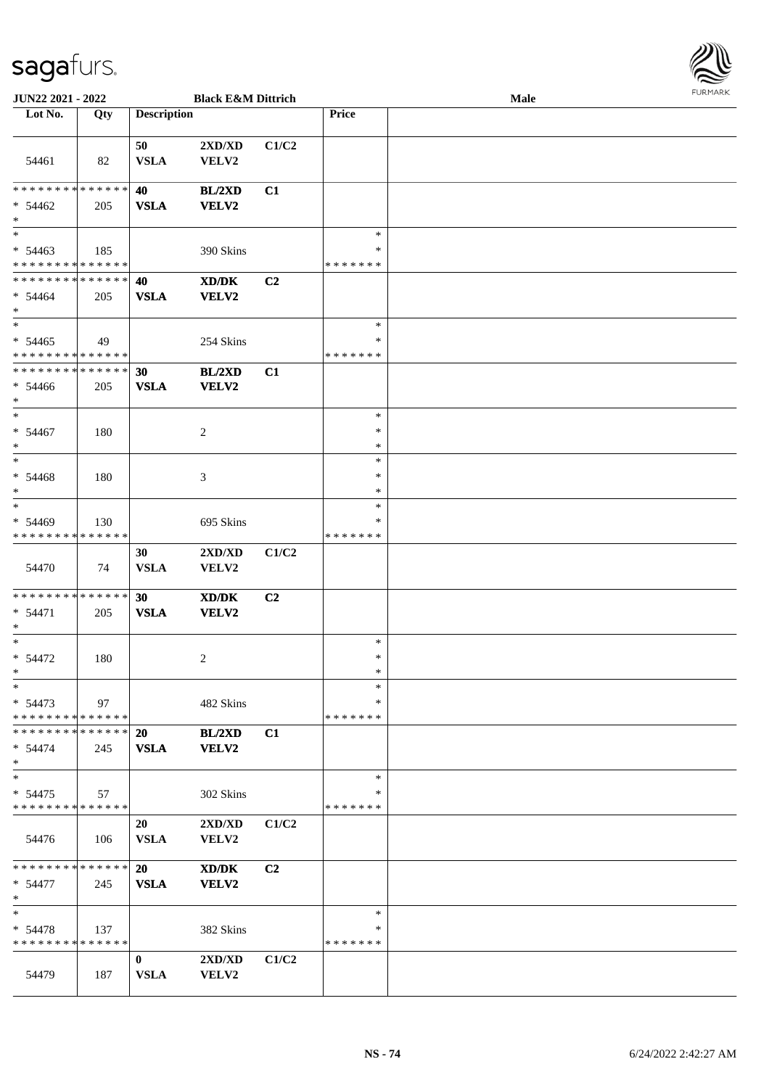

| <b>JUN22 2021 - 2022</b>                   |             |                    | <b>Black E&amp;M Dittrich</b>    |                |               | Male |  |
|--------------------------------------------|-------------|--------------------|----------------------------------|----------------|---------------|------|--|
| Lot No.                                    | Qty         | <b>Description</b> |                                  |                | <b>Price</b>  |      |  |
|                                            |             |                    |                                  |                |               |      |  |
|                                            |             | 50                 | 2XD/XD                           | C1/C2          |               |      |  |
| 54461                                      | 82          | <b>VSLA</b>        | VELV2                            |                |               |      |  |
|                                            |             |                    |                                  |                |               |      |  |
| * * * * * * * * * * * * * * *              |             | 40                 | BL/2XD                           | C1             |               |      |  |
|                                            |             |                    |                                  |                |               |      |  |
| $* 54462$                                  | 205         | <b>VSLA</b>        | <b>VELV2</b>                     |                |               |      |  |
| $\ast$                                     |             |                    |                                  |                |               |      |  |
| $\overline{\phantom{0}}$                   |             |                    |                                  |                | $\ast$        |      |  |
| $* 54463$                                  | 185         |                    | 390 Skins                        |                | $\ast$        |      |  |
| * * * * * * * * <mark>* * * * * *</mark>   |             |                    |                                  |                | * * * * * * * |      |  |
| * * * * * * * * * * * * * * *              |             | 40                 | XD/DK                            | C <sub>2</sub> |               |      |  |
| $* 54464$                                  | 205         | <b>VSLA</b>        | <b>VELV2</b>                     |                |               |      |  |
| $*$                                        |             |                    |                                  |                |               |      |  |
| $\ast$                                     |             |                    |                                  |                | $\ast$        |      |  |
| $* 54465$                                  | 49          |                    | 254 Skins                        |                | $\ast$        |      |  |
| * * * * * * * * <mark>* * * * * *</mark>   |             |                    |                                  |                | *******       |      |  |
| * * * * * * * * <mark>* * * * * *</mark>   |             | 30                 | BL/2XD                           |                |               |      |  |
|                                            |             |                    |                                  | C1             |               |      |  |
| $* 54466$                                  | 205         | <b>VSLA</b>        | <b>VELV2</b>                     |                |               |      |  |
| $*$                                        |             |                    |                                  |                |               |      |  |
| $\ast$                                     |             |                    |                                  |                | $\ast$        |      |  |
| $* 54467$                                  | 180         |                    | 2                                |                | $\ast$        |      |  |
| $*$                                        |             |                    |                                  |                | $\ast$        |      |  |
| $*$                                        |             |                    |                                  |                | $\ast$        |      |  |
| $* 54468$                                  | 180         |                    | 3                                |                | $\ast$        |      |  |
| $\ast$                                     |             |                    |                                  |                | $\ast$        |      |  |
| $\overline{\phantom{0}}$                   |             |                    |                                  |                | $\ast$        |      |  |
| $* 54469$                                  | 130         |                    | 695 Skins                        |                | ∗             |      |  |
| * * * * * * * *                            | * * * * * * |                    |                                  |                | * * * * * * * |      |  |
|                                            |             | 30                 | 2XD/XD                           | C1/C2          |               |      |  |
| 54470                                      | 74          | <b>VSLA</b>        | <b>VELV2</b>                     |                |               |      |  |
|                                            |             |                    |                                  |                |               |      |  |
| * * * * * * * * <mark>* * * * * *</mark>   |             |                    |                                  |                |               |      |  |
|                                            |             | 30                 | XD/DK                            | C <sub>2</sub> |               |      |  |
| $* 54471$                                  | 205         | <b>VSLA</b>        | <b>VELV2</b>                     |                |               |      |  |
| $\ast$                                     |             |                    |                                  |                |               |      |  |
| $*$                                        |             |                    |                                  |                | $\ast$        |      |  |
| $* 54472$                                  | 180         |                    | 2                                |                | $\ast$        |      |  |
| $*$                                        |             |                    |                                  |                | $\ast$        |      |  |
| *                                          |             |                    |                                  |                | ∗             |      |  |
| $* 54473$                                  | 97          |                    | 482 Skins                        |                | ∗             |      |  |
| * * * * * * * * * * * * * *                |             |                    |                                  |                | * * * * * * * |      |  |
| * * * * * * * * * * * * * * *              |             | 20                 | BL/2XD                           | C1             |               |      |  |
| $* 54474$                                  | 245         | <b>VSLA</b>        | VELV2                            |                |               |      |  |
| $\ast$                                     |             |                    |                                  |                |               |      |  |
| $*$                                        |             |                    |                                  |                | $\ast$        |      |  |
| $* 54475$                                  | 57          |                    | 302 Skins                        |                | ∗             |      |  |
| * * * * * * * * * * * * * *                |             |                    |                                  |                | * * * * * * * |      |  |
|                                            |             |                    |                                  |                |               |      |  |
|                                            |             | 20                 | 2XD/XD                           | C1/C2          |               |      |  |
| 54476                                      | 106         | <b>VSLA</b>        | VELV2                            |                |               |      |  |
|                                            |             |                    |                                  |                |               |      |  |
| * * * * * * * * <mark>* * * * * *</mark> * |             | <b>20</b>          | XD/DK                            | C <sub>2</sub> |               |      |  |
| $* 54477$                                  | 245         | <b>VSLA</b>        | VELV2                            |                |               |      |  |
| $\ast$                                     |             |                    |                                  |                |               |      |  |
| $*$                                        |             |                    |                                  |                | $\ast$        |      |  |
| $* 54478$                                  | 137         |                    | 382 Skins                        |                | ∗             |      |  |
| * * * * * * * * * * * * * * *              |             |                    |                                  |                | *******       |      |  |
|                                            |             | $\mathbf{0}$       | $2{\bf X}{\bf D}/{\bf X}{\bf D}$ | C1/C2          |               |      |  |
| 54479                                      | 187         | <b>VSLA</b>        | <b>VELV2</b>                     |                |               |      |  |
|                                            |             |                    |                                  |                |               |      |  |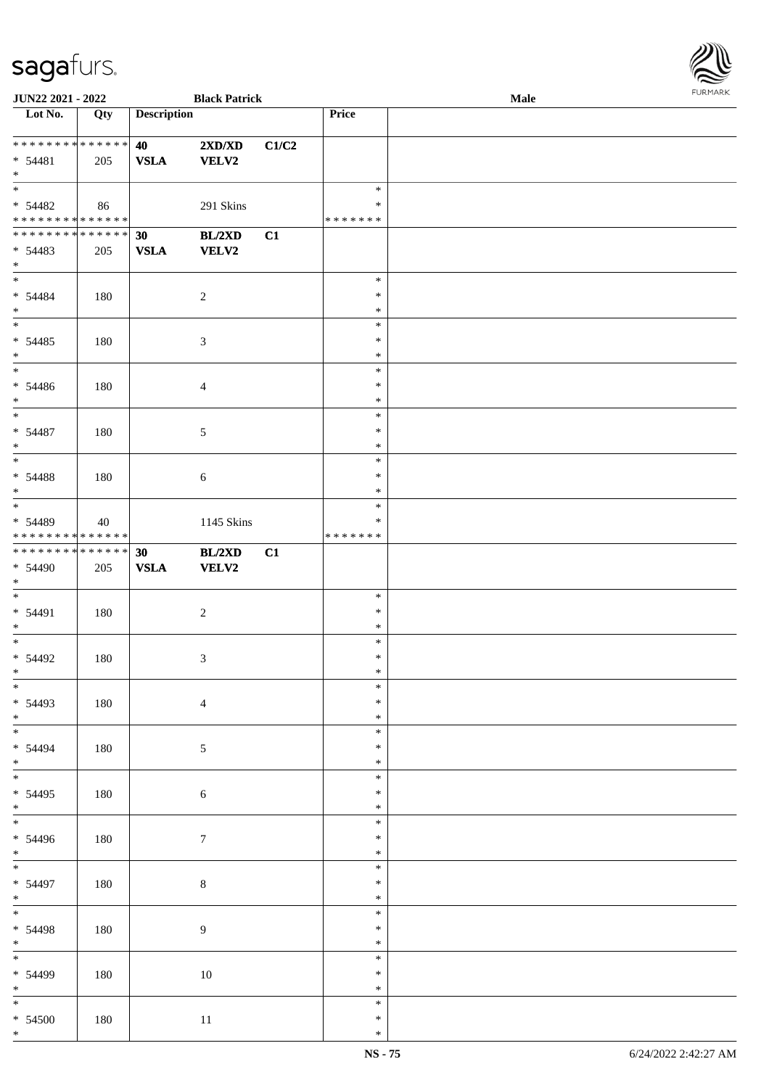

| JUN22 2021 - 2022             |     |                    | <b>Black Patrick</b> |       |               | Male |
|-------------------------------|-----|--------------------|----------------------|-------|---------------|------|
| Lot No.                       | Qty | <b>Description</b> |                      |       | Price         |      |
|                               |     |                    |                      |       |               |      |
| * * * * * * * * * * * * * *   |     | 40                 | 2XD/XD               | C1/C2 |               |      |
|                               |     |                    |                      |       |               |      |
| $* 54481$                     | 205 | <b>VSLA</b>        | VELV2                |       |               |      |
| $*$                           |     |                    |                      |       |               |      |
|                               |     |                    |                      |       | $\ast$        |      |
| $* 54482$                     | 86  |                    | 291 Skins            |       | $\ast$        |      |
| * * * * * * * * * * * * * *   |     |                    |                      |       | *******       |      |
| * * * * * * * * * * * * * * * |     | 30                 | BL/2XD               | C1    |               |      |
| $* 54483$                     |     |                    |                      |       |               |      |
|                               | 205 | <b>VSLA</b>        | VELV2                |       |               |      |
| $*$                           |     |                    |                      |       |               |      |
|                               |     |                    |                      |       | $\ast$        |      |
| $* 54484$                     | 180 |                    | $\boldsymbol{2}$     |       | $\ast$        |      |
| $*$                           |     |                    |                      |       | $\ast$        |      |
|                               |     |                    |                      |       | $\ast$        |      |
| $* 54485$                     | 180 |                    | 3                    |       | $\ast$        |      |
| $\ast$                        |     |                    |                      |       | $\ast$        |      |
| $\overline{\phantom{0}}$      |     |                    |                      |       | $\ast$        |      |
|                               |     |                    |                      |       |               |      |
| $* 54486$                     | 180 |                    | $\overline{4}$       |       | $\ast$        |      |
| $*$                           |     |                    |                      |       | $\ast$        |      |
| $\overline{\phantom{a}^*}$    |     |                    |                      |       | $\ast$        |      |
| $* 54487$                     | 180 |                    | 5                    |       | $\ast$        |      |
| $*$                           |     |                    |                      |       | $\ast$        |      |
| $\overline{\phantom{0}}$      |     |                    |                      |       | $\ast$        |      |
| $* 54488$                     | 180 |                    | $\sqrt{6}$           |       | $\ast$        |      |
| $\ast$                        |     |                    |                      |       | $\ast$        |      |
| $\overline{\phantom{0}}$      |     |                    |                      |       |               |      |
|                               |     |                    |                      |       | $\ast$        |      |
| * 54489                       | 40  |                    | 1145 Skins           |       | $\ast$        |      |
| * * * * * * * * * * * * * *   |     |                    |                      |       | * * * * * * * |      |
| ******** <mark>******</mark>  |     | 30                 | BL/2XD               | C1    |               |      |
| * 54490                       | 205 | ${\bf VSLA}$       | VELV2                |       |               |      |
| $*$                           |     |                    |                      |       |               |      |
| $*$                           |     |                    |                      |       | $\ast$        |      |
| $* 54491$                     | 180 |                    |                      |       | $\ast$        |      |
|                               |     |                    | $\boldsymbol{2}$     |       | $\ast$        |      |
| $*$                           |     |                    |                      |       |               |      |
| $*$                           |     |                    |                      |       | $\ast$        |      |
| $* 54492$                     | 180 |                    | 3                    |       | $\ast$        |      |
| $*$                           |     |                    |                      |       | $\ast$        |      |
| $\ast$                        |     |                    |                      |       | $\ast$        |      |
| * 54493                       | 180 |                    | $\overline{4}$       |       | $\ast$        |      |
| $*$                           |     |                    |                      |       | $\ast$        |      |
|                               |     |                    |                      |       | $\ast$        |      |
| * 54494                       |     |                    |                      |       | $\ast$        |      |
|                               | 180 |                    | $\mathfrak{S}$       |       |               |      |
| $*$<br>$\overline{\ast}$      |     |                    |                      |       | $\ast$        |      |
|                               |     |                    |                      |       | $\ast$        |      |
| $* 54495$                     | 180 |                    | $\sqrt{6}$           |       | $\ast$        |      |
| $*$                           |     |                    |                      |       | $\ast$        |      |
| $\overline{\phantom{0}}$      |     |                    |                      |       | $\ast$        |      |
| $* 54496$                     | 180 |                    | 7                    |       | $\ast$        |      |
| $*$                           |     |                    |                      |       | $\ast$        |      |
| $\overline{\ast}$             |     |                    |                      |       | $\ast$        |      |
| * 54497                       |     |                    |                      |       | $\ast$        |      |
|                               | 180 |                    | $8\,$                |       |               |      |
| $*$                           |     |                    |                      |       | $\ast$        |      |
| $\ast$                        |     |                    |                      |       | $\ast$        |      |
| * 54498                       | 180 |                    | 9                    |       | $\ast$        |      |
| $*$                           |     |                    |                      |       | $\ast$        |      |
| $\overline{\phantom{0}}$      |     |                    |                      |       | $\ast$        |      |
| * 54499                       | 180 |                    | $10\,$               |       | $\ast$        |      |
| $*$                           |     |                    |                      |       | $\ast$        |      |
|                               |     |                    |                      |       | $\ast$        |      |
|                               |     |                    |                      |       |               |      |
| $* 54500$                     | 180 |                    | 11                   |       | $\ast$        |      |
| $*$                           |     |                    |                      |       | $\ast$        |      |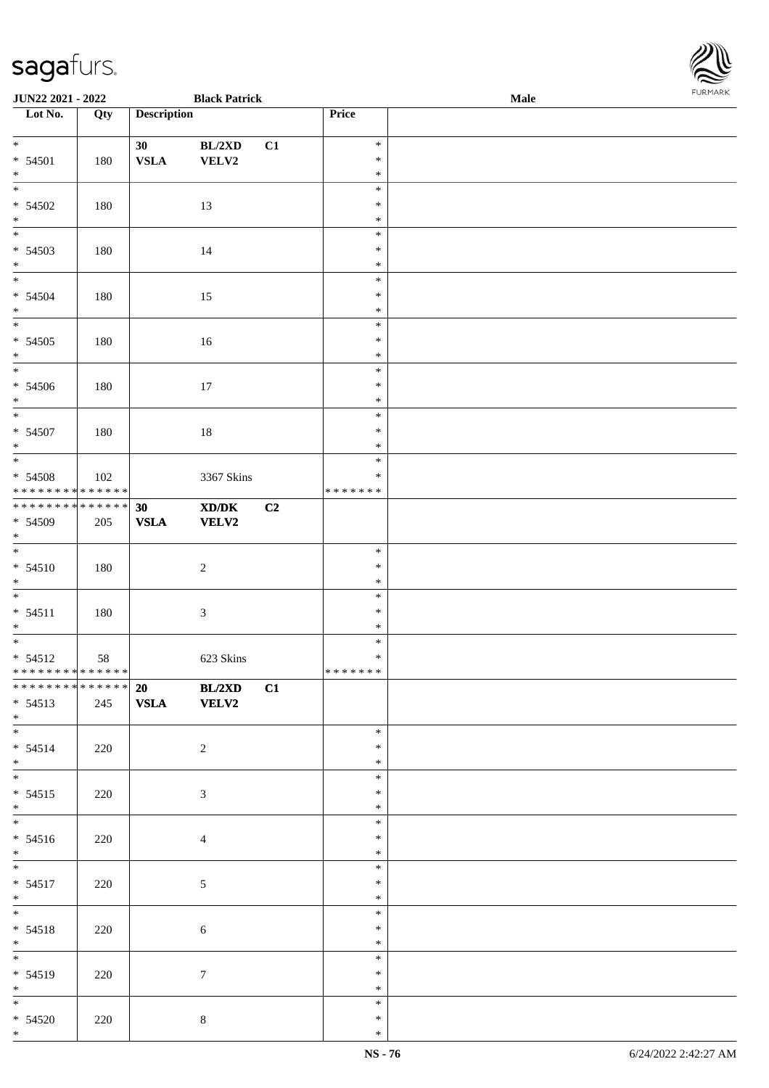| <b>JUN22 2021 - 2022</b>                                                   |     |                                 | <b>Black Patrick</b>          |    |                                      | Male | <b>FURPIARR</b> |
|----------------------------------------------------------------------------|-----|---------------------------------|-------------------------------|----|--------------------------------------|------|-----------------|
| Lot No.                                                                    | Qty | <b>Description</b>              |                               |    | Price                                |      |                 |
| $\overline{\ast}$<br>$* 54501$<br>$*$                                      | 180 | 30 <sub>1</sub><br>${\bf VSLA}$ | BL/2XD<br>VELV2               | C1 | $\ast$<br>$\ast$<br>$\ast$           |      |                 |
| $\overline{\ast}$<br>$* 54502$<br>$*$                                      | 180 |                                 | 13                            |    | $\ast$<br>$\ast$<br>$\ast$           |      |                 |
| $* 54503$<br>$*$                                                           | 180 |                                 | 14                            |    | $\ast$<br>$\ast$<br>$\ast$           |      |                 |
| $\ddot{x}$<br>$* 54504$<br>$*$                                             | 180 |                                 | 15                            |    | $\ast$<br>$\ast$<br>$\ast$           |      |                 |
| $* 54505$<br>$*$                                                           | 180 |                                 | 16                            |    | $\ast$<br>$\ast$<br>$\ast$           |      |                 |
| $* 54506$<br>$*$<br>$\overline{\ast}$                                      | 180 |                                 | 17                            |    | $\ast$<br>$\ast$<br>$\ast$<br>$\ast$ |      |                 |
| $* 54507$<br>$*$                                                           | 180 |                                 | 18                            |    | $\ast$<br>$\ast$<br>$\ast$           |      |                 |
| * 54508<br>******** <mark>******</mark><br>******** <mark>******</mark>    | 102 |                                 | 3367 Skins                    |    | $\ast$<br>* * * * * * *              |      |                 |
| $* 54509$<br>$*$<br>$\overline{\ast}$                                      | 205 | 30<br><b>VSLA</b>               | XD/DK<br><b>VELV2</b>         | C2 |                                      |      |                 |
| $* 54510$<br>$*$                                                           | 180 |                                 | $\sqrt{2}$                    |    | $\ast$<br>$\ast$<br>$\ast$           |      |                 |
| $* 54511$<br>$*$<br>$\overline{\ast}$                                      | 180 |                                 | $\mathfrak{Z}$                |    | $\ast$<br>$\ast$<br>$\ast$           |      |                 |
| $* 54512$<br>* * * * * * * * <mark>* * * * * *</mark><br>************** 20 | 58  |                                 | 623 Skins                     |    | $\ast$<br>$\ast$<br>*******          |      |                 |
| $* 54513$<br>$*$<br>$*$                                                    | 245 | <b>VSLA</b>                     | <b>BL/2XD</b><br><b>VELV2</b> | C1 | $\ast$                               |      |                 |
| $* 54514$<br>$*$<br>*                                                      | 220 |                                 | 2                             |    | $\ast$<br>$\ast$<br>$\ast$           |      |                 |
| $* 54515$<br>$*$                                                           | 220 |                                 | 3                             |    | $\ast$<br>$\ast$                     |      |                 |
| $* 54516$<br>$*$<br>$\overline{\mathbf{r}}$                                | 220 |                                 | $\overline{4}$                |    | $\ast$<br>$\ast$<br>$\ast$           |      |                 |
| $* 54517$<br>$*$                                                           | 220 |                                 | 5                             |    | $\ast$<br>$\ast$<br>$\ast$           |      |                 |
| $*$<br>$* 54518$<br>$*$                                                    | 220 |                                 | $\sqrt{6}$                    |    | $\ast$<br>$\ast$<br>$\ast$           |      |                 |
| $\overline{\mathbf{r}^*$<br>$* 54519$<br>$*$                               | 220 |                                 | $\tau$                        |    | $\ast$<br>$\ast$<br>$\ast$           |      |                 |
| $*$<br>$* 54520$<br>$\ast$                                                 | 220 |                                 | $\,8\,$                       |    | $\ast$<br>$\ast$<br>$\ast$           |      |                 |

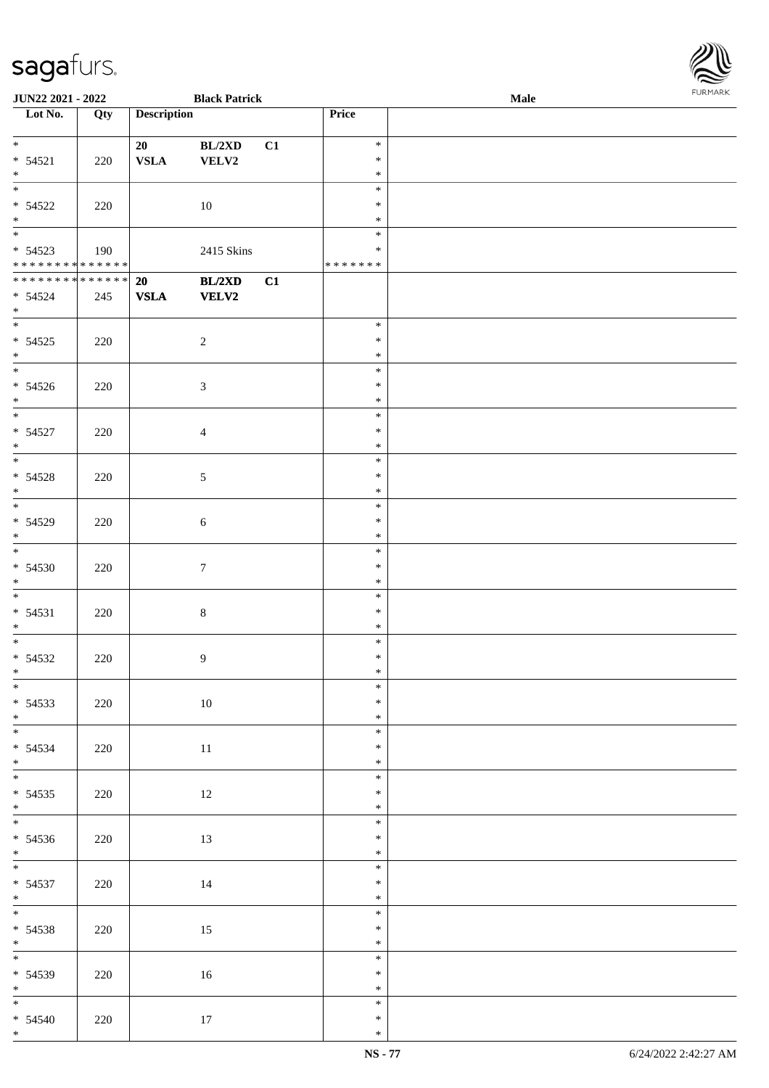| <b>JUN22 2021 - 2022</b>                   |     |                    | <b>Black Patrick</b> |    |         | Male |  |
|--------------------------------------------|-----|--------------------|----------------------|----|---------|------|--|
| Lot No.                                    | Qty | <b>Description</b> |                      |    | Price   |      |  |
|                                            |     |                    |                      |    |         |      |  |
| $*$                                        |     | 20                 | BL/2XD               | C1 | $\ast$  |      |  |
| $* 54521$                                  | 220 | <b>VSLA</b>        | VELV2                |    | $\ast$  |      |  |
| $*$                                        |     |                    |                      |    | $\ast$  |      |  |
|                                            |     |                    |                      |    | $\ast$  |      |  |
|                                            |     |                    |                      |    |         |      |  |
| $* 54522$                                  | 220 |                    | 10                   |    | $\ast$  |      |  |
| $*$                                        |     |                    |                      |    | $\ast$  |      |  |
|                                            |     |                    |                      |    | $\ast$  |      |  |
| $* 54523$                                  | 190 |                    | 2415 Skins           |    | $\ast$  |      |  |
| * * * * * * * * <mark>* * * * * * *</mark> |     |                    |                      |    | ******* |      |  |
| **************                             |     | 20                 | BL/2XD               | C1 |         |      |  |
| $* 54524$                                  | 245 | ${\bf VSLA}$       | <b>VELV2</b>         |    |         |      |  |
| $*$                                        |     |                    |                      |    |         |      |  |
| $\ddot{x}$                                 |     |                    |                      |    | $\ast$  |      |  |
| $* 54525$                                  |     |                    |                      |    | $\ast$  |      |  |
|                                            | 220 |                    | $\overline{2}$       |    |         |      |  |
| $*$<br>$\overline{\phantom{0}}$            |     |                    |                      |    | $\ast$  |      |  |
|                                            |     |                    |                      |    | $\ast$  |      |  |
| $* 54526$                                  | 220 |                    | $\mathfrak{Z}$       |    | $\ast$  |      |  |
| $*$                                        |     |                    |                      |    | $\ast$  |      |  |
|                                            |     |                    |                      |    | $\ast$  |      |  |
| $* 54527$                                  | 220 |                    | $\overline{4}$       |    | $\ast$  |      |  |
| $*$                                        |     |                    |                      |    | $\ast$  |      |  |
|                                            |     |                    |                      |    | $\ast$  |      |  |
| $* 54528$                                  | 220 |                    | $\mathfrak{S}$       |    | $\ast$  |      |  |
| $\ast$                                     |     |                    |                      |    | $\ast$  |      |  |
|                                            |     |                    |                      |    | $\ast$  |      |  |
|                                            |     |                    |                      |    |         |      |  |
| $* 54529$                                  | 220 |                    | $\sqrt{6}$           |    | $\ast$  |      |  |
| $\ast$                                     |     |                    |                      |    | $\ast$  |      |  |
| $\overline{\ast}$                          |     |                    |                      |    | $\ast$  |      |  |
| $* 54530$                                  | 220 |                    | $\boldsymbol{7}$     |    | $\ast$  |      |  |
| $*$                                        |     |                    |                      |    | $\ast$  |      |  |
| $\ddot{x}$                                 |     |                    |                      |    | $\ast$  |      |  |
| $* 54531$                                  | 220 |                    | $\,8\,$              |    | $\ast$  |      |  |
| $*$                                        |     |                    |                      |    | $\ast$  |      |  |
| $\overline{\cdot}$                         |     |                    |                      |    | $\ast$  |      |  |
|                                            |     |                    |                      |    | $\ast$  |      |  |
| $* 54532$                                  | 220 |                    | 9                    |    |         |      |  |
| $\ddot{x}$                                 |     |                    |                      |    | $\ast$  |      |  |
| $\overline{\ast}$                          |     |                    |                      |    | $\ast$  |      |  |
| $* 54533$                                  | 220 |                    | 10                   |    | $\ast$  |      |  |
| $*$                                        |     |                    |                      |    | $\ast$  |      |  |
| $\overline{\mathbf{r}}$                    |     |                    |                      |    | $\ast$  |      |  |
| $* 54534$                                  | 220 |                    | 11                   |    | $\ast$  |      |  |
| $*$                                        |     |                    |                      |    | $\ast$  |      |  |
| $\ddot{x}$                                 |     |                    |                      |    | $\ast$  |      |  |
| $* 54535$                                  | 220 |                    | 12                   |    | $\ast$  |      |  |
| $*$ $-$                                    |     |                    |                      |    | $\ast$  |      |  |
| $\overline{\mathbf{r}}$                    |     |                    |                      |    | $\ast$  |      |  |
|                                            |     |                    |                      |    |         |      |  |
| $* 54536$                                  | 220 |                    | 13                   |    | $\ast$  |      |  |
| $*$                                        |     |                    |                      |    | $\ast$  |      |  |
| $*$                                        |     |                    |                      |    | $\ast$  |      |  |
| $* 54537$                                  | 220 |                    | 14                   |    | $\ast$  |      |  |
| $*$                                        |     |                    |                      |    | $\ast$  |      |  |
| $\ddot{x}$                                 |     |                    |                      |    | $\ast$  |      |  |
| $* 54538$                                  | 220 |                    | 15                   |    | $\ast$  |      |  |
|                                            |     |                    |                      |    | $\ast$  |      |  |
| $*$<br>*                                   |     |                    |                      |    | $\ast$  |      |  |
| $* 54539$                                  | 220 |                    | 16                   |    | $\ast$  |      |  |
| $*$                                        |     |                    |                      |    | $\ast$  |      |  |
| $*$                                        |     |                    |                      |    | $\ast$  |      |  |
|                                            |     |                    |                      |    |         |      |  |
| $* 54540$                                  | 220 |                    | 17                   |    | $\ast$  |      |  |
| $*$                                        |     |                    |                      |    | $\ast$  |      |  |

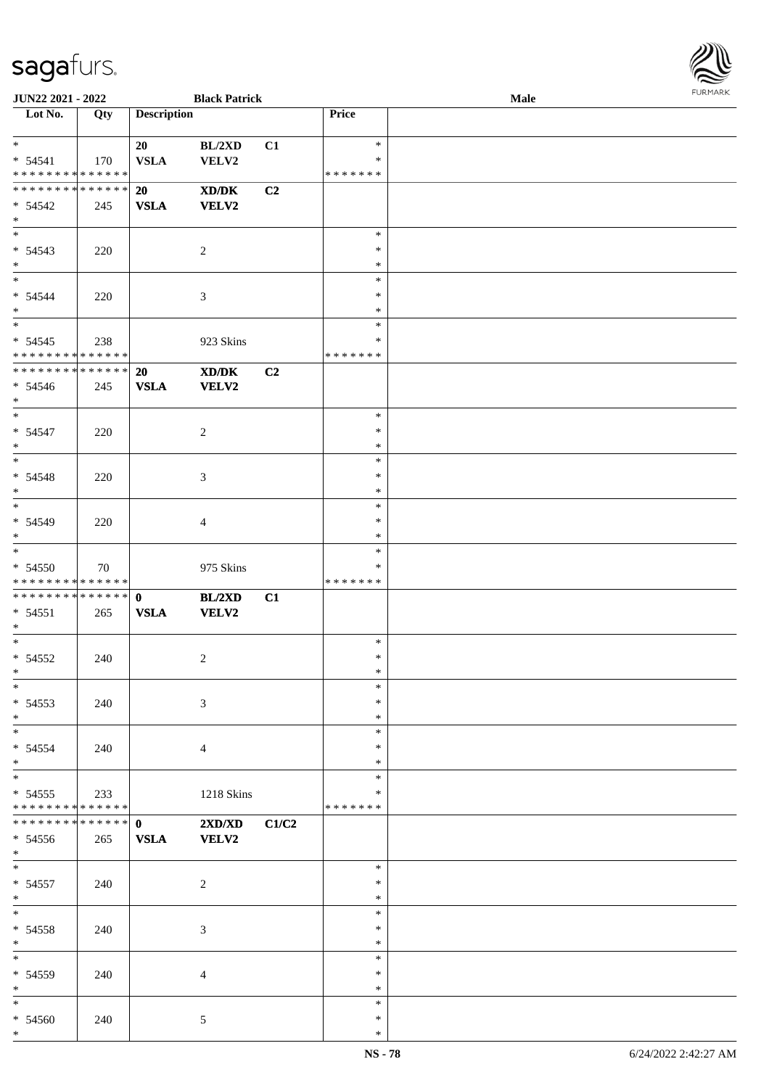

| JUN22 2021 - 2022               |                   |                    | <b>Black Patrick</b>                        |       |               | Male |  |
|---------------------------------|-------------------|--------------------|---------------------------------------------|-------|---------------|------|--|
| Lot No.                         | $\overline{Q}$ ty | <b>Description</b> |                                             |       | Price         |      |  |
|                                 |                   |                    |                                             |       |               |      |  |
| $*$                             |                   | 20                 | BL/2XD                                      | C1    | $\ast$        |      |  |
| $* 54541$                       | 170               | <b>VSLA</b>        | VELV2                                       |       | ∗             |      |  |
| * * * * * * * * * * * * * *     |                   |                    |                                             |       | * * * * * * * |      |  |
| * * * * * * * * * * * * * *     |                   | 20                 | $\mathbf{X}\mathbf{D}/\mathbf{D}\mathbf{K}$ | C2    |               |      |  |
| * 54542                         | 245               | <b>VSLA</b>        | <b>VELV2</b>                                |       |               |      |  |
| $*$                             |                   |                    |                                             |       |               |      |  |
| $\overline{\phantom{0}}$        |                   |                    |                                             |       | $\ast$        |      |  |
| $* 54543$                       | 220               |                    | $\overline{2}$                              |       | $\ast$        |      |  |
| $*$                             |                   |                    |                                             |       | $\ast$        |      |  |
| $\overline{\phantom{0}}$        |                   |                    |                                             |       | $\ast$        |      |  |
| $* 54544$                       | 220               |                    | $\mathfrak{Z}$                              |       | $\ast$        |      |  |
| $*$                             |                   |                    |                                             |       | $\ast$        |      |  |
| $*$                             |                   |                    |                                             |       | $\ast$        |      |  |
| $* 54545$                       | 238               |                    | 923 Skins                                   |       | $\ast$        |      |  |
| * * * * * * * * * * * * * *     |                   |                    |                                             |       | * * * * * * * |      |  |
| * * * * * * * * * * * * * *     |                   | 20                 | XD/DK                                       | C2    |               |      |  |
|                                 |                   | <b>VSLA</b>        |                                             |       |               |      |  |
| $* 54546$<br>$*$                | 245               |                    | VELV2                                       |       |               |      |  |
| $*$                             |                   |                    |                                             |       | $\ast$        |      |  |
|                                 |                   |                    |                                             |       | $\ast$        |      |  |
| $* 54547$<br>$*$                | 220               |                    | $\overline{2}$                              |       | $\ast$        |      |  |
|                                 |                   |                    |                                             |       | $\ast$        |      |  |
|                                 |                   |                    |                                             |       |               |      |  |
| $* 54548$                       | 220               |                    | $\mathfrak{Z}$                              |       | $\ast$        |      |  |
| $*$<br>$\overline{\ast}$        |                   |                    |                                             |       | $\ast$        |      |  |
|                                 |                   |                    |                                             |       | $\ast$        |      |  |
| * 54549                         | 220               |                    | $\overline{4}$                              |       | $\ast$        |      |  |
| $*$<br>$\overline{\phantom{0}}$ |                   |                    |                                             |       | $\ast$        |      |  |
|                                 |                   |                    |                                             |       | $\ast$        |      |  |
| * 54550                         | 70                |                    | 975 Skins                                   |       | ∗             |      |  |
| * * * * * * * * * * * * * *     |                   |                    |                                             |       | * * * * * * * |      |  |
| ************** 0                |                   |                    | BL/2XD                                      | C1    |               |      |  |
| $* 54551$                       | 265               | <b>VSLA</b>        | <b>VELV2</b>                                |       |               |      |  |
| $*$                             |                   |                    |                                             |       |               |      |  |
| $*$                             |                   |                    |                                             |       | $\ast$        |      |  |
| $* 54552$                       | 240               |                    | $\overline{c}$                              |       | $\ast$        |      |  |
| $*$                             |                   |                    |                                             |       | $\ast$        |      |  |
| $\ast$                          |                   |                    |                                             |       | $\ast$        |      |  |
| $* 54553$                       | 240               |                    | 3                                           |       | $\ast$        |      |  |
| $*$                             |                   |                    |                                             |       | $\ast$        |      |  |
| $\overline{\ast}$               |                   |                    |                                             |       | $\ast$        |      |  |
| * 54554                         | 240               |                    | $\overline{4}$                              |       | ∗             |      |  |
| $*$                             |                   |                    |                                             |       | ∗             |      |  |
| $\overline{\ast}$               |                   |                    |                                             |       | $\ast$        |      |  |
| $* 54555$                       | 233               |                    | 1218 Skins                                  |       | ∗             |      |  |
| * * * * * * * * * * * * * *     |                   |                    |                                             |       | * * * * * * * |      |  |
| * * * * * * * * * * * * * * *   |                   | $\mathbf{0}$       | 2XD/XD                                      | C1/C2 |               |      |  |
| $* 54556$                       | 265               | <b>VSLA</b>        | <b>VELV2</b>                                |       |               |      |  |
| $*$ $-$                         |                   |                    |                                             |       |               |      |  |
| $*$ $*$                         |                   |                    |                                             |       | $\ast$        |      |  |
| $* 54557$                       | 240               |                    | $\boldsymbol{2}$                            |       | $\ast$        |      |  |
| $*$                             |                   |                    |                                             |       | $\ast$        |      |  |
| $*$                             |                   |                    |                                             |       | $\ast$        |      |  |
| * 54558                         | 240               |                    | 3                                           |       | $\ast$        |      |  |
| $\ast$                          |                   |                    |                                             |       | $\ast$        |      |  |
| $\overline{\phantom{0}}$        |                   |                    |                                             |       | $\ast$        |      |  |
| * 54559                         | 240               |                    | $\overline{4}$                              |       | $\ast$        |      |  |
| $*$                             |                   |                    |                                             |       | $\ast$        |      |  |
| $*$                             |                   |                    |                                             |       | $\ast$        |      |  |
| * 54560                         | 240               |                    | $5\phantom{.0}$                             |       | $\ast$        |      |  |
| $*$                             |                   |                    |                                             |       | $\ast$        |      |  |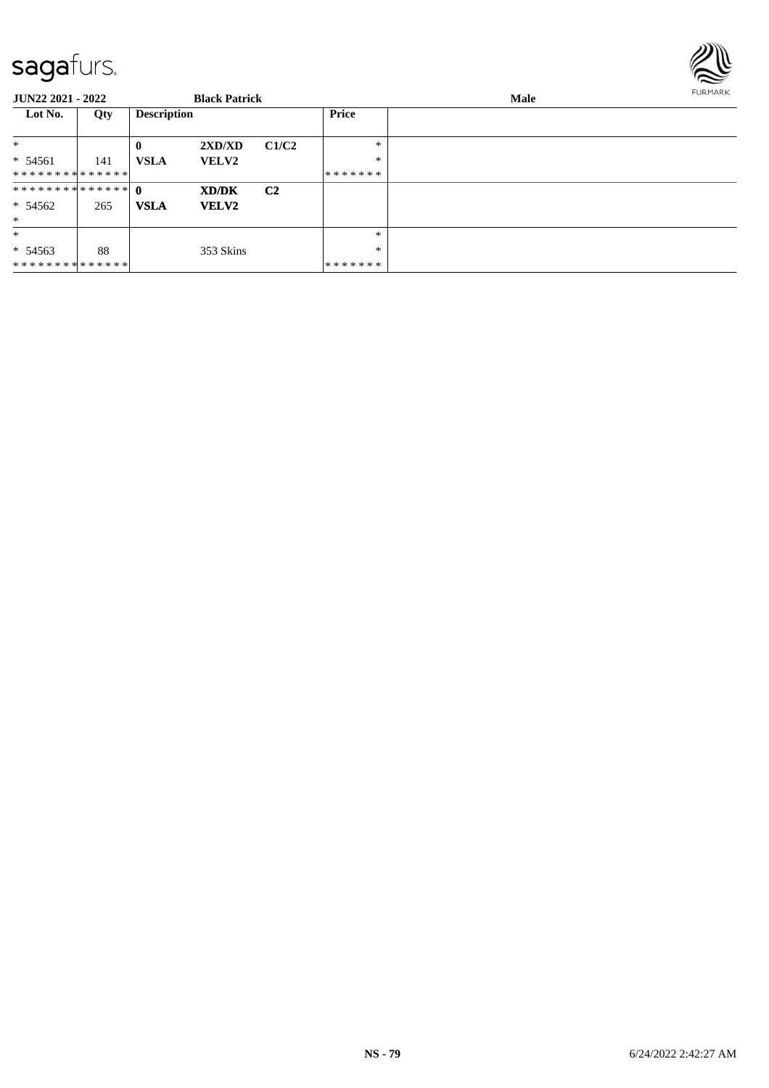

| <b>JUN22 2021 - 2022</b> |     |                    | <b>Black Patrick</b> |                |         | Male | <b>FURMARK</b> |
|--------------------------|-----|--------------------|----------------------|----------------|---------|------|----------------|
| Lot No.                  | Qty | <b>Description</b> |                      |                | Price   |      |                |
| $\ast$                   |     | $\bf{0}$           | 2XD/XD               | C1/C2          | $*$     |      |                |
| $* 54561$                | 141 | <b>VSLA</b>        | <b>VELV2</b>         |                | $\ast$  |      |                |
| **************           |     |                    |                      |                | ******* |      |                |
| ************** 0         |     |                    | XD/DK                | C <sub>2</sub> |         |      |                |
| $* 54562$                | 265 | <b>VSLA</b>        | <b>VELV2</b>         |                |         |      |                |
| $*$                      |     |                    |                      |                |         |      |                |
| $*$                      |     |                    |                      |                | $\ast$  |      |                |
| $* 54563$                | 88  |                    | 353 Skins            |                | *       |      |                |
| **************           |     |                    |                      |                | ******* |      |                |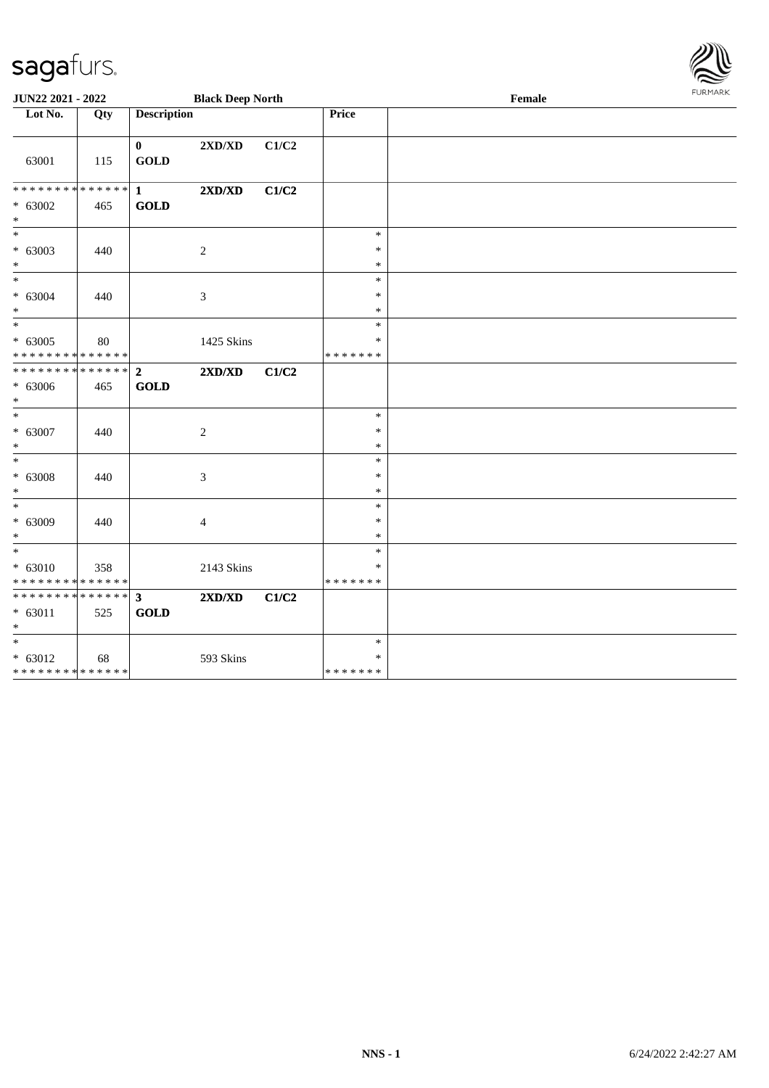| JUN22 2021 - 2022            |     |                             | <b>Black Deep North</b> |       |                  | Female | <b>FURPIARR</b> |
|------------------------------|-----|-----------------------------|-------------------------|-------|------------------|--------|-----------------|
| Lot No.                      | Qty | <b>Description</b>          |                         |       | Price            |        |                 |
| 63001                        | 115 | $\mathbf{0}$<br><b>GOLD</b> | 2XD/XD                  | C1/C2 |                  |        |                 |
| ******** <mark>******</mark> |     | $\mathbf{1}$                | 2XD/XD                  | C1/C2 |                  |        |                 |
| $* 63002$<br>$\ast$          | 465 | <b>GOLD</b>                 |                         |       |                  |        |                 |
| $\overline{\phantom{0}}$     |     |                             |                         |       | $\ast$           |        |                 |
| $* 63003$<br>$*$             | 440 |                             | 2                       |       | $\ast$<br>$\ast$ |        |                 |
| $\overline{\phantom{0}}$     |     |                             |                         |       | $\ast$           |        |                 |
| $* 63004$                    | 440 |                             | 3                       |       | $\ast$           |        |                 |
| $*$<br>$\ast$                |     |                             |                         |       | $\ast$<br>$\ast$ |        |                 |
| $* 63005$                    | 80  |                             | 1425 Skins              |       | $\ast$           |        |                 |
| * * * * * * * * * * * * * *  |     |                             |                         |       | * * * * * * *    |        |                 |
| * * * * * * * * * * * * * *  |     | $\mathbf{2}$                | 2XD/XD                  | C1/C2 |                  |        |                 |
| $* 63006$<br>$*$             | 465 | <b>GOLD</b>                 |                         |       |                  |        |                 |
| $*$                          |     |                             |                         |       | $\ast$           |        |                 |
| $* 63007$                    | 440 |                             | 2                       |       | $\ast$           |        |                 |
| $\ast$<br>$\overline{\ }$    |     |                             |                         |       | $\ast$<br>$\ast$ |        |                 |
| $* 63008$                    | 440 |                             | 3                       |       | $\ast$           |        |                 |
| $*$                          |     |                             |                         |       | $\ast$           |        |                 |
| $*$                          |     |                             |                         |       | $\ast$           |        |                 |
| $* 63009$                    | 440 |                             | $\overline{4}$          |       | $\ast$           |        |                 |
| $*$<br>$*$                   |     |                             |                         |       | $\ast$           |        |                 |
| $* 63010$                    | 358 |                             | 2143 Skins              |       | $\ast$<br>$\ast$ |        |                 |
| * * * * * * * * * * * * * *  |     |                             |                         |       | * * * * * * *    |        |                 |
| ************** 3             |     |                             | 2XD/XD                  | C1/C2 |                  |        |                 |
| * 63011<br>$\ast$            | 525 | <b>GOLD</b>                 |                         |       |                  |        |                 |
| $\overline{\ast}$            |     |                             |                         |       | $\ast$           |        |                 |
| $* 63012$                    | 68  |                             | 593 Skins               |       | $\ast$           |        |                 |
| * * * * * * * * * * * * * *  |     |                             |                         |       | * * * * * * *    |        |                 |

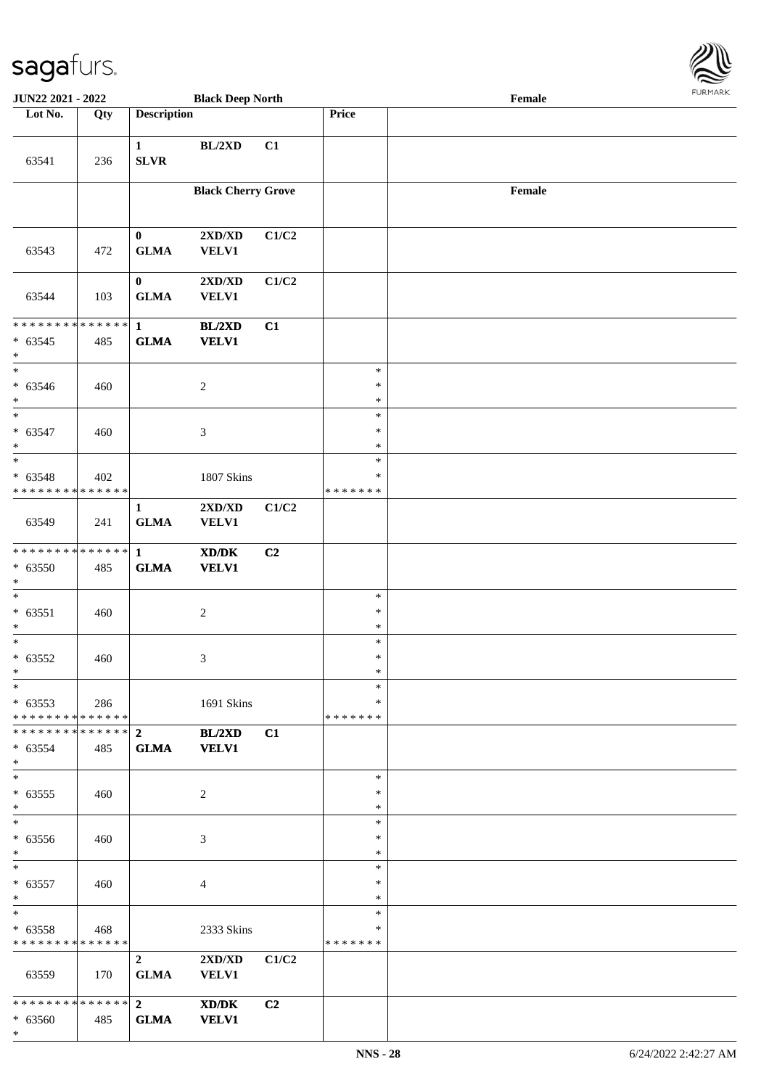

| <b>JUN22 2021 - 2022</b>                          |     |                             | <b>Black Deep North</b>                                                     |                |                                   | Female |  |
|---------------------------------------------------|-----|-----------------------------|-----------------------------------------------------------------------------|----------------|-----------------------------------|--------|--|
| Lot No.                                           | Qty | <b>Description</b>          |                                                                             |                | Price                             |        |  |
| 63541                                             | 236 | $\mathbf{1}$<br><b>SLVR</b> | BL/2XD                                                                      | C1             |                                   |        |  |
|                                                   |     |                             | <b>Black Cherry Grove</b>                                                   |                |                                   | Female |  |
| 63543                                             | 472 | $\bf{0}$<br><b>GLMA</b>     | 2XD/XD<br><b>VELV1</b>                                                      | C1/C2          |                                   |        |  |
| 63544                                             | 103 | $\mathbf{0}$<br><b>GLMA</b> | 2XD/XD<br><b>VELV1</b>                                                      | C1/C2          |                                   |        |  |
| * * * * * * * * * * * * * * *<br>$* 63545$<br>$*$ | 485 | $\mathbf{1}$<br><b>GLMA</b> | BL/2XD<br><b>VELV1</b>                                                      | C1             |                                   |        |  |
| $*$<br>$* 63546$<br>$\ast$                        | 460 |                             | $\overline{c}$                                                              |                | $\ast$<br>$\ast$<br>$\ast$        |        |  |
| $* 63547$<br>$\ast$<br>$\overline{\phantom{0}}$   | 460 |                             | 3                                                                           |                | $\ast$<br>$\ast$<br>$\ast$        |        |  |
| $* 63548$<br>* * * * * * * * * * * * * * *        | 402 |                             | 1807 Skins                                                                  |                | $\ast$<br>$\ast$<br>* * * * * * * |        |  |
| 63549                                             | 241 | $\mathbf{1}$<br><b>GLMA</b> | 2XD/XD<br><b>VELV1</b>                                                      | C1/C2          |                                   |        |  |
| ******** <mark>******</mark><br>$* 63550$<br>$*$  | 485 | $\mathbf{1}$<br><b>GLMA</b> | $\boldsymbol{\text{X} \text{D} \text{/} \text{D} \text{K}}$<br><b>VELV1</b> | C2             |                                   |        |  |
| $*$<br>$* 63551$<br>$*$                           | 460 |                             | $\boldsymbol{2}$                                                            |                | $\ast$<br>$\ast$<br>$\ast$        |        |  |
| $\ast$<br>$* 63552$<br>$*$                        | 460 |                             | 3                                                                           |                | $\ast$<br>$\ast$<br>$\ast$        |        |  |
| $*$<br>$* 63553$<br>* * * * * * * * * * * * * * * | 286 |                             | 1691 Skins                                                                  |                | $\ast$<br>$\ast$<br>*******       |        |  |
| $* 63554$<br>$*$                                  | 485 | <b>GLMA</b>                 | BL/2XD<br><b>VELV1</b>                                                      | C1             |                                   |        |  |
| $*$<br>$* 63555$<br>$*$                           | 460 |                             | 2                                                                           |                | $\ast$<br>$\ast$<br>$\ast$        |        |  |
| $*$<br>* 63556<br>$*$                             | 460 |                             | 3                                                                           |                | $\ast$<br>$\ast$<br>$\ast$        |        |  |
| $*$<br>$* 63557$<br>$*$ $-$                       | 460 |                             | $\overline{4}$                                                              |                | $\ast$<br>$\ast$<br>$\ast$        |        |  |
| $*$<br>$* 63558$<br>* * * * * * * * * * * * * * * | 468 |                             | 2333 Skins                                                                  |                | $\ast$<br>$\ast$<br>*******       |        |  |
| 63559                                             | 170 | $\mathbf{2}$<br><b>GLMA</b> | 2XD/XD<br><b>VELV1</b>                                                      | C1/C2          |                                   |        |  |
| $* 63560$<br>$*$                                  | 485 | <b>GLMA</b>                 | XD/DK<br><b>VELV1</b>                                                       | C <sub>2</sub> |                                   |        |  |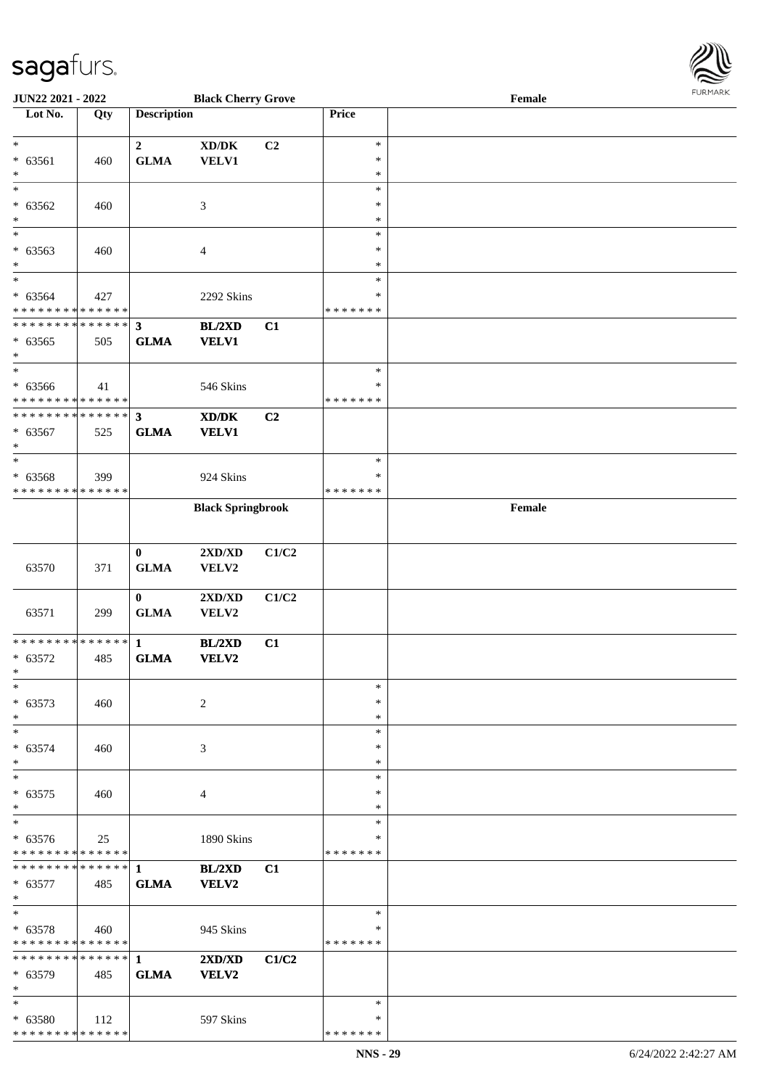

| JUN22 2021 - 2022                          |     |                    | <b>Black Cherry Grove</b>                   |                |               | Female |  |
|--------------------------------------------|-----|--------------------|---------------------------------------------|----------------|---------------|--------|--|
| Lot No.                                    | Qty | <b>Description</b> |                                             |                | Price         |        |  |
|                                            |     |                    |                                             |                |               |        |  |
| $\ast$                                     |     | $\boldsymbol{2}$   | $\bold{X}\bold{D}/\bold{D}\bold{K}$         | C2             | $\ast$        |        |  |
| $* 63561$                                  | 460 | <b>GLMA</b>        | <b>VELV1</b>                                |                | $\ast$        |        |  |
| $\ast$                                     |     |                    |                                             |                | $\ast$        |        |  |
| $\overline{\ast}$                          |     |                    |                                             |                | $\ast$        |        |  |
|                                            |     |                    |                                             |                | $\ast$        |        |  |
| $* 63562$                                  | 460 |                    | $\mathfrak{Z}$                              |                |               |        |  |
| $\ast$                                     |     |                    |                                             |                | $\ast$        |        |  |
| $\ast$                                     |     |                    |                                             |                | $\ast$        |        |  |
| $* 63563$                                  | 460 |                    | $\overline{4}$                              |                | $\ast$        |        |  |
| $\ast$                                     |     |                    |                                             |                | $\ast$        |        |  |
| $_{\ast}^{-}$                              |     |                    |                                             |                | $\ast$        |        |  |
| $* 63564$                                  | 427 |                    | 2292 Skins                                  |                | $\ast$        |        |  |
| * * * * * * * * * * * * * *                |     |                    |                                             |                | * * * * * * * |        |  |
| * * * * * * * * * * * * * * *              |     | $\mathbf{3}$       | BL/2XD                                      | C1             |               |        |  |
| $* 63565$                                  | 505 | <b>GLMA</b>        | <b>VELV1</b>                                |                |               |        |  |
| $\ast$                                     |     |                    |                                             |                |               |        |  |
| $\ast$                                     |     |                    |                                             |                | $\ast$        |        |  |
| $* 63566$                                  | 41  |                    | 546 Skins                                   |                | $\ast$        |        |  |
| * * * * * * * * * * * * * *                |     |                    |                                             |                | * * * * * * * |        |  |
| ******** <mark>******</mark>               |     |                    |                                             |                |               |        |  |
|                                            |     | $\mathbf{3}$       | $\mathbf{X}\mathbf{D}/\mathbf{D}\mathbf{K}$ | C <sub>2</sub> |               |        |  |
| $* 63567$                                  | 525 | <b>GLMA</b>        | <b>VELV1</b>                                |                |               |        |  |
| $\ast$                                     |     |                    |                                             |                |               |        |  |
| $\ast$                                     |     |                    |                                             |                | $\ast$        |        |  |
| $* 63568$                                  | 399 |                    | 924 Skins                                   |                | ∗             |        |  |
| * * * * * * * * * * * * * *                |     |                    |                                             |                | * * * * * * * |        |  |
|                                            |     |                    | <b>Black Springbrook</b>                    |                |               | Female |  |
|                                            |     |                    |                                             |                |               |        |  |
|                                            |     |                    |                                             |                |               |        |  |
|                                            |     | $\bf{0}$           | 2XD/XD                                      | C1/C2          |               |        |  |
| 63570                                      | 371 | <b>GLMA</b>        | VELV2                                       |                |               |        |  |
|                                            |     |                    |                                             |                |               |        |  |
|                                            |     | $\bf{0}$           | 2XD/XD                                      | C1/C2          |               |        |  |
| 63571                                      | 299 | ${\bf GLMA}$       | VELV2                                       |                |               |        |  |
|                                            |     |                    |                                             |                |               |        |  |
| * * * * * * * * * * * * * * *              |     | $\mathbf{1}$       | BL/2XD                                      | C1             |               |        |  |
| $* 63572$                                  | 485 | <b>GLMA</b>        | <b>VELV2</b>                                |                |               |        |  |
| $*$                                        |     |                    |                                             |                |               |        |  |
| $\ast$                                     |     |                    |                                             |                | $\ast$        |        |  |
|                                            |     |                    |                                             |                | ∗             |        |  |
| $* 63573$                                  | 460 |                    | 2                                           |                |               |        |  |
| $\ast$                                     |     |                    |                                             |                | $\ast$        |        |  |
| $\ast$                                     |     |                    |                                             |                | $\ast$        |        |  |
| $* 63574$                                  | 460 |                    | 3                                           |                | $\ast$        |        |  |
| $\ast$                                     |     |                    |                                             |                | $\ast$        |        |  |
| $\ast$                                     |     |                    |                                             |                | $\ast$        |        |  |
| $* 63575$                                  | 460 |                    | 4                                           |                | ∗             |        |  |
| $\ast$                                     |     |                    |                                             |                | $\ast$        |        |  |
| $\ast$                                     |     |                    |                                             |                | $\ast$        |        |  |
| $* 63576$                                  | 25  |                    | 1890 Skins                                  |                | ∗             |        |  |
| * * * * * * * * * * * * * *                |     |                    |                                             |                | * * * * * * * |        |  |
| ************** 1                           |     |                    | BL/2XD                                      | C1             |               |        |  |
| $* 63577$                                  | 485 | <b>GLMA</b>        | VELV2                                       |                |               |        |  |
| $*$                                        |     |                    |                                             |                |               |        |  |
| $\ast$                                     |     |                    |                                             |                | $\ast$        |        |  |
| $* 63578$                                  | 460 |                    | 945 Skins                                   |                | ∗             |        |  |
| * * * * * * * * <mark>* * * * * * *</mark> |     |                    |                                             |                | * * * * * * * |        |  |
| ******** <mark>******</mark>               |     | $\mathbf{1}$       | 2XD/XD                                      | C1/C2          |               |        |  |
|                                            |     |                    |                                             |                |               |        |  |
| * 63579                                    | 485 | <b>GLMA</b>        | <b>VELV2</b>                                |                |               |        |  |
| $\ast$                                     |     |                    |                                             |                |               |        |  |
| $\ast$                                     |     |                    |                                             |                | $\ast$        |        |  |
| * 63580                                    | 112 |                    | 597 Skins                                   |                | ∗             |        |  |
| * * * * * * * * * * * * * *                |     |                    |                                             |                | * * * * * * * |        |  |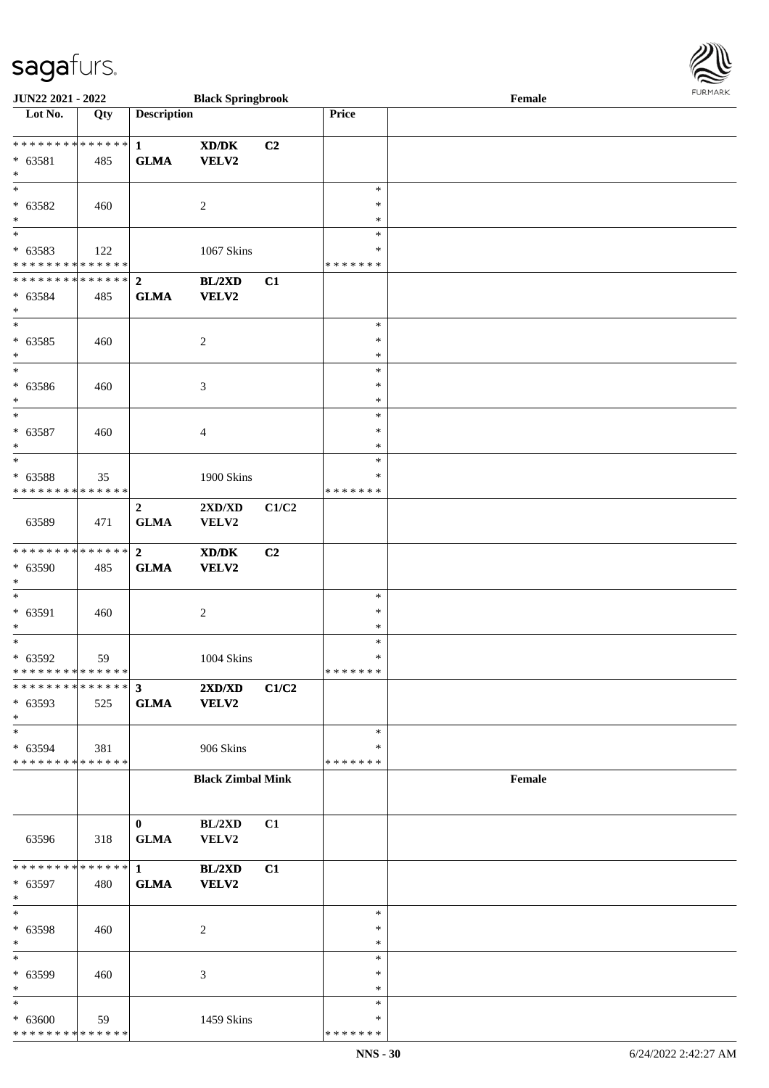| JUN22 2021 - 2022                                                        |     |                                                | <b>Black Springbrook</b>                             |       |                                      | $\ensuremath{\textnormal{\textbf{Female}}}$ | <b>LOKINKY</b> |
|--------------------------------------------------------------------------|-----|------------------------------------------------|------------------------------------------------------|-------|--------------------------------------|---------------------------------------------|----------------|
| Lot No.                                                                  | Qty | <b>Description</b>                             |                                                      |       | Price                                |                                             |                |
| ___<br>******** <mark>******</mark><br>$* 63581$<br>$*$                  | 485 | $\mathbf{1}$<br><b>GLMA</b>                    | $\mathbf{X}\mathbf{D}/\mathbf{D}\mathbf{K}$<br>VELV2 | C2    |                                      |                                             |                |
| $\ast$<br>$* 63582$<br>$*$                                               | 460 |                                                | $\overline{c}$                                       |       | $\ast$<br>$\ast$<br>$\ast$           |                                             |                |
| $\ast$<br>* 63583<br>* * * * * * * * * * * * * *                         | 122 |                                                | 1067 Skins                                           |       | $\ast$<br>∗<br>* * * * * * *         |                                             |                |
| ************** 2<br>* 63584<br>$\ast$<br>$\overline{\phantom{0}}$        | 485 | <b>GLMA</b>                                    | BL/2XD<br>VELV2                                      | C1    |                                      |                                             |                |
| $* 63585$<br>$*$<br>$\overline{\ast}$                                    | 460 |                                                | $\boldsymbol{2}$                                     |       | $\ast$<br>$\ast$<br>$\ast$           |                                             |                |
| $* 63586$<br>$\ast$<br>$*$                                               | 460 |                                                | $\mathfrak{Z}$                                       |       | $\ast$<br>$\ast$<br>$\ast$<br>$\ast$ |                                             |                |
| $* 63587$<br>$*$<br>$\ast$                                               | 460 |                                                | 4                                                    |       | $\ast$<br>$\ast$<br>$\ast$           |                                             |                |
| * 63588<br>* * * * * * * * * * * * * *                                   | 35  |                                                | 1900 Skins                                           |       | $\ast$<br>* * * * * * *              |                                             |                |
| 63589<br>* * * * * * * * * * * * * * *                                   | 471 | $\overline{2}$<br>${\bf GLMA}$<br>$\mathbf{2}$ | $2{\bf X}{\bf D}/{\bf X}{\bf D}$<br>VELV2            | C1/C2 |                                      |                                             |                |
| * 63590<br>$\ast$<br>$\ast$                                              | 485 | <b>GLMA</b>                                    | XD/DK<br>VELV2                                       | C2    | $\ast$                               |                                             |                |
| $* 63591$<br>$*$<br>$*$                                                  | 460 |                                                | $\overline{c}$                                       |       | $\ast$<br>*<br>$\ast$                |                                             |                |
| * 63592<br>* * * * * * * * * * * * * * *<br>******** <mark>******</mark> | 59  | $\mathbf{3}$                                   | 1004 Skins                                           |       | $\ast$<br>* * * * * * *              |                                             |                |
| * 63593<br>$\ast$<br>$*$                                                 | 525 | <b>GLMA</b>                                    | 2XD/XD<br><b>VELV2</b>                               | C1/C2 | $\ast$                               |                                             |                |
| * 63594<br>* * * * * * * * * * * * * *                                   | 381 |                                                | 906 Skins                                            |       | $\ast$<br>* * * * * * *              |                                             |                |
|                                                                          |     |                                                | <b>Black Zimbal Mink</b>                             |       |                                      | Female                                      |                |
| 63596                                                                    | 318 | $\bf{0}$<br><b>GLMA</b>                        | BL/2XD<br>VELV2                                      | C1    |                                      |                                             |                |
| * * * * * * * * * * * * * * *<br>* 63597<br>$*$                          | 480 | $\mathbf{1}$<br><b>GLMA</b>                    | <b>BL/2XD</b><br>VELV2                               | C1    |                                      |                                             |                |
| $*$<br>* 63598<br>$*$                                                    | 460 |                                                | $\overline{c}$                                       |       | $\ast$<br>$\ast$<br>$\ast$           |                                             |                |
| $*$<br>* 63599<br>$*$                                                    | 460 |                                                | 3                                                    |       | $\ast$<br>$\ast$<br>$\ast$           |                                             |                |
| $*$<br>$* 63600$<br>* * * * * * * * * * * * * *                          | 59  |                                                | 1459 Skins                                           |       | $\ast$<br>$\ast$<br>* * * * * * *    |                                             |                |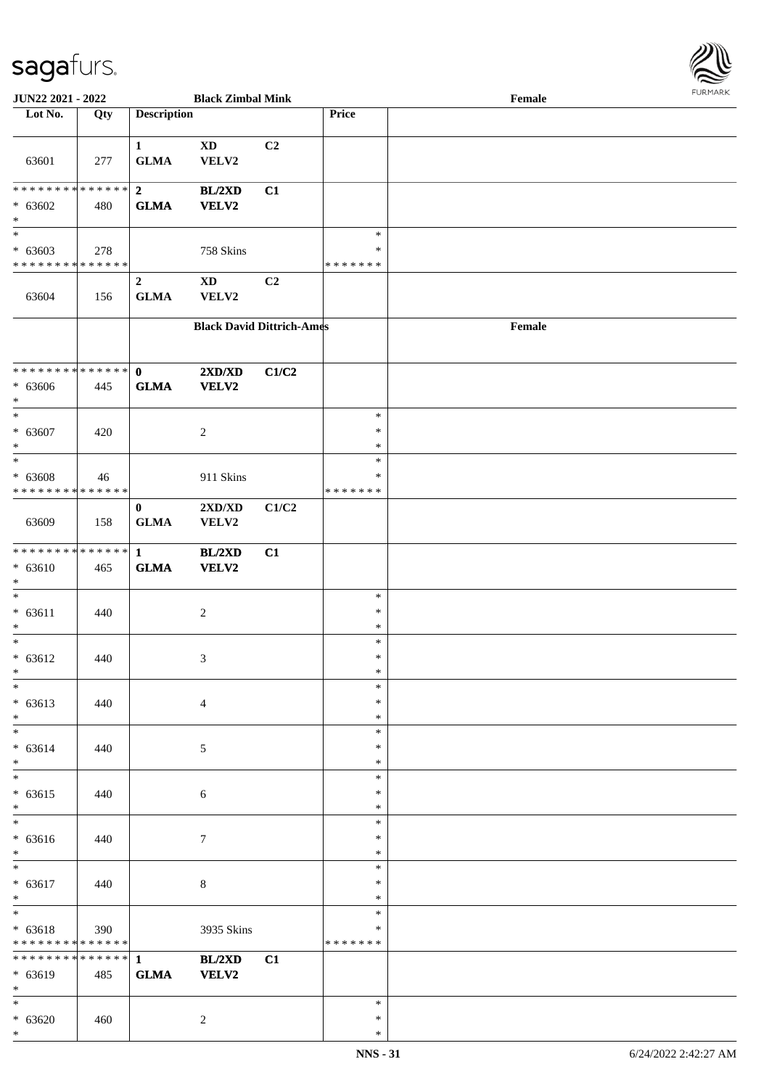

| JUN22 2021 - 2022             |     |                             | <b>Black Zimbal Mink</b>         |       |               | Female |  |
|-------------------------------|-----|-----------------------------|----------------------------------|-------|---------------|--------|--|
| Lot No.                       | Qty | <b>Description</b>          |                                  |       | Price         |        |  |
|                               |     |                             |                                  |       |               |        |  |
| 63601                         | 277 | $\mathbf{1}$<br><b>GLMA</b> | <b>XD</b><br>VELV2               | C2    |               |        |  |
|                               |     |                             |                                  |       |               |        |  |
| ******** <mark>******</mark>  |     | $\overline{2}$              | BL/2XD                           | C1    |               |        |  |
| $* 63602$                     | 480 | <b>GLMA</b>                 | VELV2                            |       |               |        |  |
| $\ast$                        |     |                             |                                  |       |               |        |  |
| $\overline{\ast}$             |     |                             |                                  |       | $\ast$        |        |  |
| $* 63603$                     | 278 |                             | 758 Skins                        |       | $\ast$        |        |  |
| * * * * * * * * * * * * * *   |     |                             |                                  |       | * * * * * * * |        |  |
|                               |     |                             |                                  |       |               |        |  |
|                               |     | $\boldsymbol{2}$            | <b>XD</b>                        | C2    |               |        |  |
| 63604                         | 156 | <b>GLMA</b>                 | VELV2                            |       |               |        |  |
|                               |     |                             |                                  |       |               |        |  |
|                               |     |                             | <b>Black David Dittrich-Ames</b> |       |               | Female |  |
|                               |     |                             |                                  |       |               |        |  |
|                               |     |                             |                                  |       |               |        |  |
| * * * * * * * * * * * * * * * |     |                             |                                  |       |               |        |  |
|                               |     | $\mathbf{0}$                | $2{\bf X}{\bf D}/{\bf X}{\bf D}$ | C1/C2 |               |        |  |
| $* 63606$                     | 445 | <b>GLMA</b>                 | <b>VELV2</b>                     |       |               |        |  |
| $*$                           |     |                             |                                  |       |               |        |  |
| $*$                           |     |                             |                                  |       | $\ast$        |        |  |
| * 63607                       | 420 |                             | 2                                |       | $\ast$        |        |  |
| $*$                           |     |                             |                                  |       | $\ast$        |        |  |
| $\ast$                        |     |                             |                                  |       | $\ast$        |        |  |
|                               |     |                             |                                  |       | ∗             |        |  |
| * 63608                       | 46  |                             | 911 Skins                        |       |               |        |  |
| * * * * * * * * * * * * * *   |     |                             |                                  |       | * * * * * * * |        |  |
|                               |     | $\mathbf{0}$                | 2XD/XD                           | C1/C2 |               |        |  |
| 63609                         | 158 | <b>GLMA</b>                 | VELV2                            |       |               |        |  |
|                               |     |                             |                                  |       |               |        |  |
| * * * * * * * * * * * * * * * |     | $\mathbf{1}$                | <b>BL/2XD</b>                    | C1    |               |        |  |
| $* 63610$                     | 465 | <b>GLMA</b>                 | VELV2                            |       |               |        |  |
| $*$                           |     |                             |                                  |       |               |        |  |
| $*$                           |     |                             |                                  |       | $\ast$        |        |  |
|                               |     |                             |                                  |       |               |        |  |
| $* 63611$                     | 440 |                             | $\boldsymbol{2}$                 |       | $\ast$        |        |  |
| $\ast$                        |     |                             |                                  |       | $\ast$        |        |  |
| $*$                           |     |                             |                                  |       | $\ast$        |        |  |
| $* 63612$                     | 440 |                             | 3                                |       | $\ast$        |        |  |
| $*$                           |     |                             |                                  |       | $\ast$        |        |  |
| $\ast$                        |     |                             |                                  |       | $\ast$        |        |  |
| $* 63613$                     | 440 |                             | $\overline{4}$                   |       | $\ast$        |        |  |
| $*$                           |     |                             |                                  |       | $\ast$        |        |  |
| $\overline{\phantom{0}}$      |     |                             |                                  |       |               |        |  |
|                               |     |                             |                                  |       | $\ast$        |        |  |
| $* 63614$                     | 440 |                             | 5                                |       | $\ast$        |        |  |
| $*$                           |     |                             |                                  |       | $\ast$        |        |  |
| $*$                           |     |                             |                                  |       | $\ast$        |        |  |
| $* 63615$                     | 440 |                             | $\sqrt{6}$                       |       | $\ast$        |        |  |
| $*$                           |     |                             |                                  |       | $\ast$        |        |  |
| $\overline{\ast}$             |     |                             |                                  |       | $\ast$        |        |  |
| $* 63616$                     | 440 |                             | 7                                |       | $\ast$        |        |  |
| $*$                           |     |                             |                                  |       | $\ast$        |        |  |
| $*$                           |     |                             |                                  |       |               |        |  |
|                               |     |                             |                                  |       | $\ast$        |        |  |
| $* 63617$                     | 440 |                             | $8\,$                            |       | $\ast$        |        |  |
| $*$                           |     |                             |                                  |       | $\ast$        |        |  |
| $*$                           |     |                             |                                  |       | $\ast$        |        |  |
| $* 63618$                     | 390 |                             | 3935 Skins                       |       | $\ast$        |        |  |
| * * * * * * * * * * * * * *   |     |                             |                                  |       | * * * * * * * |        |  |
| * * * * * * * * * * * * * * * |     | $\mathbf{1}$                | BL/2XD                           | C1    |               |        |  |
|                               |     |                             |                                  |       |               |        |  |
| * 63619                       | 485 | <b>GLMA</b>                 | VELV2                            |       |               |        |  |
| $*$                           |     |                             |                                  |       |               |        |  |
| $*$                           |     |                             |                                  |       | $\ast$        |        |  |
| $* 63620$                     | 460 |                             | $\overline{c}$                   |       | ∗             |        |  |
| $*$                           |     |                             |                                  |       | $\ast$        |        |  |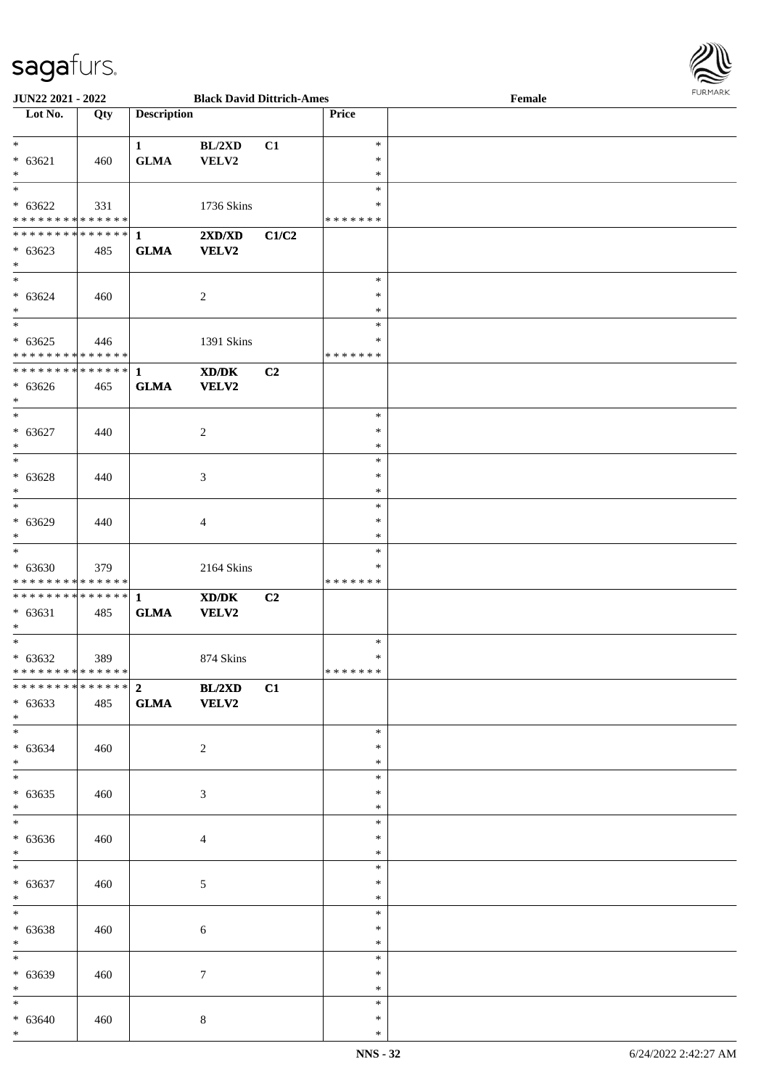

| <b>JUN22 2021 - 2022</b>                   |     |                    | <b>Black David Dittrich-Ames</b>            |                |               | Female |  |
|--------------------------------------------|-----|--------------------|---------------------------------------------|----------------|---------------|--------|--|
| Lot No.                                    | Qty | <b>Description</b> |                                             |                | Price         |        |  |
|                                            |     |                    |                                             |                |               |        |  |
| $*$                                        |     | $\mathbf{1}$       | BL/2XD                                      | C1             | $\ast$        |        |  |
| $* 63621$                                  | 460 | <b>GLMA</b>        | VELV2                                       |                | $\ast$        |        |  |
| $*$                                        |     |                    |                                             |                | $\ast$        |        |  |
|                                            |     |                    |                                             |                | $\ast$        |        |  |
|                                            |     |                    |                                             |                |               |        |  |
| $* 63622$                                  | 331 |                    | 1736 Skins                                  |                | ∗             |        |  |
| * * * * * * * * * * * * * * *              |     |                    |                                             |                | * * * * * * * |        |  |
|                                            |     |                    | 2XD/XD                                      | C1/C2          |               |        |  |
| $* 63623$                                  | 485 | <b>GLMA</b>        | <b>VELV2</b>                                |                |               |        |  |
| $*$                                        |     |                    |                                             |                |               |        |  |
| $*$                                        |     |                    |                                             |                | $\ast$        |        |  |
| $* 63624$                                  | 460 |                    | 2                                           |                | $\ast$        |        |  |
| $*$                                        |     |                    |                                             |                | $\ast$        |        |  |
| $*$                                        |     |                    |                                             |                | $\ast$        |        |  |
|                                            |     |                    |                                             |                |               |        |  |
| $* 63625$                                  | 446 |                    | 1391 Skins                                  |                | $\ast$        |        |  |
| * * * * * * * * <mark>* * * * * *</mark>   |     |                    |                                             |                | *******       |        |  |
| * * * * * * * * * * * * * * *              |     | $\mathbf{1}$       | XD/DK                                       | C2             |               |        |  |
| $* 63626$                                  | 465 | <b>GLMA</b>        | VELV2                                       |                |               |        |  |
| $*$                                        |     |                    |                                             |                |               |        |  |
| $*$                                        |     |                    |                                             |                | $\ast$        |        |  |
| $* 63627$                                  | 440 |                    | 2                                           |                | $\ast$        |        |  |
| $*$                                        |     |                    |                                             |                | $\ast$        |        |  |
| $*$                                        |     |                    |                                             |                |               |        |  |
|                                            |     |                    |                                             |                | $\ast$        |        |  |
| $* 63628$                                  | 440 |                    | 3                                           |                | $\ast$        |        |  |
| $*$                                        |     |                    |                                             |                | $\ast$        |        |  |
|                                            |     |                    |                                             |                | $\ast$        |        |  |
| $* 63629$                                  | 440 |                    | 4                                           |                | ∗             |        |  |
| $*$                                        |     |                    |                                             |                | $\ast$        |        |  |
| $*$                                        |     |                    |                                             |                | $\ast$        |        |  |
|                                            |     |                    |                                             |                | *             |        |  |
| $* 63630$                                  | 379 |                    | 2164 Skins                                  |                |               |        |  |
| * * * * * * * * <mark>* * * * * *</mark>   |     |                    |                                             |                | *******       |        |  |
|                                            |     |                    | $\mathbf{X}\mathbf{D}/\mathbf{D}\mathbf{K}$ | C <sub>2</sub> |               |        |  |
| $* 63631$                                  | 485 | <b>GLMA</b>        | <b>VELV2</b>                                |                |               |        |  |
| $\ast$                                     |     |                    |                                             |                |               |        |  |
| $*$                                        |     |                    |                                             |                | $\ast$        |        |  |
| $* 63632$                                  | 389 |                    | 874 Skins                                   |                | $\ast$        |        |  |
| * * * * * * * * * * * * * * <mark>*</mark> |     |                    |                                             |                | * * * * * * * |        |  |
| ******************** <b>BL/2XD</b>         |     |                    |                                             | C1             |               |        |  |
|                                            |     |                    |                                             |                |               |        |  |
| $* 63633$                                  | 485 | GLMA VELV2         |                                             |                |               |        |  |
| $*$                                        |     |                    |                                             |                |               |        |  |
|                                            |     |                    |                                             |                | $\ast$        |        |  |
| $* 63634$                                  | 460 |                    | 2                                           |                | ∗             |        |  |
| $*$                                        |     |                    |                                             |                | ∗             |        |  |
| $*$                                        |     |                    |                                             |                | $\ast$        |        |  |
| $* 63635$                                  | 460 |                    | 3                                           |                | ∗             |        |  |
| $*$                                        |     |                    |                                             |                | $\ast$        |        |  |
|                                            |     |                    |                                             |                | $\ast$        |        |  |
|                                            |     |                    |                                             |                | $\ast$        |        |  |
| $* 63636$                                  | 460 |                    | 4                                           |                |               |        |  |
| $*$                                        |     |                    |                                             |                | $\ast$        |        |  |
| $*$                                        |     |                    |                                             |                | $\ast$        |        |  |
| $* 63637$                                  | 460 |                    | $\mathfrak{S}$                              |                | $\ast$        |        |  |
| $*$                                        |     |                    |                                             |                | $\ast$        |        |  |
| $*$                                        |     |                    |                                             |                | $\ast$        |        |  |
| $* 63638$                                  | 460 |                    | 6                                           |                | $\ast$        |        |  |
| $*$                                        |     |                    |                                             |                | $\ast$        |        |  |
| $*$                                        |     |                    |                                             |                | $\ast$        |        |  |
|                                            |     |                    |                                             |                |               |        |  |
| $* 63639$                                  | 460 |                    | $\tau$                                      |                | $\ast$        |        |  |
| $*$                                        |     |                    |                                             |                | $\ast$        |        |  |
| $*$                                        |     |                    |                                             |                | $\ast$        |        |  |
| $* 63640$                                  | 460 |                    | $\,8\,$                                     |                | *             |        |  |
| $*$                                        |     |                    |                                             |                | $\ast$        |        |  |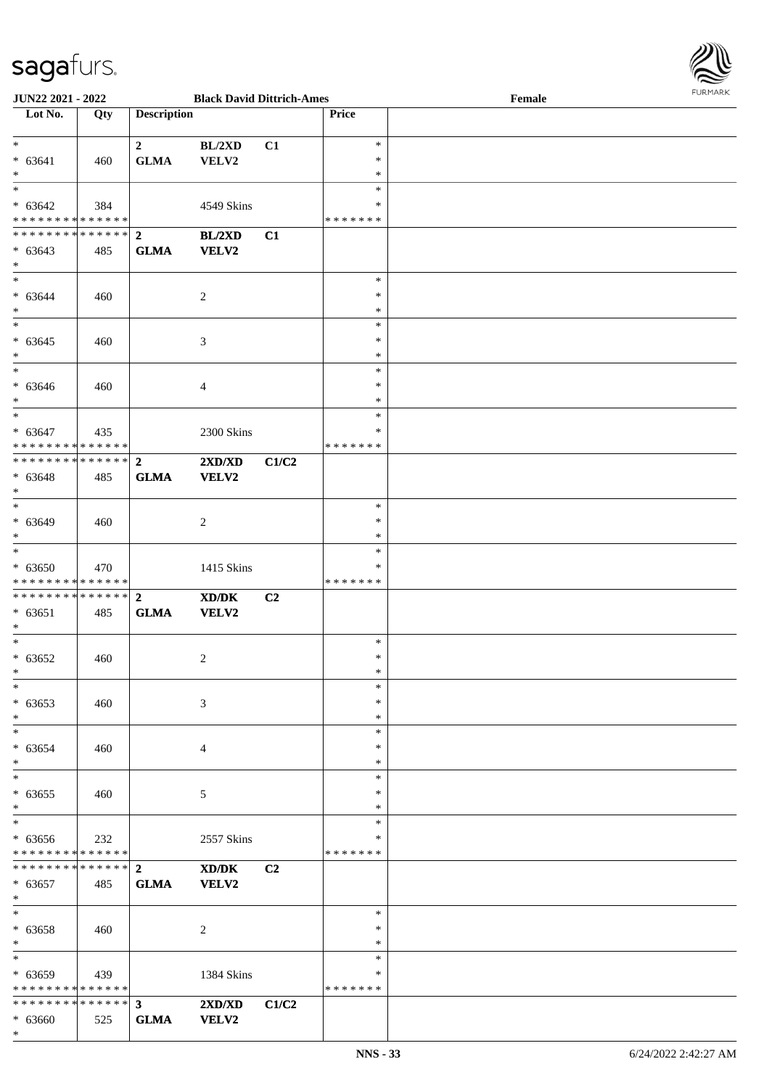

| <b>JUN22 2021 - 2022</b>                                |     |                         | <b>Black David Dittrich-Ames</b> |                |         | Female | 10111111111 |
|---------------------------------------------------------|-----|-------------------------|----------------------------------|----------------|---------|--------|-------------|
| Lot No.                                                 | Qty | <b>Description</b>      |                                  |                | Price   |        |             |
|                                                         |     |                         |                                  |                |         |        |             |
| $*$                                                     |     | $\overline{\mathbf{2}}$ | BL/2XD                           | C1             | $\ast$  |        |             |
| $* 63641$                                               | 460 | <b>GLMA</b>             | VELV2                            |                | $\ast$  |        |             |
| $*$                                                     |     |                         |                                  |                | $\ast$  |        |             |
| $*$                                                     |     |                         |                                  |                | $\ast$  |        |             |
| $* 63642$                                               | 384 |                         | 4549 Skins                       |                | $\ast$  |        |             |
| * * * * * * * * * * * * * * <mark>*</mark>              |     |                         |                                  |                | ******* |        |             |
|                                                         |     |                         | BL/2XD                           | C1             |         |        |             |
| $* 63643$                                               | 485 | <b>GLMA</b>             | VELV2                            |                |         |        |             |
| $\ast$                                                  |     |                         |                                  |                |         |        |             |
| $*$                                                     |     |                         |                                  |                | $\ast$  |        |             |
| $* 63644$                                               | 460 |                         | $\overline{2}$                   |                | $\ast$  |        |             |
| $*$                                                     |     |                         |                                  |                | $\ast$  |        |             |
| $\overline{\ast}$                                       |     |                         |                                  |                | $\ast$  |        |             |
| $* 63645$                                               | 460 |                         | 3                                |                | $\ast$  |        |             |
| $*$                                                     |     |                         |                                  |                | $\ast$  |        |             |
| $*$                                                     |     |                         |                                  |                | $\ast$  |        |             |
| $* 63646$                                               | 460 |                         | $\overline{4}$                   |                | $\ast$  |        |             |
| $\ast$                                                  |     |                         |                                  |                | $*$     |        |             |
| $*$                                                     |     |                         |                                  |                | $\ast$  |        |             |
| $* 63647$                                               | 435 |                         | 2300 Skins                       |                | $\ast$  |        |             |
| * * * * * * * * * * * * * * <mark>*</mark>              |     |                         |                                  |                | ******* |        |             |
|                                                         |     |                         | $2{\bf X}{\bf D}/{\bf X}{\bf D}$ | C1/C2          |         |        |             |
| $* 63648$                                               | 485 | <b>GLMA</b>             | <b>VELV2</b>                     |                |         |        |             |
| $*$                                                     |     |                         |                                  |                |         |        |             |
| $\overline{\phantom{0}}$                                |     |                         |                                  |                | $\ast$  |        |             |
| $* 63649$                                               | 460 |                         | $\overline{2}$                   |                | $\ast$  |        |             |
| $\ast$                                                  |     |                         |                                  |                | $\ast$  |        |             |
| $*$                                                     |     |                         |                                  |                | $\ast$  |        |             |
| $* 63650$                                               | 470 |                         | 1415 Skins                       |                | *       |        |             |
| * * * * * * * * <mark>* * * * * *</mark>                |     |                         |                                  |                | ******* |        |             |
|                                                         |     |                         | XD/DK                            | C <sub>2</sub> |         |        |             |
| $* 63651$                                               | 485 | <b>GLMA</b>             | <b>VELV2</b>                     |                |         |        |             |
| $*$                                                     |     |                         |                                  |                |         |        |             |
| $\ddot{x}$                                              |     |                         |                                  |                | $\ast$  |        |             |
| $* 63652$                                               | 460 |                         | 2                                |                | $\ast$  |        |             |
| $\ddot{x}$                                              |     |                         |                                  |                | $*$     |        |             |
| $\ast$                                                  |     |                         |                                  |                | $\ast$  |        |             |
| $* 63653$                                               | 460 |                         | 3                                |                | $\ast$  |        |             |
| $\ast$                                                  |     |                         |                                  |                | $*$     |        |             |
| $\overline{\ast}$                                       |     |                         |                                  |                | $\ast$  |        |             |
| $* 63654$                                               | 460 |                         | 4                                |                | $\ast$  |        |             |
| $\ast$                                                  |     |                         |                                  |                | $\ast$  |        |             |
| $*$                                                     |     |                         |                                  |                | $\ast$  |        |             |
| $* 63655$                                               | 460 |                         | 5                                |                | $\ast$  |        |             |
| $\ast$                                                  |     |                         |                                  |                | $\ast$  |        |             |
| $\overline{\ast}$                                       |     |                         |                                  |                | $\ast$  |        |             |
| $* 63656$                                               | 232 |                         | 2557 Skins                       |                | ∗       |        |             |
| * * * * * * * * <mark>* * * * * * *</mark>              |     |                         |                                  |                | ******* |        |             |
|                                                         |     |                         | XD/DK                            | C <sub>2</sub> |         |        |             |
| $* 63657$                                               | 485 | <b>GLMA</b>             | <b>VELV2</b>                     |                |         |        |             |
| $*$                                                     |     |                         |                                  |                |         |        |             |
| $\ast$                                                  |     |                         |                                  |                | $*$     |        |             |
| $* 63658$                                               | 460 |                         | $\overline{2}$                   |                | $\ast$  |        |             |
| $\ast$                                                  |     |                         |                                  |                | $*$     |        |             |
| $*$                                                     |     |                         |                                  |                | $\ast$  |        |             |
|                                                         |     |                         |                                  |                | ∗       |        |             |
| $* 63659$<br>* * * * * * * * <mark>* * * * * *</mark> * | 439 |                         | 1384 Skins                       |                | ******* |        |             |
|                                                         |     |                         |                                  |                |         |        |             |
|                                                         |     |                         | $2{\bf X}{\bf D}/{\bf X}{\bf D}$ | C1/C2          |         |        |             |
| $* 63660$                                               | 525 | <b>GLMA</b>             | <b>VELV2</b>                     |                |         |        |             |
| $\ast$                                                  |     |                         |                                  |                |         |        |             |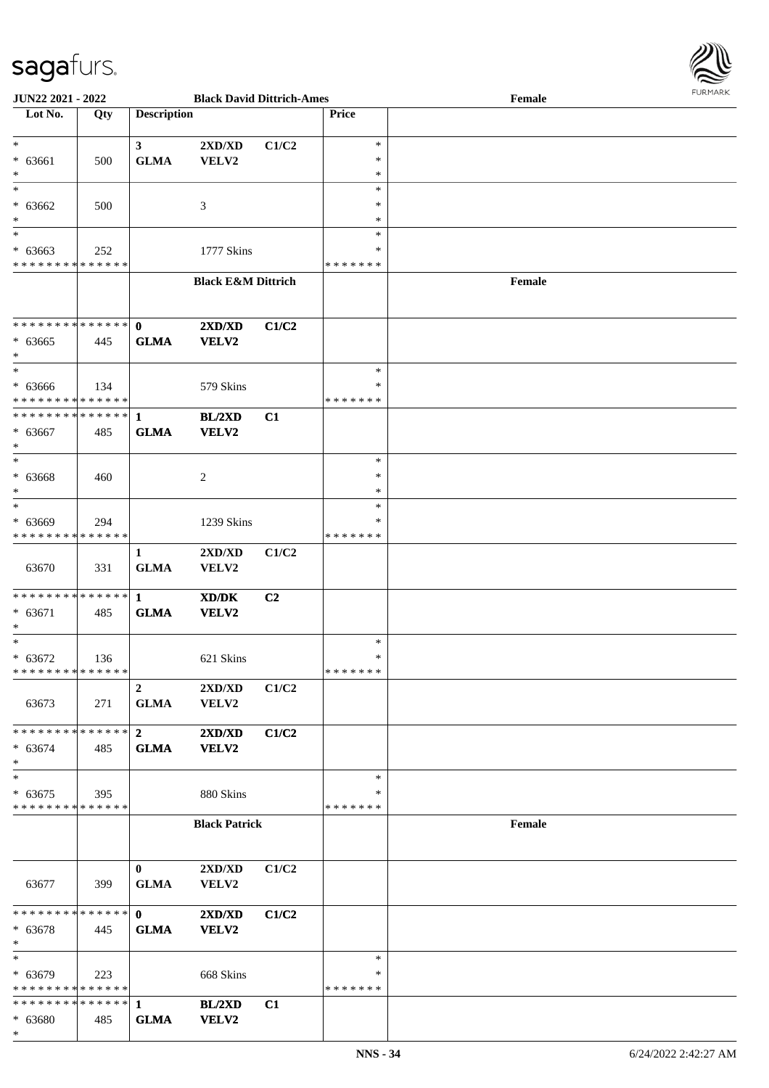

| <b>JUN22 2021 - 2022</b>                   |     |                               | <b>Black David Dittrich-Ames</b> |       |               | Female |  |
|--------------------------------------------|-----|-------------------------------|----------------------------------|-------|---------------|--------|--|
| Lot No.                                    | Qty | <b>Description</b>            |                                  |       | Price         |        |  |
|                                            |     |                               |                                  |       |               |        |  |
| $\ast$                                     |     | 3 <sup>1</sup>                | 2XD/XD                           | C1/C2 | $\ast$        |        |  |
| $* 63661$                                  | 500 | <b>GLMA</b>                   | VELV2                            |       | $\ast$        |        |  |
| $\ast$                                     |     |                               |                                  |       | $\ast$        |        |  |
| $\ast$                                     |     |                               |                                  |       | $\ast$        |        |  |
| $* 63662$                                  | 500 |                               | 3                                |       | $\ast$        |        |  |
| $\ast$                                     |     |                               |                                  |       | $\ast$        |        |  |
|                                            |     |                               |                                  |       | $\ast$        |        |  |
| $* 63663$                                  | 252 |                               | 1777 Skins                       |       | $\ast$        |        |  |
| * * * * * * * * <mark>* * * * * * *</mark> |     |                               |                                  |       | * * * * * * * |        |  |
|                                            |     |                               | <b>Black E&amp;M Dittrich</b>    |       |               | Female |  |
|                                            |     |                               |                                  |       |               |        |  |
|                                            |     |                               |                                  |       |               |        |  |
| * * * * * * * * <mark>* * * * * * *</mark> |     | $\mathbf{0}$                  | 2XD/XD                           | C1/C2 |               |        |  |
| $* 63665$                                  | 445 | <b>GLMA</b>                   | VELV2                            |       |               |        |  |
| *                                          |     |                               |                                  |       |               |        |  |
| $\ast$                                     |     |                               |                                  |       | $\ast$        |        |  |
| $* 63666$                                  | 134 |                               | 579 Skins                        |       | $\ast$        |        |  |
| * * * * * * * * <mark>* * * * * * *</mark> |     |                               |                                  |       | * * * * * * * |        |  |
| * * * * * * * * <mark>* * * * * *</mark> * |     | $\mathbf{1}$                  | <b>BL/2XD</b>                    | C1    |               |        |  |
| $* 63667$                                  | 485 | <b>GLMA</b>                   | VELV2                            |       |               |        |  |
| $\ast$                                     |     |                               |                                  |       |               |        |  |
| $\ast$                                     |     |                               |                                  |       | $\ast$        |        |  |
| $* 63668$                                  | 460 |                               | 2                                |       | $\ast$        |        |  |
| $\ast$                                     |     |                               |                                  |       | ∗             |        |  |
| $*$                                        |     |                               |                                  |       | $\ast$        |        |  |
| $* 63669$                                  | 294 |                               | 1239 Skins                       |       | ∗             |        |  |
| * * * * * * * * <mark>* * * * * * *</mark> |     |                               |                                  |       | * * * * * * * |        |  |
|                                            |     | $\mathbf{1}$                  | $2{\bf X}{\bf D}/{\bf X}{\bf D}$ | C1/C2 |               |        |  |
| 63670                                      | 331 | <b>GLMA</b>                   | VELV2                            |       |               |        |  |
|                                            |     |                               |                                  |       |               |        |  |
|                                            |     |                               | XD/DK                            | C2    |               |        |  |
| $* 63671$                                  | 485 | <b>GLMA</b>                   | VELV2                            |       |               |        |  |
| $\ast$                                     |     |                               |                                  |       |               |        |  |
| $\ast$                                     |     |                               |                                  |       | $\ast$        |        |  |
| $* 63672$                                  | 136 |                               | 621 Skins                        |       | $\ast$        |        |  |
| * * * * * * * * <mark>* * * * * *</mark>   |     |                               |                                  |       | *******       |        |  |
|                                            |     | $\overline{2}$                | 2XD/XD                           | C1/C2 |               |        |  |
| 63673                                      | 271 | <b>GLMA</b>                   | <b>VELV2</b>                     |       |               |        |  |
|                                            |     |                               |                                  |       |               |        |  |
|                                            |     |                               | 2XD/XD                           | C1/C2 |               |        |  |
| $* 63674$                                  | 485 | <b>GLMA</b>                   | <b>VELV2</b>                     |       |               |        |  |
| $\ast$                                     |     |                               |                                  |       |               |        |  |
| $\ast$                                     |     |                               |                                  |       | $\ast$        |        |  |
| $* 63675$                                  | 395 |                               | 880 Skins                        |       | ∗             |        |  |
| * * * * * * * * <mark>* * * * * * *</mark> |     |                               |                                  |       | *******       |        |  |
|                                            |     |                               | <b>Black Patrick</b>             |       |               | Female |  |
|                                            |     |                               |                                  |       |               |        |  |
|                                            |     |                               |                                  |       |               |        |  |
|                                            |     |                               |                                  |       |               |        |  |
|                                            |     | $\mathbf{0}$                  | 2XD/XD                           | C1/C2 |               |        |  |
| 63677                                      | 399 | <b>GLMA</b>                   | VELV2                            |       |               |        |  |
| * * * * * * * * <mark>* * * * * *</mark> * |     |                               |                                  |       |               |        |  |
|                                            |     | $\mathbf{0}$ and $\mathbf{0}$ | 2XD/XD                           | C1/C2 |               |        |  |
| $* 63678$<br>$\ast$                        | 445 | <b>GLMA</b>                   | <b>VELV2</b>                     |       |               |        |  |
| $\ast$                                     |     |                               |                                  |       | $\ast$        |        |  |
|                                            |     |                               |                                  |       |               |        |  |
| $* 63679$                                  | 223 |                               | 668 Skins                        |       | ∗             |        |  |
| * * * * * * * * * * * * * * *              |     |                               |                                  |       | * * * * * * * |        |  |
|                                            |     |                               | BL/2XD                           | C1    |               |        |  |
| $* 63680$                                  | 485 | <b>GLMA</b>                   | VELV2                            |       |               |        |  |
| $\ast$                                     |     |                               |                                  |       |               |        |  |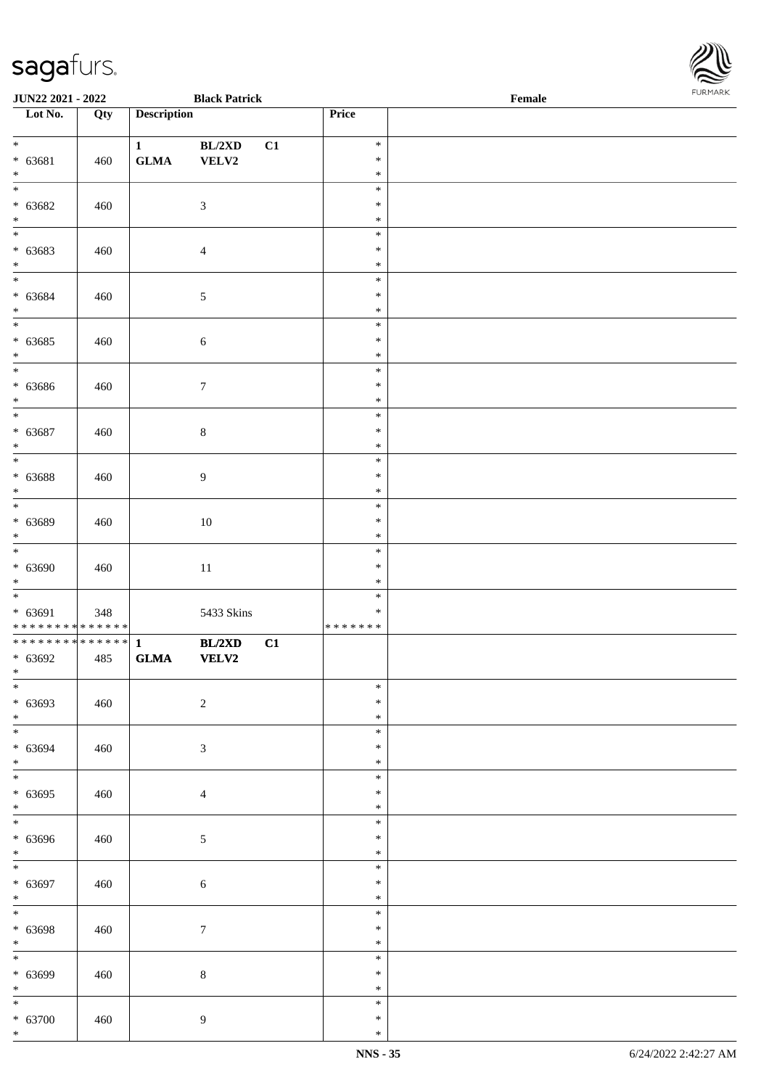| JUN22 2021 - 2022                    |     |                    | <b>Black Patrick</b> |    |                  | Female | . |
|--------------------------------------|-----|--------------------|----------------------|----|------------------|--------|---|
| Lot No.                              | Qty | <b>Description</b> |                      |    | Price            |        |   |
| $\overline{\ast}$                    |     |                    |                      |    |                  |        |   |
| $* 63681$                            |     | $\mathbf{1}$       | BL/2XD               | C1 | $\ast$<br>$\ast$ |        |   |
| $\ast$                               | 460 | ${\bf GLMA}$       | ${\bf VELV2}$        |    | $\ast$           |        |   |
| $\overline{\phantom{a}^*}$           |     |                    |                      |    | $\ast$           |        |   |
| $* 63682$                            | 460 |                    | $\mathfrak{Z}$       |    | $\ast$           |        |   |
| $\ast$                               |     |                    |                      |    | $\ast$           |        |   |
| $\overline{\phantom{0}}$             |     |                    |                      |    | $\ast$           |        |   |
| $* 63683$                            | 460 |                    | $\overline{4}$       |    | $\ast$           |        |   |
| $\ast$                               |     |                    |                      |    | $\ast$           |        |   |
| $\overline{\phantom{0}}$             |     |                    |                      |    | $\ast$           |        |   |
| $* 63684$                            | 460 |                    | $\sqrt{5}$           |    | $\ast$           |        |   |
| $\ast$<br>$\overline{\phantom{a}^*}$ |     |                    |                      |    | $\ast$           |        |   |
|                                      |     |                    |                      |    | $\ast$<br>$\ast$ |        |   |
| $* 63685$<br>$\ast$                  | 460 |                    | $\sqrt{6}$           |    | $\ast$           |        |   |
| $\overline{\phantom{a}^*}$           |     |                    |                      |    | $\ast$           |        |   |
| $* 63686$                            | 460 |                    | $\boldsymbol{7}$     |    | $\ast$           |        |   |
| $\ast$                               |     |                    |                      |    | $\ast$           |        |   |
| $\overline{\phantom{a}^*}$           |     |                    |                      |    | $\ast$           |        |   |
| $* 63687$                            | 460 |                    | $\,8\,$              |    | $\ast$           |        |   |
| $\ast$                               |     |                    |                      |    | $\ast$           |        |   |
| $\overline{\ast}$                    |     |                    |                      |    | $\ast$           |        |   |
| $* 63688$                            | 460 |                    | 9                    |    | $\ast$           |        |   |
| $\ast$<br>$\overline{\phantom{a}^*}$ |     |                    |                      |    | $\ast$<br>$\ast$ |        |   |
| $* 63689$                            | 460 |                    | $10\,$               |    | $\ast$           |        |   |
| $\ast$                               |     |                    |                      |    | $\ast$           |        |   |
| $_{\ast}$                            |     |                    |                      |    | $\ast$           |        |   |
| $* 63690$                            | 460 |                    | $11\,$               |    | $\ast$           |        |   |
| $\ast$                               |     |                    |                      |    | $\ast$           |        |   |
| $\ast$                               |     |                    |                      |    | $\ast$           |        |   |
| $* 63691$                            | 348 |                    | 5433 Skins           |    | $\ast$           |        |   |
| **************<br>**************     |     | $\mathbf{1}$       |                      |    | * * * * * * *    |        |   |
| $* 63692$                            | 485 | ${\bf GLMA}$       | BL/2XD<br>VELV2      | C1 |                  |        |   |
| $*$                                  |     |                    |                      |    |                  |        |   |
| $*$                                  |     |                    |                      |    | $\ast$           |        |   |
| $* 63693$                            | 460 |                    | $\sqrt{2}$           |    | $\ast$           |        |   |
| $\ast$                               |     |                    |                      |    | $\ast$           |        |   |
| $\overline{\phantom{a}^*}$           |     |                    |                      |    | $\ast$           |        |   |
| $* 63694$                            | 460 |                    | $\sqrt{3}$           |    | $\ast$           |        |   |
| $\ast$<br>$_{\ast}$                  |     |                    |                      |    | $\ast$<br>$\ast$ |        |   |
| $* 63695$                            | 460 |                    | $\overline{4}$       |    | $\ast$           |        |   |
| $\ast$                               |     |                    |                      |    | $\ast$           |        |   |
| $\overline{\phantom{0}}$             |     |                    |                      |    | $\ast$           |        |   |
| $* 63696$                            | 460 |                    | $\mathfrak{S}$       |    | $\ast$           |        |   |
| $\ast$                               |     |                    |                      |    | $\ast$           |        |   |
| $_{*}^{-}$                           |     |                    |                      |    | $\ast$           |        |   |
| $* 63697$                            | 460 |                    | $\sqrt{6}$           |    | $\ast$           |        |   |
| $\ast$<br>$\ast$                     |     |                    |                      |    | $\ast$           |        |   |
|                                      |     |                    |                      |    | $\ast$<br>$\ast$ |        |   |
| $* 63698$<br>$\ast$                  | 460 |                    | $\boldsymbol{7}$     |    | $\ast$           |        |   |
| $_{\ast}^{-}$                        |     |                    |                      |    | $\ast$           |        |   |
| $* 63699$                            | 460 |                    | $\,8\,$              |    | $\ast$           |        |   |
| $\ast$                               |     |                    |                      |    | $\ast$           |        |   |
| $\ast$                               |     |                    |                      |    | $\ast$           |        |   |
| $* 63700$                            | 460 |                    | $\overline{9}$       |    | $\ast$           |        |   |
| $\ast$                               |     |                    |                      |    | $\ast$           |        |   |

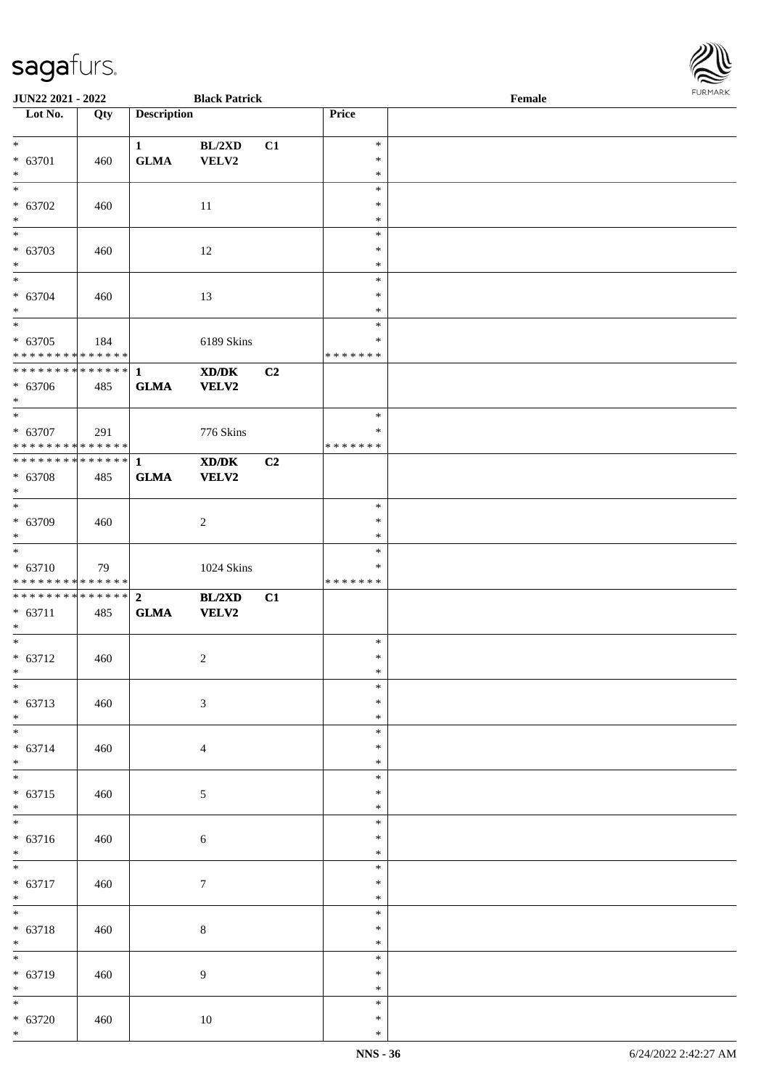| JUN22 2021 - 2022                          |     |                    | <b>Black Patrick</b>        |    |               | Female |  |
|--------------------------------------------|-----|--------------------|-----------------------------|----|---------------|--------|--|
| Lot No.                                    | Qty | <b>Description</b> |                             |    | Price         |        |  |
|                                            |     |                    |                             |    |               |        |  |
| $*$                                        |     | $\mathbf{1}$       | BL/2XD                      | C1 | $\ast$        |        |  |
| * 63701                                    | 460 | <b>GLMA</b>        | VELV2                       |    | $\ast$        |        |  |
| $\ast$                                     |     |                    |                             |    | $\ast$        |        |  |
| $\overline{\phantom{0}}$                   |     |                    |                             |    | $\ast$        |        |  |
|                                            |     |                    |                             |    | $\ast$        |        |  |
| $* 63702$                                  | 460 |                    | 11                          |    |               |        |  |
| $\ast$<br>$\overline{\phantom{0}}$         |     |                    |                             |    | $\ast$        |        |  |
|                                            |     |                    |                             |    | $\ast$        |        |  |
| $* 63703$                                  | 460 |                    | 12                          |    | $\ast$        |        |  |
| $*$                                        |     |                    |                             |    | $\ast$        |        |  |
|                                            |     |                    |                             |    | $\ast$        |        |  |
| $* 63704$                                  | 460 |                    | 13                          |    | $\ast$        |        |  |
| $*$                                        |     |                    |                             |    | $\ast$        |        |  |
| $\overline{\phantom{0}}$                   |     |                    |                             |    | $\ast$        |        |  |
| $* 63705$                                  | 184 |                    | 6189 Skins                  |    | $\ast$        |        |  |
| * * * * * * * * * * * * * *                |     |                    |                             |    | * * * * * * * |        |  |
| ******** <mark>******</mark>               |     | $\mathbf{1}$       | XD/DK                       | C2 |               |        |  |
|                                            |     |                    |                             |    |               |        |  |
| $* 63706$                                  | 485 | ${\bf GLMA}$       | VELV2                       |    |               |        |  |
| $*$                                        |     |                    |                             |    |               |        |  |
| $\ast$                                     |     |                    |                             |    | $\ast$        |        |  |
| * 63707                                    | 291 |                    | 776 Skins                   |    | $\ast$        |        |  |
| * * * * * * * * <mark>* * * * * * *</mark> |     |                    |                             |    | * * * * * * * |        |  |
| * * * * * * * * * * * * * * *              |     | $\mathbf{1}$       | $\boldsymbol{\text{XD/DK}}$ | C2 |               |        |  |
| $* 63708$                                  | 485 | <b>GLMA</b>        | <b>VELV2</b>                |    |               |        |  |
| $*$                                        |     |                    |                             |    |               |        |  |
| $\overline{\phantom{0}}$                   |     |                    |                             |    | $\ast$        |        |  |
| * 63709                                    | 460 |                    | $\sqrt{2}$                  |    | $\ast$        |        |  |
| $*$                                        |     |                    |                             |    | $\ast$        |        |  |
| $\overline{\ast}$                          |     |                    |                             |    | $\ast$        |        |  |
|                                            |     |                    |                             |    |               |        |  |
| $* 63710$                                  | 79  |                    | 1024 Skins                  |    | $\ast$        |        |  |
| * * * * * * * * * * * * * *                |     |                    |                             |    | * * * * * * * |        |  |
| * * * * * * * * * * * * * * *              |     | $\overline{2}$     | BL/2XD                      | C1 |               |        |  |
| $* 63711$                                  | 485 | ${\bf GLMA}$       | <b>VELV2</b>                |    |               |        |  |
| $*$                                        |     |                    |                             |    |               |        |  |
| $*$                                        |     |                    |                             |    | $\ast$        |        |  |
| $* 63712$                                  | 460 |                    | $\overline{c}$              |    | $\ast$        |        |  |
| $*$                                        |     |                    |                             |    | $*$           |        |  |
| $*$                                        |     |                    |                             |    | $\ast$        |        |  |
| $* 63713$                                  | 460 |                    | $\sqrt{3}$                  |    | $\ast$        |        |  |
| $\ast$                                     |     |                    |                             |    | $\ast$        |        |  |
| $\overline{\phantom{0}}$                   |     |                    |                             |    | $\ast$        |        |  |
|                                            |     |                    |                             |    |               |        |  |
| $* 63714$                                  | 460 |                    | $\overline{4}$              |    | $\ast$        |        |  |
| $\ast$                                     |     |                    |                             |    | $\ast$        |        |  |
| $\ast$                                     |     |                    |                             |    | $\ast$        |        |  |
| $* 63715$                                  | 460 |                    | $\sqrt{5}$                  |    | $\ast$        |        |  |
| $*$                                        |     |                    |                             |    | $\ast$        |        |  |
| $\ast$                                     |     |                    |                             |    | $\ast$        |        |  |
| $* 63716$                                  | 460 |                    | $\sqrt{6}$                  |    | $\ast$        |        |  |
| $*$                                        |     |                    |                             |    | $\ast$        |        |  |
| $\overline{\phantom{a}^*}$                 |     |                    |                             |    | $\ast$        |        |  |
| $* 63717$                                  |     |                    |                             |    | $\ast$        |        |  |
|                                            | 460 |                    | $\boldsymbol{7}$            |    |               |        |  |
| $*$                                        |     |                    |                             |    | $\ast$        |        |  |
| $*$                                        |     |                    |                             |    | $\ast$        |        |  |
| $* 63718$                                  | 460 |                    | $\,8\,$                     |    | $\ast$        |        |  |
| $*$                                        |     |                    |                             |    | $\ast$        |        |  |
| $\ast$                                     |     |                    |                             |    | $\ast$        |        |  |
| * 63719                                    | 460 |                    | $\overline{9}$              |    | $\ast$        |        |  |
| $\ast$                                     |     |                    |                             |    | $\ast$        |        |  |
| $\ast$                                     |     |                    |                             |    | $\ast$        |        |  |
| $* 63720$                                  |     |                    |                             |    | $\ast$        |        |  |
|                                            | 460 |                    | $10\,$                      |    |               |        |  |
| $\ast$                                     |     |                    |                             |    | $\ast$        |        |  |

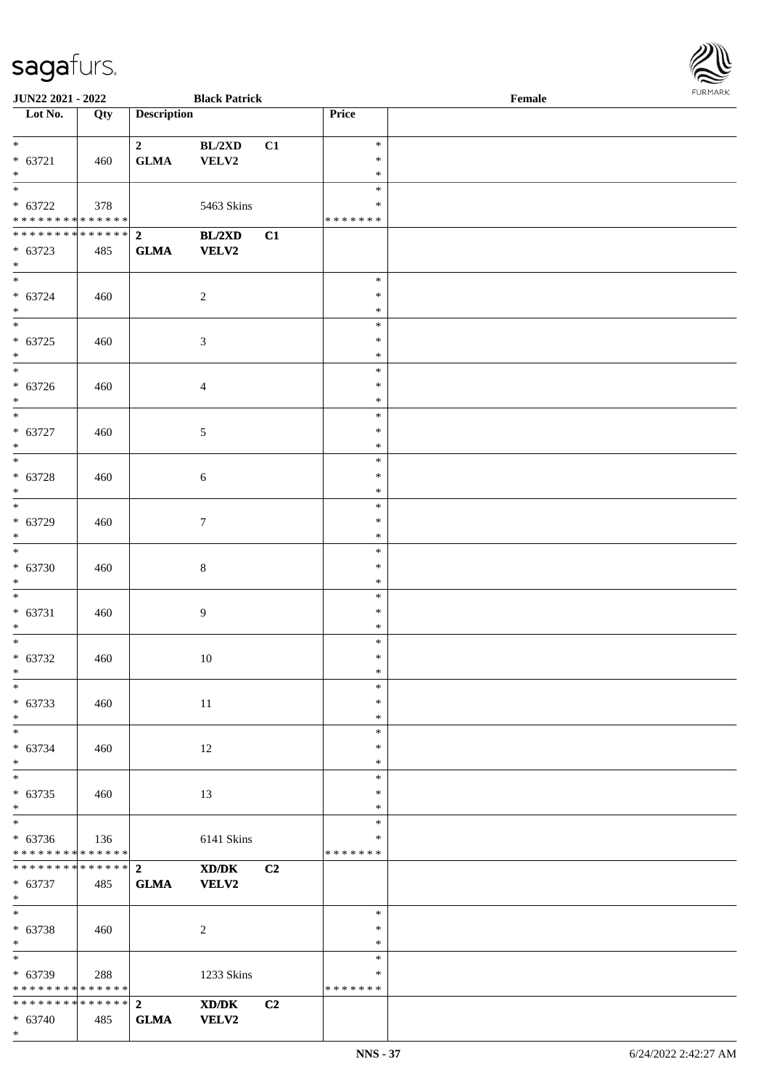| JUN22 2021 - 2022                         |     |                         | <b>Black Patrick</b>                        |                |                  | $\ensuremath{\textnormal{\textbf{Female}}}$ | FURMARK |
|-------------------------------------------|-----|-------------------------|---------------------------------------------|----------------|------------------|---------------------------------------------|---------|
| Lot No.                                   | Qty | <b>Description</b>      |                                             |                | Price            |                                             |         |
| $*$ and $*$                               |     | $\overline{\mathbf{2}}$ | BL/2XD                                      | C1             | $\ast$           |                                             |         |
| $* 63721$                                 | 460 | <b>GLMA</b>             | VELV2                                       |                | $\ast$           |                                             |         |
| $*$                                       |     |                         |                                             |                | $\ast$           |                                             |         |
| $\overline{\phantom{a}^*}$                |     |                         |                                             |                | $\ast$           |                                             |         |
| $* 63722$                                 | 378 |                         | 5463 Skins                                  |                | $\ast$           |                                             |         |
| ******** <mark>******</mark>              |     |                         |                                             |                | * * * * * * *    |                                             |         |
| ******** <mark>******</mark> 2            |     |                         | BL/2XD                                      | C1             |                  |                                             |         |
| $* 63723$                                 | 485 | ${\bf GLMA}$            | VELV2                                       |                |                  |                                             |         |
| $*$<br>$\overline{\ast}$                  |     |                         |                                             |                | $\ast$           |                                             |         |
| $* 63724$                                 | 460 |                         | $\overline{c}$                              |                | $\ast$           |                                             |         |
| $*$                                       |     |                         |                                             |                | $\ast$           |                                             |         |
| $\overline{\phantom{0}}$                  |     |                         |                                             |                | $\ast$           |                                             |         |
| $* 63725$                                 | 460 |                         | 3                                           |                | $\ast$           |                                             |         |
| $\ast$                                    |     |                         |                                             |                | $\ast$           |                                             |         |
| $\overline{\phantom{0}}$                  |     |                         |                                             |                | $\ast$           |                                             |         |
| $* 63726$                                 | 460 |                         | $\overline{4}$                              |                | $\ast$           |                                             |         |
| $\ast$                                    |     |                         |                                             |                | $\ast$           |                                             |         |
| $\overline{\phantom{0}}$                  |     |                         |                                             |                | $\ast$           |                                             |         |
| $* 63727$                                 | 460 |                         | 5                                           |                | $\ast$           |                                             |         |
| $\ast$<br>$\overline{\ast}$               |     |                         |                                             |                | $\ast$           |                                             |         |
|                                           |     |                         |                                             |                | $\ast$<br>$\ast$ |                                             |         |
| $* 63728$<br>$\ast$                       | 460 |                         | $\sqrt{6}$                                  |                | $\ast$           |                                             |         |
| $\overline{\phantom{0}}$                  |     |                         |                                             |                | $\ast$           |                                             |         |
| $* 63729$                                 | 460 |                         | $\overline{7}$                              |                | $\ast$           |                                             |         |
| $\ast$                                    |     |                         |                                             |                | $\ast$           |                                             |         |
| $\overline{\phantom{a}^*}$                |     |                         |                                             |                | $\ast$           |                                             |         |
| $* 63730$                                 | 460 |                         | 8                                           |                | $\ast$           |                                             |         |
| $\ast$                                    |     |                         |                                             |                | $\ast$           |                                             |         |
| $\ast$                                    |     |                         |                                             |                | $\ast$           |                                             |         |
| $* 63731$                                 | 460 |                         | 9                                           |                | $\ast$           |                                             |         |
| $\ast$                                    |     |                         |                                             |                | $\ast$           |                                             |         |
| $\overline{\ast}$                         |     |                         |                                             |                | $\ast$           |                                             |         |
| $* 63732$                                 | 460 |                         | $10\,$                                      |                | $\ast$           |                                             |         |
| $*$<br>$_{\ast}^{-}$                      |     |                         |                                             |                | ∗<br>$\ast$      |                                             |         |
| $* 63733$                                 | 460 |                         | 11                                          |                | $\ast$           |                                             |         |
| $\ast$                                    |     |                         |                                             |                | $\ast$           |                                             |         |
| $\overline{\phantom{1}}$                  |     |                         |                                             |                | $\ast$           |                                             |         |
| $* 63734$                                 | 460 |                         | 12                                          |                | $\ast$           |                                             |         |
| $\ast$                                    |     |                         |                                             |                | $\ast$           |                                             |         |
| $\overline{\ast}$                         |     |                         |                                             |                | $\ast$           |                                             |         |
| $* 63735$                                 | 460 |                         | 13                                          |                | $\ast$           |                                             |         |
| $\ast$                                    |     |                         |                                             |                | $\ast$           |                                             |         |
| $\overline{\ast}$                         |     |                         |                                             |                | $\ast$           |                                             |         |
| $* 63736$<br>******** <mark>******</mark> | 136 |                         | 6141 Skins                                  |                | $\ast$           |                                             |         |
| ******** <mark>******</mark>              |     | $\overline{2}$          | XD/DK                                       |                | * * * * * * *    |                                             |         |
| $* 63737$                                 | 485 | <b>GLMA</b>             | VELV2                                       | C2             |                  |                                             |         |
| $\ast$                                    |     |                         |                                             |                |                  |                                             |         |
| $\overline{\phantom{a}^*}$                |     |                         |                                             |                | $\ast$           |                                             |         |
| $* 63738$                                 | 460 |                         | 2                                           |                | $\ast$           |                                             |         |
| $\ast$                                    |     |                         |                                             |                | $\ast$           |                                             |         |
| $_{\ast}^{-}$                             |     |                         |                                             |                | $\ast$           |                                             |         |
| * 63739                                   | 288 |                         | 1233 Skins                                  |                | ∗                |                                             |         |
| * * * * * * * * * * * * * *               |     |                         |                                             |                | * * * * * * *    |                                             |         |
| ******** <mark>******</mark> 2            |     |                         | $\mathbf{X}\mathbf{D}/\mathbf{D}\mathbf{K}$ | C <sub>2</sub> |                  |                                             |         |
| $* 63740$                                 | 485 | ${\bf GLMA}$            | VELV2                                       |                |                  |                                             |         |

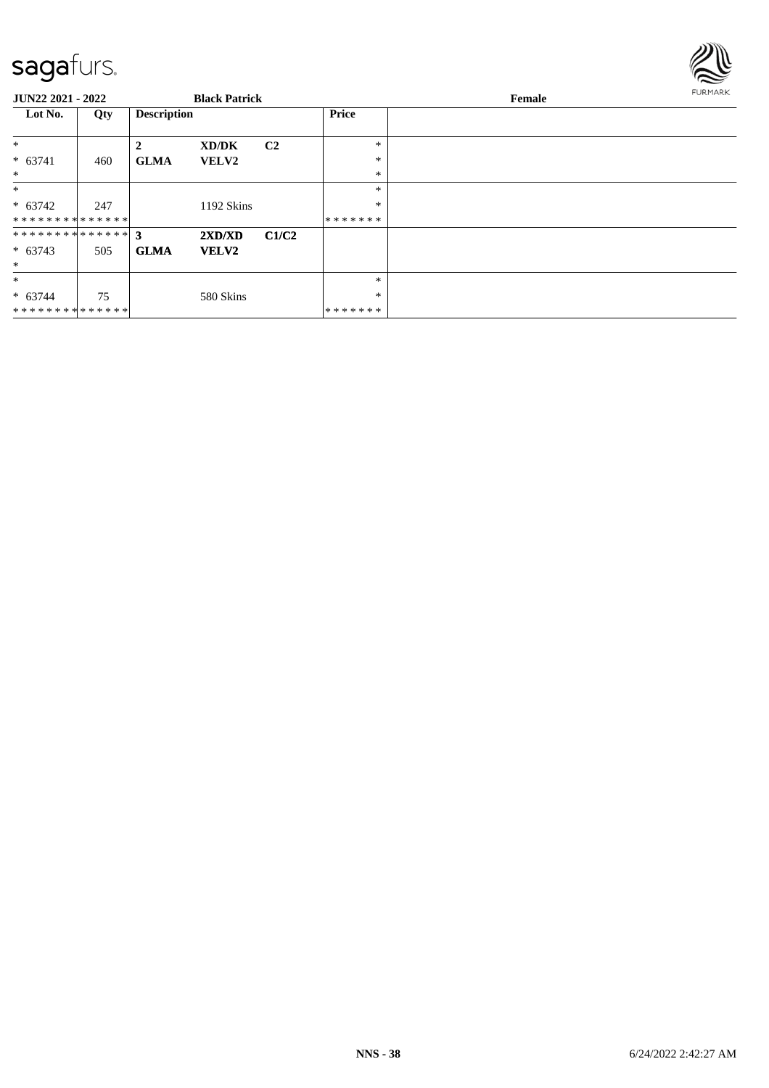

| JUN22 2021 - 2022 |     |                    | <b>Black Patrick</b> |                |              | Female | <b>FURMARK</b> |
|-------------------|-----|--------------------|----------------------|----------------|--------------|--------|----------------|
| Lot No.           | Qty | <b>Description</b> |                      |                | <b>Price</b> |        |                |
| $\ast$            |     | 2                  | XD/DK                | C <sub>2</sub> | *            |        |                |
| $* 63741$         | 460 | <b>GLMA</b>        | <b>VELV2</b>         |                | *            |        |                |
| $\ast$            |     |                    |                      |                | $\ast$       |        |                |
| $\ast$            |     |                    |                      |                | $\ast$       |        |                |
| $* 63742$         | 247 |                    | 1192 Skins           |                | $\ast$       |        |                |
| **************    |     |                    |                      |                | *******      |        |                |
| ************** 3  |     |                    | 2XD/XD               | C1/C2          |              |        |                |
| $* 63743$         | 505 | <b>GLMA</b>        | <b>VELV2</b>         |                |              |        |                |
| $*$               |     |                    |                      |                |              |        |                |
| $\ast$            |     |                    |                      |                | $\ast$       |        |                |
| $* 63744$         | 75  |                    | 580 Skins            |                | *            |        |                |
| **************    |     |                    |                      |                | *******      |        |                |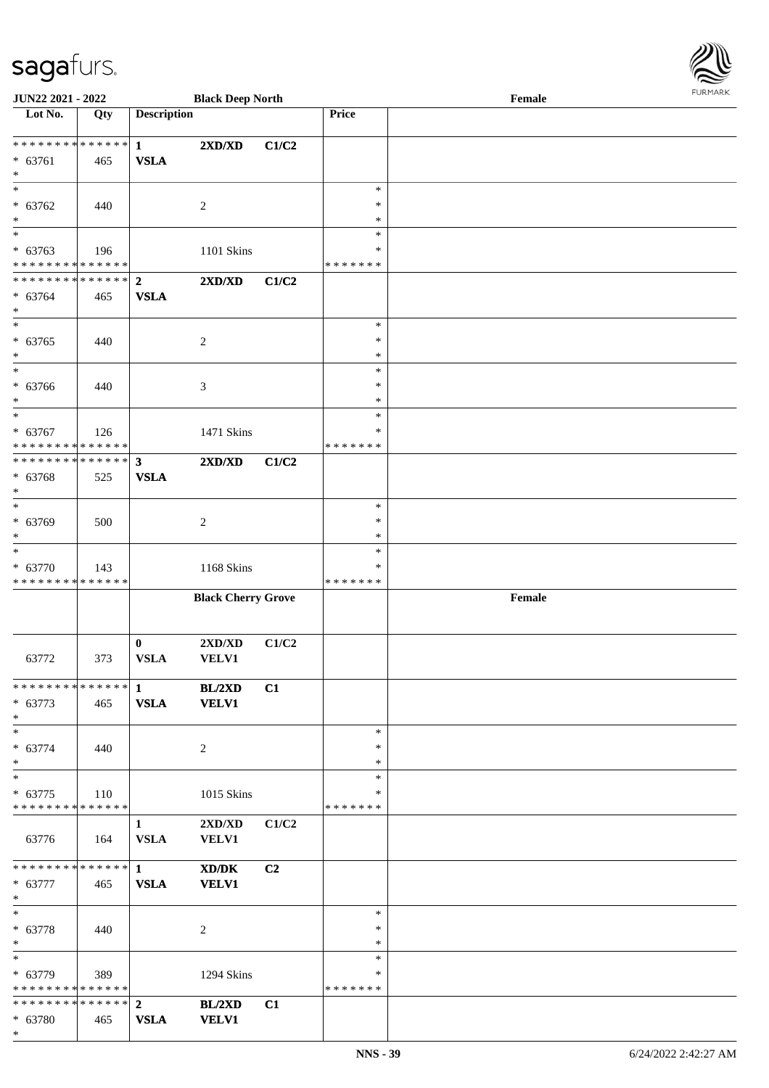| <b>JUN22 2021 - 2022</b>                   |     |                    | <b>Black Deep North</b>          |                |                  | Female | <b>LOKINKY</b> |
|--------------------------------------------|-----|--------------------|----------------------------------|----------------|------------------|--------|----------------|
| Lot No.                                    | Qty | <b>Description</b> |                                  |                | Price            |        |                |
|                                            |     |                    |                                  |                |                  |        |                |
| ************* <mark>*</mark> 1             |     |                    | 2XD/XD                           | C1/C2          |                  |        |                |
| $* 63761$<br>$\ast$                        | 465 | <b>VSLA</b>        |                                  |                |                  |        |                |
|                                            |     |                    |                                  |                | $\ast$           |        |                |
| $* 63762$                                  | 440 |                    | $\overline{c}$                   |                | $\ast$           |        |                |
| $\ast$                                     |     |                    |                                  |                | $\ast$           |        |                |
| $\overline{\ast}$                          |     |                    |                                  |                | $\ast$           |        |                |
| $* 63763$                                  | 196 |                    | 1101 Skins                       |                | ∗                |        |                |
| * * * * * * * * <mark>* * * * * * *</mark> |     |                    |                                  |                | * * * * * * *    |        |                |
| ************** 2                           |     |                    | $2{\bf X}{\bf D}/{\bf X}{\bf D}$ | C1/C2          |                  |        |                |
| $* 63764$                                  | 465 | <b>VSLA</b>        |                                  |                |                  |        |                |
| $\ast$                                     |     |                    |                                  |                |                  |        |                |
|                                            |     |                    |                                  |                | $\ast$           |        |                |
| $* 63765$<br>$\ast$                        | 440 |                    | $\overline{c}$                   |                | $\ast$<br>$\ast$ |        |                |
| $\overline{\ast}$                          |     |                    |                                  |                | $\ast$           |        |                |
| * 63766                                    | 440 |                    | 3                                |                | $\ast$           |        |                |
| $\ast$                                     |     |                    |                                  |                | $\ast$           |        |                |
| $*$                                        |     |                    |                                  |                | $\ast$           |        |                |
| $* 63767$                                  | 126 |                    | 1471 Skins                       |                | ∗                |        |                |
| * * * * * * * * <mark>* * * * * * *</mark> |     |                    |                                  |                | * * * * * * *    |        |                |
| ____<br>******** <mark>******</mark>       |     | 3 <sup>1</sup>     | $2{\bf X}{\bf D}/{\bf X}{\bf D}$ | C1/C2          |                  |        |                |
| $* 63768$                                  | 525 | <b>VSLA</b>        |                                  |                |                  |        |                |
| $\ast$                                     |     |                    |                                  |                |                  |        |                |
| $\overline{\ast}$                          |     |                    |                                  |                | $\ast$           |        |                |
| $* 63769$<br>$\ast$                        | 500 |                    | $\overline{c}$                   |                | $\ast$<br>$\ast$ |        |                |
| $\ast$                                     |     |                    |                                  |                | $\ast$           |        |                |
| $* 63770$                                  | 143 |                    | 1168 Skins                       |                | ∗                |        |                |
| * * * * * * * * * * * * * *                |     |                    |                                  |                | *******          |        |                |
|                                            |     |                    | <b>Black Cherry Grove</b>        |                |                  | Female |                |
|                                            |     |                    |                                  |                |                  |        |                |
|                                            |     |                    |                                  |                |                  |        |                |
|                                            |     | $\bf{0}$           | $2{\bf X}{\bf D}/{\bf X}{\bf D}$ | C1/C2          |                  |        |                |
| 63772                                      | 373 | ${\bf VSLA}$       | <b>VELV1</b>                     |                |                  |        |                |
|                                            |     |                    |                                  |                |                  |        |                |
| $* 63773$                                  | 465 | <b>VSLA</b>        | BL/2XD<br><b>VELV1</b>           | C1             |                  |        |                |
| $\ast$                                     |     |                    |                                  |                |                  |        |                |
| $\ast$                                     |     |                    |                                  |                | $\ast$           |        |                |
| $* 63774$                                  | 440 |                    | 2                                |                | $\ast$           |        |                |
| $*$                                        |     |                    |                                  |                | $\ast$           |        |                |
| $\overline{\ast}$                          |     |                    |                                  |                | $\ast$           |        |                |
| $* 63775$                                  | 110 |                    | 1015 Skins                       |                | ∗                |        |                |
| * * * * * * * * * * * * * * <mark>*</mark> |     |                    |                                  |                | * * * * * * *    |        |                |
|                                            |     | $\mathbf{1}$       | 2XD/XD                           | C1/C2          |                  |        |                |
| 63776                                      | 164 | <b>VSLA</b>        | <b>VELV1</b>                     |                |                  |        |                |
|                                            |     |                    |                                  |                |                  |        |                |
| $* 63777$                                  |     |                    | XD/DK                            | C <sub>2</sub> |                  |        |                |
| $\ddot{x}$                                 | 465 | <b>VSLA</b>        | <b>VELV1</b>                     |                |                  |        |                |
| $*$                                        |     |                    |                                  |                | $\ast$           |        |                |
| $* 63778$                                  | 440 |                    | 2                                |                | $\ast$           |        |                |
| $*$                                        |     |                    |                                  |                | $\ast$           |        |                |
| $*$                                        |     |                    |                                  |                | $\ast$           |        |                |
| $* 63779$                                  | 389 |                    | 1294 Skins                       |                | *                |        |                |
| * * * * * * * * <mark>* * * * * * *</mark> |     |                    |                                  |                | *******          |        |                |
|                                            |     |                    | BL/2XD                           | C1             |                  |        |                |
| * 63780                                    | 465 | <b>VSLA</b>        | <b>VELV1</b>                     |                |                  |        |                |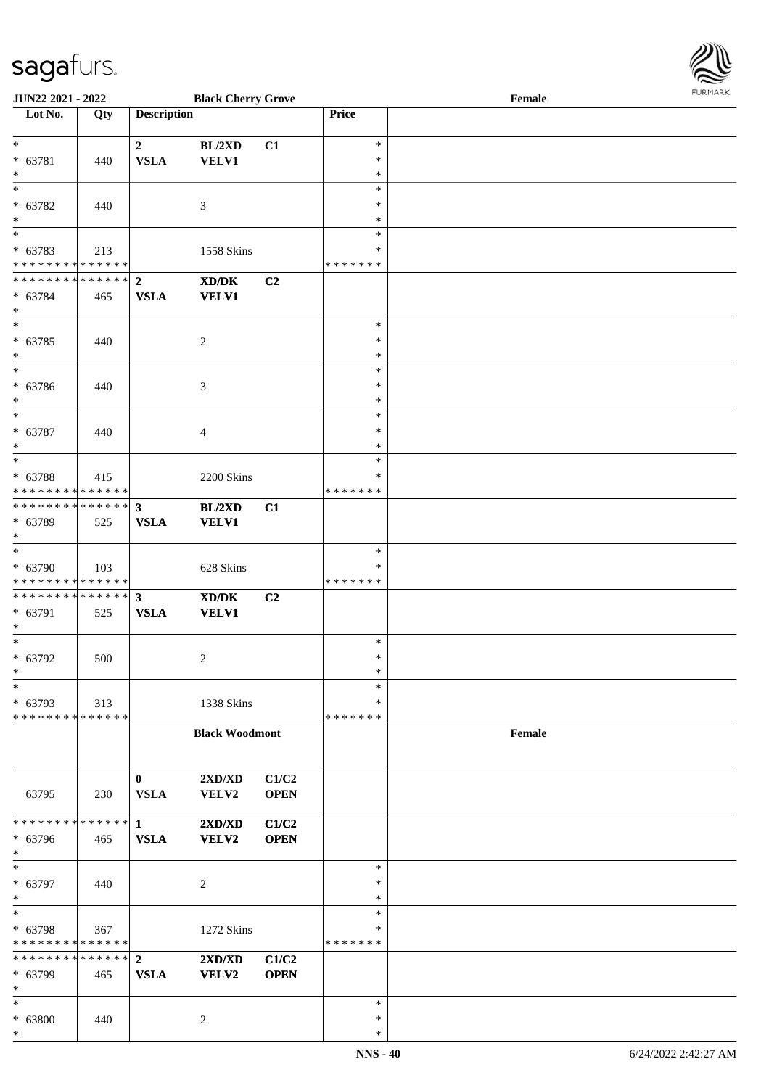

| <b>JUN22 2021 - 2022</b>                   |     |                        | <b>Black Cherry Grove</b>                                                                            |             |               | Female |
|--------------------------------------------|-----|------------------------|------------------------------------------------------------------------------------------------------|-------------|---------------|--------|
| Lot No.                                    | Qty | <b>Description</b>     |                                                                                                      |             | Price         |        |
|                                            |     |                        |                                                                                                      |             |               |        |
| $\ast$                                     |     | $\mathbf{2}$           | BL/2XD                                                                                               | C1          | $\ast$        |        |
| * 63781                                    | 440 | <b>VSLA</b>            | <b>VELV1</b>                                                                                         |             | $\ast$        |        |
| $\ast$                                     |     |                        |                                                                                                      |             | $\ast$        |        |
| $\overline{\ast}$                          |     |                        |                                                                                                      |             | $\ast$        |        |
|                                            |     |                        |                                                                                                      |             |               |        |
| * 63782                                    | 440 |                        | 3                                                                                                    |             | $\ast$        |        |
| $*$                                        |     |                        |                                                                                                      |             | ∗             |        |
|                                            |     |                        |                                                                                                      |             | $\ast$        |        |
| * 63783                                    | 213 |                        | 1558 Skins                                                                                           |             | $\ast$        |        |
| * * * * * * * * * * * * * *                |     |                        |                                                                                                      |             | * * * * * * * |        |
| ******** <mark>******</mark>               |     | $\overline{2}$         | XD/DK                                                                                                | C2          |               |        |
| * 63784                                    | 465 | <b>VSLA</b>            | <b>VELV1</b>                                                                                         |             |               |        |
| $\ast$                                     |     |                        |                                                                                                      |             |               |        |
| $*$                                        |     |                        |                                                                                                      |             | $\ast$        |        |
| $* 63785$                                  |     |                        |                                                                                                      |             | $\ast$        |        |
|                                            | 440 |                        | $\overline{c}$                                                                                       |             | $\ast$        |        |
| $*$<br>$\overline{\phantom{0}}$            |     |                        |                                                                                                      |             |               |        |
|                                            |     |                        |                                                                                                      |             | $\ast$        |        |
| * 63786                                    | 440 |                        | 3                                                                                                    |             | $\ast$        |        |
| $*$                                        |     |                        |                                                                                                      |             | $\ast$        |        |
| $*$                                        |     |                        |                                                                                                      |             | $\ast$        |        |
| * 63787                                    | 440 |                        | $\overline{4}$                                                                                       |             | $\ast$        |        |
| $*$                                        |     |                        |                                                                                                      |             | $\ast$        |        |
|                                            |     |                        |                                                                                                      |             | $\ast$        |        |
| * 63788                                    | 415 |                        | 2200 Skins                                                                                           |             | ∗             |        |
| * * * * * * * * <mark>* * * * * * *</mark> |     |                        |                                                                                                      |             | * * * * * * * |        |
| * * * * * * * * * * * * * * *              |     |                        |                                                                                                      |             |               |        |
|                                            |     | $\mathbf{3}$           | <b>BL/2XD</b>                                                                                        | C1          |               |        |
| * 63789                                    | 525 | <b>VSLA</b>            | <b>VELV1</b>                                                                                         |             |               |        |
| $*$                                        |     |                        |                                                                                                      |             |               |        |
|                                            |     |                        |                                                                                                      |             | $\ast$        |        |
| * 63790                                    | 103 |                        | 628 Skins                                                                                            |             | ∗             |        |
| * * * * * * * * * * * * * *                |     |                        |                                                                                                      |             | *******       |        |
| * * * * * * * * * * * * * * *              |     | $\mathbf{3}$           | $\boldsymbol{\text{X}}\boldsymbol{\text{D}}\boldsymbol{/}\boldsymbol{\text{D}}\boldsymbol{\text{K}}$ | C2          |               |        |
| * 63791                                    | 525 | <b>VSLA</b>            | <b>VELV1</b>                                                                                         |             |               |        |
| $*$                                        |     |                        |                                                                                                      |             |               |        |
| $*$                                        |     |                        |                                                                                                      |             | $\ast$        |        |
| $* 63792$                                  | 500 |                        | 2                                                                                                    |             | $\ast$        |        |
| $*$                                        |     |                        |                                                                                                      |             | $\ast$        |        |
| $\ast$                                     |     |                        |                                                                                                      |             | $\ast$        |        |
| * 63793                                    |     |                        |                                                                                                      |             | ∗             |        |
|                                            | 313 |                        | 1338 Skins                                                                                           |             |               |        |
| * * * * * * * * * * * * * *                |     |                        |                                                                                                      |             | * * * * * * * |        |
|                                            |     |                        | <b>Black Woodmont</b>                                                                                |             |               | Female |
|                                            |     |                        |                                                                                                      |             |               |        |
|                                            |     |                        |                                                                                                      |             |               |        |
|                                            |     | $\mathbf{0}$           | 2XD/XD                                                                                               | C1/C2       |               |        |
| 63795                                      | 230 | <b>VSLA</b>            | VELV2                                                                                                | <b>OPEN</b> |               |        |
|                                            |     |                        |                                                                                                      |             |               |        |
| * * * * * * * * * * * * * * *              |     | $1 \quad \blacksquare$ | 2XD/XD                                                                                               | C1/C2       |               |        |
| * 63796                                    | 465 | <b>VSLA</b>            | <b>VELV2</b>                                                                                         | <b>OPEN</b> |               |        |
| $*$                                        |     |                        |                                                                                                      |             |               |        |
| $*$                                        |     |                        |                                                                                                      |             | $\ast$        |        |
| * 63797                                    | 440 |                        | 2                                                                                                    |             | $\ast$        |        |
| $*$                                        |     |                        |                                                                                                      |             | $\ast$        |        |
| $*$                                        |     |                        |                                                                                                      |             | $\ast$        |        |
|                                            |     |                        |                                                                                                      |             | $\ast$        |        |
| * 63798<br>* * * * * * * * * * * * * *     | 367 |                        | 1272 Skins                                                                                           |             | * * * * * * * |        |
|                                            |     |                        |                                                                                                      |             |               |        |
|                                            |     |                        | 2XD/XD                                                                                               | C1/C2       |               |        |
| * 63799                                    | 465 | <b>VSLA</b>            | <b>VELV2</b>                                                                                         | <b>OPEN</b> |               |        |
| $*$                                        |     |                        |                                                                                                      |             |               |        |
| $*$                                        |     |                        |                                                                                                      |             | $\ast$        |        |
| * 63800                                    | 440 |                        | 2                                                                                                    |             | ∗             |        |
| $\ast$                                     |     |                        |                                                                                                      |             | $\ast$        |        |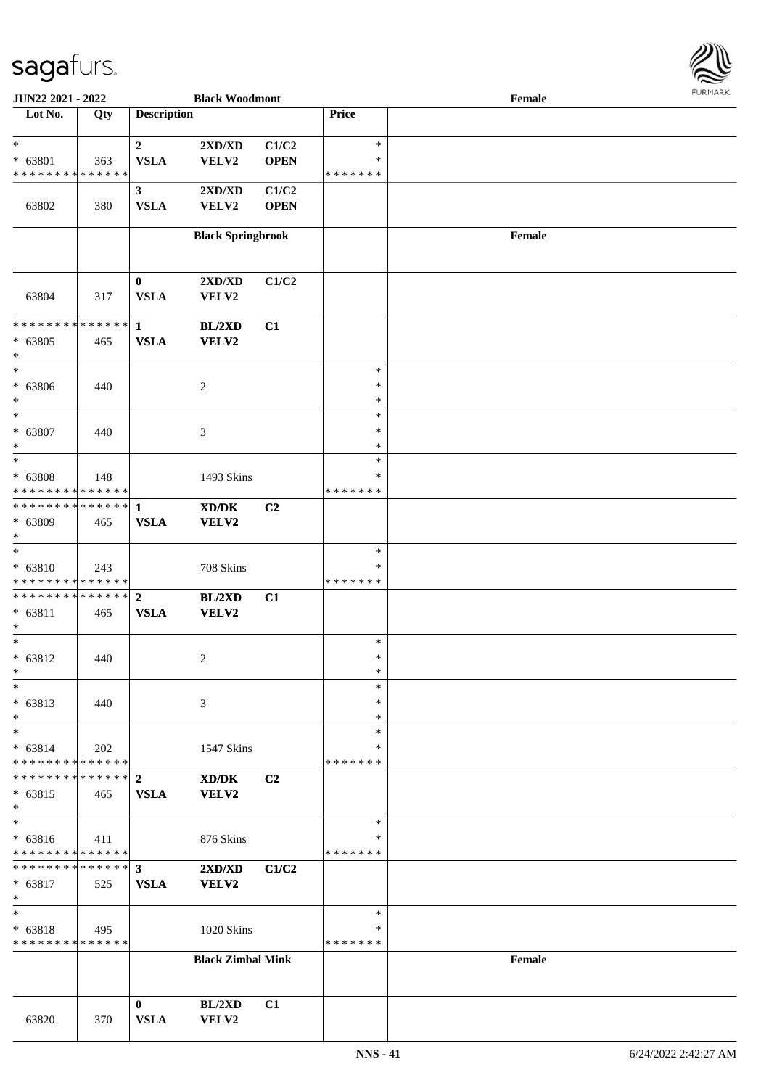

| <b>JUN22 2021 - 2022</b>                              |     |                    | <b>Black Woodmont</b>            |                |               | Female |  |
|-------------------------------------------------------|-----|--------------------|----------------------------------|----------------|---------------|--------|--|
| Lot No.                                               | Qty | <b>Description</b> |                                  |                | Price         |        |  |
|                                                       |     |                    |                                  |                |               |        |  |
| $\ast$                                                |     | $\overline{2}$     | $2{\bf X}{\bf D}/{\bf X}{\bf D}$ | C1/C2          | $\ast$        |        |  |
| $* 63801$                                             | 363 | <b>VSLA</b>        | VELV2                            | <b>OPEN</b>    | ∗             |        |  |
| * * * * * * * * <mark>* * * * * * *</mark>            |     |                    |                                  |                | * * * * * * * |        |  |
|                                                       |     | $\mathbf{3}$       | $2{\bf X}{\bf D}/{\bf X}{\bf D}$ | C1/C2          |               |        |  |
| 63802                                                 | 380 | <b>VSLA</b>        | VELV2                            | <b>OPEN</b>    |               |        |  |
|                                                       |     |                    |                                  |                |               |        |  |
|                                                       |     |                    | <b>Black Springbrook</b>         |                |               | Female |  |
|                                                       |     |                    |                                  |                |               |        |  |
|                                                       |     |                    |                                  |                |               |        |  |
|                                                       |     | $\bf{0}$           | 2XD/XD                           | C1/C2          |               |        |  |
| 63804                                                 | 317 | <b>VSLA</b>        | VELV2                            |                |               |        |  |
|                                                       |     |                    |                                  |                |               |        |  |
| * * * * * * * * <mark>* * * * * * *</mark>            |     | $\mathbf{1}$       | <b>BL/2XD</b>                    | C1             |               |        |  |
| $* 63805$                                             | 465 | <b>VSLA</b>        | VELV2                            |                |               |        |  |
| $\ast$                                                |     |                    |                                  |                |               |        |  |
| $\ast$                                                |     |                    |                                  |                | $\ast$        |        |  |
|                                                       |     |                    |                                  |                | $\ast$        |        |  |
| $* 63806$                                             | 440 |                    | 2                                |                |               |        |  |
| $\ast$<br>$\overline{\ast}$                           |     |                    |                                  |                | $\ast$        |        |  |
|                                                       |     |                    |                                  |                | $\ast$        |        |  |
| * 63807                                               | 440 |                    | 3                                |                | $\ast$        |        |  |
| $\ast$                                                |     |                    |                                  |                | $\ast$        |        |  |
| $\overline{\ast}$                                     |     |                    |                                  |                | $\ast$        |        |  |
| $* 63808$                                             | 148 |                    | 1493 Skins                       |                | ∗             |        |  |
| * * * * * * * * <mark>* * * * * * *</mark>            |     |                    |                                  |                | * * * * * * * |        |  |
|                                                       |     |                    | XD/DK                            | C <sub>2</sub> |               |        |  |
| * 63809                                               | 465 | <b>VSLA</b>        | VELV2                            |                |               |        |  |
| $\ast$                                                |     |                    |                                  |                |               |        |  |
|                                                       |     |                    |                                  |                | $\ast$        |        |  |
| $* 63810$                                             | 243 |                    | 708 Skins                        |                | ∗             |        |  |
| * * * * * * * * <mark>* * * * * *</mark>              |     |                    |                                  |                | * * * * * * * |        |  |
|                                                       |     |                    | BL/2XD                           | C1             |               |        |  |
| $* 63811$                                             | 465 | <b>VSLA</b>        | <b>VELV2</b>                     |                |               |        |  |
| $\ast$                                                |     |                    |                                  |                |               |        |  |
| $\ast$                                                |     |                    |                                  |                | $\ast$        |        |  |
| $* 63812$                                             | 440 |                    | 2                                |                | $\ast$        |        |  |
| $\ast$                                                |     |                    |                                  |                | $\ast$        |        |  |
| $\ast$                                                |     |                    |                                  |                | $\ast$        |        |  |
| $* 63813$                                             | 440 |                    | 3                                |                | $\ast$        |        |  |
| $\ast$                                                |     |                    |                                  |                | $\ast$        |        |  |
| $\ast$                                                |     |                    |                                  |                | $\ast$        |        |  |
|                                                       |     |                    |                                  |                | ∗             |        |  |
| $* 63814$<br>* * * * * * * * <mark>* * * * * *</mark> | 202 |                    | 1547 Skins                       |                | * * * * * * * |        |  |
|                                                       |     |                    |                                  |                |               |        |  |
|                                                       |     |                    | XD/DK                            | C <sub>2</sub> |               |        |  |
| $* 63815$                                             | 465 | <b>VSLA</b>        | VELV2                            |                |               |        |  |
| $*$                                                   |     |                    |                                  |                |               |        |  |
| $\ast$                                                |     |                    |                                  |                | $\ast$        |        |  |
| $* 63816$                                             | 411 |                    | 876 Skins                        |                | ∗             |        |  |
| * * * * * * * * <mark>* * * * * *</mark>              |     |                    |                                  |                | *******       |        |  |
|                                                       |     |                    | 2XD/XD                           | C1/C2          |               |        |  |
| * 63817                                               | 525 | <b>VSLA</b>        | VELV2                            |                |               |        |  |
| $\ast$                                                |     |                    |                                  |                |               |        |  |
| $\ast$                                                |     |                    |                                  |                | $\ast$        |        |  |
| $* 63818$                                             | 495 |                    | 1020 Skins                       |                | ∗             |        |  |
| * * * * * * * * * * * * * *                           |     |                    |                                  |                | * * * * * * * |        |  |
|                                                       |     |                    | <b>Black Zimbal Mink</b>         |                |               | Female |  |
|                                                       |     |                    |                                  |                |               |        |  |
|                                                       |     |                    |                                  |                |               |        |  |
|                                                       |     | $\mathbf{0}$       | BL/2XD                           | C1             |               |        |  |
| 63820                                                 | 370 | <b>VSLA</b>        | VELV2                            |                |               |        |  |
|                                                       |     |                    |                                  |                |               |        |  |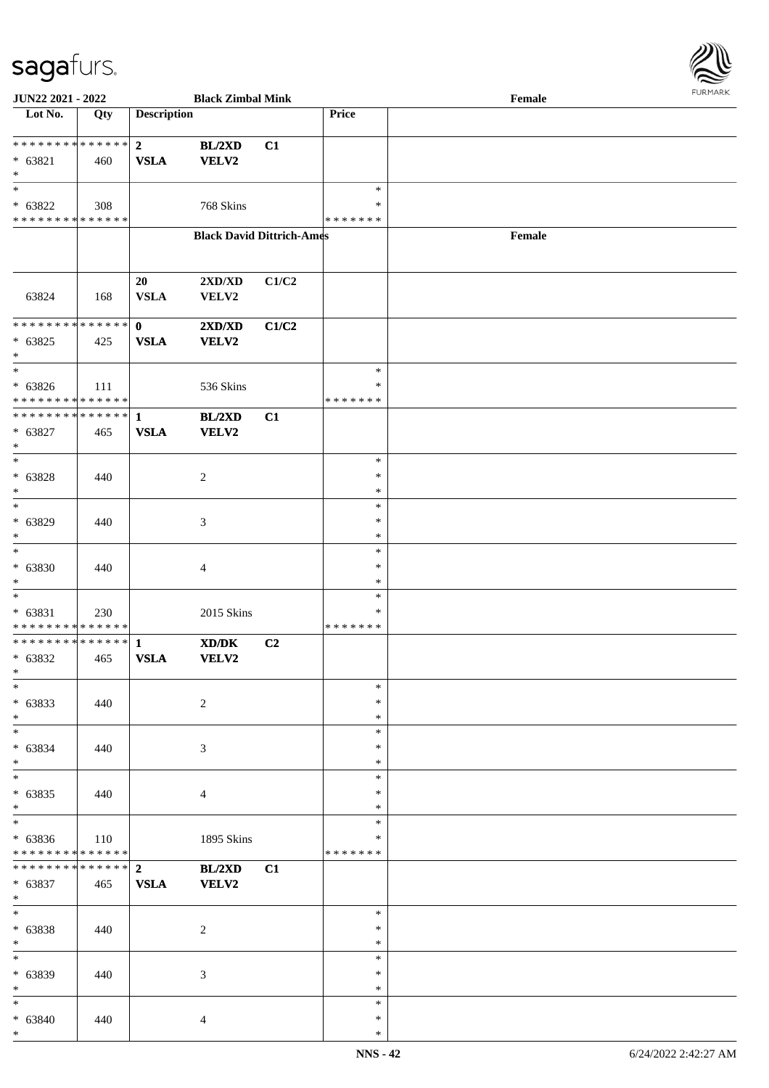

| JUN22 2021 - 2022                                                      |     |                               | <b>Black Zimbal Mink</b>         |                |                                   | Female | FURMARK |
|------------------------------------------------------------------------|-----|-------------------------------|----------------------------------|----------------|-----------------------------------|--------|---------|
| $\overline{\phantom{1}}$ Lot No.                                       | Qty | <b>Description</b>            |                                  |                | Price                             |        |         |
| ******** <mark>******</mark><br>$* 63821$<br>$\ast$                    | 460 | 2 <sup>1</sup><br><b>VSLA</b> | BL/2XD<br>VELV2                  | C1             |                                   |        |         |
| $\ast$<br>$* 63822$<br>* * * * * * * * * * * * * *                     | 308 |                               | 768 Skins                        |                | $\ast$<br>*<br>* * * * * * *      |        |         |
|                                                                        |     |                               | <b>Black David Dittrich-Ames</b> |                |                                   | Female |         |
| 63824                                                                  | 168 | 20<br><b>VSLA</b>             | 2XD/XD<br>VELV2                  | C1/C2          |                                   |        |         |
| ************** 0<br>$* 63825$<br>$\ast$                                | 425 | <b>VSLA</b>                   | 2XD/XD<br>VELV2                  | C1/C2          |                                   |        |         |
| $*$<br>$* 63826$<br>* * * * * * * * * * * * * *                        | 111 |                               | 536 Skins                        |                | $\ast$<br>$\ast$<br>* * * * * * * |        |         |
| ************** 1<br>$* 63827$<br>$\ast$                                | 465 | <b>VSLA</b>                   | BL/2XD<br><b>VELV2</b>           | C1             |                                   |        |         |
| $\overline{\ast}$<br>$* 63828$<br>$\ast$<br>$*$                        | 440 |                               | $\overline{c}$                   |                | $\ast$<br>$\ast$<br>$\ast$        |        |         |
| * 63829<br>$\ast$                                                      | 440 |                               | 3                                |                | $\ast$<br>$\ast$<br>$\ast$        |        |         |
| $\ast$<br>$* 63830$<br>$\ast$                                          | 440 |                               | $\overline{4}$                   |                | $\ast$<br>∗<br>$\ast$             |        |         |
| $\ast$<br>* 63831<br>* * * * * * * * * * * * * *                       | 230 |                               | 2015 Skins                       |                | $\ast$<br>$\ast$<br>* * * * * * * |        |         |
| ************** 1<br>$* 63832$<br>∗<br>$\frac{1}{1}$                    | 465 | <b>VSLA</b>                   | XD/DK<br><b>VELV2</b>            | C <sub>2</sub> |                                   |        |         |
| $* 63833$<br>$*$<br>$\overline{\phantom{0}}$                           | 440 |                               | $\overline{2}$                   |                | *<br>*<br>*                       |        |         |
| $* 63834$<br>$\ast$                                                    | 440 |                               | 3                                |                | $\ast$<br>$\ast$<br>$\ast$        |        |         |
| $\overline{\ast}$<br>$* 63835$<br>$\ast$                               | 440 |                               | $\overline{4}$                   |                | $\ast$<br>$\ast$<br>$\ast$        |        |         |
| $\overline{\phantom{0}}$<br>$* 63836$<br>* * * * * * * * * * * * * * * | 110 |                               | 1895 Skins                       |                | *<br>*<br>* * * * * * *           |        |         |
| * * * * * * * * * * * * * * *<br>$* 63837$<br>$\ast$                   | 465 | $\overline{2}$<br><b>VSLA</b> | BL/2XD<br><b>VELV2</b>           | C1             |                                   |        |         |
| $*$<br>$* 63838$<br>$\ast$                                             | 440 |                               | $\overline{2}$                   |                | $\ast$<br>∗<br>$\ast$             |        |         |
| $\ast$<br>* 63839<br>$\ast$                                            | 440 |                               | 3                                |                | $\ast$<br>$\ast$<br>$\ast$        |        |         |
| $\ast$<br>$* 63840$<br>$*$                                             | 440 |                               | $\overline{4}$                   |                | $\ast$<br>$\ast$<br>$\ast$        |        |         |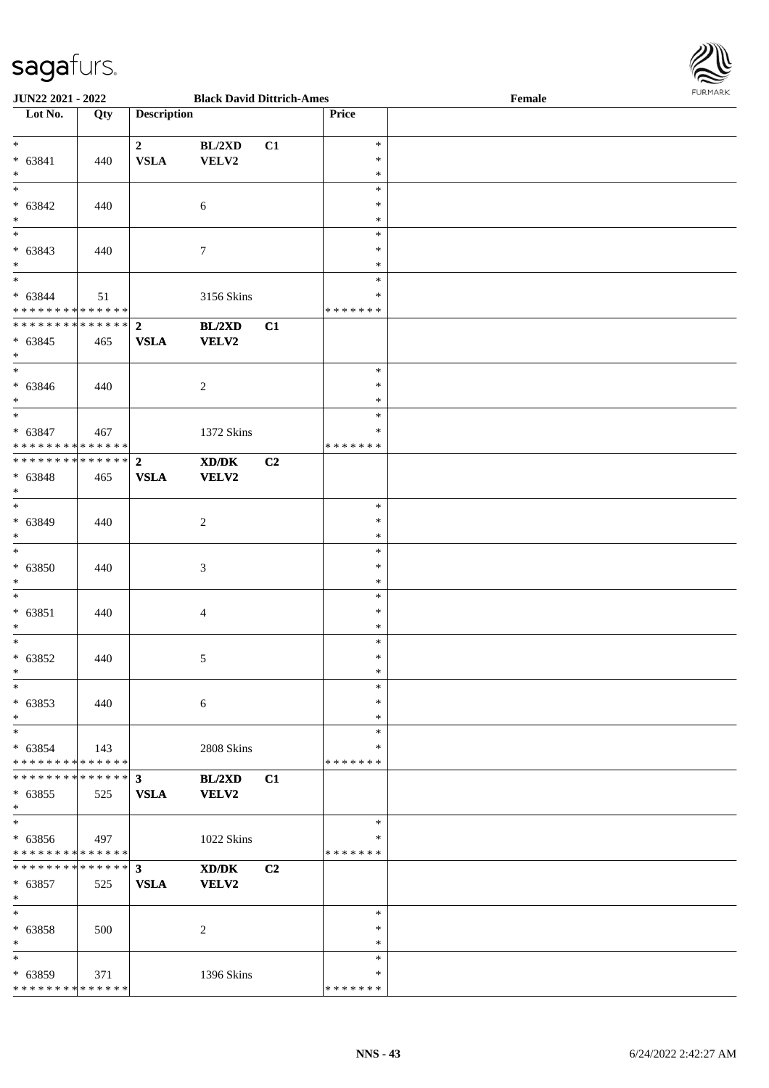

| JUN22 2021 - 2022                                                   |     |                               | <b>Black David Dittrich-Ames</b>     |    |                                      | Female | $\sim$ |
|---------------------------------------------------------------------|-----|-------------------------------|--------------------------------------|----|--------------------------------------|--------|--------|
| $\overline{\phantom{1}}$ Lot No.                                    | Qty | <b>Description</b>            |                                      |    | Price                                |        |        |
| $*$<br>$* 63841$<br>$*$                                             | 440 | $\overline{2}$<br><b>VSLA</b> | BL/2XD<br>VELV2                      | C1 | $\ast$<br>$\ast$<br>$\ast$           |        |        |
| $\overline{\ast}$<br>* 63842<br>$*$                                 | 440 |                               | 6                                    |    | $\ast$<br>$\ast$<br>$\ast$           |        |        |
| * 63843<br>$*$                                                      | 440 |                               | $\boldsymbol{7}$                     |    | $\ast$<br>$\ast$<br>$\ast$<br>$\ast$ |        |        |
| $* 63844$<br>* * * * * * * * * * * * * *                            | 51  |                               | 3156 Skins                           |    | $\ast$<br>* * * * * * *              |        |        |
| ************** 2<br>$* 63845$<br>$*$                                | 465 | <b>VSLA</b>                   | BL/2XD<br>VELV2                      | C1 |                                      |        |        |
| $*$<br>$* 63846$<br>$*$<br>$*$                                      | 440 |                               | $\sqrt{2}$                           |    | $\ast$<br>$\ast$<br>$\ast$           |        |        |
| $* 63847$<br>* * * * * * * * * * * * * * *                          | 467 |                               | 1372 Skins                           |    | $\ast$<br>$\ast$<br>*******          |        |        |
| ******** <mark>******</mark><br>* 63848<br>$*$<br>$\overline{\ast}$ | 465 | $\overline{2}$<br><b>VSLA</b> | $\boldsymbol{\text{XD/DK}}$<br>VELV2 | C2 | $\ast$                               |        |        |
| $* 63849$<br>$*$                                                    | 440 |                               | $\overline{2}$                       |    | $\ast$<br>$\ast$                     |        |        |
| $*$<br>$* 63850$<br>$\ast$                                          | 440 |                               | 3                                    |    | $\ast$<br>$\ast$<br>$\ast$           |        |        |
| $*$<br>$* 63851$<br>$*$                                             | 440 |                               | $\overline{4}$                       |    | $\ast$<br>$\ast$<br>$\ast$           |        |        |
| $*$<br>$* 63852$<br>$*$                                             | 440 |                               | 5                                    |    | $\ast$<br>$\ast$<br>$\ast$           |        |        |
| $*$<br>$* 63853$<br>$*$                                             | 440 |                               | 6                                    |    | $\ast$<br>$\ast$<br>$\ast$           |        |        |
| $*$<br>$* 63854$<br>* * * * * * * * * * * * * *                     | 143 |                               | 2808 Skins                           |    | $\ast$<br>∗<br>*******               |        |        |
| ******** <mark>*******</mark> 3<br>$* 63855$<br>$*$                 | 525 | <b>VSLA</b>                   | BL/2XD<br><b>VELV2</b>               | C1 |                                      |        |        |
| $*$<br>$* 63856$<br>* * * * * * * * * * * * * *                     | 497 |                               | 1022 Skins                           |    | $\ast$<br>$\ast$<br>*******          |        |        |
| * * * * * * * * * * * * * * *<br>$* 63857$<br>$*$                   | 525 | 3 <sup>1</sup><br><b>VSLA</b> | XD/DK<br>VELV2                       | C2 |                                      |        |        |
| $*$<br>$* 63858$<br>$*$                                             | 500 |                               | $\sqrt{2}$                           |    | $\ast$<br>$\ast$<br>$\ast$           |        |        |
| $*$<br>$* 63859$<br>* * * * * * * * * * * * * *                     | 371 |                               | 1396 Skins                           |    | $\ast$<br>$\ast$<br>*******          |        |        |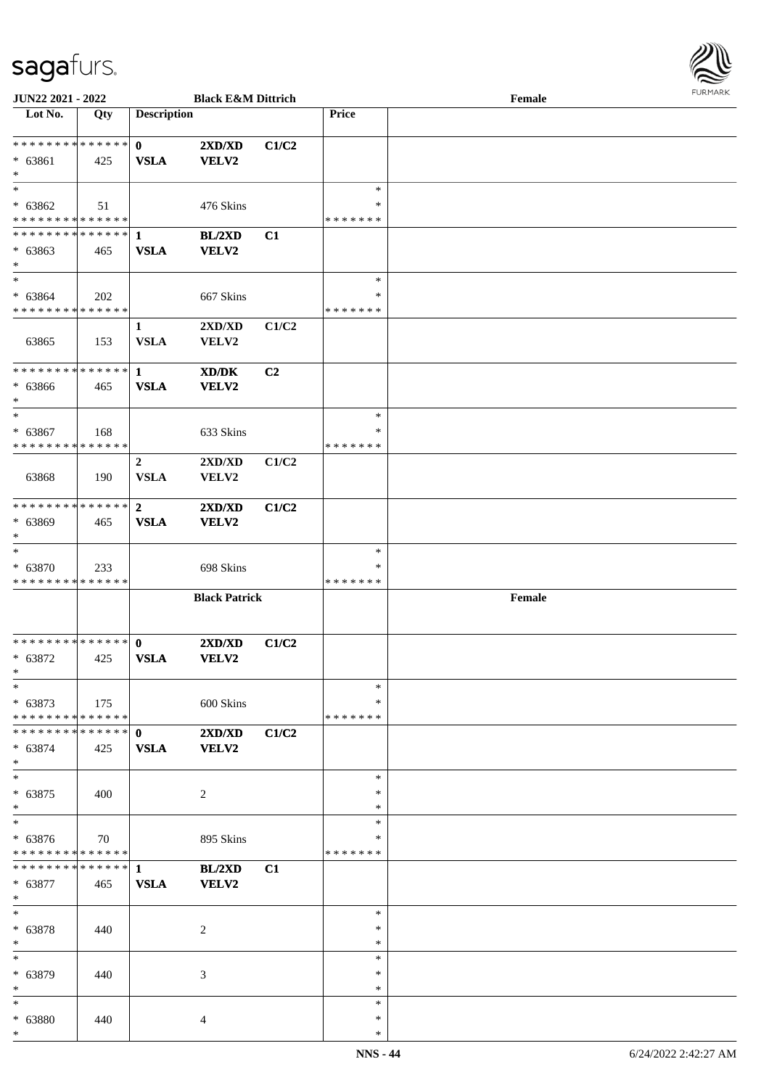

| <b>JUN22 2021 - 2022</b>                   |             |                    | <b>Black E&amp;M Dittrich</b> |                |               | Female |
|--------------------------------------------|-------------|--------------------|-------------------------------|----------------|---------------|--------|
| Lot No.                                    | Qty         | <b>Description</b> |                               |                | <b>Price</b>  |        |
|                                            |             |                    |                               |                |               |        |
| * * * * * * * * * * * * * * *              |             | $\mathbf{0}$       | 2XD/XD                        | C1/C2          |               |        |
| $* 63861$                                  |             | <b>VSLA</b>        | <b>VELV2</b>                  |                |               |        |
|                                            | 425         |                    |                               |                |               |        |
| $*$                                        |             |                    |                               |                |               |        |
| $*$                                        |             |                    |                               |                | $\ast$        |        |
| * 63862                                    | 51          |                    | 476 Skins                     |                | ∗             |        |
| * * * * * * * * * * * * * *                |             |                    |                               |                | * * * * * * * |        |
| **************                             |             | -1                 | BL/2XD                        | C1             |               |        |
| * 63863                                    |             |                    |                               |                |               |        |
|                                            | 465         | <b>VSLA</b>        | <b>VELV2</b>                  |                |               |        |
| $*$                                        |             |                    |                               |                |               |        |
| $*$                                        |             |                    |                               |                | $\ast$        |        |
| $* 63864$                                  | 202         |                    | 667 Skins                     |                | $\ast$        |        |
| * * * * * * * * * * * * * *                |             |                    |                               |                | * * * * * * * |        |
|                                            |             | $\mathbf{1}$       | 2XD/XD                        | C1/C2          |               |        |
|                                            |             |                    |                               |                |               |        |
| 63865                                      | 153         | <b>VSLA</b>        | <b>VELV2</b>                  |                |               |        |
|                                            |             |                    |                               |                |               |        |
| * * * * * * * * * * * * * * *              |             | $\mathbf{1}$       | XD/DK                         | C <sub>2</sub> |               |        |
| $* 63866$                                  | 465         | <b>VSLA</b>        | <b>VELV2</b>                  |                |               |        |
| $*$                                        |             |                    |                               |                |               |        |
| $*$                                        |             |                    |                               |                | $\ast$        |        |
| $* 63867$                                  | 168         |                    | 633 Skins                     |                | ∗             |        |
| * * * * * * * * * * * * * * *              |             |                    |                               |                | * * * * * * * |        |
|                                            |             |                    |                               |                |               |        |
|                                            |             | $\overline{2}$     | 2XD/XD                        | C1/C2          |               |        |
| 63868                                      | 190         | <b>VSLA</b>        | VELV2                         |                |               |        |
|                                            |             |                    |                               |                |               |        |
| * * * * * * * * * * * * * * *              |             | $\overline{2}$     | 2XD/XD                        | C1/C2          |               |        |
| * 63869                                    |             | <b>VSLA</b>        | VELV2                         |                |               |        |
|                                            | 465         |                    |                               |                |               |        |
| $*$                                        |             |                    |                               |                |               |        |
| $*$                                        |             |                    |                               |                | $\ast$        |        |
| * 63870                                    | 233         |                    | 698 Skins                     |                | ∗             |        |
| * * * * * * * * * * * * * *                |             |                    |                               |                | * * * * * * * |        |
|                                            |             |                    | <b>Black Patrick</b>          |                |               | Female |
|                                            |             |                    |                               |                |               |        |
|                                            |             |                    |                               |                |               |        |
| **************                             |             | $\mathbf{0}$       | 2XD/XD                        | C1/C2          |               |        |
|                                            |             |                    |                               |                |               |        |
| $* 63872$                                  | 425         | <b>VSLA</b>        | <b>VELV2</b>                  |                |               |        |
| $*$                                        |             |                    |                               |                |               |        |
| $*$                                        |             |                    |                               |                | $\ast$        |        |
| $* 63873$                                  | $\vert$ 175 |                    | 600 Skins                     |                | ∗             |        |
| * * * * * * * * <mark>* * * * * * *</mark> |             |                    |                               |                | *******       |        |
|                                            |             |                    | 2XD/XD                        | C1/C2          |               |        |
| $* 63874$                                  |             |                    | VELV2                         |                |               |        |
|                                            | 425         | <b>VSLA</b>        |                               |                |               |        |
| $*$                                        |             |                    |                               |                |               |        |
| $*$                                        |             |                    |                               |                | $\ast$        |        |
| $* 63875$                                  | 400         |                    | 2                             |                | $\ast$        |        |
| $*$                                        |             |                    |                               |                | $\ast$        |        |
| $*$                                        |             |                    |                               |                | $\ast$        |        |
| $* 63876$                                  | 70          |                    |                               |                | ∗             |        |
|                                            |             |                    | 895 Skins                     |                |               |        |
| * * * * * * * * * * * * * *                |             |                    |                               |                | *******       |        |
|                                            |             |                    | BL/2XD                        | C1             |               |        |
| * 63877                                    | 465         | <b>VSLA</b>        | <b>VELV2</b>                  |                |               |        |
| $*$                                        |             |                    |                               |                |               |        |
| $*$                                        |             |                    |                               |                | $\ast$        |        |
| * 63878                                    | 440         |                    | 2                             |                | $\ast$        |        |
|                                            |             |                    |                               |                |               |        |
| $*$                                        |             |                    |                               |                | $\ast$        |        |
| $*$                                        |             |                    |                               |                | $\ast$        |        |
| * 63879                                    | 440         |                    | 3                             |                | ∗             |        |
| $*$                                        |             |                    |                               |                | $\ast$        |        |
| $\ast$                                     |             |                    |                               |                | $\ast$        |        |
| * 63880                                    | 440         |                    | $\overline{4}$                |                | $\ast$        |        |
| $*$                                        |             |                    |                               |                | $\ast$        |        |
|                                            |             |                    |                               |                |               |        |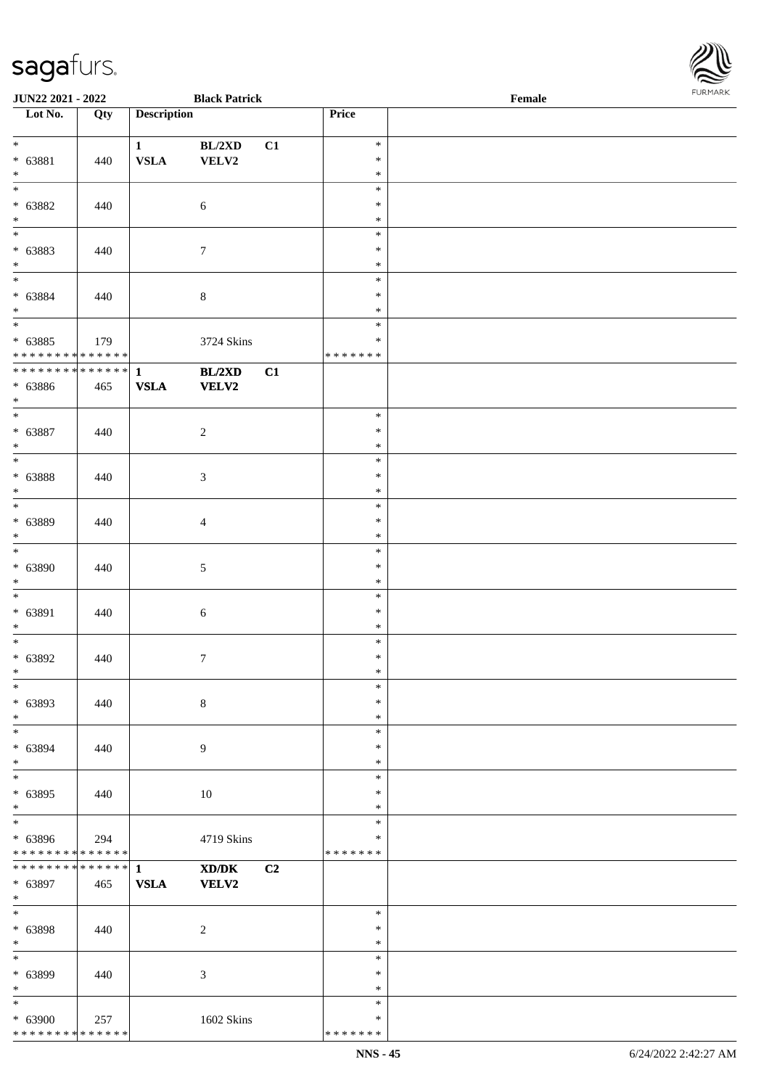| <b>JUN22 2021 - 2022</b>                   |     |                    | <b>Black Patrick</b>                                                                                 |                |                         | Female |  |
|--------------------------------------------|-----|--------------------|------------------------------------------------------------------------------------------------------|----------------|-------------------------|--------|--|
| Lot No.                                    | Qty | <b>Description</b> |                                                                                                      |                | Price                   |        |  |
|                                            |     |                    |                                                                                                      |                |                         |        |  |
| $*$                                        |     | $\mathbf{1}$       | BL/2XD                                                                                               | C1             | $\ast$<br>$\ast$        |        |  |
| $* 63881$<br>$*$                           | 440 | <b>VSLA</b>        | VELV2                                                                                                |                | $\ast$                  |        |  |
|                                            |     |                    |                                                                                                      |                | $\ast$                  |        |  |
| $* 63882$                                  | 440 |                    | $\sqrt{6}$                                                                                           |                | $\ast$                  |        |  |
| $*$                                        |     |                    |                                                                                                      |                | $\ast$                  |        |  |
|                                            |     |                    |                                                                                                      |                | $\ast$                  |        |  |
| * 63883                                    | 440 |                    | $\tau$                                                                                               |                | $\ast$                  |        |  |
| $*$                                        |     |                    |                                                                                                      |                | $\ast$                  |        |  |
|                                            |     |                    |                                                                                                      |                | $\ast$                  |        |  |
| * 63884<br>$*$                             | 440 |                    | $8\,$                                                                                                |                | $\ast$<br>$\ast$        |        |  |
| $\overline{\ast}$                          |     |                    |                                                                                                      |                | $\ast$                  |        |  |
| $* 63885$                                  | 179 |                    | 3724 Skins                                                                                           |                | $\ast$                  |        |  |
| * * * * * * * * <mark>* * * * * *</mark>   |     |                    |                                                                                                      |                | * * * * * * *           |        |  |
|                                            |     |                    | BL/2XD                                                                                               | C1             |                         |        |  |
| * 63886                                    | 465 | <b>VSLA</b>        | VELV2                                                                                                |                |                         |        |  |
| $*$                                        |     |                    |                                                                                                      |                |                         |        |  |
|                                            |     |                    |                                                                                                      |                | $\ast$                  |        |  |
| $* 63887$                                  | 440 |                    | $\sqrt{2}$                                                                                           |                | $\ast$                  |        |  |
| $*$                                        |     |                    |                                                                                                      |                | $\ast$<br>$\ast$        |        |  |
| * 63888                                    | 440 |                    | 3                                                                                                    |                | $\ast$                  |        |  |
| $*$                                        |     |                    |                                                                                                      |                | $\ast$                  |        |  |
|                                            |     |                    |                                                                                                      |                | $\ast$                  |        |  |
| * 63889                                    | 440 |                    | $\overline{4}$                                                                                       |                | $\ast$                  |        |  |
| $*$                                        |     |                    |                                                                                                      |                | $\ast$                  |        |  |
| $\overline{\phantom{0}}$                   |     |                    |                                                                                                      |                | $\ast$                  |        |  |
| $* 63890$                                  | 440 |                    | $\sqrt{5}$                                                                                           |                | $\ast$                  |        |  |
| $*$<br>$*$                                 |     |                    |                                                                                                      |                | $\ast$<br>$\ast$        |        |  |
| $* 63891$                                  | 440 |                    | 6                                                                                                    |                | $\ast$                  |        |  |
| $*$                                        |     |                    |                                                                                                      |                | $\ast$                  |        |  |
| $*$                                        |     |                    |                                                                                                      |                | $\ast$                  |        |  |
| $* 63892$                                  | 440 |                    | $\tau$                                                                                               |                | $\ast$                  |        |  |
| $*$                                        |     |                    |                                                                                                      |                | $\ast$                  |        |  |
| $*$                                        |     |                    |                                                                                                      |                | $\ast$                  |        |  |
| * 63893<br>$*$                             | 440 |                    | $8\,$                                                                                                |                | $\ast$<br>$\ast$        |        |  |
| $\ast$                                     |     |                    |                                                                                                      |                | $\ast$                  |        |  |
| * 63894                                    | 440 |                    | 9                                                                                                    |                | $\ast$                  |        |  |
| $*$                                        |     |                    |                                                                                                      |                | $\ast$                  |        |  |
|                                            |     |                    |                                                                                                      |                | $\ast$                  |        |  |
| * 63895                                    | 440 |                    | 10                                                                                                   |                | $\ast$                  |        |  |
| $*$<br>$\overline{\ast}$                   |     |                    |                                                                                                      |                | $\ast$                  |        |  |
|                                            |     |                    |                                                                                                      |                | $\ast$                  |        |  |
| * 63896<br>* * * * * * * * * * * * * *     | 294 |                    | 4719 Skins                                                                                           |                | $\ast$<br>* * * * * * * |        |  |
| * * * * * * * * * * * * * * <mark>*</mark> |     | $\mathbf{1}$       | $\boldsymbol{\text{X}}\boldsymbol{\text{D}}\boldsymbol{/}\boldsymbol{\text{D}}\boldsymbol{\text{K}}$ | C <sub>2</sub> |                         |        |  |
| * 63897                                    | 465 | ${\bf VSLA}$       | VELV2                                                                                                |                |                         |        |  |
| $*$                                        |     |                    |                                                                                                      |                |                         |        |  |
| $*$                                        |     |                    |                                                                                                      |                | $\ast$                  |        |  |
| * 63898                                    | 440 |                    | $\overline{c}$                                                                                       |                | $\ast$                  |        |  |
| $*$<br>$*$                                 |     |                    |                                                                                                      |                | $\ast$                  |        |  |
|                                            |     |                    |                                                                                                      |                | $\ast$<br>$\ast$        |        |  |
| * 63899<br>$*$                             | 440 |                    | 3                                                                                                    |                | $\ast$                  |        |  |
| $\ast$                                     |     |                    |                                                                                                      |                | $\ast$                  |        |  |
| * 63900                                    | 257 |                    | 1602 Skins                                                                                           |                | $\ast$                  |        |  |
| * * * * * * * * <mark>* * * * * *</mark>   |     |                    |                                                                                                      |                | * * * * * * *           |        |  |

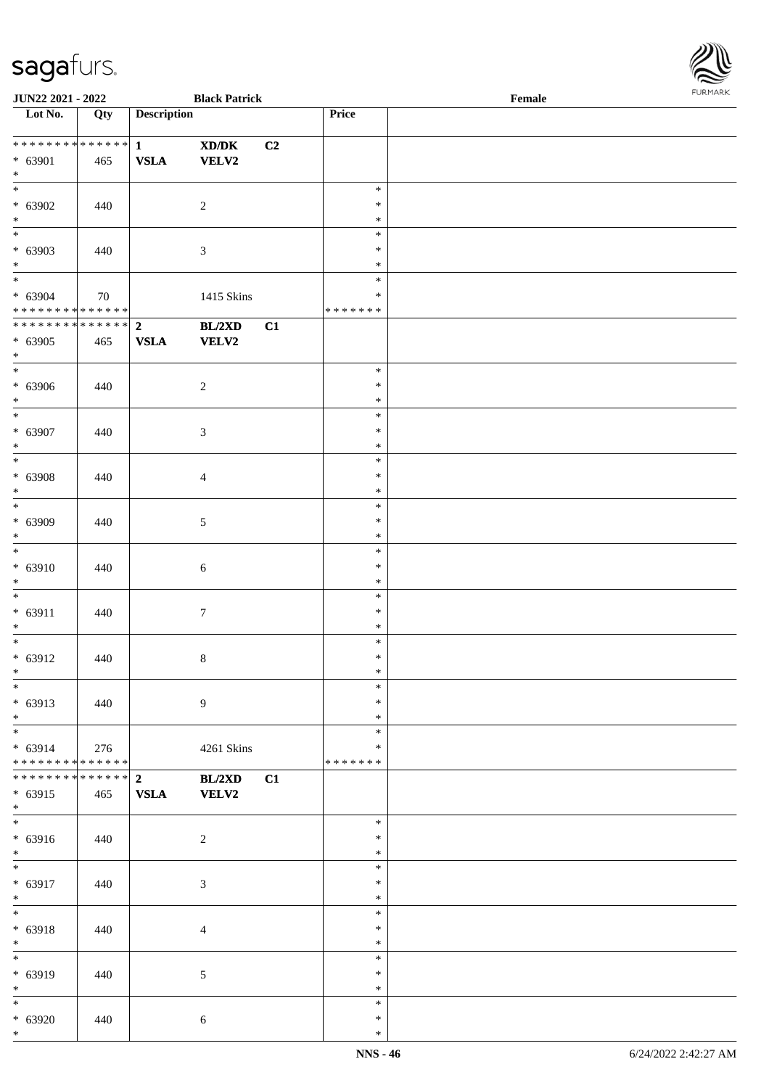

| JUN22 2021 - 2022                    |               |                    | <b>Black Patrick</b>                                                                                 |    |               | Female |
|--------------------------------------|---------------|--------------------|------------------------------------------------------------------------------------------------------|----|---------------|--------|
| Lot No.                              | Qty           | <b>Description</b> |                                                                                                      |    | Price         |        |
|                                      |               |                    |                                                                                                      |    |               |        |
| **************                       |               | $\mathbf{1}$       | $\boldsymbol{\text{X}}\boldsymbol{\text{D}}\boldsymbol{/}\boldsymbol{\text{D}}\boldsymbol{\text{K}}$ | C2 |               |        |
| * 63901                              | 465           | <b>VSLA</b>        | <b>VELV2</b>                                                                                         |    |               |        |
| $\ast$                               |               |                    |                                                                                                      |    |               |        |
| $\overline{\ast}$                    |               |                    |                                                                                                      |    | $\ast$        |        |
|                                      |               |                    |                                                                                                      |    |               |        |
| $* 63902$                            | 440           |                    | $\overline{2}$                                                                                       |    | $\ast$        |        |
| $\ast$                               |               |                    |                                                                                                      |    | $\ast$        |        |
| $\overline{\phantom{0}}$             |               |                    |                                                                                                      |    | $\ast$        |        |
| $* 63903$                            | 440           |                    | $\mathfrak{Z}$                                                                                       |    | $\ast$        |        |
| $*$                                  |               |                    |                                                                                                      |    | $\ast$        |        |
| $\overline{\phantom{0}}$             |               |                    |                                                                                                      |    | $\ast$        |        |
| $* 63904$                            | 70            |                    | 1415 Skins                                                                                           |    | $\ast$        |        |
| * * * * * * * * * * * * * *          |               |                    |                                                                                                      |    | * * * * * * * |        |
| **************                       |               |                    |                                                                                                      |    |               |        |
|                                      |               | $\overline{2}$     | BL/2XD                                                                                               | C1 |               |        |
| $* 63905$                            | 465           | <b>VSLA</b>        | <b>VELV2</b>                                                                                         |    |               |        |
| $*$                                  |               |                    |                                                                                                      |    |               |        |
| $\overline{\phantom{a}^*}$           |               |                    |                                                                                                      |    | $\ast$        |        |
| $* 63906$                            | 440           |                    | $\overline{2}$                                                                                       |    | $\ast$        |        |
| $\ast$                               |               |                    |                                                                                                      |    | $\ast$        |        |
| $\frac{1}{*}$                        |               |                    |                                                                                                      |    | $\ast$        |        |
| * 63907                              |               |                    |                                                                                                      |    | $\ast$        |        |
|                                      | 440           |                    | 3                                                                                                    |    |               |        |
| $\ast$<br>$\overline{\phantom{0}}$   |               |                    |                                                                                                      |    | $\ast$        |        |
|                                      |               |                    |                                                                                                      |    | $\ast$        |        |
| $* 63908$                            | 440           |                    | $\overline{4}$                                                                                       |    | $\ast$        |        |
| $\ast$                               |               |                    |                                                                                                      |    | $\ast$        |        |
| $\overline{\ast}$                    |               |                    |                                                                                                      |    | $\ast$        |        |
| * 63909                              | 440           |                    | $\sqrt{5}$                                                                                           |    | $\ast$        |        |
| $\ast$                               |               |                    |                                                                                                      |    | $\ast$        |        |
| $\overline{\ast}$                    |               |                    |                                                                                                      |    | $\ast$        |        |
|                                      |               |                    |                                                                                                      |    |               |        |
| $* 63910$                            | 440           |                    | $\sqrt{6}$                                                                                           |    | $\ast$        |        |
| $*$                                  |               |                    |                                                                                                      |    | $\ast$        |        |
| $\ast$                               |               |                    |                                                                                                      |    | $\ast$        |        |
| $* 63911$                            | 440           |                    | $\boldsymbol{7}$                                                                                     |    | $\ast$        |        |
| $\ast$                               |               |                    |                                                                                                      |    | $\ast$        |        |
| $\ast$                               |               |                    |                                                                                                      |    | $\ast$        |        |
| $* 63912$                            | 440           |                    | $\,8\,$                                                                                              |    | $\ast$        |        |
| $*$                                  |               |                    |                                                                                                      |    | $\ast$        |        |
| $\ast$                               |               |                    |                                                                                                      |    |               |        |
|                                      |               |                    |                                                                                                      |    | $\ast$        |        |
| $* 63913$                            | 440           |                    | $\overline{9}$                                                                                       |    | $\ast$        |        |
| $\ast$                               |               |                    |                                                                                                      |    | $\ast$        |        |
| $\overline{\phantom{a}^*}$           |               |                    |                                                                                                      |    | $\ast$        |        |
| $* 63914$                            | 276           |                    | 4261 Skins                                                                                           |    | $\ast$        |        |
| ******** <mark>******</mark>         |               |                    |                                                                                                      |    | * * * * * * * |        |
| ********                             | * * * * * * * | $\overline{2}$     | BL/2XD                                                                                               | C1 |               |        |
| $* 63915$                            | 465           | <b>VSLA</b>        | <b>VELV2</b>                                                                                         |    |               |        |
| $*$                                  |               |                    |                                                                                                      |    |               |        |
| $\overline{\phantom{1}}$             |               |                    |                                                                                                      |    | $\ast$        |        |
|                                      |               |                    |                                                                                                      |    |               |        |
| $* 63916$                            | 440           |                    | $\sqrt{2}$                                                                                           |    | $\ast$        |        |
| $*$                                  |               |                    |                                                                                                      |    | $\ast$        |        |
| $*$                                  |               |                    |                                                                                                      |    | $\ast$        |        |
| $* 63917$                            | 440           |                    | $\mathfrak{Z}$                                                                                       |    | $\ast$        |        |
| $\ast$                               |               |                    |                                                                                                      |    | $\ast$        |        |
| $_{\ast}$                            |               |                    |                                                                                                      |    | $\ast$        |        |
| $* 63918$                            | 440           |                    |                                                                                                      |    | $\ast$        |        |
|                                      |               |                    | $\overline{4}$                                                                                       |    | $\ast$        |        |
| $\ast$<br>$\overline{\phantom{a}^*}$ |               |                    |                                                                                                      |    |               |        |
|                                      |               |                    |                                                                                                      |    | $\ast$        |        |
| * 63919                              | 440           |                    | $\sqrt{5}$                                                                                           |    | $\ast$        |        |
| $\ast$                               |               |                    |                                                                                                      |    | $\ast$        |        |
| $\overline{\phantom{a}^*}$           |               |                    |                                                                                                      |    | $\ast$        |        |
| $* 63920$                            | 440           |                    | 6                                                                                                    |    | $\ast$        |        |
| $\ast$                               |               |                    |                                                                                                      |    | $\ast$        |        |
|                                      |               |                    |                                                                                                      |    |               |        |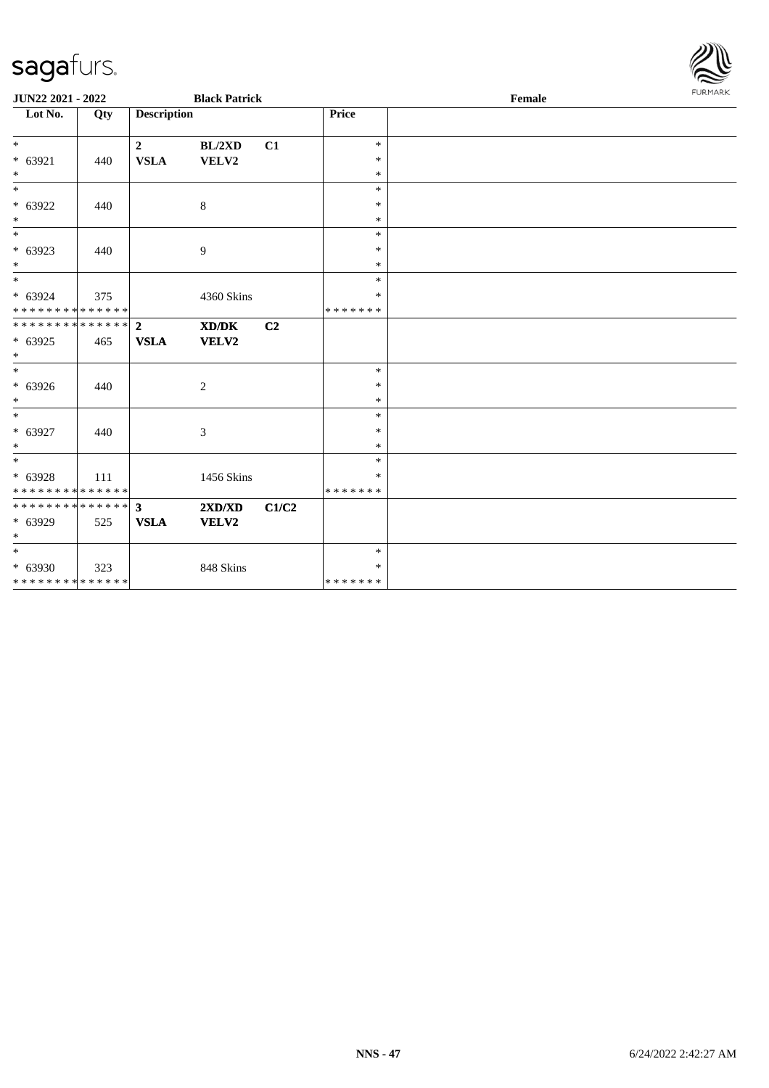

| JUN22 2021 - 2022            |     |                         | <b>Black Patrick</b> |                |                  | Female |  |  |
|------------------------------|-----|-------------------------|----------------------|----------------|------------------|--------|--|--|
| Lot No.                      | Qty | <b>Description</b>      |                      |                | Price            |        |  |  |
| $*$                          |     | $\overline{\mathbf{2}}$ | BL/2XD               | C1             | $\ast$           |        |  |  |
| $* 63921$<br>$*$             | 440 | <b>VSLA</b>             | VELV2                |                | $\ast$<br>$\ast$ |        |  |  |
| $*$                          |     |                         |                      |                | $\ast$           |        |  |  |
| * 63922                      | 440 |                         | $\,8\,$              |                | $\ast$           |        |  |  |
| $\ast$                       |     |                         |                      |                | $\ast$           |        |  |  |
| $\overline{\phantom{0}}$     |     |                         |                      |                | $\ast$           |        |  |  |
| $* 63923$                    | 440 |                         | 9                    |                | $\ast$           |        |  |  |
| $*$                          |     |                         |                      |                | $\ast$           |        |  |  |
| $*$                          |     |                         |                      |                | $\ast$           |        |  |  |
| $* 63924$                    | 375 |                         | 4360 Skins           |                | $\ast$           |        |  |  |
| * * * * * * * * * * * * * *  |     |                         |                      |                | * * * * * * *    |        |  |  |
| ******** <mark>******</mark> |     | $\overline{2}$          | XD/DK                | C <sub>2</sub> |                  |        |  |  |
| $* 63925$                    | 465 | <b>VSLA</b>             | VELV2                |                |                  |        |  |  |
| $\ast$                       |     |                         |                      |                |                  |        |  |  |
| $\overline{\ast}$            |     |                         |                      |                | $\ast$           |        |  |  |
| $* 63926$                    | 440 |                         | $\mathbf{2}$         |                | $\ast$           |        |  |  |
| $*$<br>$\ast$                |     |                         |                      |                | $\ast$           |        |  |  |
|                              |     |                         |                      |                | $\ast$           |        |  |  |
| $* 63927$<br>$*$             | 440 |                         | 3                    |                | $\ast$<br>$\ast$ |        |  |  |
| $*$                          |     |                         |                      |                | $\ast$           |        |  |  |
| $* 63928$                    |     |                         |                      |                | $\ast$           |        |  |  |
| * * * * * * * * * * * * * *  | 111 |                         | 1456 Skins           |                | * * * * * * *    |        |  |  |
| ************** 3             |     |                         | 2XD/XD               | C1/C2          |                  |        |  |  |
| * 63929                      | 525 | <b>VSLA</b>             | VELV2                |                |                  |        |  |  |
| $\ast$                       |     |                         |                      |                |                  |        |  |  |
| $*$                          |     |                         |                      |                | $\ast$           |        |  |  |
| * 63930                      | 323 |                         | 848 Skins            |                | $\ast$           |        |  |  |
| * * * * * * * * * * * * * *  |     |                         |                      |                | *******          |        |  |  |
|                              |     |                         |                      |                |                  |        |  |  |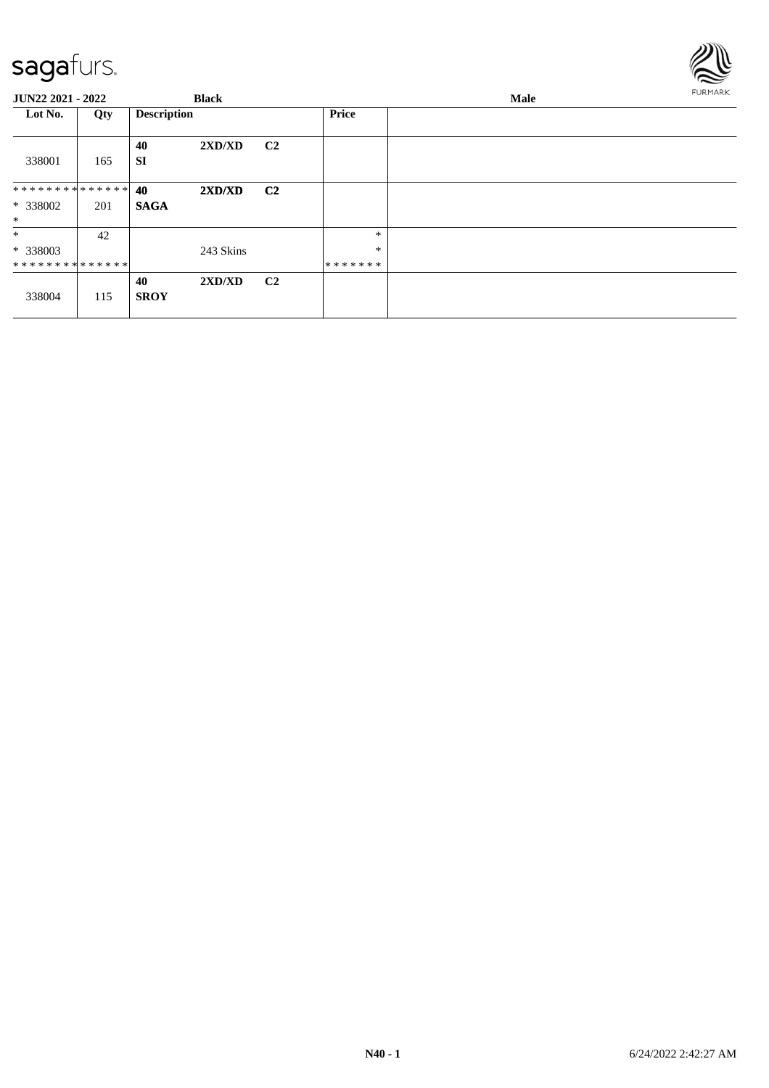

| <b>JUN22 2021 - 2022</b> |     |                    | <b>Black</b> |                |              | Male |  |  |  |
|--------------------------|-----|--------------------|--------------|----------------|--------------|------|--|--|--|
| Lot No.                  | Qty | <b>Description</b> |              |                | <b>Price</b> |      |  |  |  |
| 338001                   | 165 | 40<br><b>SI</b>    | 2XD/XD       | C <sub>2</sub> |              |      |  |  |  |
| ************** 40        |     |                    | 2XD/XD       | C <sub>2</sub> |              |      |  |  |  |
| * 338002                 | 201 | <b>SAGA</b>        |              |                |              |      |  |  |  |
| $\ast$                   |     |                    |              |                |              |      |  |  |  |
| $\ast$                   | 42  |                    |              |                | $\ast$       |      |  |  |  |
| * 338003                 |     |                    | 243 Skins    |                | $\ast$       |      |  |  |  |
| **************           |     |                    |              |                | *******      |      |  |  |  |
| 338004                   | 115 | 40<br><b>SROY</b>  | 2XD/XD       | C <sub>2</sub> |              |      |  |  |  |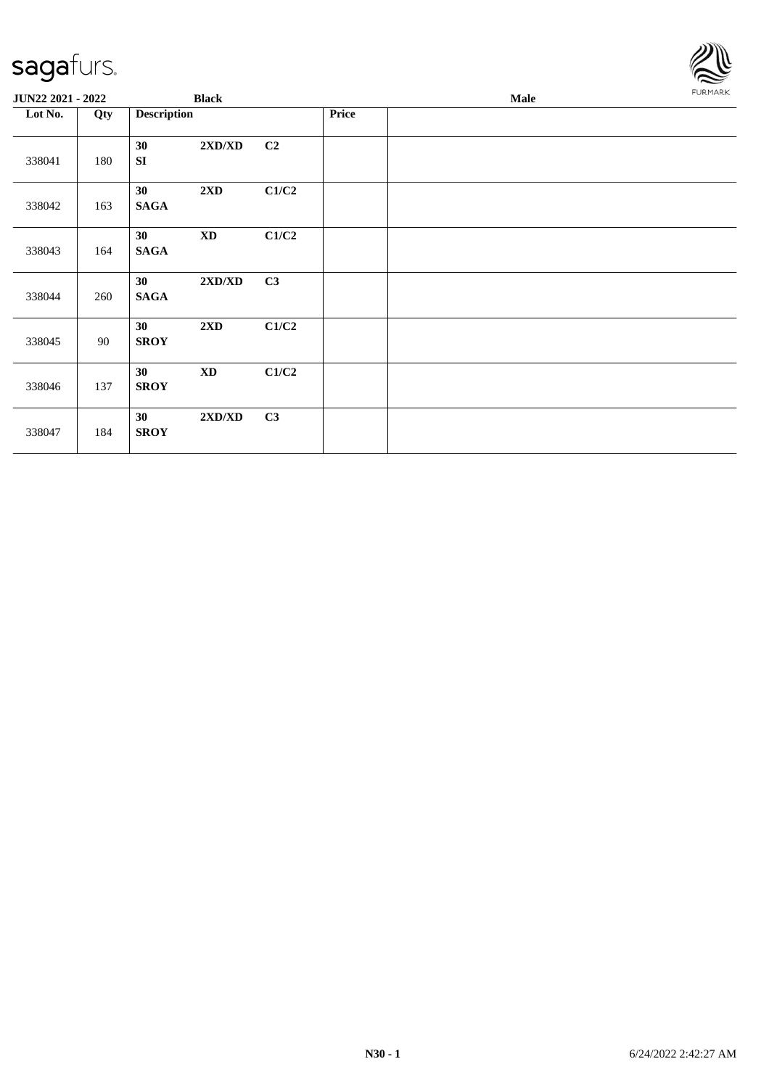| sagafurs.         |     |                    |                                  |       |       |             |  |                |
|-------------------|-----|--------------------|----------------------------------|-------|-------|-------------|--|----------------|
| JUN22 2021 - 2022 |     |                    | <b>Black</b>                     |       |       | <b>Male</b> |  | <b>FURMARK</b> |
| Lot No.           | Qty | <b>Description</b> |                                  |       | Price |             |  |                |
| 338041            | 180 | 30<br>SI           | 2XD/XD                           | C2    |       |             |  |                |
| 338042            | 163 | 30<br><b>SAGA</b>  | $2\mathbf{X}\mathbf{D}$          | C1/C2 |       |             |  |                |
| 338043            | 164 | 30<br><b>SAGA</b>  | $\mathbf{X}\mathbf{D}$           | C1/C2 |       |             |  |                |
| 338044            | 260 | 30<br><b>SAGA</b>  | $2{\bf X}{\bf D}/{\bf X}{\bf D}$ | C3    |       |             |  |                |
| 338045            | 90  | 30<br><b>SROY</b>  | $2{\bf X}{\bf D}$                | C1/C2 |       |             |  |                |
| 338046            | 137 | 30<br><b>SROY</b>  | $\mathbf{X}\mathbf{D}$           | C1/C2 |       |             |  |                |
| 338047            | 184 | 30<br><b>SROY</b>  | 2XD/XD                           | C3    |       |             |  |                |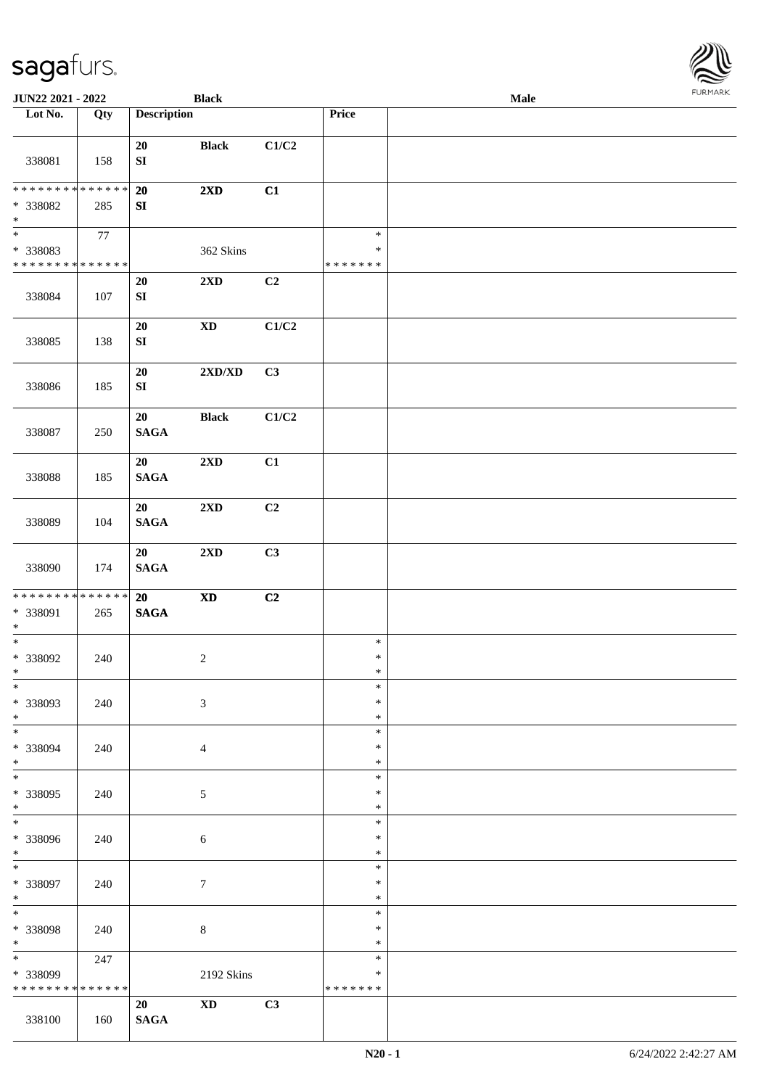| <b>JUN22 2021 - 2022</b>                                                           |     |                        | <b>Black</b>                     |       |                                   | <b>Male</b> |  |
|------------------------------------------------------------------------------------|-----|------------------------|----------------------------------|-------|-----------------------------------|-------------|--|
| Lot No.                                                                            | Qty | <b>Description</b>     |                                  |       | Price                             |             |  |
| 338081                                                                             | 158 | 20<br>${\bf S}{\bf I}$ | <b>Black</b>                     | C1/C2 |                                   |             |  |
| * * * * * * * * * * * * * * *<br>* 338082<br>$*$                                   | 285 | 20<br>SI               | $2\mathbf{X}\mathbf{D}$          | C1    |                                   |             |  |
| $\overline{\phantom{0}}$<br>* 338083<br>* * * * * * * * <mark>* * * * * * *</mark> | 77  |                        | 362 Skins                        |       | $\ast$<br>$\ast$<br>* * * * * * * |             |  |
| 338084                                                                             | 107 | 20<br>${\bf S}{\bf I}$ | $2{\bf X}{\bf D}$                | C2    |                                   |             |  |
| 338085                                                                             | 138 | 20<br>${\bf S}{\bf I}$ | $\boldsymbol{\mathrm{XD}}$       | C1/C2 |                                   |             |  |
| 338086                                                                             | 185 | 20<br>${\bf SI}$       | $2{\bf X}{\bf D}/{\bf X}{\bf D}$ | C3    |                                   |             |  |
| 338087                                                                             | 250 | 20<br>$\mathbf{SAGA}$  | <b>Black</b>                     | C1/C2 |                                   |             |  |
| 338088                                                                             | 185 | 20<br><b>SAGA</b>      | $2\mathbf{X}\mathbf{D}$          | C1    |                                   |             |  |
| 338089                                                                             | 104 | 20<br><b>SAGA</b>      | 2XD                              | C2    |                                   |             |  |
| 338090                                                                             | 174 | 20<br>$\mathbf{SAGA}$  | $2{\bf X}{\bf D}$                | C3    |                                   |             |  |
| * * * * * * * * <mark>* * * * * * *</mark><br>* 338091<br>$\ast$                   | 265 | 20<br>$\mathbf{SAGA}$  | $\boldsymbol{\mathrm{XD}}$       | C2    |                                   |             |  |
| $*$<br>* 338092<br>$*$                                                             | 240 |                        | $\overline{c}$                   |       | $\ast$<br>$\ast$<br>$\ast$        |             |  |
| $*$<br>* 338093<br>$*$                                                             | 240 |                        | $\mathfrak{Z}$                   |       | $\ast$<br>$\ast$<br>$\ast$        |             |  |
| $*$<br>* 338094<br>$*$                                                             | 240 |                        | $\overline{4}$                   |       | $\ast$<br>$\ast$<br>$\ast$        |             |  |
| $*$<br>* 338095<br>$*$                                                             | 240 |                        | $\sqrt{5}$                       |       | $\ast$<br>$\ast$<br>$\ast$        |             |  |
| $\overline{\phantom{0}}$<br>* 338096<br>$*$                                        | 240 |                        | 6                                |       | $\ast$<br>$\ast$<br>$\ast$        |             |  |
| $*$<br>* 338097<br>$*$                                                             | 240 |                        | $\tau$                           |       | $\ast$<br>$\ast$<br>$\ast$        |             |  |
| * 338098<br>$*$                                                                    | 240 |                        | 8                                |       | $\ast$<br>$\ast$<br>$\ast$        |             |  |
| $*$<br>* 338099<br>* * * * * * * * * * * * * *                                     | 247 |                        | 2192 Skins                       |       | $\ast$<br>∗<br>* * * * * * *      |             |  |
| 338100                                                                             | 160 | 20<br>$\mathbf{SAGA}$  | $\boldsymbol{\mathrm{XD}}$       | C3    |                                   |             |  |

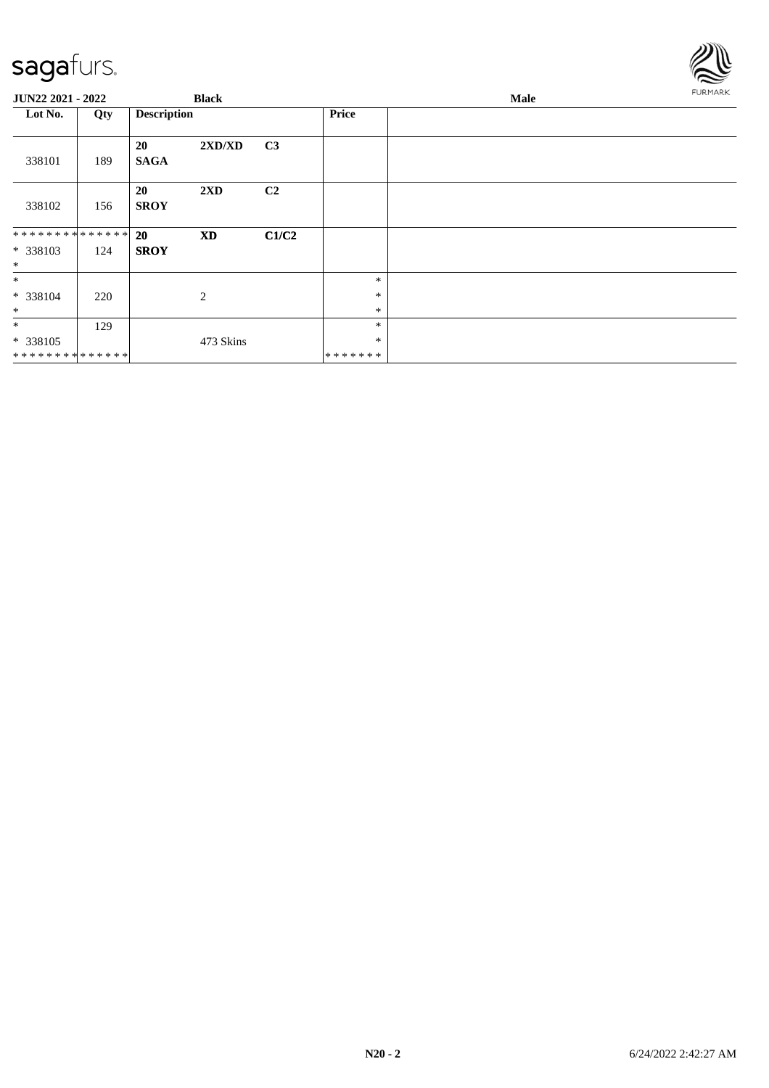

| <b>JUN22 2021 - 2022</b>             |     |                          | <b>Black</b> |       |                             | Male |  |  |  |  |
|--------------------------------------|-----|--------------------------|--------------|-------|-----------------------------|------|--|--|--|--|
| Lot No.                              | Qty | <b>Description</b>       |              |       | <b>Price</b>                |      |  |  |  |  |
| 338101                               | 189 | <b>20</b><br><b>SAGA</b> | 2XD/XD       | C3    |                             |      |  |  |  |  |
| 338102                               | 156 | 20<br><b>SROY</b>        | 2XD          | C2    |                             |      |  |  |  |  |
| **************<br>* 338103<br>$\ast$ | 124 | <b>20</b><br><b>SROY</b> | <b>XD</b>    | C1/C2 |                             |      |  |  |  |  |
| $*$<br>* 338104<br>$\ast$            | 220 |                          | 2            |       | $\ast$<br>$\ast$<br>$\ast$  |      |  |  |  |  |
| $\ast$<br>* 338105<br>************** | 129 |                          | 473 Skins    |       | $\ast$<br>$\ast$<br>******* |      |  |  |  |  |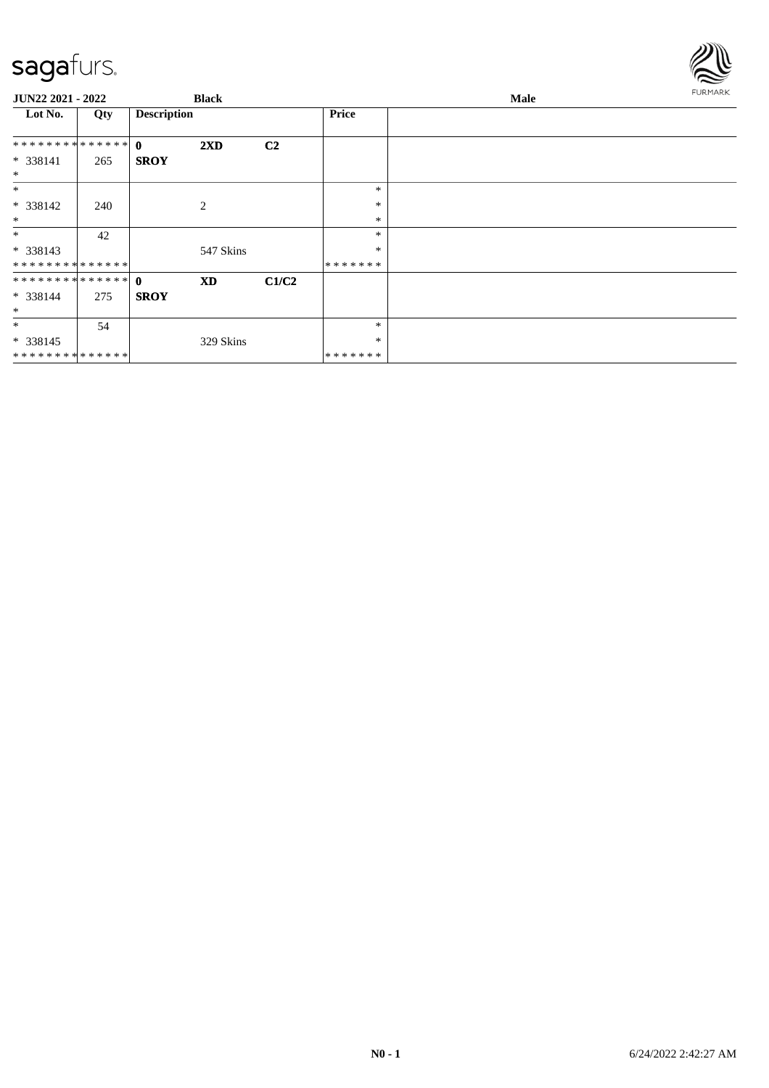

| JUN22 2021 - 2022 |     |                    | <b>Black</b>            |                |              | Male | <b>FURMARK</b> |
|-------------------|-----|--------------------|-------------------------|----------------|--------------|------|----------------|
| Lot No.           | Qty | <b>Description</b> |                         |                | <b>Price</b> |      |                |
| ************** 0  |     |                    | $2\mathbf{X}\mathbf{D}$ | C <sub>2</sub> |              |      |                |
| * 338141          | 265 | <b>SROY</b>        |                         |                |              |      |                |
| $\ast$            |     |                    |                         |                |              |      |                |
| $\ast$            |     |                    |                         |                | $\ast$       |      |                |
| $* 338142$        | 240 |                    | 2                       |                | $\ast$       |      |                |
| $\ast$            |     |                    |                         |                | $\ast$       |      |                |
| $\ast$            | 42  |                    |                         |                | *            |      |                |
| $* 338143$        |     |                    | 547 Skins               |                | $\ast$       |      |                |
| **************    |     |                    |                         |                | *******      |      |                |
|                   |     |                    | <b>XD</b>               | C1/C2          |              |      |                |
| $* 338144$        | 275 | <b>SROY</b>        |                         |                |              |      |                |
| $\ast$            |     |                    |                         |                |              |      |                |
| $\ast$            | 54  |                    |                         |                | *            |      |                |
| $* 338145$        |     |                    | 329 Skins               |                | ∗            |      |                |
| **************    |     |                    |                         |                | *******      |      |                |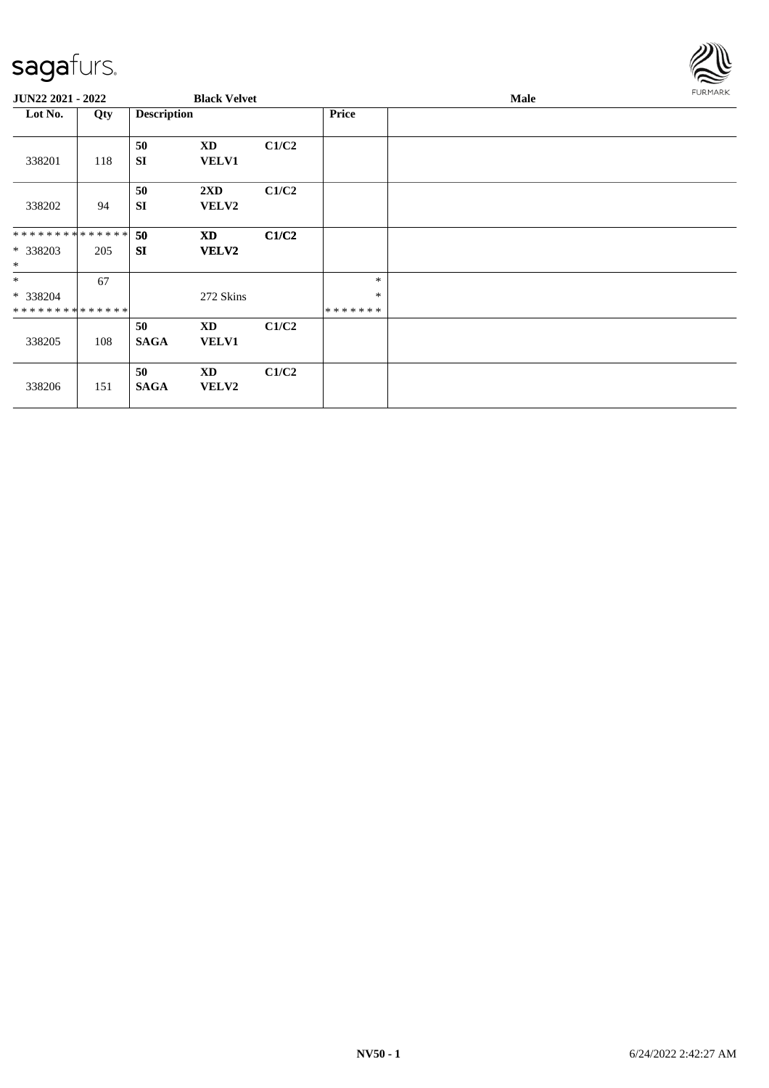

| <b>JUN22 2021 - 2022</b>     |     |                    | <b>Black Velvet</b>    |       |                   | Male | FURMARK |
|------------------------------|-----|--------------------|------------------------|-------|-------------------|------|---------|
| Lot No.                      | Qty | <b>Description</b> |                        |       | <b>Price</b>      |      |         |
| 338201                       | 118 | 50<br><b>SI</b>    | XD<br><b>VELV1</b>     | C1/C2 |                   |      |         |
| 338202                       | 94  | 50<br><b>SI</b>    | 2XD<br><b>VELV2</b>    | C1/C2 |                   |      |         |
| ******** <mark>******</mark> |     | 50                 | <b>XD</b>              | C1/C2 |                   |      |         |
| * 338203<br>$\ast$           | 205 | <b>SI</b>          | <b>VELV2</b>           |       |                   |      |         |
| $*$                          | 67  |                    |                        |       | $\ast$            |      |         |
| * 338204<br>**************   |     |                    | 272 Skins              |       | $\ast$<br>******* |      |         |
|                              |     | 50                 | XD                     | C1/C2 |                   |      |         |
| 338205                       | 108 | <b>SAGA</b>        | <b>VELV1</b>           |       |                   |      |         |
|                              |     | 50                 | $\mathbf{X}\mathbf{D}$ | C1/C2 |                   |      |         |
| 338206                       | 151 | <b>SAGA</b>        | <b>VELV2</b>           |       |                   |      |         |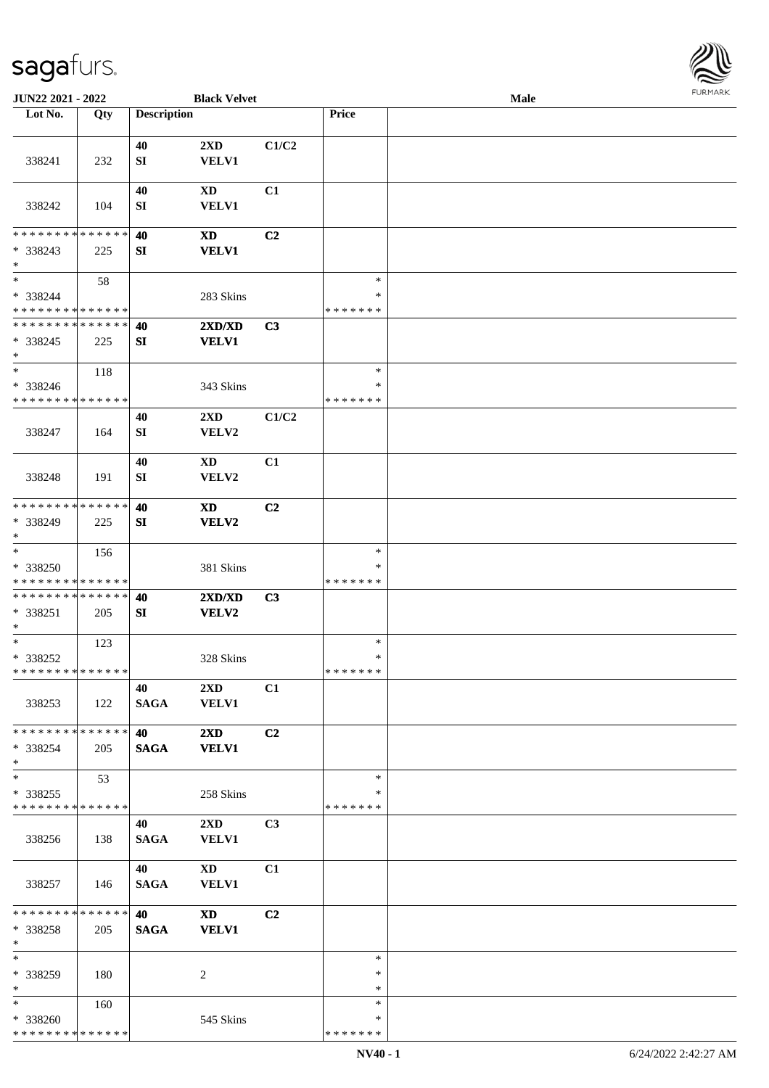

| JUN22 2021 - 2022                       |     |                    | <b>Black Velvet</b>                    |                |                         | Male |  |
|-----------------------------------------|-----|--------------------|----------------------------------------|----------------|-------------------------|------|--|
| Lot No.                                 | Qty | <b>Description</b> |                                        |                | Price                   |      |  |
|                                         |     |                    |                                        |                |                         |      |  |
| 338241                                  | 232 | 40<br>SI           | 2XD<br><b>VELV1</b>                    | C1/C2          |                         |      |  |
|                                         |     | 40                 | <b>XD</b>                              | C1             |                         |      |  |
| 338242                                  | 104 | SI                 | VELV1                                  |                |                         |      |  |
| * * * * * * * * * * * * * *             |     | 40                 | <b>XD</b>                              | C2             |                         |      |  |
| * 338243<br>$\ast$                      | 225 | ${\bf SI}$         | <b>VELV1</b>                           |                |                         |      |  |
| $\ast$                                  | 58  |                    |                                        |                | $\ast$                  |      |  |
| * 338244<br>* * * * * * * * * * * * * * |     |                    | 283 Skins                              |                | $\ast$<br>* * * * * * * |      |  |
| * * * * * * * * * * * * * *             |     | 40                 | 2XD/XD                                 | C3             |                         |      |  |
| $* 338245$<br>$\ast$                    | 225 | SI                 | <b>VELV1</b>                           |                |                         |      |  |
| $\ast$                                  | 118 |                    |                                        |                | $\ast$                  |      |  |
| * 338246<br>* * * * * * * * * * * * * * |     |                    | 343 Skins                              |                | $\ast$<br>* * * * * * * |      |  |
|                                         |     | 40                 | 2XD                                    | C1/C2          |                         |      |  |
| 338247                                  | 164 | SI                 | VELV2                                  |                |                         |      |  |
|                                         |     | 40                 | <b>XD</b>                              | C1             |                         |      |  |
| 338248                                  | 191 | SI                 | VELV2                                  |                |                         |      |  |
| * * * * * * * * * * * * * *             |     | 40                 | <b>XD</b>                              | C2             |                         |      |  |
| * 338249<br>$\ast$                      | 225 | SI                 | VELV2                                  |                |                         |      |  |
| $\ast$                                  | 156 |                    |                                        |                | $\ast$                  |      |  |
| * 338250                                |     |                    | 381 Skins                              |                | *                       |      |  |
| * * * * * * * * * * * * * *             |     |                    |                                        |                | * * * * * * *           |      |  |
| **************                          |     | 40                 | 2XD/XD                                 | C3             |                         |      |  |
| * 338251<br>$\ast$                      | 205 | SI                 | <b>VELV2</b>                           |                |                         |      |  |
| $*$                                     | 123 |                    |                                        |                | $\ast$                  |      |  |
| * 338252                                |     |                    | 328 Skins                              |                | $\ast$                  |      |  |
| **************                          |     |                    |                                        |                | *******                 |      |  |
|                                         |     | 40                 | 2XD                                    | C1             |                         |      |  |
| 338253                                  | 122 | <b>SAGA</b>        | <b>VELV1</b>                           |                |                         |      |  |
| * * * * * * * * * * * * * * *           |     | 40                 | $2\mathbf{X}\mathbf{D}$                | C2             |                         |      |  |
| $* 338254$<br>$*$                       | 205 | <b>SAGA</b>        | <b>VELV1</b>                           |                |                         |      |  |
| $\ast$                                  | 53  |                    |                                        |                | $\ast$                  |      |  |
| * 338255<br>* * * * * * * * * * * * * * |     |                    | 258 Skins                              |                | *<br>* * * * * * *      |      |  |
|                                         |     | 40                 | $2\mathbf{X}\mathbf{D}$                | C <sub>3</sub> |                         |      |  |
| 338256                                  | 138 | <b>SAGA</b>        | <b>VELV1</b>                           |                |                         |      |  |
| 338257                                  | 146 | 40<br><b>SAGA</b>  | $\mathbf{X}\mathbf{D}$<br><b>VELV1</b> | C1             |                         |      |  |
| ******** <mark>******</mark>            |     | 40                 | <b>XD</b>                              | C2             |                         |      |  |
| * 338258<br>$*$                         | 205 | <b>SAGA</b>        | <b>VELV1</b>                           |                |                         |      |  |
| $\ast$                                  |     |                    |                                        |                | $\ast$                  |      |  |
| * 338259                                | 180 |                    | 2                                      |                | ∗                       |      |  |
| $*$                                     |     |                    |                                        |                | $\ast$                  |      |  |
| $*$                                     | 160 |                    |                                        |                | $\ast$                  |      |  |
| * 338260                                |     |                    | 545 Skins                              |                | *                       |      |  |
| * * * * * * * * * * * * * *             |     |                    |                                        |                | * * * * * * *           |      |  |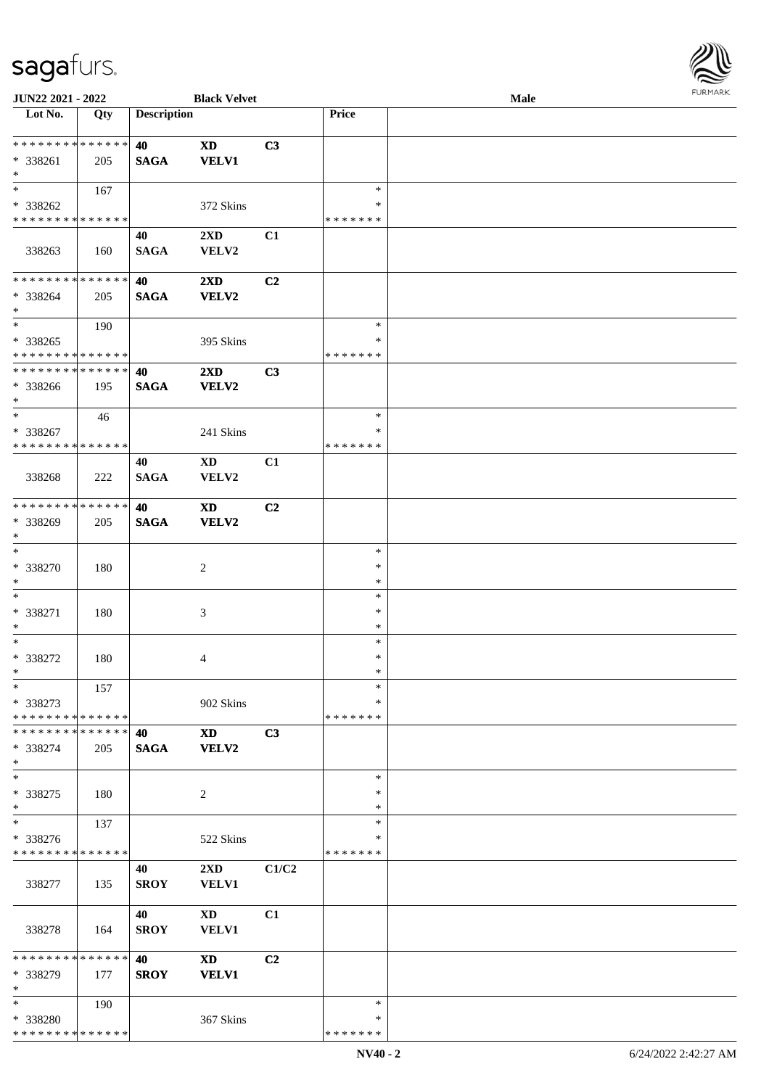

| JUN22 2021 - 2022                       |     |                    | <b>Black Velvet</b>                     |       |                    | Male |
|-----------------------------------------|-----|--------------------|-----------------------------------------|-------|--------------------|------|
| Lot No.                                 | Qty | <b>Description</b> |                                         |       | Price              |      |
|                                         |     |                    |                                         |       |                    |      |
| **************                          |     | 40                 | <b>XD</b>                               | C3    |                    |      |
| * 338261                                | 205 | <b>SAGA</b>        | <b>VELV1</b>                            |       |                    |      |
| $\ast$<br>$*$                           |     |                    |                                         |       | $\ast$             |      |
| * 338262                                | 167 |                    |                                         |       | *                  |      |
| * * * * * * * * * * * * * *             |     |                    | 372 Skins                               |       | * * * * * * *      |      |
|                                         |     | 40                 | $2\mathbf{X}\mathbf{D}$                 | C1    |                    |      |
| 338263                                  | 160 | <b>SAGA</b>        | VELV2                                   |       |                    |      |
|                                         |     |                    |                                         |       |                    |      |
| * * * * * * * * * * * * * *             |     | 40                 | $2\mathbf{X}\mathbf{D}$                 | C2    |                    |      |
| * 338264                                | 205 | <b>SAGA</b>        | <b>VELV2</b>                            |       |                    |      |
| $\ast$                                  |     |                    |                                         |       |                    |      |
| $*$                                     | 190 |                    |                                         |       | $\ast$             |      |
| * 338265                                |     |                    | 395 Skins                               |       | $\ast$             |      |
| * * * * * * * * * * * * * *             |     |                    |                                         |       | * * * * * * *      |      |
| * * * * * * * * * * * * * *             |     | 40                 | $2\mathbf{X}\mathbf{D}$                 | C3    |                    |      |
| * 338266                                | 195 | <b>SAGA</b>        | <b>VELV2</b>                            |       |                    |      |
| $*$                                     |     |                    |                                         |       |                    |      |
| $\ast$                                  | 46  |                    |                                         |       | $\ast$             |      |
| * 338267                                |     |                    | 241 Skins                               |       | ∗                  |      |
| * * * * * * * * * * * * * *             |     |                    |                                         |       | * * * * * * *      |      |
|                                         |     | 40                 | $\mathbf{X}\mathbf{D}$                  | C1    |                    |      |
| 338268                                  | 222 | <b>SAGA</b>        | VELV2                                   |       |                    |      |
| * * * * * * * * * * * * * *             |     |                    |                                         |       |                    |      |
|                                         |     | 40                 | <b>XD</b>                               | C2    |                    |      |
| * 338269<br>$*$                         | 205 | <b>SAGA</b>        | <b>VELV2</b>                            |       |                    |      |
| $\overline{\phantom{1}}$                |     |                    |                                         |       | $\ast$             |      |
| * 338270                                | 180 |                    | $\sqrt{2}$                              |       | $\ast$             |      |
| $\ast$                                  |     |                    |                                         |       | $\ast$             |      |
| $\ast$                                  |     |                    |                                         |       | $\ast$             |      |
| * 338271                                | 180 |                    | 3                                       |       | $\ast$             |      |
| $\ast$                                  |     |                    |                                         |       | $\ast$             |      |
| $\ast$                                  |     |                    |                                         |       | $\ast$             |      |
| $* 338272$                              | 180 |                    | 4                                       |       | $\ast$             |      |
| $*$                                     |     |                    |                                         |       | $\ast$             |      |
| $*$                                     | 157 |                    |                                         |       | $\ast$             |      |
| * 338273                                |     |                    | 902 Skins                               |       | ∗                  |      |
| * * * * * * * * * * * * * *             |     |                    |                                         |       | * * * * * * *      |      |
| * * * * * * * * * * * * * * *           |     | 40                 | XD                                      | C3    |                    |      |
| $* 338274$                              | 205 | <b>SAGA</b>        | <b>VELV2</b>                            |       |                    |      |
| $*$                                     |     |                    |                                         |       |                    |      |
| $\ast$                                  |     |                    |                                         |       | $\ast$             |      |
| $* 338275$                              | 180 |                    | $\overline{c}$                          |       | $\ast$             |      |
| $*$<br>$\ast$                           |     |                    |                                         |       | *<br>$\ast$        |      |
|                                         | 137 |                    |                                         |       |                    |      |
| * 338276<br>* * * * * * * * * * * * * * |     |                    | 522 Skins                               |       | *<br>* * * * * * * |      |
|                                         |     |                    |                                         |       |                    |      |
| 338277                                  | 135 | 40<br><b>SROY</b>  | $2\mathbf{X}\mathbf{D}$<br><b>VELV1</b> | C1/C2 |                    |      |
|                                         |     |                    |                                         |       |                    |      |
|                                         |     | 40                 | <b>XD</b>                               | C1    |                    |      |
| 338278                                  | 164 | <b>SROY</b>        | VELV1                                   |       |                    |      |
|                                         |     |                    |                                         |       |                    |      |
| * * * * * * * * * * * * * *             |     | 40                 | <b>XD</b>                               | C2    |                    |      |
| * 338279                                | 177 | <b>SROY</b>        | <b>VELV1</b>                            |       |                    |      |
| $\ast$                                  |     |                    |                                         |       |                    |      |
| $*$                                     | 190 |                    |                                         |       | $\ast$             |      |
| * 338280                                |     |                    | 367 Skins                               |       | ∗                  |      |
| * * * * * * * * * * * * * *             |     |                    |                                         |       | * * * * * * *      |      |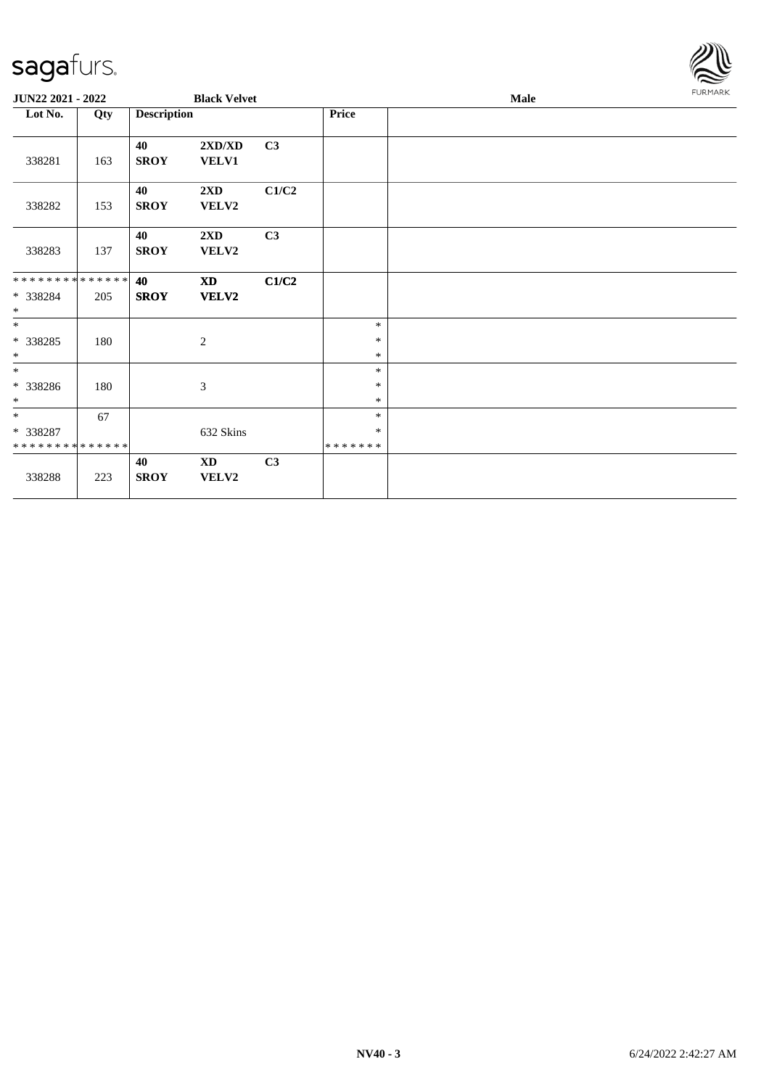

| JUN22 2021 - 2022                       |     |                    | <b>Black Velvet</b>              |       |                   | Male |  |  |
|-----------------------------------------|-----|--------------------|----------------------------------|-------|-------------------|------|--|--|
| Lot No.                                 | Qty | <b>Description</b> |                                  |       | Price             |      |  |  |
| 338281                                  | 163 | 40<br><b>SROY</b>  | 2XD/XD<br><b>VELV1</b>           | C3    |                   |      |  |  |
| 338282                                  | 153 | 40<br><b>SROY</b>  | $2\mathbf{X}\mathbf{D}$<br>VELV2 | C1/C2 |                   |      |  |  |
| 338283                                  | 137 | 40<br><b>SROY</b>  | 2XD<br>VELV2                     | C3    |                   |      |  |  |
| **************                          |     | 40                 | <b>XD</b>                        | C1/C2 |                   |      |  |  |
| * 338284<br>$\ast$                      | 205 | <b>SROY</b>        | <b>VELV2</b>                     |       |                   |      |  |  |
| $\ast$                                  |     |                    |                                  |       | $\ast$            |      |  |  |
| $*338285$<br>$\ast$                     | 180 |                    | 2                                |       | $\ast$<br>$\ast$  |      |  |  |
| $\overline{\ast}$                       |     |                    |                                  |       | $\ast$            |      |  |  |
| $*338286$                               | 180 |                    | $\boldsymbol{\mathfrak{Z}}$      |       | $\ast$            |      |  |  |
| $*$                                     |     |                    |                                  |       | $\ast$            |      |  |  |
| $*$                                     | 67  |                    |                                  |       | $\ast$            |      |  |  |
| * 338287<br>* * * * * * * * * * * * * * |     |                    | 632 Skins                        |       | $\ast$<br>******* |      |  |  |
|                                         |     | 40                 | $\mathbf{X}\mathbf{D}$           | C3    |                   |      |  |  |
| 338288                                  | 223 | <b>SROY</b>        | VELV2                            |       |                   |      |  |  |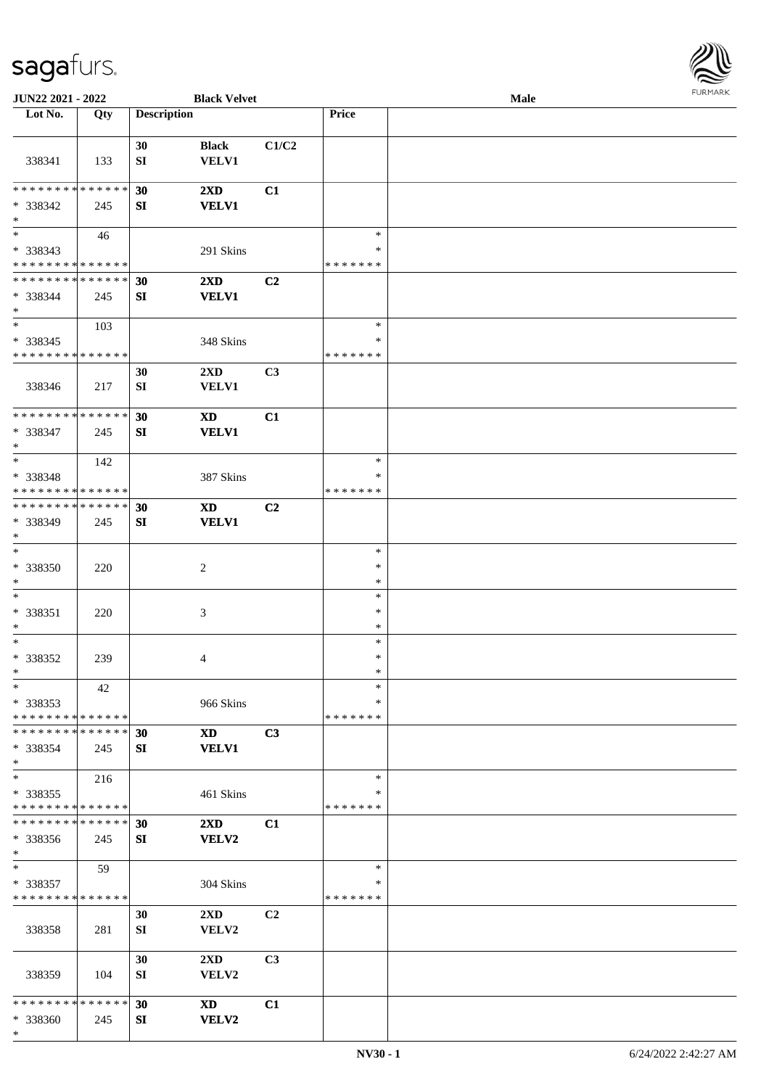

| JUN22 2021 - 2022                       |     |                    | <b>Black Velvet</b>     |                |               | <b>Male</b> |  |
|-----------------------------------------|-----|--------------------|-------------------------|----------------|---------------|-------------|--|
| Lot No.                                 | Qty | <b>Description</b> |                         |                | Price         |             |  |
|                                         |     |                    |                         |                |               |             |  |
|                                         |     | 30                 | <b>Black</b>            | C1/C2          |               |             |  |
| 338341                                  | 133 | SI                 | VELV1                   |                |               |             |  |
|                                         |     |                    |                         |                |               |             |  |
| * * * * * * * * * * * * * *             |     | 30                 | $2\mathbf{X}\mathbf{D}$ | C1             |               |             |  |
| * 338342                                | 245 | SI                 | <b>VELV1</b>            |                |               |             |  |
| $\ast$                                  |     |                    |                         |                |               |             |  |
| $\overline{\ast}$                       |     |                    |                         |                | $\ast$        |             |  |
|                                         | 46  |                    |                         |                | $\ast$        |             |  |
| * 338343<br>* * * * * * * * * * * * * * |     |                    | 291 Skins               |                |               |             |  |
|                                         |     |                    |                         |                | * * * * * * * |             |  |
| * * * * * * * * * * * * * *             |     | 30                 | $2\mathbf{X}\mathbf{D}$ | C <sub>2</sub> |               |             |  |
| * 338344                                | 245 | SI                 | <b>VELV1</b>            |                |               |             |  |
| $*$                                     |     |                    |                         |                |               |             |  |
| $*$                                     | 103 |                    |                         |                | $\ast$        |             |  |
| $* 338345$                              |     |                    | 348 Skins               |                | $\ast$        |             |  |
| * * * * * * * * * * * * * *             |     |                    |                         |                | *******       |             |  |
|                                         |     | 30                 | 2XD                     | C3             |               |             |  |
| 338346                                  | 217 | SI                 | VELV1                   |                |               |             |  |
|                                         |     |                    |                         |                |               |             |  |
| * * * * * * * * * * * * * *             |     | 30                 | <b>XD</b>               | C1             |               |             |  |
| * 338347                                | 245 | SI                 | <b>VELV1</b>            |                |               |             |  |
| $*$                                     |     |                    |                         |                |               |             |  |
| $*$                                     | 142 |                    |                         |                | $\ast$        |             |  |
| * 338348                                |     |                    | 387 Skins               |                | ∗             |             |  |
| * * * * * * * * * * * * * *             |     |                    |                         |                | *******       |             |  |
| * * * * * * * * * * * * * * *           |     |                    |                         |                |               |             |  |
|                                         |     | 30                 | XD                      | C <sub>2</sub> |               |             |  |
| * 338349                                | 245 | SI                 | <b>VELV1</b>            |                |               |             |  |
| $*$                                     |     |                    |                         |                |               |             |  |
| $*$                                     |     |                    |                         |                | $\ast$        |             |  |
| * 338350                                | 220 |                    | $\overline{c}$          |                | $\ast$        |             |  |
| $*$                                     |     |                    |                         |                | $\ast$        |             |  |
| $*$                                     |     |                    |                         |                | $\ast$        |             |  |
| $* 338351$                              | 220 |                    | 3                       |                | $\ast$        |             |  |
| $*$                                     |     |                    |                         |                | $\ast$        |             |  |
| $*$                                     |     |                    |                         |                | $\ast$        |             |  |
| $* 338352$                              | 239 |                    | 4                       |                | $\ast$        |             |  |
| $*$                                     |     |                    |                         |                | $\ast$        |             |  |
| $*$                                     | 42  |                    |                         |                | $\ast$        |             |  |
| * 338353                                |     |                    | 966 Skins               |                | ∗             |             |  |
| * * * * * * * * * * * * * *             |     |                    |                         |                | *******       |             |  |
| * * * * * * * * * * * * * * *           |     | 30                 | <b>XD</b>               | C3             |               |             |  |
| $*338354$                               | 245 | SI                 | <b>VELV1</b>            |                |               |             |  |
| $*$                                     |     |                    |                         |                |               |             |  |
| $*$                                     |     |                    |                         |                | $\ast$        |             |  |
|                                         | 216 |                    |                         |                | $\ast$        |             |  |
| * 338355<br>* * * * * * * * * * * * * * |     |                    | 461 Skins               |                | *******       |             |  |
| * * * * * * * * * * * * * * *           |     |                    |                         |                |               |             |  |
|                                         |     | 30                 | $2\mathbf{X}\mathbf{D}$ | C1             |               |             |  |
| * 338356                                | 245 | SI                 | VELV2                   |                |               |             |  |
| $*$                                     |     |                    |                         |                |               |             |  |
| $*$                                     | 59  |                    |                         |                | $\ast$        |             |  |
| * 338357                                |     |                    | 304 Skins               |                | ∗             |             |  |
| * * * * * * * * * * * * * *             |     |                    |                         |                | *******       |             |  |
|                                         |     | 30                 | $2\mathbf{X}\mathbf{D}$ | C <sub>2</sub> |               |             |  |
| 338358                                  | 281 | SI                 | VELV2                   |                |               |             |  |
|                                         |     |                    |                         |                |               |             |  |
|                                         |     | 30                 | 2XD                     | C3             |               |             |  |
| 338359                                  | 104 | SI                 | VELV2                   |                |               |             |  |
|                                         |     |                    |                         |                |               |             |  |
| * * * * * * * * * * * * * * *           |     | 30                 | <b>XD</b>               | C1             |               |             |  |
| * 338360                                | 245 | SI                 | VELV2                   |                |               |             |  |
| $\ast$                                  |     |                    |                         |                |               |             |  |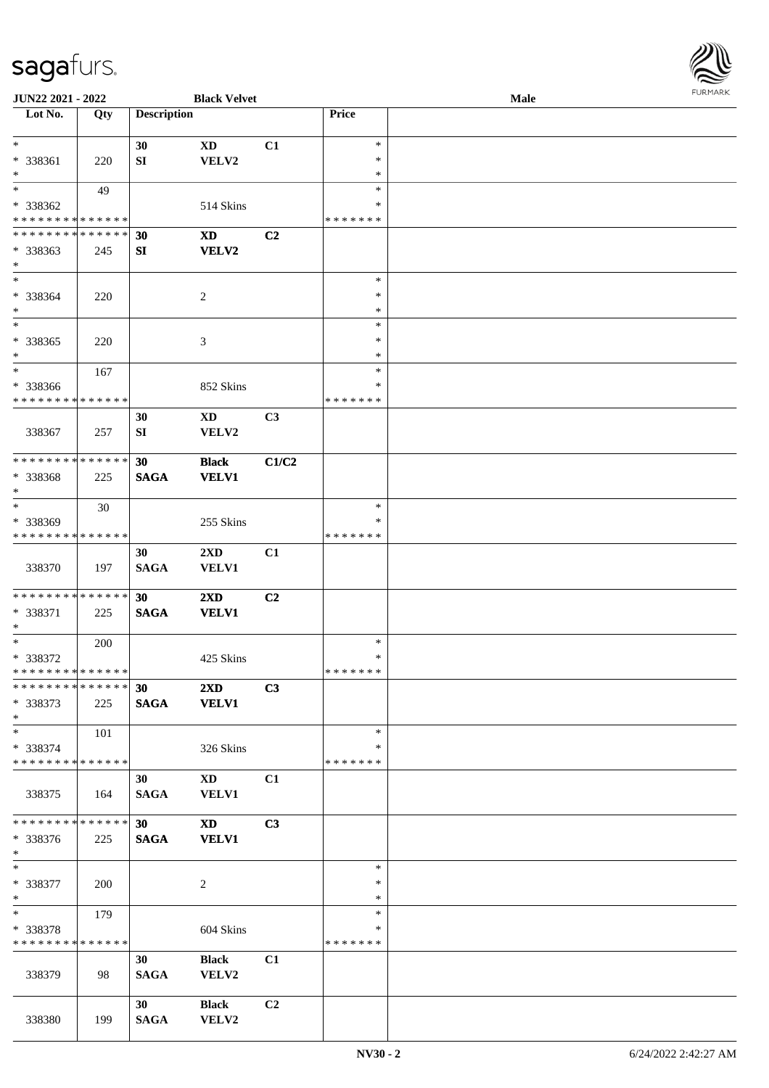

| JUN22 2021 - 2022             |     |                    | <b>Black Velvet</b>     |                |               | Male |  |
|-------------------------------|-----|--------------------|-------------------------|----------------|---------------|------|--|
| Lot No.                       | Qty | <b>Description</b> |                         |                | Price         |      |  |
|                               |     |                    |                         |                |               |      |  |
| $\ast$                        |     | 30                 | <b>XD</b>               | C1             | $\ast$        |      |  |
| * 338361                      | 220 | SI                 | VELV2                   |                | $\ast$        |      |  |
| $\ast$                        |     |                    |                         |                | $\ast$        |      |  |
| $*$                           |     |                    |                         |                | $\ast$        |      |  |
|                               | 49  |                    |                         |                |               |      |  |
| * 338362                      |     |                    | 514 Skins               |                | ∗             |      |  |
| * * * * * * * * * * * * * *   |     |                    |                         |                | * * * * * * * |      |  |
| * * * * * * * * * * * * * *   |     | 30                 | <b>XD</b>               | C2             |               |      |  |
| * 338363                      | 245 | ${\bf S}{\bf I}$   | <b>VELV2</b>            |                |               |      |  |
| $*$                           |     |                    |                         |                |               |      |  |
| $\ast$                        |     |                    |                         |                | $\ast$        |      |  |
| * 338364                      | 220 |                    | $\overline{c}$          |                | $\ast$        |      |  |
| $\ast$                        |     |                    |                         |                | $\ast$        |      |  |
| $\ast$                        |     |                    |                         |                | $\ast$        |      |  |
| $* 338365$                    | 220 |                    | 3                       |                | $\ast$        |      |  |
| $\ast$                        |     |                    |                         |                | $\ast$        |      |  |
| $\ast$                        |     |                    |                         |                | $\ast$        |      |  |
|                               | 167 |                    |                         |                |               |      |  |
| * 338366                      |     |                    | 852 Skins               |                | $\ast$        |      |  |
| * * * * * * * * * * * * * *   |     |                    |                         |                | * * * * * * * |      |  |
|                               |     | 30                 | XD                      | C3             |               |      |  |
| 338367                        | 257 | ${\bf SI}$         | VELV2                   |                |               |      |  |
|                               |     |                    |                         |                |               |      |  |
| * * * * * * * * * * * * * *   |     | 30                 | <b>Black</b>            | C1/C2          |               |      |  |
| * 338368                      | 225 | <b>SAGA</b>        | <b>VELV1</b>            |                |               |      |  |
| $*$                           |     |                    |                         |                |               |      |  |
| $\ast$                        | 30  |                    |                         |                | $\ast$        |      |  |
| * 338369                      |     |                    | 255 Skins               |                | $\ast$        |      |  |
| * * * * * * * * * * * * * *   |     |                    |                         |                | * * * * * * * |      |  |
|                               |     |                    |                         |                |               |      |  |
|                               |     | 30                 | $2\mathbf{X}\mathbf{D}$ | C1             |               |      |  |
| 338370                        | 197 | <b>SAGA</b>        | <b>VELV1</b>            |                |               |      |  |
|                               |     |                    |                         |                |               |      |  |
| * * * * * * * * * * * * * *   |     | 30                 | 2XD                     | C2             |               |      |  |
| * 338371                      | 225 | <b>SAGA</b>        | <b>VELV1</b>            |                |               |      |  |
| $*$                           |     |                    |                         |                |               |      |  |
| $\ast$                        | 200 |                    |                         |                | $\ast$        |      |  |
| $* 338372$                    |     |                    | 425 Skins               |                | $\ast$        |      |  |
| * * * * * * * * * * * * * *   |     |                    |                         |                | *******       |      |  |
| * * * * * * * * * * * * * * * |     | 30                 | $2\mathbf{X}\mathbf{D}$ | C3             |               |      |  |
| * 338373                      | 225 | <b>SAGA</b>        | <b>VELV1</b>            |                |               |      |  |
| $*$                           |     |                    |                         |                |               |      |  |
| $*$                           | 101 |                    |                         |                | $\ast$        |      |  |
|                               |     |                    |                         |                | ∗             |      |  |
| * 338374                      |     |                    | 326 Skins               |                |               |      |  |
| * * * * * * * * * * * * * *   |     |                    |                         |                | * * * * * * * |      |  |
|                               |     | 30                 | XD                      | C1             |               |      |  |
| 338375                        | 164 | <b>SAGA</b>        | <b>VELV1</b>            |                |               |      |  |
|                               |     |                    |                         |                |               |      |  |
| **************                |     | 30 <sup>1</sup>    | <b>XD</b>               | C3             |               |      |  |
| * 338376                      | 225 | <b>SAGA</b>        | <b>VELV1</b>            |                |               |      |  |
| $*$                           |     |                    |                         |                |               |      |  |
| $\ast$                        |     |                    |                         |                | $\ast$        |      |  |
| * 338377                      | 200 |                    | $\overline{c}$          |                | $\ast$        |      |  |
| $*$                           |     |                    |                         |                | $\ast$        |      |  |
| $*$                           | 179 |                    |                         |                | $\ast$        |      |  |
|                               |     |                    |                         |                | $\ast$        |      |  |
| * 338378                      |     |                    | 604 Skins               |                |               |      |  |
| * * * * * * * * * * * * * *   |     |                    |                         |                | * * * * * * * |      |  |
|                               |     | 30                 | <b>Black</b>            | C1             |               |      |  |
| 338379                        | 98  | <b>SAGA</b>        | VELV2                   |                |               |      |  |
|                               |     |                    |                         |                |               |      |  |
|                               |     | 30                 | <b>Black</b>            | C <sub>2</sub> |               |      |  |
| 338380                        | 199 | <b>SAGA</b>        | VELV2                   |                |               |      |  |
|                               |     |                    |                         |                |               |      |  |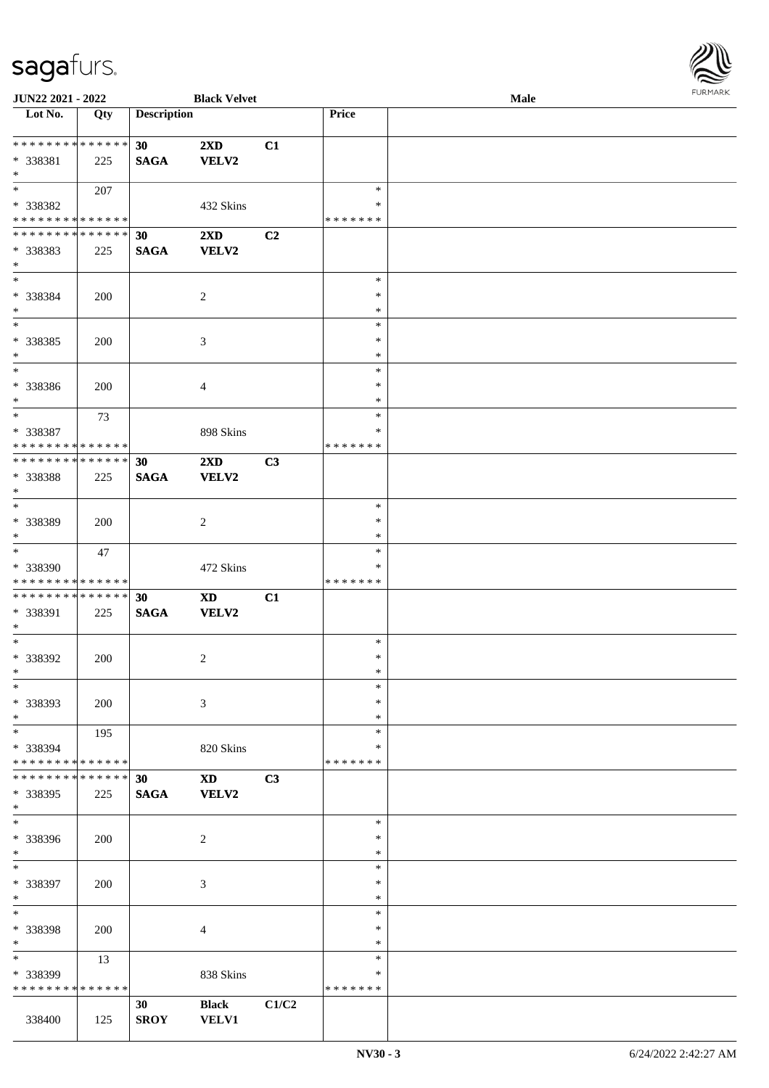

| JUN22 2021 - 2022             |     |                    | <b>Black Velvet</b>     |       |               | Male |
|-------------------------------|-----|--------------------|-------------------------|-------|---------------|------|
| Lot No.                       | Qty | <b>Description</b> |                         |       | Price         |      |
|                               |     |                    |                         |       |               |      |
| ******** <mark>******</mark>  |     | 30                 | $2\mathbf{X}\mathbf{D}$ | C1    |               |      |
| * 338381                      | 225 | <b>SAGA</b>        | VELV2                   |       |               |      |
| $*$                           |     |                    |                         |       |               |      |
| $*$                           | 207 |                    |                         |       | $\ast$        |      |
|                               |     |                    |                         |       | ∗             |      |
| * 338382                      |     |                    | 432 Skins               |       |               |      |
| * * * * * * * * * * * * * *   |     |                    |                         |       | * * * * * * * |      |
| * * * * * * * * * * * * * *   |     | 30                 | 2XD                     | C2    |               |      |
| * 338383                      | 225 | <b>SAGA</b>        | <b>VELV2</b>            |       |               |      |
| $*$                           |     |                    |                         |       |               |      |
| $*$                           |     |                    |                         |       | $\ast$        |      |
| * 338384                      | 200 |                    | $\overline{c}$          |       | $\ast$        |      |
| $\ast$                        |     |                    |                         |       | $\ast$        |      |
| $*$                           |     |                    |                         |       | $\ast$        |      |
| * 338385                      | 200 |                    | 3                       |       | $\ast$        |      |
| $\ast$                        |     |                    |                         |       | $\ast$        |      |
| $\ast$                        |     |                    |                         |       |               |      |
|                               |     |                    |                         |       | $\ast$        |      |
| * 338386                      | 200 |                    | 4                       |       | $\ast$        |      |
| $*$                           |     |                    |                         |       | $\ast$        |      |
| $\ast$                        | 73  |                    |                         |       | $\ast$        |      |
| * 338387                      |     |                    | 898 Skins               |       | ∗             |      |
| * * * * * * * * * * * * * *   |     |                    |                         |       | *******       |      |
| * * * * * * * * * * * * * * * |     | 30                 | 2XD                     | C3    |               |      |
| * 338388                      | 225 | <b>SAGA</b>        | VELV2                   |       |               |      |
| $*$                           |     |                    |                         |       |               |      |
| $*$                           |     |                    |                         |       | $\ast$        |      |
|                               |     |                    |                         |       | $\ast$        |      |
| * 338389                      | 200 |                    | $\overline{c}$          |       |               |      |
| $*$                           |     |                    |                         |       | $\ast$        |      |
| $*$                           | 47  |                    |                         |       | $\ast$        |      |
| * 338390                      |     |                    | 472 Skins               |       | $\ast$        |      |
| * * * * * * * * * * * * * *   |     |                    |                         |       | *******       |      |
| * * * * * * * * * * * * * * * |     | 30                 | <b>XD</b>               | C1    |               |      |
| * 338391                      | 225 | <b>SAGA</b>        | <b>VELV2</b>            |       |               |      |
| $*$                           |     |                    |                         |       |               |      |
| $*$                           |     |                    |                         |       | $\ast$        |      |
| $* 338392$                    | 200 |                    | $\overline{c}$          |       | $\ast$        |      |
| $*$                           |     |                    |                         |       | $\ast$        |      |
| $\ast$                        |     |                    |                         |       |               |      |
|                               |     |                    |                         |       | $\ast$        |      |
| * 338393                      | 200 |                    | 3                       |       | $\ast$        |      |
| $*$                           |     |                    |                         |       | $\ast$        |      |
| $*$                           | 195 |                    |                         |       | $\ast$        |      |
| * 338394                      |     |                    | 820 Skins               |       | ∗             |      |
| * * * * * * * * * * * * * * * |     |                    |                         |       | *******       |      |
| * * * * * * * * * * * * * * * |     | 30                 | <b>XD</b>               | C3    |               |      |
| * 338395                      | 225 | <b>SAGA</b>        | VELV2                   |       |               |      |
| $*$                           |     |                    |                         |       |               |      |
| $\overline{\phantom{0}}$      |     |                    |                         |       | $\ast$        |      |
|                               |     |                    |                         |       | $\ast$        |      |
| * 338396                      | 200 |                    | $\overline{c}$          |       |               |      |
| $*$                           |     |                    |                         |       | $\ast$        |      |
| $\ast$                        |     |                    |                         |       | $\ast$        |      |
| * 338397                      | 200 |                    | 3                       |       | $\ast$        |      |
| $*$                           |     |                    |                         |       | $\ast$        |      |
| $\ast$                        |     |                    |                         |       | $\ast$        |      |
| * 338398                      | 200 |                    | 4                       |       | $\ast$        |      |
| $\ast$                        |     |                    |                         |       | $\ast$        |      |
| $\ast$                        | 13  |                    |                         |       | $\ast$        |      |
| * 338399                      |     |                    | 838 Skins               |       | ∗             |      |
| * * * * * * * * * * * * * *   |     |                    |                         |       | * * * * * * * |      |
|                               |     |                    |                         |       |               |      |
|                               |     | 30                 | <b>Black</b>            | C1/C2 |               |      |
| 338400                        | 125 | <b>SROY</b>        | <b>VELV1</b>            |       |               |      |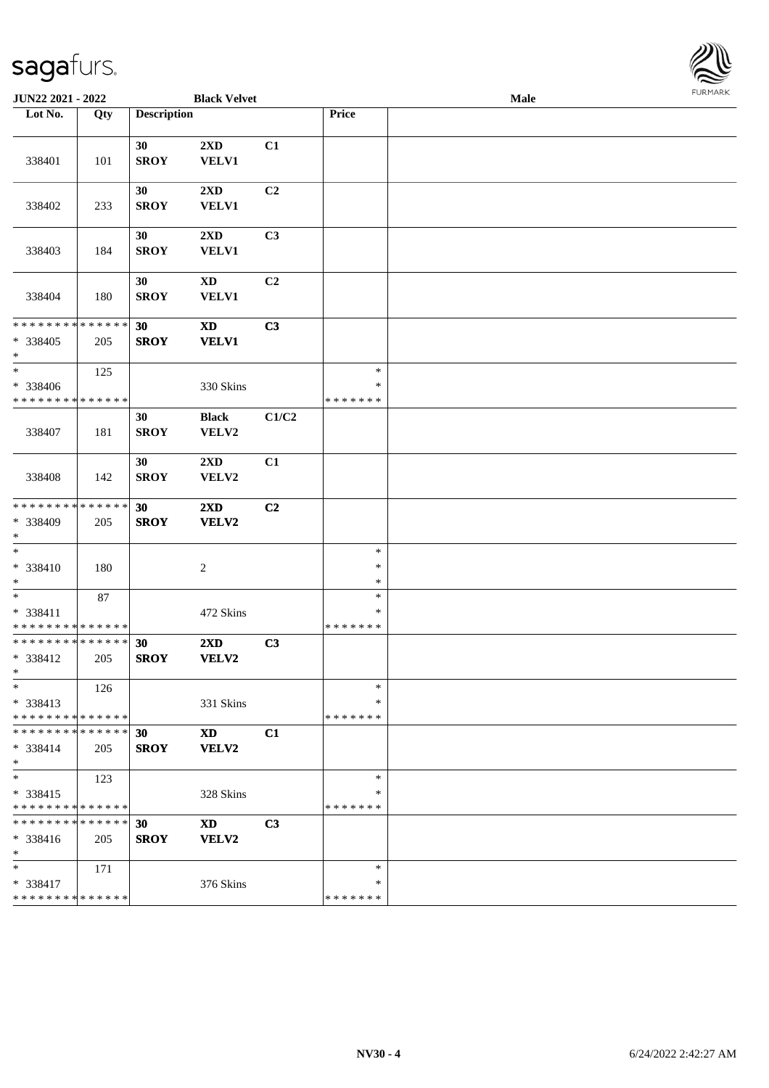

| JUN22 2021 - 2022                                  |     |                    | <b>Black Velvet</b>                     |                |                                   | <b>LOKINKY</b> |  |
|----------------------------------------------------|-----|--------------------|-----------------------------------------|----------------|-----------------------------------|----------------|--|
| Lot No.                                            | Qty | <b>Description</b> |                                         |                | Price                             |                |  |
| 338401                                             | 101 | 30<br><b>SROY</b>  | $2\mathbf{X}\mathbf{D}$<br><b>VELV1</b> | C1             |                                   |                |  |
| 338402                                             | 233 | 30<br><b>SROY</b>  | 2XD<br><b>VELV1</b>                     | C2             |                                   |                |  |
| 338403                                             | 184 | 30<br><b>SROY</b>  | 2XD<br>VELV1                            | C3             |                                   |                |  |
| 338404                                             | 180 | 30<br><b>SROY</b>  | $\mathbf{X}\mathbf{D}$<br><b>VELV1</b>  | C2             |                                   |                |  |
| * * * * * * * * * * * * * *<br>* 338405<br>$*$     | 205 | 30<br><b>SROY</b>  | <b>XD</b><br><b>VELV1</b>               | C3             |                                   |                |  |
| $*$<br>* 338406<br>* * * * * * * * * * * * * *     | 125 |                    | 330 Skins                               |                | $\ast$<br>$\ast$<br>* * * * * * * |                |  |
| 338407                                             | 181 | 30<br><b>SROY</b>  | <b>Black</b><br>VELV2                   | C1/C2          |                                   |                |  |
| 338408                                             | 142 | 30<br><b>SROY</b>  | 2XD<br>VELV2                            | C1             |                                   |                |  |
| * * * * * * * * * * * * * *<br>* 338409<br>$*$     | 205 | 30<br><b>SROY</b>  | $2\mathbf{X}\mathbf{D}$<br>VELV2        | C <sub>2</sub> |                                   |                |  |
| $*$<br>$* 338410$<br>$\ast$                        | 180 |                    | 2                                       |                | $\ast$<br>$\ast$<br>$\ast$        |                |  |
| $*$<br>* 338411<br>* * * * * * * * * * * * * *     | 87  |                    | 472 Skins                               |                | $\ast$<br>$\ast$<br>* * * * * * * |                |  |
| * * * * * * * * * * * * * *<br>* 338412<br>$x =$   | 205 | 30<br><b>SROY</b>  | 2XD<br>VELV2                            | C3             |                                   |                |  |
| $*$<br>* 338413<br>* * * * * * * * * * * * * *     | 126 |                    | 331 Skins                               |                | $\ast$<br>*<br>* * * * * * *      |                |  |
| * * * * * * * * * * * * * *<br>* 338414<br>$*$     | 205 | 30<br><b>SROY</b>  | <b>XD</b><br>VELV2                      | C1             |                                   |                |  |
| $\ast$<br>* 338415<br>* * * * * * * * * * * * * *  | 123 |                    | 328 Skins                               |                | $\ast$<br>∗<br>* * * * * * *      |                |  |
| * * * * * * * * * * * * * * *<br>$* 338416$<br>$*$ | 205 | 30<br><b>SROY</b>  | <b>XD</b><br>VELV2                      | C3             |                                   |                |  |
| $*$<br>* 338417<br>* * * * * * * * * * * * * *     | 171 |                    | 376 Skins                               |                | $\ast$<br>*<br>* * * * * * *      |                |  |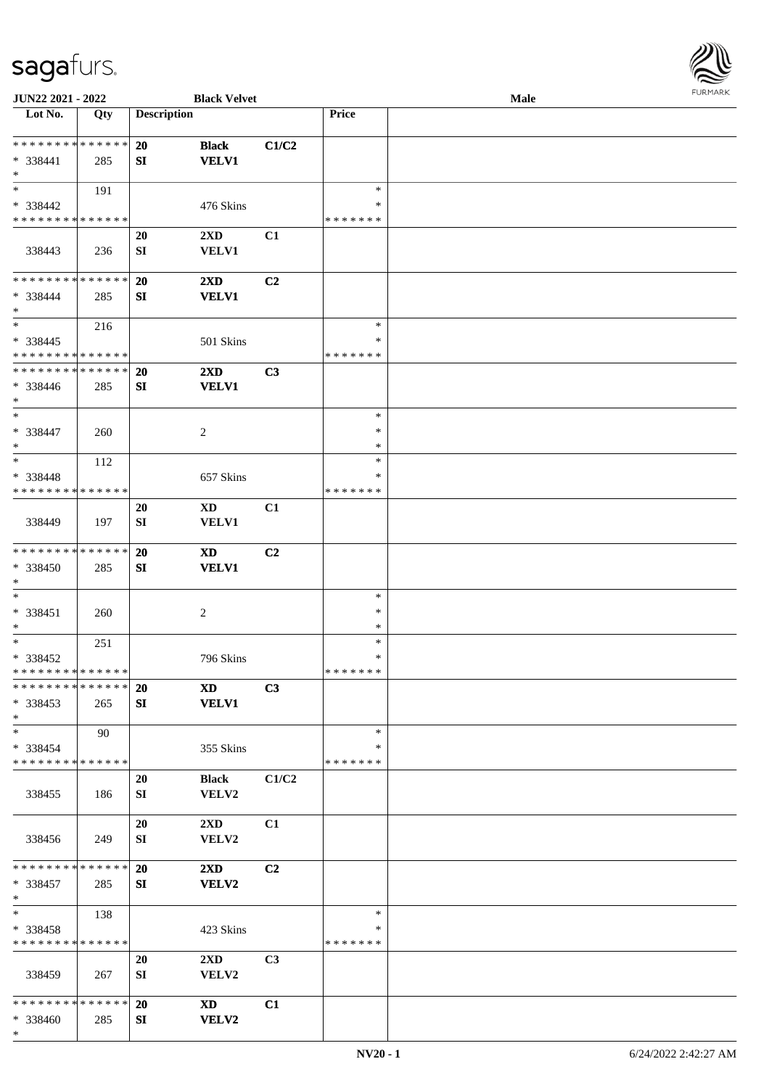

| JUN22 2021 - 2022             |     |                    | <b>Black Velvet</b>     |                |               | <b>Male</b> |  |
|-------------------------------|-----|--------------------|-------------------------|----------------|---------------|-------------|--|
| Lot No.                       | Qty | <b>Description</b> |                         |                | Price         |             |  |
|                               |     |                    |                         |                |               |             |  |
| * * * * * * * * * * * * * *   |     | 20                 | <b>Black</b>            | C1/C2          |               |             |  |
| * 338441                      | 285 | SI                 | <b>VELV1</b>            |                |               |             |  |
| $\ast$                        |     |                    |                         |                |               |             |  |
| $\ast$                        | 191 |                    |                         |                | $\ast$        |             |  |
| * 338442                      |     |                    | 476 Skins               |                | ∗             |             |  |
| * * * * * * * * * * * * * *   |     |                    |                         |                | * * * * * * * |             |  |
|                               |     |                    |                         |                |               |             |  |
|                               |     | 20                 | 2XD                     | C1             |               |             |  |
| 338443                        | 236 | SI                 | <b>VELV1</b>            |                |               |             |  |
|                               |     |                    |                         |                |               |             |  |
| **************                |     | 20                 | $2\mathbf{X}\mathbf{D}$ | C2             |               |             |  |
| * 338444                      | 285 | SI                 | <b>VELV1</b>            |                |               |             |  |
| $\ast$                        |     |                    |                         |                |               |             |  |
| $\ast$                        | 216 |                    |                         |                | $\ast$        |             |  |
| * 338445                      |     |                    | 501 Skins               |                | *             |             |  |
| * * * * * * * * * * * * * *   |     |                    |                         |                | * * * * * * * |             |  |
| * * * * * * * * * * * * * *   |     | 20                 | $2\mathbf{X}\mathbf{D}$ | C3             |               |             |  |
| * 338446                      | 285 | SI                 | <b>VELV1</b>            |                |               |             |  |
| $\ast$                        |     |                    |                         |                |               |             |  |
| $\ast$                        |     |                    |                         |                |               |             |  |
|                               |     |                    |                         |                | $\ast$        |             |  |
| $* 338447$                    | 260 |                    | $\overline{c}$          |                | ∗             |             |  |
| $\ast$                        |     |                    |                         |                | $\ast$        |             |  |
| $\ast$                        | 112 |                    |                         |                | $\ast$        |             |  |
| * 338448                      |     |                    | 657 Skins               |                | ∗             |             |  |
| * * * * * * * * * * * * * *   |     |                    |                         |                | * * * * * * * |             |  |
|                               |     | <b>20</b>          | XD                      | C1             |               |             |  |
| 338449                        | 197 | SI                 | VELV1                   |                |               |             |  |
|                               |     |                    |                         |                |               |             |  |
| **************                |     | 20                 | <b>XD</b>               | C <sub>2</sub> |               |             |  |
| * 338450                      |     | ${\bf S}{\bf I}$   | <b>VELV1</b>            |                |               |             |  |
| $\ast$                        | 285 |                    |                         |                |               |             |  |
|                               |     |                    |                         |                |               |             |  |
| $\ast$                        |     |                    |                         |                | $\ast$        |             |  |
| * 338451                      | 260 |                    | $\sqrt{2}$              |                | $\ast$        |             |  |
| $\ast$                        |     |                    |                         |                | $\ast$        |             |  |
| $\ast$                        | 251 |                    |                         |                | $\ast$        |             |  |
| * 338452                      |     |                    | 796 Skins               |                | $\ast$        |             |  |
| * * * * * * * * * * * * * * * |     |                    |                         |                | *******       |             |  |
| * * * * * * * * * * * * * * * |     | <b>20</b>          | <b>XD</b>               | C3             |               |             |  |
| * 338453                      | 265 | SI                 | <b>VELV1</b>            |                |               |             |  |
| $*$                           |     |                    |                         |                |               |             |  |
| $*$                           | 90  |                    |                         |                | $\ast$        |             |  |
| $* 338454$                    |     |                    | 355 Skins               |                | ∗             |             |  |
| * * * * * * * * * * * * * *   |     |                    |                         |                | * * * * * * * |             |  |
|                               |     |                    |                         |                |               |             |  |
|                               |     | 20                 | <b>Black</b>            | C1/C2          |               |             |  |
| 338455                        | 186 | SI                 | VELV2                   |                |               |             |  |
|                               |     |                    |                         |                |               |             |  |
|                               |     | 20                 | $2\mathbf{X}\mathbf{D}$ | C1             |               |             |  |
| 338456                        | 249 | SI                 | VELV2                   |                |               |             |  |
|                               |     |                    |                         |                |               |             |  |
| * * * * * * * * * * * * * * * |     | 20                 | $2\mathbf{X}\mathbf{D}$ | C2             |               |             |  |
| * 338457                      | 285 | SI                 | <b>VELV2</b>            |                |               |             |  |
| $*$                           |     |                    |                         |                |               |             |  |
| $\ast$                        | 138 |                    |                         |                | $\ast$        |             |  |
| $* 338458$                    |     |                    | 423 Skins               |                | $\ast$        |             |  |
| * * * * * * * * * * * * * *   |     |                    |                         |                | * * * * * * * |             |  |
|                               |     | 20                 | $2\mathbf{X}\mathbf{D}$ | C3             |               |             |  |
|                               |     |                    |                         |                |               |             |  |
| 338459                        | 267 | SI                 | VELV2                   |                |               |             |  |
|                               |     |                    |                         |                |               |             |  |
| * * * * * * * * * * * * * * * |     | 20                 | <b>XD</b>               | C1             |               |             |  |
| * 338460                      | 285 | SI                 | <b>VELV2</b>            |                |               |             |  |
| $*$                           |     |                    |                         |                |               |             |  |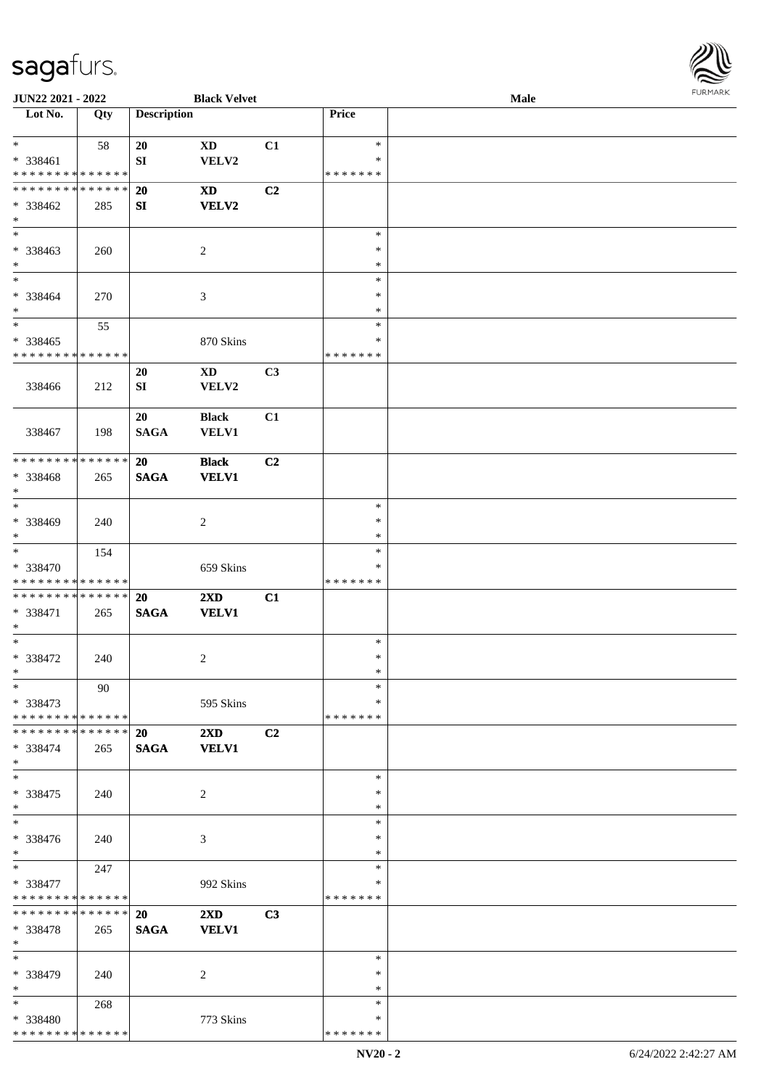

| JUN22 2021 - 2022             |     |                    | <b>Black Velvet</b>     |                |               | Male |  |
|-------------------------------|-----|--------------------|-------------------------|----------------|---------------|------|--|
| Lot No.                       | Qty | <b>Description</b> |                         |                | Price         |      |  |
|                               |     |                    |                         |                |               |      |  |
| $\ast$                        | 58  | 20                 | <b>XD</b>               | C1             | $\ast$        |      |  |
| $* 338461$                    |     | SI                 | VELV2                   |                | *             |      |  |
| * * * * * * * * * * * * * *   |     |                    |                         |                | * * * * * * * |      |  |
| * * * * * * * * * * * * * *   |     | 20                 | <b>XD</b>               | C <sub>2</sub> |               |      |  |
| * 338462                      | 285 | SI                 | <b>VELV2</b>            |                |               |      |  |
| $\ast$                        |     |                    |                         |                |               |      |  |
| $\overline{\phantom{a}^*}$    |     |                    |                         |                | $\ast$        |      |  |
| * 338463                      | 260 |                    | $\sqrt{2}$              |                | $\ast$        |      |  |
| $\ast$                        |     |                    |                         |                | $\ast$        |      |  |
| $_{\ast}$                     |     |                    |                         |                | $\ast$        |      |  |
| * 338464                      | 270 |                    | $\mathfrak{Z}$          |                | $\ast$        |      |  |
| $\ast$                        |     |                    |                         |                | $\ast$        |      |  |
| $\ast$                        | 55  |                    |                         |                | $\ast$        |      |  |
| $* 338465$                    |     |                    | 870 Skins               |                | $\ast$        |      |  |
| * * * * * * * * * * * * * *   |     |                    |                         |                | * * * * * * * |      |  |
|                               |     | 20                 | $\mathbf{X}\mathbf{D}$  | C <sub>3</sub> |               |      |  |
| 338466                        | 212 | SI                 | VELV2                   |                |               |      |  |
|                               |     |                    |                         |                |               |      |  |
|                               |     | 20                 | <b>Black</b>            | C1             |               |      |  |
| 338467                        | 198 | <b>SAGA</b>        | <b>VELV1</b>            |                |               |      |  |
|                               |     |                    |                         |                |               |      |  |
| ******** <mark>******</mark>  |     | 20                 | <b>Black</b>            | C <sub>2</sub> |               |      |  |
| * 338468                      | 265 | <b>SAGA</b>        | <b>VELV1</b>            |                |               |      |  |
| $\ast$                        |     |                    |                         |                |               |      |  |
| $\overline{\phantom{a}^*}$    |     |                    |                         |                | $\ast$        |      |  |
| * 338469                      | 240 |                    | $\overline{c}$          |                | $\ast$        |      |  |
| $\ast$                        |     |                    |                         |                | $\ast$        |      |  |
| $\ast$                        | 154 |                    |                         |                | $\ast$        |      |  |
| * 338470                      |     |                    | 659 Skins               |                | *             |      |  |
| * * * * * * * * * * * * * *   |     |                    |                         |                | * * * * * * * |      |  |
| **************                |     | 20                 | 2XD                     | C1             |               |      |  |
| * 338471                      | 265 | $\mathbf{SAGA}$    | <b>VELV1</b>            |                |               |      |  |
| $\ast$                        |     |                    |                         |                |               |      |  |
| $\ast$                        |     |                    |                         |                | $\ast$        |      |  |
| $* 338472$                    | 240 |                    | $\overline{c}$          |                | $\ast$        |      |  |
| $*$                           |     |                    |                         |                | $\ast$        |      |  |
| $*$                           | 90  |                    |                         |                | $\ast$        |      |  |
| $* 338473$                    |     |                    | 595 Skins               |                | *             |      |  |
| * * * * * * * * * * * * * * * |     |                    |                         |                | * * * * * * * |      |  |
| * * * * * * * * * * * * * * * |     | 20                 | $2\mathbf{X}\mathbf{D}$ | C2             |               |      |  |
| * 338474                      | 265 | <b>SAGA</b>        | <b>VELV1</b>            |                |               |      |  |
| $*$                           |     |                    |                         |                |               |      |  |
| $\ast$                        |     |                    |                         |                | $\ast$        |      |  |
| * 338475                      | 240 |                    | 2                       |                | ∗             |      |  |
| $*$                           |     |                    |                         |                | $\ast$        |      |  |
| $\overline{\phantom{1}}$      |     |                    |                         |                | $\ast$        |      |  |
| * 338476                      | 240 |                    | 3                       |                | *             |      |  |
| $*$                           |     |                    |                         |                | ∗             |      |  |
| $*$                           | 247 |                    |                         |                | $\ast$        |      |  |
| * 338477                      |     |                    | 992 Skins               |                | *             |      |  |
| * * * * * * * * * * * * * *   |     |                    |                         |                | * * * * * * * |      |  |
| **************                |     | 20                 | $2\mathbf{X}\mathbf{D}$ | C <sub>3</sub> |               |      |  |
| * 338478                      | 265 | <b>SAGA</b>        | <b>VELV1</b>            |                |               |      |  |
| $*$                           |     |                    |                         |                |               |      |  |
| $*$                           |     |                    |                         |                | $\ast$        |      |  |
| * 338479                      | 240 |                    | 2                       |                | ∗             |      |  |
| $\ast$                        |     |                    |                         |                | $\ast$        |      |  |
| $*$                           | 268 |                    |                         |                | $\ast$        |      |  |
| * 338480                      |     |                    | 773 Skins               |                | *             |      |  |
| * * * * * * * * * * * * * *   |     |                    |                         |                | * * * * * * * |      |  |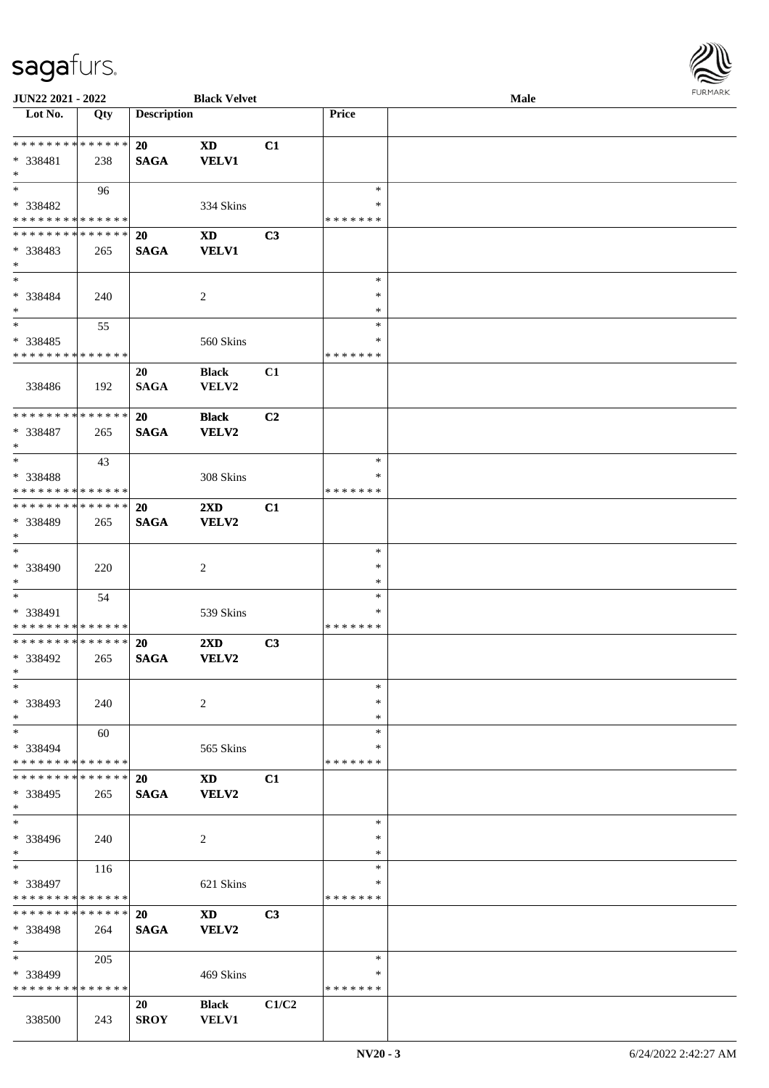

| JUN22 2021 - 2022                         |     |                    | <b>Black Velvet</b> |                |               | Male |  |
|-------------------------------------------|-----|--------------------|---------------------|----------------|---------------|------|--|
| Lot No.                                   | Qty | <b>Description</b> |                     |                | Price         |      |  |
|                                           |     |                    |                     |                |               |      |  |
| **************                            |     | 20                 | <b>XD</b>           | C1             |               |      |  |
| * 338481                                  | 238 | <b>SAGA</b>        | <b>VELV1</b>        |                |               |      |  |
| $\ast$                                    |     |                    |                     |                |               |      |  |
| $*$                                       |     |                    |                     |                | $\ast$        |      |  |
|                                           | 96  |                    |                     |                |               |      |  |
| * 338482                                  |     |                    | 334 Skins           |                | ∗             |      |  |
| * * * * * * * * * * * * * *               |     |                    |                     |                | * * * * * * * |      |  |
| * * * * * * * * * * * * * *               |     | 20                 | <b>XD</b>           | C3             |               |      |  |
| * 338483                                  | 265 | <b>SAGA</b>        | <b>VELV1</b>        |                |               |      |  |
| $\ast$                                    |     |                    |                     |                |               |      |  |
| $\ast$                                    |     |                    |                     |                | $\ast$        |      |  |
| * 338484                                  | 240 |                    | $\overline{c}$      |                | $\ast$        |      |  |
| $\ast$                                    |     |                    |                     |                | $\ast$        |      |  |
| $\ast$                                    | 55  |                    |                     |                | $\ast$        |      |  |
|                                           |     |                    |                     |                | *             |      |  |
| $* 338485$<br>* * * * * * * * * * * * * * |     |                    | 560 Skins           |                |               |      |  |
|                                           |     |                    |                     |                | * * * * * * * |      |  |
|                                           |     | 20                 | <b>Black</b>        | C1             |               |      |  |
| 338486                                    | 192 | <b>SAGA</b>        | VELV2               |                |               |      |  |
|                                           |     |                    |                     |                |               |      |  |
| ******** <mark>******</mark>              |     | <b>20</b>          | <b>Black</b>        | C <sub>2</sub> |               |      |  |
| $* 338487$                                | 265 | <b>SAGA</b>        | <b>VELV2</b>        |                |               |      |  |
| $\ast$                                    |     |                    |                     |                |               |      |  |
| $*$                                       | 43  |                    |                     |                | $\ast$        |      |  |
| * 338488                                  |     |                    | 308 Skins           |                | *             |      |  |
| * * * * * * * * * * * * * *               |     |                    |                     |                | * * * * * * * |      |  |
| **************                            |     |                    |                     |                |               |      |  |
|                                           |     | 20                 | 2XD                 | C1             |               |      |  |
| * 338489                                  | 265 | <b>SAGA</b>        | VELV2               |                |               |      |  |
| $\ast$                                    |     |                    |                     |                |               |      |  |
| $\ast$                                    |     |                    |                     |                | $\ast$        |      |  |
| * 338490                                  | 220 |                    | 2                   |                | $\ast$        |      |  |
| $\ast$                                    |     |                    |                     |                | $\ast$        |      |  |
| $\ast$                                    | 54  |                    |                     |                | $\ast$        |      |  |
| * 338491                                  |     |                    | 539 Skins           |                | *             |      |  |
| * * * * * * * * * * * * * *               |     |                    |                     |                | * * * * * * * |      |  |
| * * * * * * * * * * * * * *               |     | 20                 | 2XD                 | C3             |               |      |  |
| * 338492                                  | 265 | <b>SAGA</b>        | VELV2               |                |               |      |  |
| $*$                                       |     |                    |                     |                |               |      |  |
| $\ast$                                    |     |                    |                     |                | $\ast$        |      |  |
|                                           |     |                    |                     |                |               |      |  |
| * 338493                                  | 240 |                    | 2                   |                | ∗             |      |  |
| $\ast$                                    |     |                    |                     |                | *             |      |  |
| $\ast$                                    | 60  |                    |                     |                | $\ast$        |      |  |
| * 338494                                  |     |                    | 565 Skins           |                | *             |      |  |
| * * * * * * * * * * * * * *               |     |                    |                     |                | * * * * * * * |      |  |
| * * * * * * * * * * * * * * *             |     | <b>20</b>          | <b>XD</b>           | C1             |               |      |  |
| * 338495                                  | 265 | <b>SAGA</b>        | VELV2               |                |               |      |  |
| $*$                                       |     |                    |                     |                |               |      |  |
| $\ast$                                    |     |                    |                     |                | $\ast$        |      |  |
| * 338496                                  | 240 |                    | 2                   |                | ∗             |      |  |
| $*$                                       |     |                    |                     |                | $\ast$        |      |  |
| $\ast$                                    |     |                    |                     |                |               |      |  |
|                                           | 116 |                    |                     |                | $\ast$        |      |  |
| * 338497                                  |     |                    | 621 Skins           |                | *             |      |  |
| * * * * * * * * * * * * * *               |     |                    |                     |                | *******       |      |  |
| * * * * * * * * * * * * * * *             |     | <b>20</b>          | <b>XD</b>           | C3             |               |      |  |
| * 338498                                  | 264 | <b>SAGA</b>        | VELV2               |                |               |      |  |
| $*$                                       |     |                    |                     |                |               |      |  |
| $\ast$                                    | 205 |                    |                     |                | $\ast$        |      |  |
| * 338499                                  |     |                    | 469 Skins           |                | ∗             |      |  |
| * * * * * * * * * * * * * *               |     |                    |                     |                | * * * * * * * |      |  |
|                                           |     |                    |                     |                |               |      |  |
|                                           |     | 20                 | <b>Black</b>        | C1/C2          |               |      |  |
| 338500                                    | 243 | <b>SROY</b>        | <b>VELV1</b>        |                |               |      |  |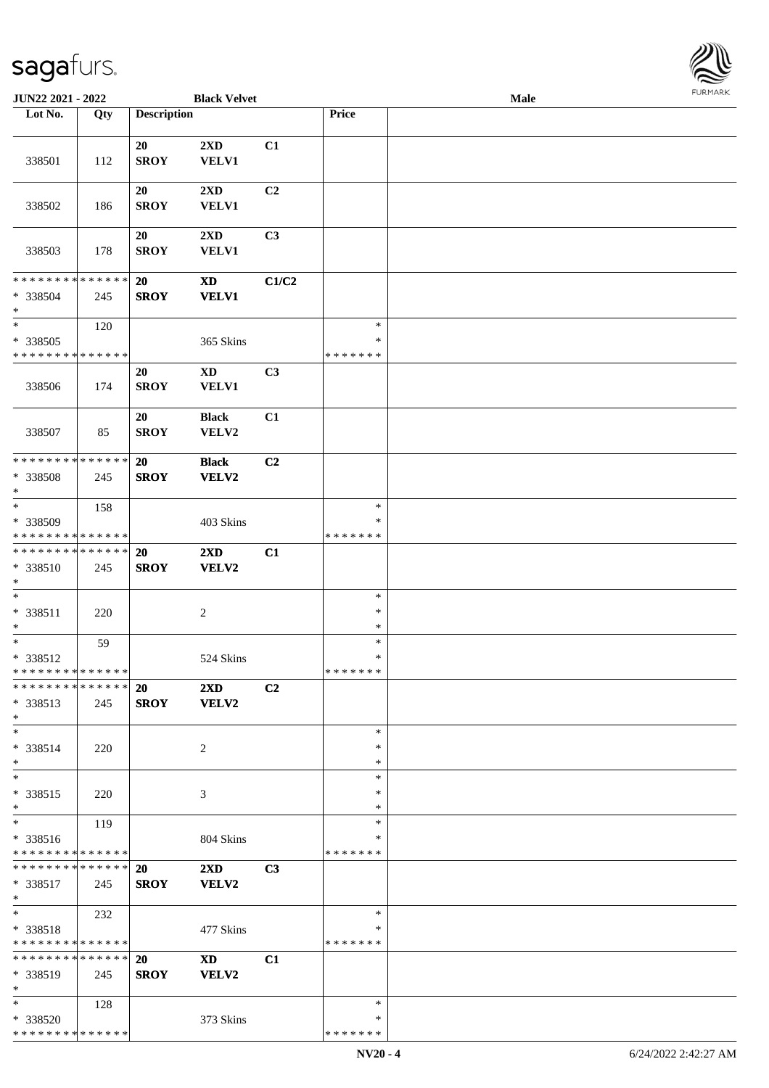

| JUN22 2021 - 2022                       |     |                    | <b>Black Velvet</b>                     |                |                         | Male |  |
|-----------------------------------------|-----|--------------------|-----------------------------------------|----------------|-------------------------|------|--|
| Lot No.                                 | Qty | <b>Description</b> |                                         |                | Price                   |      |  |
|                                         |     |                    |                                         |                |                         |      |  |
| 338501                                  | 112 | 20<br><b>SROY</b>  | 2XD<br><b>VELV1</b>                     | C1             |                         |      |  |
|                                         |     |                    |                                         |                |                         |      |  |
| 338502                                  | 186 | 20<br><b>SROY</b>  | 2XD<br><b>VELV1</b>                     | C2             |                         |      |  |
|                                         |     |                    |                                         |                |                         |      |  |
| 338503                                  | 178 | 20<br><b>SROY</b>  | $2\mathbf{X}\mathbf{D}$<br><b>VELV1</b> | C <sub>3</sub> |                         |      |  |
| * * * * * * * * * * * * * *             |     | 20                 | $\boldsymbol{\mathrm{XD}}$              | C1/C2          |                         |      |  |
| * 338504<br>$\ast$                      | 245 | <b>SROY</b>        | <b>VELV1</b>                            |                |                         |      |  |
| $\ast$                                  | 120 |                    |                                         |                | $\ast$                  |      |  |
| $* 338505$                              |     |                    | 365 Skins                               |                | $\ast$                  |      |  |
| * * * * * * * * * * * * * *             |     |                    |                                         |                | * * * * * * *           |      |  |
|                                         |     | 20                 | <b>XD</b>                               | C3             |                         |      |  |
| 338506                                  | 174 | <b>SROY</b>        | <b>VELV1</b>                            |                |                         |      |  |
|                                         |     | 20                 | <b>Black</b>                            | C1             |                         |      |  |
| 338507                                  | 85  | <b>SROY</b>        | VELV2                                   |                |                         |      |  |
| * * * * * * * * * * * * * *             |     | 20                 | <b>Black</b>                            | C <sub>2</sub> |                         |      |  |
| * 338508<br>$\ast$                      | 245 | <b>SROY</b>        | <b>VELV2</b>                            |                |                         |      |  |
| $\overline{\phantom{1}}$                | 158 |                    |                                         |                | $\ast$                  |      |  |
| * 338509                                |     |                    | 403 Skins                               |                | ∗                       |      |  |
| * * * * * * * * * * * * * *             |     |                    |                                         |                | * * * * * * *           |      |  |
| **************                          |     | 20                 | 2XD                                     | C1             |                         |      |  |
| * 338510<br>$\ast$                      | 245 | <b>SROY</b>        | <b>VELV2</b>                            |                |                         |      |  |
| $\ast$                                  |     |                    |                                         |                | $\ast$                  |      |  |
| * 338511                                | 220 |                    | $\sqrt{2}$                              |                | $\ast$                  |      |  |
| $\ast$                                  |     |                    |                                         |                | $\ast$                  |      |  |
| $\ast$                                  | 59  |                    |                                         |                | $\ast$                  |      |  |
| * 338512<br>* * * * * * * * * * * * * * |     |                    | 524 Skins                               |                | $\ast$<br>* * * * * * * |      |  |
| * * * * * * * * * * * * * * *           |     | <b>20</b>          | $2\mathbf{X}\mathbf{D}$                 | C2             |                         |      |  |
| * 338513<br>$*$                         | 245 | <b>SROY</b>        | <b>VELV2</b>                            |                |                         |      |  |
| $*$                                     |     |                    |                                         |                | $\ast$                  |      |  |
| * 338514                                | 220 |                    | 2                                       |                | *                       |      |  |
| $*$                                     |     |                    |                                         |                | ∗                       |      |  |
| $\ast$                                  |     |                    |                                         |                | $\ast$                  |      |  |
| * 338515                                | 220 |                    | 3                                       |                | ∗                       |      |  |
| $*$                                     |     |                    |                                         |                | $\ast$                  |      |  |
| $\ast$                                  | 119 |                    |                                         |                | $\ast$                  |      |  |
| * 338516<br>* * * * * * * * * * * * * * |     |                    | 804 Skins                               |                | ∗<br>* * * * * * *      |      |  |
| * * * * * * * * * * * * * * *           |     | <b>20</b>          | $2\mathbf{X}\mathbf{D}$                 | C <sub>3</sub> |                         |      |  |
| * 338517<br>$*$                         | 245 | <b>SROY</b>        | <b>VELV2</b>                            |                |                         |      |  |
| $*$                                     | 232 |                    |                                         |                | $\ast$                  |      |  |
| * 338518                                |     |                    | 477 Skins                               |                | ∗                       |      |  |
| * * * * * * * * * * * * * *             |     |                    |                                         |                | * * * * * * *           |      |  |
| * * * * * * * * * * * * * *             |     | <b>20</b>          | <b>XD</b>                               | C1             |                         |      |  |
| * 338519<br>$*$                         | 245 | <b>SROY</b>        | <b>VELV2</b>                            |                |                         |      |  |
| $*$                                     | 128 |                    |                                         |                | $\ast$                  |      |  |
| * 338520                                |     |                    | 373 Skins                               |                | ∗                       |      |  |
| * * * * * * * * * * * * * *             |     |                    |                                         |                | * * * * * * *           |      |  |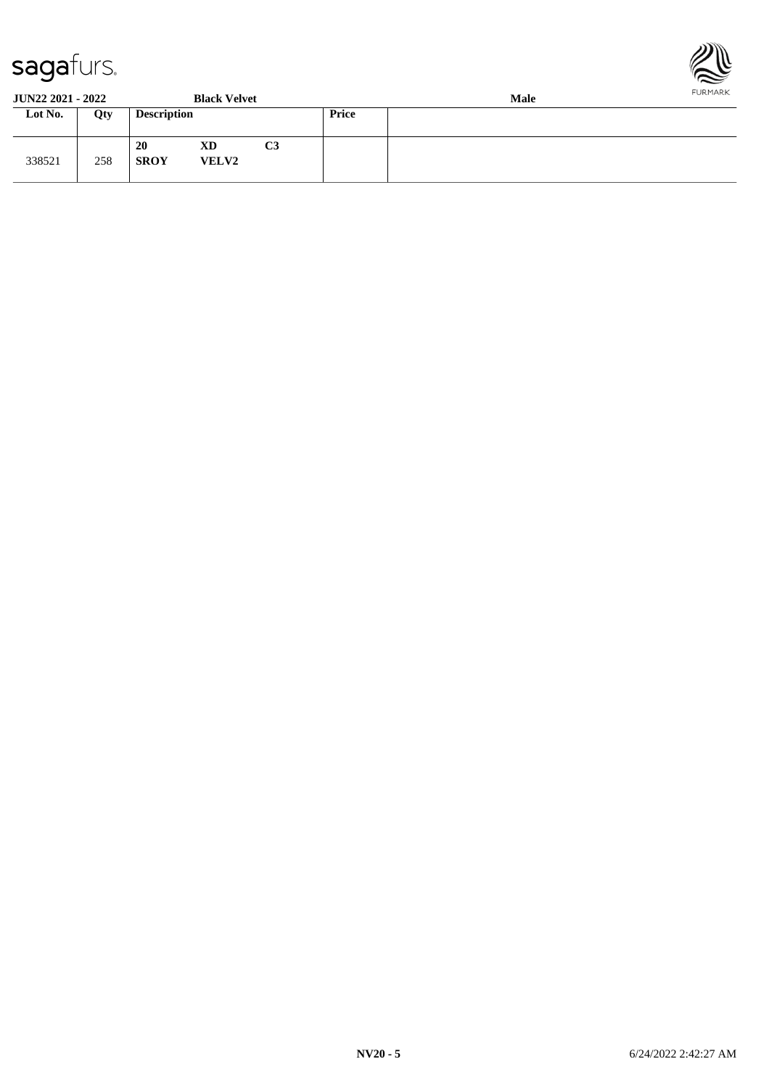

**JUN22 2021 - 2022 Black Velvet Male**

| J VI 1 <i>22 202</i> 1 - 2022 |     |                    | DRUG <i>v</i> avce |    | waar         |  |  |  |
|-------------------------------|-----|--------------------|--------------------|----|--------------|--|--|--|
| Lot No.                       | Qty | <b>Description</b> |                    |    | <b>Price</b> |  |  |  |
| 338521                        | 258 | 20<br><b>SROY</b>  | XD<br><b>VELV2</b> | C3 |              |  |  |  |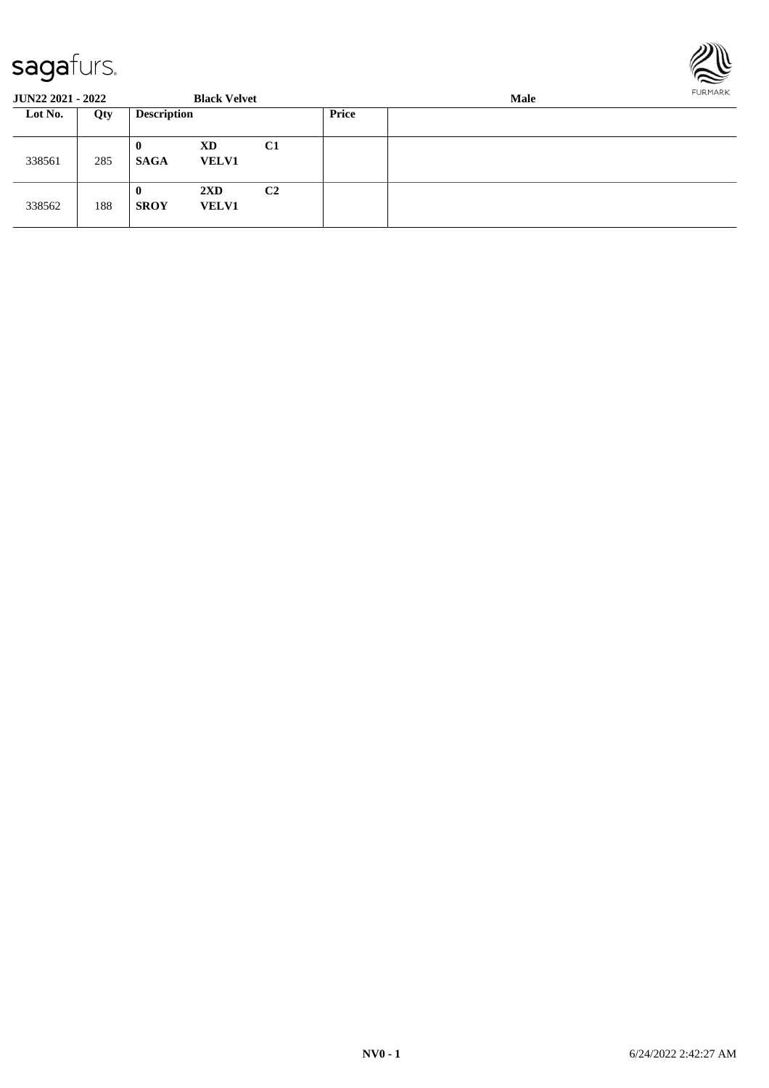

| <b>JUN22 2021 - 2022</b> |     |                         | <b>Black Velvet</b>                     |                |       | Male |  |  |
|--------------------------|-----|-------------------------|-----------------------------------------|----------------|-------|------|--|--|
| Lot No.                  | Qty | <b>Description</b>      |                                         |                | Price |      |  |  |
| 338561                   | 285 | $\bf{0}$<br><b>SAGA</b> | C <sub>1</sub><br>XD<br><b>VELV1</b>    |                |       |      |  |  |
| 338562                   | 188 | $\bf{0}$<br><b>SROY</b> | $2\mathbf{X}\mathbf{D}$<br><b>VELV1</b> | C <sub>2</sub> |       |      |  |  |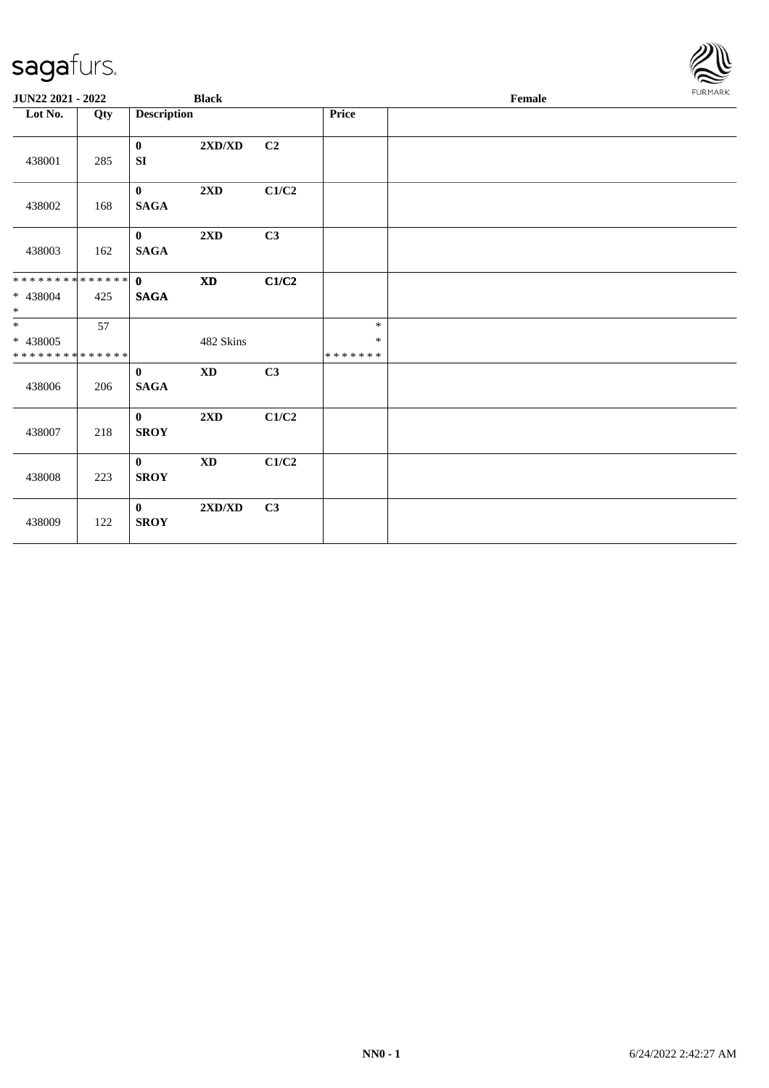| JUN22 2021 - 2022                         |     |                             | <b>Black</b>                     |       |                             | Female |  |  |
|-------------------------------------------|-----|-----------------------------|----------------------------------|-------|-----------------------------|--------|--|--|
| Lot No.                                   | Qty | <b>Description</b>          |                                  |       | Price                       |        |  |  |
| 438001                                    | 285 | $\bf{0}$<br>SI              | 2XD/XD                           | C2    |                             |        |  |  |
| 438002                                    | 168 | $\mathbf{0}$<br><b>SAGA</b> | $2\mathbf{X}\mathbf{D}$          | C1/C2 |                             |        |  |  |
| 438003                                    | 162 | $\mathbf{0}$<br><b>SAGA</b> | $2{\bf X}{\bf D}$                | C3    |                             |        |  |  |
| * 438004<br>$*$                           | 425 | <b>SAGA</b>                 | $\boldsymbol{\mathrm{XD}}$       | C1/C2 |                             |        |  |  |
| * 438005<br>* * * * * * * * * * * * * * * | 57  |                             | 482 Skins                        |       | $\ast$<br>$\ast$<br>******* |        |  |  |
| 438006                                    | 206 | $\mathbf{0}$<br><b>SAGA</b> | <b>XD</b>                        | C3    |                             |        |  |  |
| 438007                                    | 218 | $\mathbf{0}$<br><b>SROY</b> | $2\mathbf{X}\mathbf{D}$          | C1/C2 |                             |        |  |  |
| 438008                                    | 223 | $\bf{0}$<br><b>SROY</b>     | $\mathbf{X}\mathbf{D}$           | C1/C2 |                             |        |  |  |
| 438009                                    | 122 | $\mathbf{0}$<br><b>SROY</b> | $2{\bf X}{\bf D}/{\bf X}{\bf D}$ | C3    |                             |        |  |  |

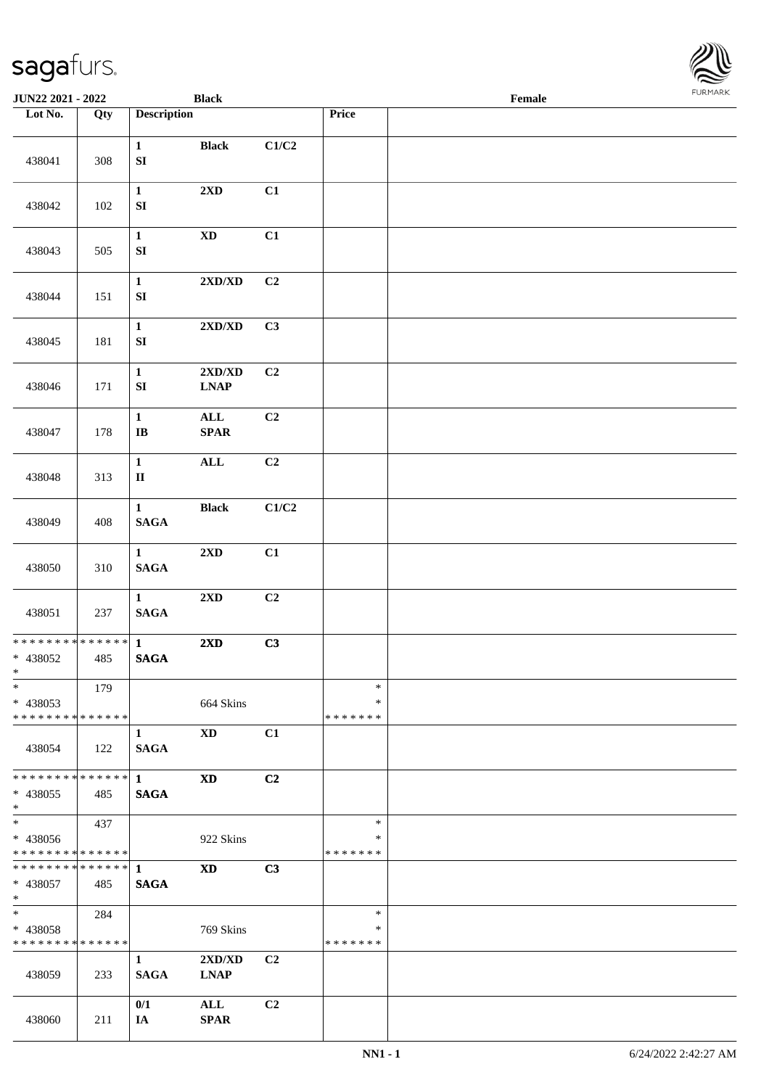\* \*

\* \*

\* \*

| Lot No.                                                              | Qty     | <b>Description</b>               |                                                   |                | Price                        |  |
|----------------------------------------------------------------------|---------|----------------------------------|---------------------------------------------------|----------------|------------------------------|--|
| 438041                                                               | 308     | $\mathbf{1}$<br>${\bf S}{\bf I}$ | <b>Black</b>                                      | C1/C2          |                              |  |
| 438042                                                               | $102\,$ | $\mathbf{1}$<br>${\bf S}{\bf I}$ | 2XD                                               | C1             |                              |  |
| 438043                                                               | 505     | $\mathbf{1}$<br>${\bf S}{\bf I}$ | $\mathbf{X}\mathbf{D}$                            | C1             |                              |  |
| 438044                                                               | 151     | $\mathbf 1$<br>${\bf S}{\bf I}$  | $2{\bf X}{\bf D}/{\bf X}{\bf D}$                  | C2             |                              |  |
| 438045                                                               | 181     | $\mathbf{1}$<br>${\bf S}{\bf I}$ | $2{\bf X}{\bf D}/{\bf X}{\bf D}$                  | C3             |                              |  |
| 438046                                                               | 171     | $\mathbf{1}$<br>${\bf SI}$       | $2{\bf X}{\bf D}/{\bf X}{\bf D}$<br><b>LNAP</b>   | C2             |                              |  |
| 438047                                                               | 178     | $\mathbf{1}$<br>$\bf{IB}$        | $\mathbf{ALL}$<br>$\pmb{\quad \text{SPAR} \quad}$ | C2             |                              |  |
| 438048                                                               | 313     | $\mathbf{1}$<br>$\rm II$         | $\mathbf{ALL}$                                    | C2             |                              |  |
| 438049                                                               | 408     | $\mathbf{1}$<br>$\mathbf{SAGA}$  | <b>Black</b>                                      | C1/C2          |                              |  |
| 438050                                                               | 310     | $\mathbf{1}$<br>$\mathbf{SAGA}$  | $2{\bf X}{\bf D}$                                 | C1             |                              |  |
| 438051                                                               | 237     | $\mathbf{1}$<br><b>SAGA</b>      | 2XD                                               | C2             |                              |  |
| * * * * * * * * <mark>* * * * * * *</mark><br>* 438052<br>$\ast$     | 485     | $\mathbf{1}$<br>$\mathbf{SAGA}$  | 2XD                                               | C3             |                              |  |
| $\ast$<br>* 438053<br>* * * * * * * * * * * * * * *                  | 179     |                                  | 664 Skins                                         |                | $\ast$<br>∗<br>*******       |  |
| 438054                                                               | 122     | 1<br><b>SAGA</b>                 | <b>XD</b>                                         | C1             |                              |  |
| * * * * * * * * <mark>* * * * * *</mark> *<br>* 438055<br>$\ast$     | 485     | $\mathbf{1}$<br><b>SAGA</b>      | XD                                                | C <sub>2</sub> |                              |  |
| $\overline{\phantom{0}}$<br>* 438056<br>* * * * * * * * * * * * * *  | 437     |                                  | 922 Skins                                         |                | $\ast$<br>*<br>*******       |  |
| * 438057<br>$*$                                                      | 485     | <b>SAGA</b>                      | <b>XD</b>                                         | C3             |                              |  |
| $\ddot{x}$<br>* 438058<br>* * * * * * * * <mark>* * * * * * *</mark> | 284     |                                  | 769 Skins                                         |                | $\ast$<br>*<br>* * * * * * * |  |
| 438059                                                               | 233     | $\mathbf{1}$<br><b>SAGA</b>      | $2{\bf X}{\bf D}/{\bf X}{\bf D}$<br><b>LNAP</b>   | C2             |                              |  |
| 438060                                                               | 211     | 0/1<br>IA                        | $\mathbf{ALL}$<br>$\pmb{\quad \text{SPAR} \quad}$ | C2             |                              |  |

**JUN22 2021 - 2022 Black Female**

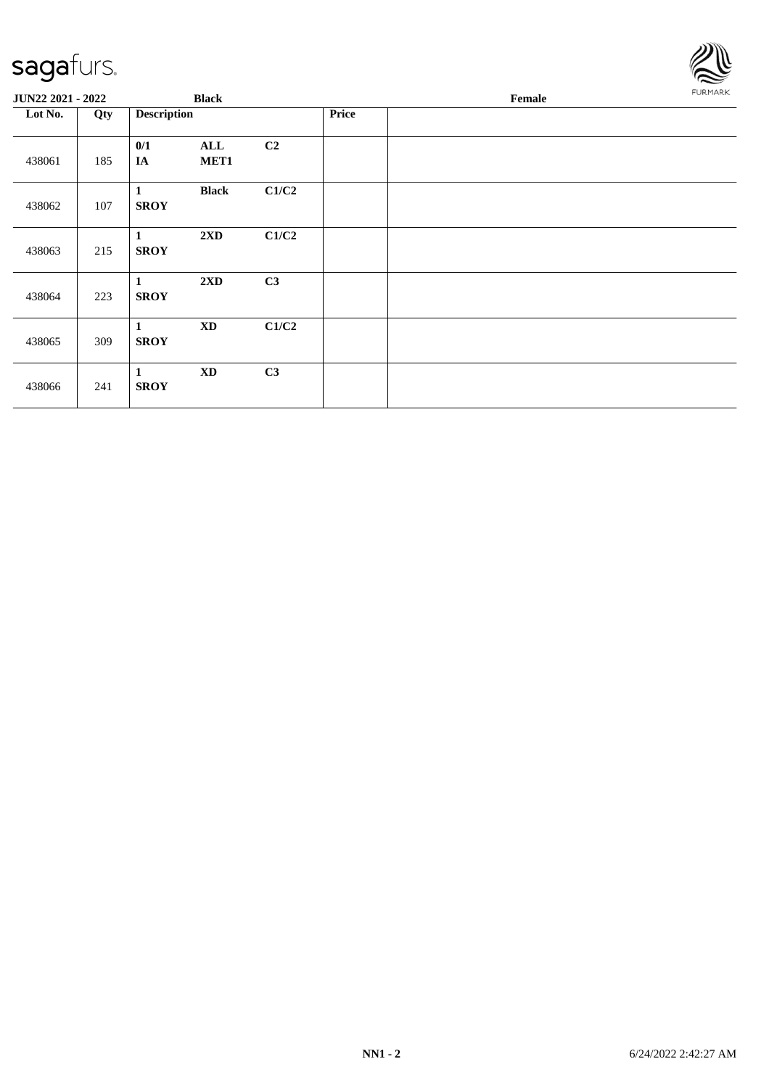

| JUN22 2021 - 2022 |     |                             | <b>Black</b>           |       |       | Female | <b>FURMARK</b> |
|-------------------|-----|-----------------------------|------------------------|-------|-------|--------|----------------|
| Lot No.           | Qty | <b>Description</b>          |                        |       | Price |        |                |
| 438061            | 185 | 0/1<br>IA                   | <b>ALL</b><br>MET1     | C2    |       |        |                |
| 438062            | 107 | $\mathbf{1}$<br><b>SROY</b> | <b>Black</b>           | C1/C2 |       |        |                |
| 438063            | 215 | 1<br><b>SROY</b>            | 2XD                    | C1/C2 |       |        |                |
| 438064            | 223 | $\mathbf{1}$<br><b>SROY</b> | 2XD                    | C3    |       |        |                |
| 438065            | 309 | $\mathbf{1}$<br><b>SROY</b> | $\mathbf{X}\mathbf{D}$ | C1/C2 |       |        |                |
| 438066            | 241 | $\mathbf{1}$<br><b>SROY</b> | $\mathbf{X}\mathbf{D}$ | C3    |       |        |                |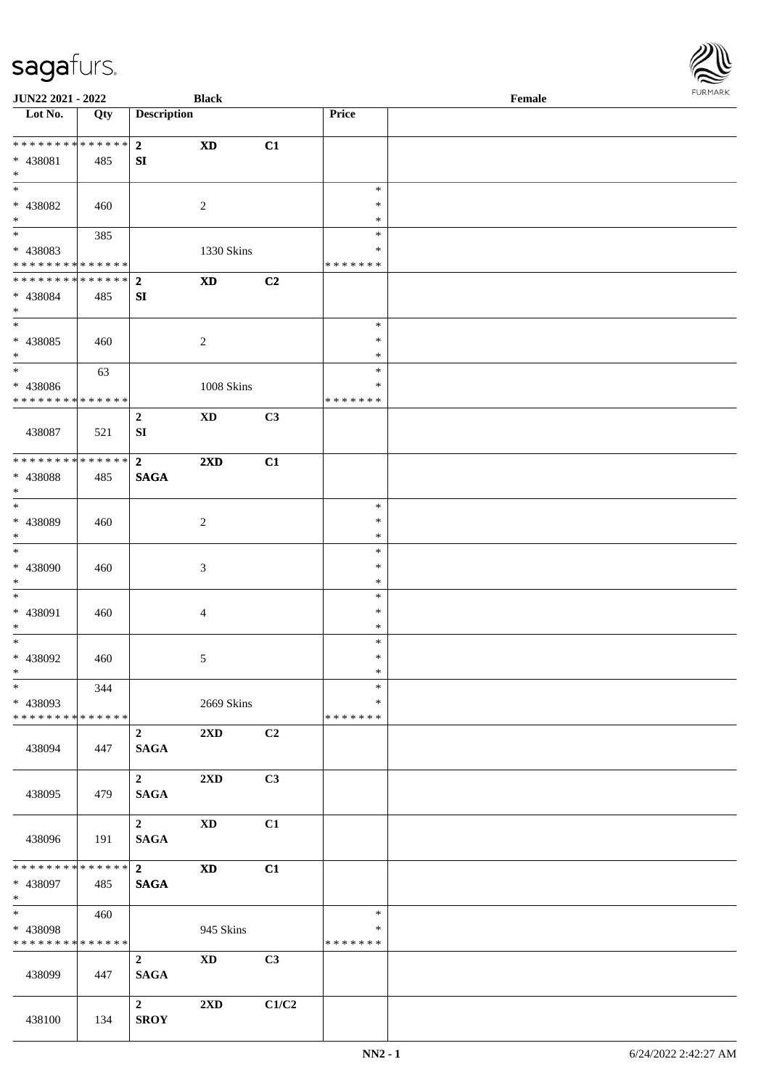| <b>JUN22 2021 - 2022</b>                                                          |                        |                                        | <b>Black</b>               |       |                                   | Female |  |
|-----------------------------------------------------------------------------------|------------------------|----------------------------------------|----------------------------|-------|-----------------------------------|--------|--|
| Lot No.                                                                           | Qty                    | <b>Description</b>                     |                            |       | Price                             |        |  |
| ******** <mark>******</mark><br>* 438081<br>$*$                                   | 485                    | $2^{\circ}$<br>SI                      | <b>XD</b>                  | C1    |                                   |        |  |
| * 438082<br>$\ast$                                                                | 460                    |                                        | 2                          |       | $\ast$<br>$\ast$<br>$\ast$        |        |  |
| $\overline{\mathbf{r}}$<br>* 438083<br>* * * * * * * * <mark>* * * * * * *</mark> | 385                    |                                        | 1330 Skins                 |       | $\ast$<br>$\ast$<br>* * * * * * * |        |  |
| * * * * * * * * * * * * * * *<br>* 438084<br>$*$                                  | 485                    | $\overline{2}$<br>${\bf SI}$           | $\mathbf{X}\mathbf{D}$     | C2    |                                   |        |  |
| $\overline{\ast}$<br>* 438085<br>$*$                                              | 460                    |                                        | $\overline{2}$             |       | $\ast$<br>$\ast$<br>$\ast$        |        |  |
| $*$<br>* 438086<br>* * * * * * * * <mark>* * * * * * *</mark>                     | 63                     |                                        | 1008 Skins                 |       | $\ast$<br>$\ast$<br>* * * * * * * |        |  |
| 438087                                                                            | 521                    | $\overline{2}$<br>SI                   | $\mathbf{X}\mathbf{D}$     | C3    |                                   |        |  |
| * * * * * * * *<br>* 438088<br>$\ast$                                             | $* * * * * * *$<br>485 | $\overline{2}$<br><b>SAGA</b>          | $2\mathbf{X}\mathbf{D}$    | C1    |                                   |        |  |
| * 438089<br>$\ast$                                                                | 460                    |                                        | $\overline{c}$             |       | $\ast$<br>$\ast$<br>$\ast$        |        |  |
| * 438090<br>$*$                                                                   | 460                    |                                        | 3                          |       | $\ast$<br>$\ast$<br>$\ast$        |        |  |
| $\ast$<br>* 438091<br>$*$                                                         | 460                    |                                        | $\overline{4}$             |       | $\ast$<br>$\ast$<br>$\ast$        |        |  |
| $\ast$<br>* 438092<br>$*$                                                         | 460                    |                                        | 5                          |       | $\ast$<br>$\ast$<br>$\ast$        |        |  |
| $\ast$<br>* 438093<br>* * * * * * * * <mark>* * * * * *</mark>                    | 344                    |                                        | 2669 Skins                 |       | $\ast$<br>$\ast$<br>* * * * * * * |        |  |
| 438094                                                                            | 447                    | $\overline{2}$<br><b>SAGA</b>          | $2\mathbf{X}\mathbf{D}$    | C2    |                                   |        |  |
| 438095                                                                            | 479                    | $\overline{\mathbf{2}}$<br><b>SAGA</b> | $2\mathbf{X}\mathbf{D}$    | C3    |                                   |        |  |
| 438096                                                                            | 191                    | $\overline{\mathbf{2}}$<br><b>SAGA</b> | <b>XD</b>                  | C1    |                                   |        |  |
| * * * * * * * * * * * * * * *<br>* 438097<br>$*$                                  | 485                    | $\overline{\mathbf{2}}$<br><b>SAGA</b> | $\boldsymbol{\mathrm{XD}}$ | C1    |                                   |        |  |
| $\ddot{x}$<br>* 438098<br>* * * * * * * *                                         | 460<br>* * * * * *     |                                        | 945 Skins                  |       | $\ast$<br>$\ast$<br>* * * * * * * |        |  |
| 438099                                                                            | 447                    | $\overline{2}$<br><b>SAGA</b>          | $\mathbf{X}\mathbf{D}$     | C3    |                                   |        |  |
| 438100                                                                            | 134                    | $\mathbf{2}$<br><b>SROY</b>            | $2\mathbf{X}\mathbf{D}$    | C1/C2 |                                   |        |  |

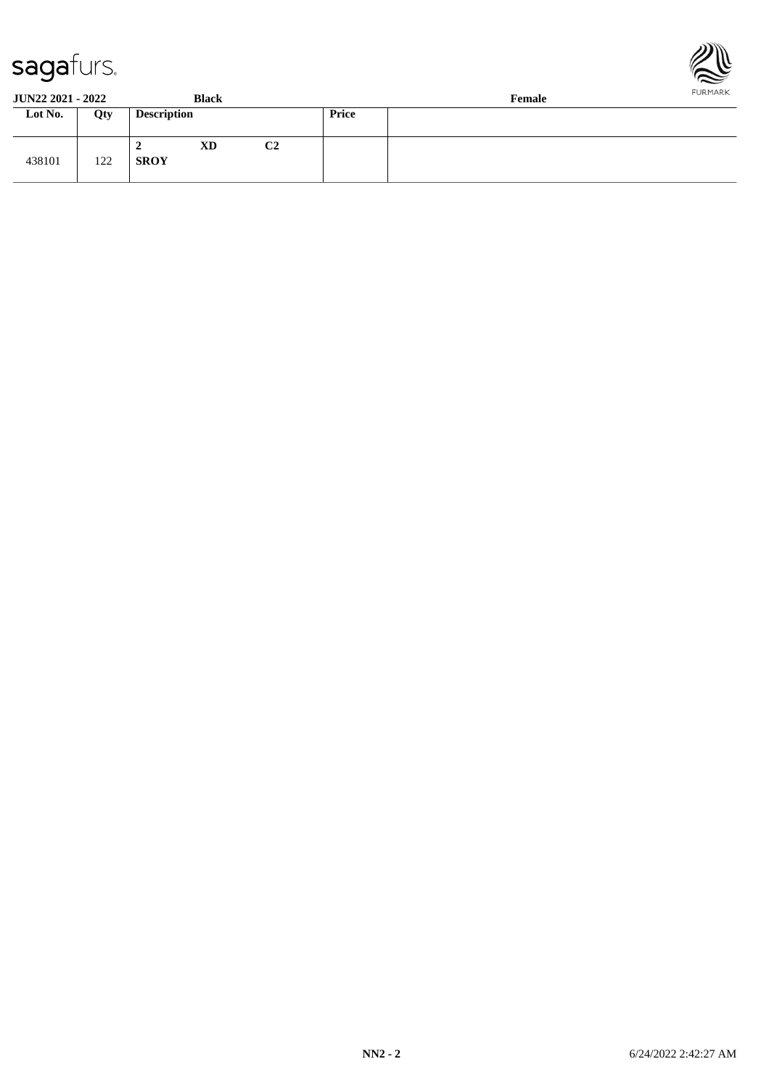



**JUN22 2021 - 2022 Black Female**

| Lot No. | Qty | <b>Description</b>            |                | <b>Price</b> |  |
|---------|-----|-------------------------------|----------------|--------------|--|
| 438101  | 122 | <b>XD</b><br>∸<br><b>SROY</b> | C <sub>2</sub> |              |  |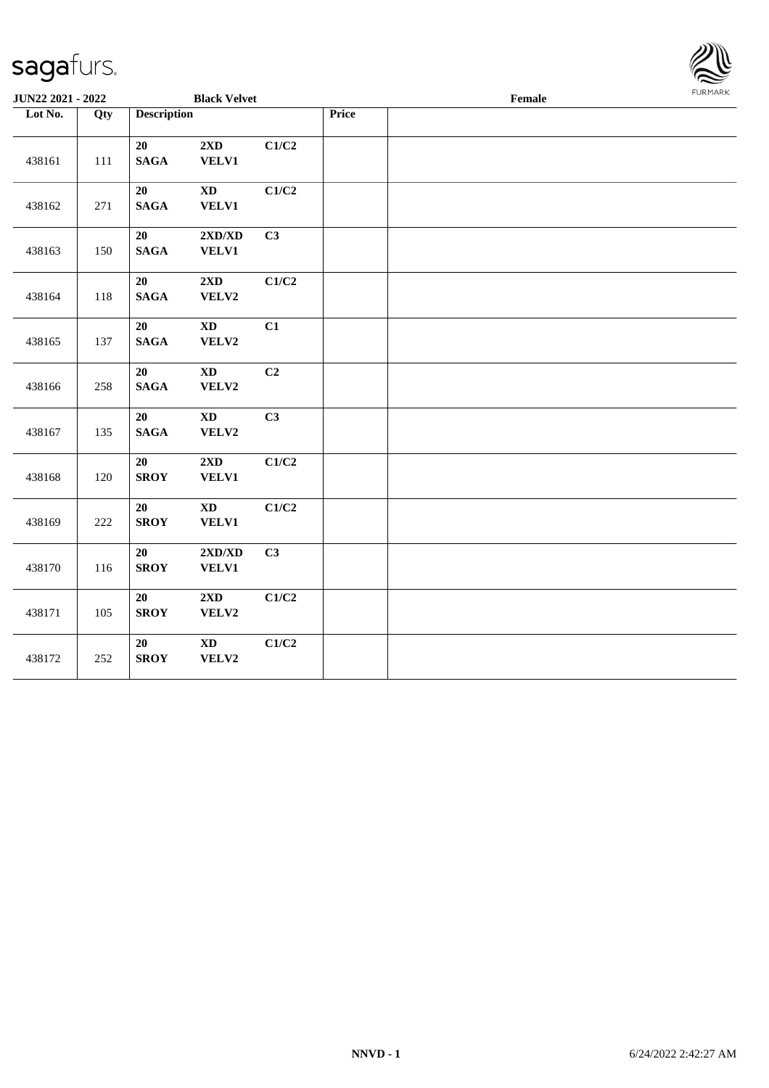

| <b>JUN22 2021 - 2022</b> |     |                       | <b>Black Velvet</b>                       |       |       | Female |  |
|--------------------------|-----|-----------------------|-------------------------------------------|-------|-------|--------|--|
| Lot No.                  | Qty | <b>Description</b>    |                                           |       | Price |        |  |
| 438161                   | 111 | 20<br><b>SAGA</b>     | $2{\bf X}{\bf D}$<br><b>VELV1</b>         | C1/C2 |       |        |  |
| 438162                   | 271 | 20<br><b>SAGA</b>     | $\mathbf{X}\mathbf{D}$<br><b>VELV1</b>    | C1/C2 |       |        |  |
| 438163                   | 150 | 20<br><b>SAGA</b>     | 2XD/XD<br>VELV1                           | C3    |       |        |  |
| 438164                   | 118 | 20<br>$\mathbf{SAGA}$ | $2{\bf X}{\bf D}$<br>VELV2                | C1/C2 |       |        |  |
| 438165                   | 137 | 20<br><b>SAGA</b>     | $\mathbf{X}\mathbf{D}$<br>VELV2           | C1    |       |        |  |
| 438166                   | 258 | 20<br><b>SAGA</b>     | $\mathbf{X}\mathbf{D}$<br>VELV2           | C2    |       |        |  |
| 438167                   | 135 | 20<br><b>SAGA</b>     | $\mathbf{X}\mathbf{D}$<br>VELV2           | C3    |       |        |  |
| 438168                   | 120 | 20<br><b>SROY</b>     | 2XD<br>VELV1                              | C1/C2 |       |        |  |
| 438169                   | 222 | 20<br><b>SROY</b>     | $\mathbf{X}\mathbf{D}$<br>VELV1           | C1/C2 |       |        |  |
| 438170                   | 116 | 20<br><b>SROY</b>     | $2{\bf X}{\bf D}/{\bf X}{\bf D}$<br>VELV1 | C3    |       |        |  |
| 438171                   | 105 | 20<br><b>SROY</b>     | 2XD<br>VELV2                              | C1/C2 |       |        |  |
| 438172                   | 252 | 20<br><b>SROY</b>     | $\mathbf{X}\mathbf{D}$<br>VELV2           | C1/C2 |       |        |  |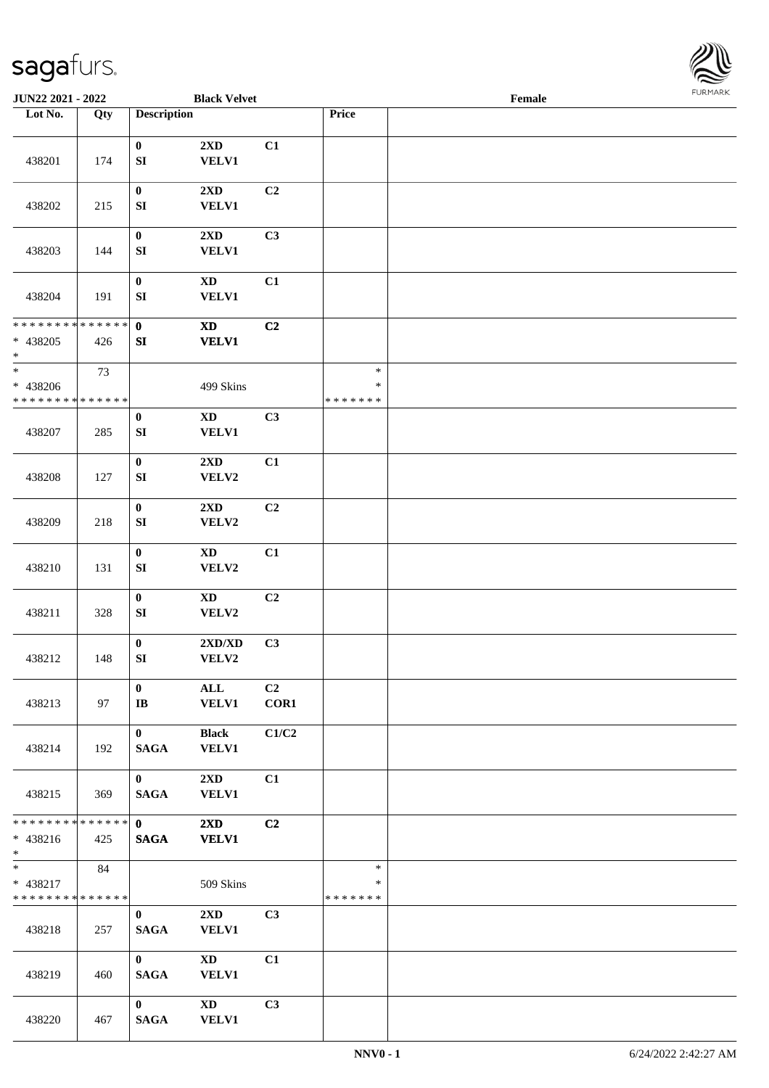

| JUN22 2021 - 2022                                        |                   |                                      | <b>Black Velvet</b>                     |                |                                   | Female |  |
|----------------------------------------------------------|-------------------|--------------------------------------|-----------------------------------------|----------------|-----------------------------------|--------|--|
| Lot No.                                                  | $\overline{Q}$ ty | <b>Description</b>                   |                                         |                | Price                             |        |  |
| 438201                                                   | 174               | $\bf{0}$<br>${\bf S}{\bf I}$         | $2{\bf X}{\bf D}$<br><b>VELV1</b>       | C1             |                                   |        |  |
| 438202                                                   | 215               | $\boldsymbol{0}$<br>${\bf S}{\bf I}$ | 2XD<br><b>VELV1</b>                     | C <sub>2</sub> |                                   |        |  |
| 438203                                                   | 144               | $\pmb{0}$<br>${\bf S}{\bf I}$        | 2XD<br><b>VELV1</b>                     | C3             |                                   |        |  |
| 438204                                                   | 191               | $\boldsymbol{0}$<br>${\bf S}{\bf I}$ | $\mathbf{X}\mathbf{D}$<br><b>VELV1</b>  | C1             |                                   |        |  |
| * * * * * * * * * * * * * *<br>$* 438205$<br>$\ast$      | 426               | $\mathbf{0}$<br>SI                   | $\mathbf{X}\mathbf{D}$<br><b>VELV1</b>  | C <sub>2</sub> |                                   |        |  |
| $\ast$<br>* 438206<br>* * * * * * * * * * * * * *        | 73                |                                      | 499 Skins                               |                | $\ast$<br>$\ast$<br>* * * * * * * |        |  |
| 438207                                                   | 285               | $\boldsymbol{0}$<br>${\bf SI}$       | $\mathbf{X}\mathbf{D}$<br><b>VELV1</b>  | C3             |                                   |        |  |
| 438208                                                   | 127               | $\pmb{0}$<br>${\bf S}{\bf I}$        | 2XD<br>VELV2                            | C1             |                                   |        |  |
| 438209                                                   | 218               | $\pmb{0}$<br>${\bf S}{\bf I}$        | 2XD<br>VELV2                            | C2             |                                   |        |  |
| 438210                                                   | 131               | $\pmb{0}$<br>${\bf S}{\bf I}$        | $\mathbf{X}\mathbf{D}$<br>VELV2         | C1             |                                   |        |  |
| 438211                                                   | 328               | $\pmb{0}$<br>${\bf S}{\bf I}$        | $\mathbf{X}\mathbf{D}$<br>VELV2         | C <sub>2</sub> |                                   |        |  |
| 438212                                                   | 148               | $\pmb{0}$<br>${\bf SI}$              | 2XD/XD<br>VELV2                         | C3             |                                   |        |  |
| 438213                                                   | 97                | $\bf{0}$<br>$\mathbf{I}\mathbf{B}$   | ALL<br><b>VELV1</b>                     | C2<br>COR1     |                                   |        |  |
| 438214                                                   | 192               | $\mathbf{0}$<br><b>SAGA</b>          | <b>Black</b><br><b>VELV1</b>            | C1/C2          |                                   |        |  |
| 438215                                                   | 369               | $\mathbf{0}$<br><b>SAGA</b>          | $2\mathbf{X}\mathbf{D}$<br><b>VELV1</b> | C1             |                                   |        |  |
| * * * * * * * * * * * * * * *<br>* 438216<br>$*$ and $*$ | 425               | $\mathbf{0}$<br><b>SAGA</b>          | $2\mathbf{X}\mathbf{D}$<br><b>VELV1</b> | C2             |                                   |        |  |
| $*$ and $*$<br>* 438217<br>* * * * * * * * * * * * * *   | 84                |                                      | 509 Skins                               |                | $\ast$<br>$\ast$<br>* * * * * * * |        |  |
| 438218                                                   | 257               | $\mathbf{0}$<br><b>SAGA</b>          | $2\mathbf{X}\mathbf{D}$<br><b>VELV1</b> | C3             |                                   |        |  |
| 438219                                                   | 460               | $\mathbf{0}$<br><b>SAGA</b>          | <b>XD</b><br><b>VELV1</b>               | C1             |                                   |        |  |
| 438220                                                   | 467               | $\bf{0}$<br><b>SAGA</b>              | $\mathbf{X}\mathbf{D}$<br><b>VELV1</b>  | C3             |                                   |        |  |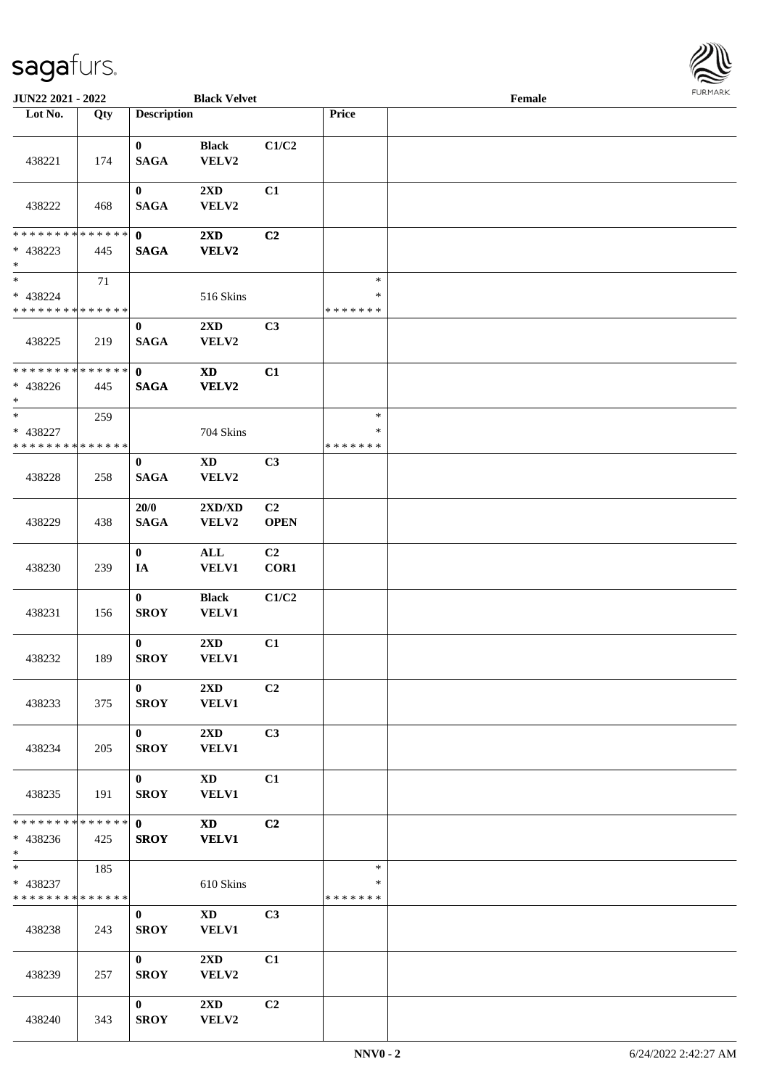

| JUN22 2021 - 2022                                      |     |                             | <b>Black Velvet</b>                    |                               |                                   | Female |  |
|--------------------------------------------------------|-----|-----------------------------|----------------------------------------|-------------------------------|-----------------------------------|--------|--|
| Lot No.                                                | Qty | <b>Description</b>          |                                        |                               | Price                             |        |  |
| 438221                                                 | 174 | $\mathbf{0}$<br><b>SAGA</b> | <b>Black</b><br>VELV2                  | C1/C2                         |                                   |        |  |
| 438222                                                 | 468 | $\bf{0}$<br><b>SAGA</b>     | $2\mathbf{X}\mathbf{D}$<br>VELV2       | C1                            |                                   |        |  |
| * * * * * * * * * * * * * * *<br>* 438223<br>$*$       | 445 | $\mathbf{0}$<br><b>SAGA</b> | $2\mathbf{X}\mathbf{D}$<br>VELV2       | C2                            |                                   |        |  |
| $*$<br>* 438224<br>* * * * * * * * * * * * * *         | 71  |                             | 516 Skins                              |                               | $\ast$<br>$\ast$<br>* * * * * * * |        |  |
| 438225                                                 | 219 | $\bf{0}$<br><b>SAGA</b>     | 2XD<br>VELV2                           | C3                            |                                   |        |  |
| * * * * * * * * * * * * * *<br>$* 438226$<br>$*$       | 445 | $\mathbf{0}$<br><b>SAGA</b> | $\mathbf{X}\mathbf{D}$<br><b>VELV2</b> | C1                            |                                   |        |  |
| $*$<br>* 438227<br>* * * * * * * * * * * * * *         | 259 |                             | 704 Skins                              |                               | $\ast$<br>∗<br>* * * * * * *      |        |  |
| 438228                                                 | 258 | $\bf{0}$<br><b>SAGA</b>     | $\mathbf{X}\mathbf{D}$<br>VELV2        | C3                            |                                   |        |  |
| 438229                                                 | 438 | 20/0<br><b>SAGA</b>         | 2XD/XD<br>VELV2                        | C <sub>2</sub><br><b>OPEN</b> |                                   |        |  |
| 438230                                                 | 239 | $\bf{0}$<br>IA              | $\mathbf{ALL}$<br>VELV1                | C2<br>COR1                    |                                   |        |  |
| 438231                                                 | 156 | $\bf{0}$<br><b>SROY</b>     | <b>Black</b><br><b>VELV1</b>           | C1/C2                         |                                   |        |  |
| 438232                                                 | 189 | $\bf{0}$<br><b>SROY</b>     | 2XD<br><b>VELV1</b>                    | C1                            |                                   |        |  |
| 438233                                                 | 375 | $\mathbf{0}$<br><b>SROY</b> | 2XD<br><b>VELV1</b>                    | C <sub>2</sub>                |                                   |        |  |
| 438234                                                 | 205 | $\mathbf{0}$<br><b>SROY</b> | 2XD<br><b>VELV1</b>                    | C3                            |                                   |        |  |
| 438235                                                 | 191 | $\mathbf{0}$<br><b>SROY</b> | $\mathbf{X}\mathbf{D}$<br>VELV1        | C1                            |                                   |        |  |
| * * * * * * * * * * * * * * *<br>$* 438236$<br>$*$     | 425 | $\mathbf{0}$<br><b>SROY</b> | $\mathbf{X}\mathbf{D}$<br><b>VELV1</b> | C2                            |                                   |        |  |
| $*$ and $*$<br>* 438237<br>* * * * * * * * * * * * * * | 185 |                             | 610 Skins                              |                               | $\ast$<br>*<br>* * * * * * *      |        |  |
| 438238                                                 | 243 | $\mathbf{0}$<br><b>SROY</b> | $\mathbf{X}\mathbf{D}$<br><b>VELV1</b> | C <sub>3</sub>                |                                   |        |  |
| 438239                                                 | 257 | $\mathbf{0}$<br><b>SROY</b> | $2\mathbf{X}\mathbf{D}$<br>VELV2       | C1                            |                                   |        |  |
| 438240                                                 | 343 | $\bf{0}$<br><b>SROY</b>     | $2\mathbf{X}\mathbf{D}$<br>VELV2       | C2                            |                                   |        |  |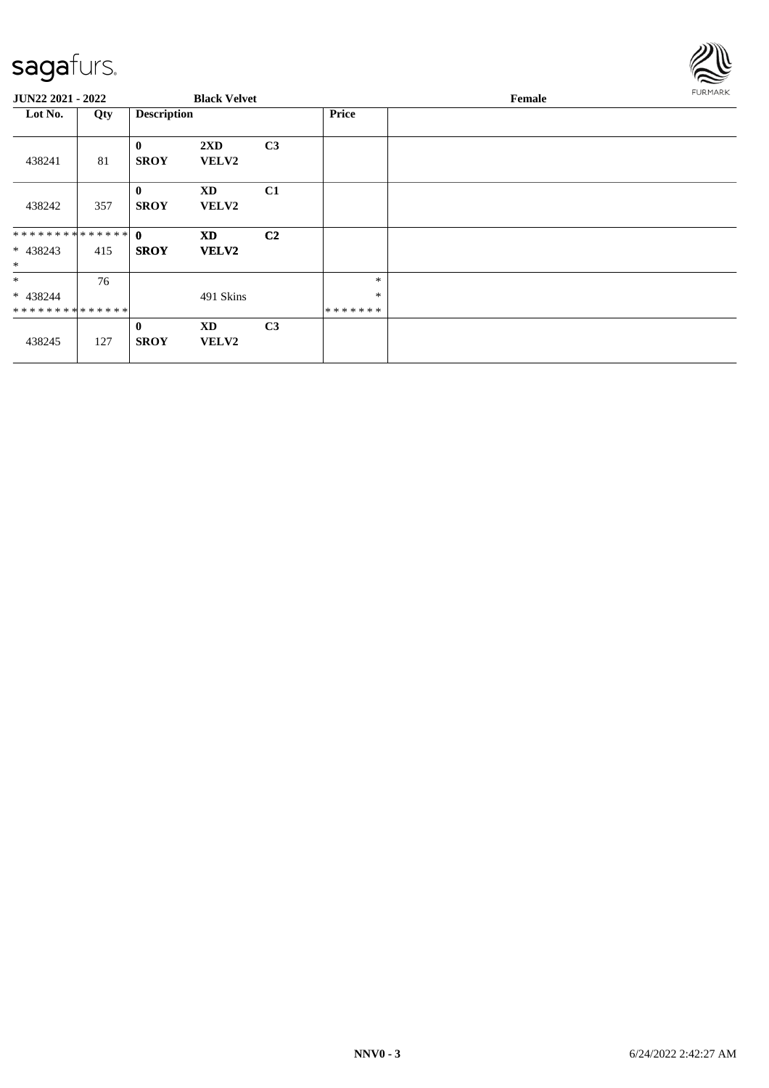

| JUN22 2021 - 2022                        |     |                             | <b>Black Velvet</b>       |                |                             | FURMARK |  |
|------------------------------------------|-----|-----------------------------|---------------------------|----------------|-----------------------------|---------|--|
| Lot No.                                  | Qty | <b>Description</b>          |                           |                | <b>Price</b>                |         |  |
| 438241                                   | 81  | $\mathbf{0}$<br><b>SROY</b> | 2XD<br>VELV2              | C3             |                             |         |  |
| 438242                                   | 357 | $\bf{0}$<br><b>SROY</b>     | <b>XD</b><br><b>VELV2</b> | C1             |                             |         |  |
| ************** 0<br>$* 438243$<br>$\ast$ | 415 | <b>SROY</b>                 | <b>XD</b><br><b>VELV2</b> | C <sub>2</sub> |                             |         |  |
| $\ast$<br>* 438244<br>**************     | 76  |                             | 491 Skins                 |                | $\ast$<br>$\ast$<br>******* |         |  |
| 438245                                   | 127 | $\mathbf{0}$<br><b>SROY</b> | <b>XD</b><br>VELV2        | C <sub>3</sub> |                             |         |  |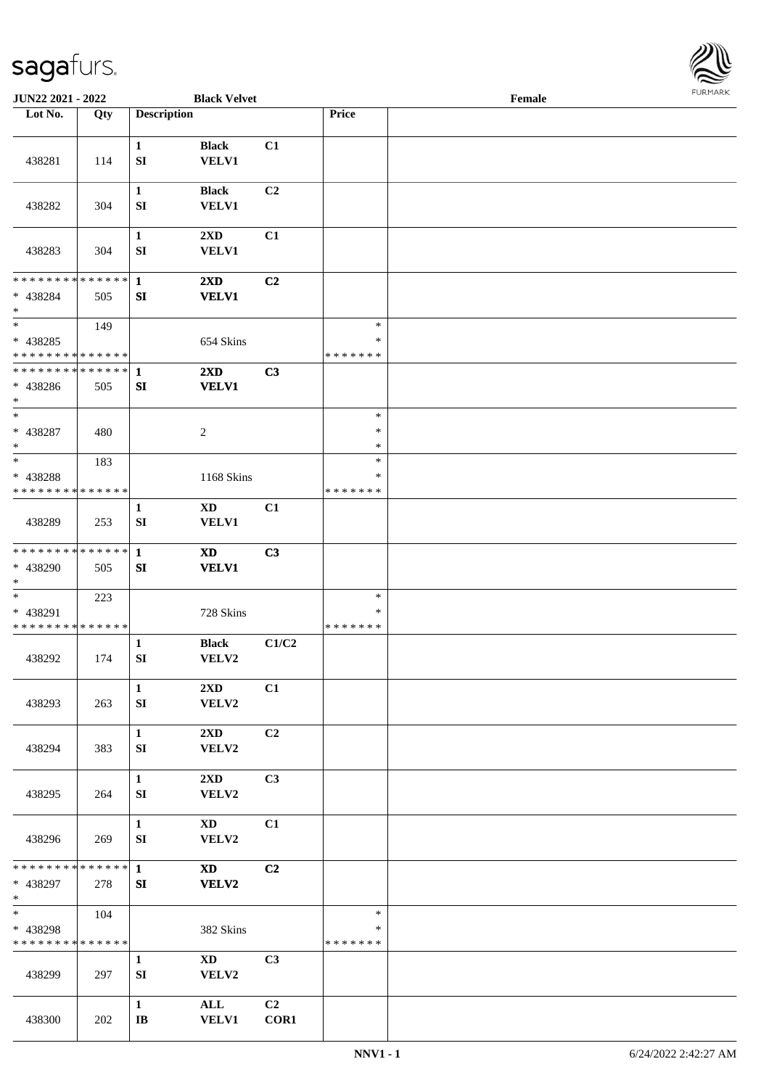

| JUN22 2021 - 2022                                 |     |                                  | <b>Black Velvet</b>                     |            |                                   | Female |  |
|---------------------------------------------------|-----|----------------------------------|-----------------------------------------|------------|-----------------------------------|--------|--|
| Lot No.                                           | Qty | <b>Description</b>               |                                         |            | Price                             |        |  |
| 438281                                            | 114 | $\mathbf{1}$<br>${\bf S}{\bf I}$ | <b>Black</b><br><b>VELV1</b>            | C1         |                                   |        |  |
| 438282                                            | 304 | $\mathbf{1}$<br>SI               | <b>Black</b><br><b>VELV1</b>            | C2         |                                   |        |  |
| 438283                                            | 304 | $\mathbf{1}$<br>${\bf S}{\bf I}$ | $2\mathbf{X}\mathbf{D}$<br>VELV1        | C1         |                                   |        |  |
| * * * * * * * * * * * * * *<br>* 438284<br>$\ast$ | 505 | $\mathbf{1}$<br>SI               | $2\mathbf{X}\mathbf{D}$<br><b>VELV1</b> | C2         |                                   |        |  |
| $*$<br>$* 438285$<br>* * * * * * * * * * * * * *  | 149 |                                  | 654 Skins                               |            | $\ast$<br>$\ast$<br>* * * * * * * |        |  |
| * * * * * * * * * * * * * *<br>* 438286<br>$*$    | 505 | $\mathbf{1}$<br>SI               | 2XD<br><b>VELV1</b>                     | C3         |                                   |        |  |
| $\ast$<br>* 438287<br>$\ast$                      | 480 |                                  | $\overline{c}$                          |            | $\ast$<br>$\ast$<br>$\ast$        |        |  |
| $*$<br>* 438288<br>* * * * * * * * * * * * * *    | 183 |                                  | 1168 Skins                              |            | $\ast$<br>∗<br>* * * * * * *      |        |  |
| 438289                                            | 253 | 1<br>SI                          | XD<br><b>VELV1</b>                      | C1         |                                   |        |  |
| * * * * * * * * * * * * * *<br>* 438290<br>$*$    | 505 | $\mathbf{1}$<br>SI               | <b>XD</b><br><b>VELV1</b>               | C3         |                                   |        |  |
| $*$<br>* 438291<br>* * * * * * * * * * * * * *    | 223 |                                  | 728 Skins                               |            | $\ast$<br>$\ast$<br>* * * * * * * |        |  |
| 438292                                            | 174 | 1<br>${\bf SI}$                  | <b>Black</b><br>VELV2                   | C1/C2      |                                   |        |  |
| 438293                                            | 263 | $\mathbf{1}$<br>SI               | $2\mathbf{X}\mathbf{D}$<br>VELV2        | C1         |                                   |        |  |
| 438294                                            | 383 | $\mathbf{1}$<br>SI               | $2\mathbf{X}\mathbf{D}$<br>VELV2        | C2         |                                   |        |  |
| 438295                                            | 264 | $\mathbf{1}$<br>SI               | 2XD<br>VELV2                            | C3         |                                   |        |  |
| 438296                                            | 269 | $\mathbf{1}$<br>SI               | $\mathbf{X}\mathbf{D}$<br>VELV2         | C1         |                                   |        |  |
| * * * * * * * * * * * * * * *<br>* 438297<br>$*$  | 278 | $\mathbf{1}$<br>SI               | <b>XD</b><br>VELV2                      | C2         |                                   |        |  |
| $*$<br>* 438298<br>* * * * * * * * * * * * * *    | 104 |                                  | 382 Skins                               |            | $\ast$<br>$\ast$<br>* * * * * * * |        |  |
| 438299                                            | 297 | $\mathbf{1}$<br>SI               | $\mathbf{X}\mathbf{D}$<br>VELV2         | C3         |                                   |        |  |
| 438300                                            | 202 | $\mathbf{1}$<br>$\bf IB$         | ALL<br><b>VELV1</b>                     | C2<br>COR1 |                                   |        |  |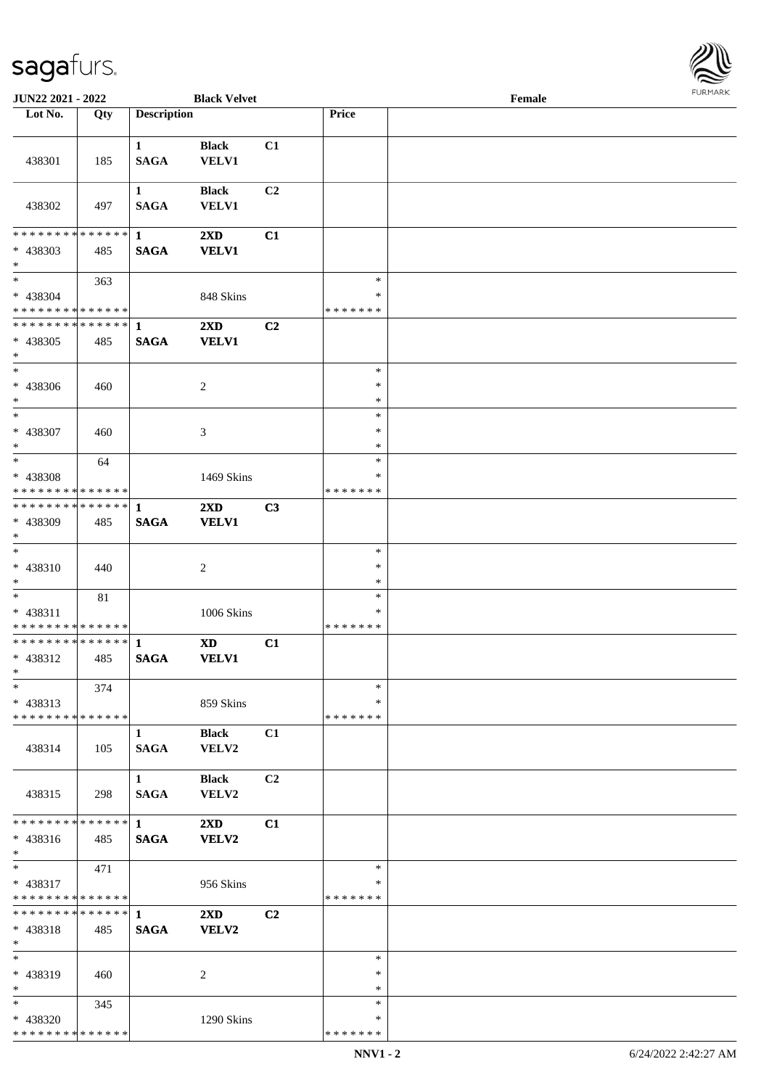

| JUN22 2021 - 2022             |     |                             | <b>Black Velvet</b>          |                |                  | Female |  |
|-------------------------------|-----|-----------------------------|------------------------------|----------------|------------------|--------|--|
| Lot No.                       | Qty | <b>Description</b>          |                              |                | Price            |        |  |
|                               |     |                             |                              |                |                  |        |  |
| 438301                        | 185 | $\mathbf{1}$<br><b>SAGA</b> | <b>Black</b><br><b>VELV1</b> | C1             |                  |        |  |
| 438302                        | 497 | $\mathbf{1}$<br><b>SAGA</b> | <b>Black</b><br><b>VELV1</b> | C <sub>2</sub> |                  |        |  |
| * * * * * * * * * * * * * * * |     | 1                           | 2XD                          | C1             |                  |        |  |
| * 438303<br>$\ast$            | 485 | <b>SAGA</b>                 | <b>VELV1</b>                 |                |                  |        |  |
| $*$                           | 363 |                             |                              |                | $\ast$           |        |  |
| $* 438304$                    |     |                             | 848 Skins                    |                | $\ast$           |        |  |
| * * * * * * * * * * * * * * * |     |                             |                              |                | * * * * * * *    |        |  |
| **************                |     | $\mathbf{1}$                | $2\mathbf{X}\mathbf{D}$      | C <sub>2</sub> |                  |        |  |
| * 438305<br>$\ast$            | 485 | <b>SAGA</b>                 | <b>VELV1</b>                 |                |                  |        |  |
| $\overline{\phantom{1}}$      |     |                             |                              |                | $\ast$           |        |  |
| * 438306<br>$\ast$            | 460 |                             | $\overline{c}$               |                | $\ast$<br>$\ast$ |        |  |
| $\ast$                        |     |                             |                              |                | $\ast$           |        |  |
| * 438307                      | 460 |                             | 3                            |                | $\ast$           |        |  |
| $\ast$                        |     |                             |                              |                | $\ast$           |        |  |
| $*$                           | 64  |                             |                              |                | $\ast$           |        |  |
| * 438308                      |     |                             | 1469 Skins                   |                | *                |        |  |
| * * * * * * * * * * * * * *   |     |                             |                              |                | * * * * * * *    |        |  |
| **************                |     | 1                           | 2XD                          | C3             |                  |        |  |
| * 438309<br>$\ast$            | 485 | <b>SAGA</b>                 | <b>VELV1</b>                 |                |                  |        |  |
| $\ast$                        |     |                             |                              |                | $\ast$           |        |  |
| * 438310                      | 440 |                             | $\overline{c}$               |                | $\ast$           |        |  |
| $*$                           |     |                             |                              |                | $\ast$           |        |  |
| $*$                           | 81  |                             |                              |                | $\ast$           |        |  |
| * 438311                      |     |                             | 1006 Skins                   |                | *                |        |  |
| * * * * * * * * * * * * * *   |     |                             |                              |                | * * * * * * *    |        |  |
| **************                |     | $\mathbf{1}$                | $\mathbf{X}\mathbf{D}$       | C1             |                  |        |  |
| * 438312<br>$*$               | 485 | <b>SAGA</b>                 | <b>VELV1</b>                 |                |                  |        |  |
| $*$                           | 374 |                             |                              |                | $\ast$           |        |  |
| $* 438313$                    |     |                             | 859 Skins                    |                | *                |        |  |
| * * * * * * * * * * * * * *   |     |                             |                              |                | * * * * * * *    |        |  |
| 438314                        | 105 | 1<br><b>SAGA</b>            | <b>Black</b><br><b>VELV2</b> | C1             |                  |        |  |
| 438315                        | 298 | $\mathbf{1}$<br><b>SAGA</b> | <b>Black</b><br>VELV2        | C2             |                  |        |  |
| * * * * * * * * * * * * * * * |     | $\mathbf 1$                 | $2\mathbf{X}\mathbf{D}$      | C1             |                  |        |  |
| * 438316<br>$*$               | 485 | <b>SAGA</b>                 | VELV2                        |                |                  |        |  |
| $*$                           | 471 |                             |                              |                | $\ast$           |        |  |
| * 438317                      |     |                             | 956 Skins                    |                | *                |        |  |
| * * * * * * * * * * * * * *   |     |                             |                              |                | *******          |        |  |
| **************                |     | $\mathbf{1}$                | $2\mathbf{X}\mathbf{D}$      | C <sub>2</sub> |                  |        |  |
| * 438318<br>$*$               | 485 | <b>SAGA</b>                 | VELV2                        |                |                  |        |  |
| $*$                           |     |                             |                              |                | $\ast$           |        |  |
| * 438319                      | 460 |                             | 2                            |                | ∗                |        |  |
| $\ast$                        |     |                             |                              |                | $\ast$           |        |  |
| $*$                           | 345 |                             |                              |                | $\ast$           |        |  |
| * 438320                      |     |                             | 1290 Skins                   |                | *                |        |  |
| * * * * * * * * * * * * * *   |     |                             |                              |                | * * * * * * *    |        |  |
|                               |     |                             |                              |                |                  |        |  |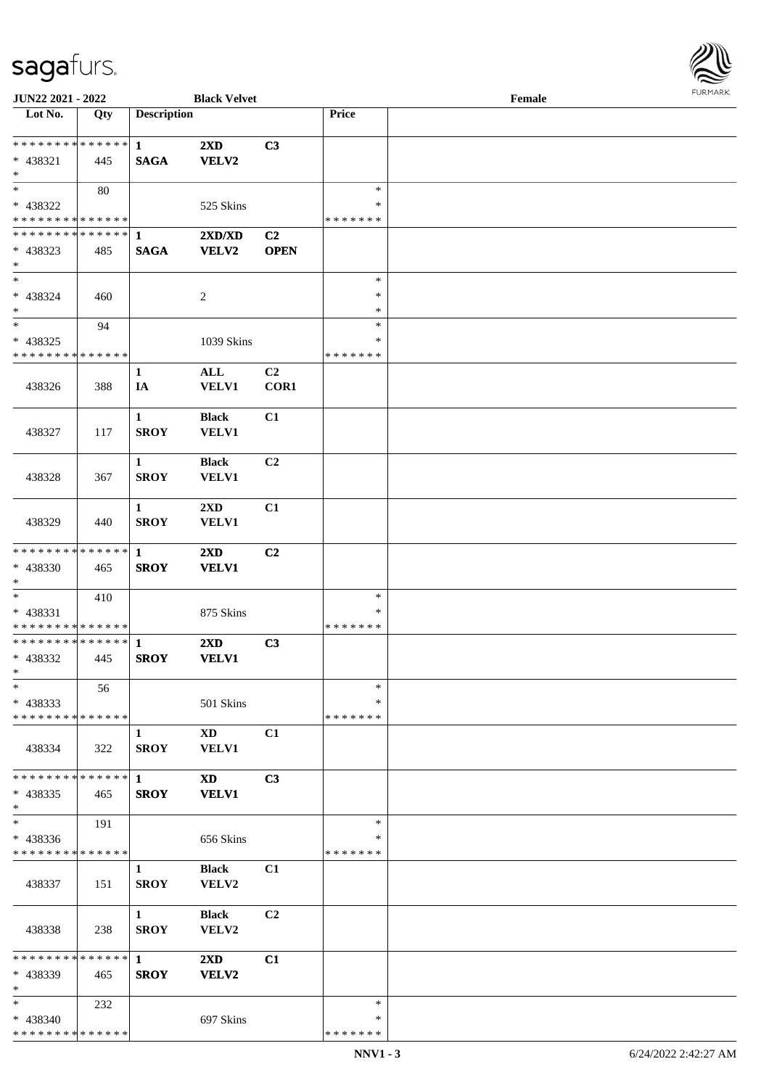

| JUN22 2021 - 2022             |     |                    | <b>Black Velvet</b>     |                |               | Female |  |
|-------------------------------|-----|--------------------|-------------------------|----------------|---------------|--------|--|
| Lot No.                       | Qty | <b>Description</b> |                         |                | Price         |        |  |
|                               |     |                    |                         |                |               |        |  |
| ******** <mark>******</mark>  |     | $\mathbf{1}$       | $2\mathbf{X}\mathbf{D}$ | C3             |               |        |  |
| * 438321                      | 445 | <b>SAGA</b>        | <b>VELV2</b>            |                |               |        |  |
| $\ast$                        |     |                    |                         |                |               |        |  |
| $*$                           | 80  |                    |                         |                | $\ast$        |        |  |
| * 438322                      |     |                    | 525 Skins               |                | ∗             |        |  |
| * * * * * * * * * * * * * *   |     |                    |                         |                | * * * * * * * |        |  |
| **************                |     | 1                  | 2XD/XD                  | C <sub>2</sub> |               |        |  |
| * 438323                      | 485 | <b>SAGA</b>        | <b>VELV2</b>            | <b>OPEN</b>    |               |        |  |
| $\ast$                        |     |                    |                         |                |               |        |  |
| $\ast$                        |     |                    |                         |                | $\ast$        |        |  |
| $* 438324$                    | 460 |                    | $\overline{c}$          |                | $\ast$        |        |  |
| $\ast$                        |     |                    |                         |                | $\ast$        |        |  |
| $\ast$                        | 94  |                    |                         |                | $\ast$        |        |  |
| * 438325                      |     |                    |                         |                | $\ast$        |        |  |
| * * * * * * * * * * * * * *   |     |                    | 1039 Skins              |                | * * * * * * * |        |  |
|                               |     |                    |                         |                |               |        |  |
|                               |     | $\mathbf{1}$       | $\mathbf{ALL}$          | C <sub>2</sub> |               |        |  |
| 438326                        | 388 | IA                 | VELV1                   | COR1           |               |        |  |
|                               |     |                    |                         |                |               |        |  |
|                               |     | $\mathbf{1}$       | <b>Black</b>            | C1             |               |        |  |
| 438327                        | 117 | <b>SROY</b>        | VELV1                   |                |               |        |  |
|                               |     |                    |                         |                |               |        |  |
|                               |     | $\mathbf{1}$       | <b>Black</b>            | C <sub>2</sub> |               |        |  |
| 438328                        | 367 | <b>SROY</b>        | <b>VELV1</b>            |                |               |        |  |
|                               |     |                    |                         |                |               |        |  |
|                               |     | $\mathbf{1}$       | $2\mathbf{X}\mathbf{D}$ | C1             |               |        |  |
| 438329                        | 440 | <b>SROY</b>        | VELV1                   |                |               |        |  |
|                               |     |                    |                         |                |               |        |  |
| * * * * * * * * * * * * * *   |     | $\mathbf{1}$       | 2XD                     | C <sub>2</sub> |               |        |  |
| * 438330                      | 465 | <b>SROY</b>        | <b>VELV1</b>            |                |               |        |  |
| $*$                           |     |                    |                         |                |               |        |  |
| $*$                           | 410 |                    |                         |                | $\ast$        |        |  |
| * 438331                      |     |                    | 875 Skins               |                | $\ast$        |        |  |
| ******** <mark>******</mark>  |     |                    |                         |                | * * * * * * * |        |  |
| **************                |     | $\mathbf{1}$       | 2XD                     | C3             |               |        |  |
| * 438332                      | 445 | <b>SROY</b>        | <b>VELV1</b>            |                |               |        |  |
| $*$                           |     |                    |                         |                |               |        |  |
| $*$                           | 56  |                    |                         |                | $\ast$        |        |  |
| $* 438333$                    |     |                    | 501 Skins               |                | ∗             |        |  |
| * * * * * * * * * * * * * *   |     |                    |                         |                | * * * * * * * |        |  |
|                               |     | 1                  | XD                      | C1             |               |        |  |
| 438334                        | 322 | <b>SROY</b>        | <b>VELV1</b>            |                |               |        |  |
|                               |     |                    |                         |                |               |        |  |
| * * * * * * * * * * * * * * * |     | $\mathbf{1}$       | XD                      | C3             |               |        |  |
| $* 438335$                    | 465 | <b>SROY</b>        | <b>VELV1</b>            |                |               |        |  |
| $\ast$                        |     |                    |                         |                |               |        |  |
| $\ast$                        | 191 |                    |                         |                | $\ast$        |        |  |
| $* 438336$                    |     |                    | 656 Skins               |                | ∗             |        |  |
| * * * * * * * * * * * * * *   |     |                    |                         |                | * * * * * * * |        |  |
|                               |     | $\mathbf{1}$       | <b>Black</b>            | C1             |               |        |  |
| 438337                        | 151 | <b>SROY</b>        | <b>VELV2</b>            |                |               |        |  |
|                               |     |                    |                         |                |               |        |  |
|                               |     | $\mathbf{1}$       | <b>Black</b>            | C <sub>2</sub> |               |        |  |
| 438338                        | 238 | <b>SROY</b>        | VELV2                   |                |               |        |  |
|                               |     |                    |                         |                |               |        |  |
| ******** <mark>******</mark>  |     | $\mathbf{1}$       | $2\mathbf{X}\mathbf{D}$ | C1             |               |        |  |
| * 438339                      | 465 | <b>SROY</b>        | VELV2                   |                |               |        |  |
| $\ast$                        |     |                    |                         |                |               |        |  |
| $*$                           | 232 |                    |                         |                | $\ast$        |        |  |
| * 438340                      |     |                    | 697 Skins               |                | ∗             |        |  |
| * * * * * * * * * * * * * *   |     |                    |                         |                | * * * * * * * |        |  |
|                               |     |                    |                         |                |               |        |  |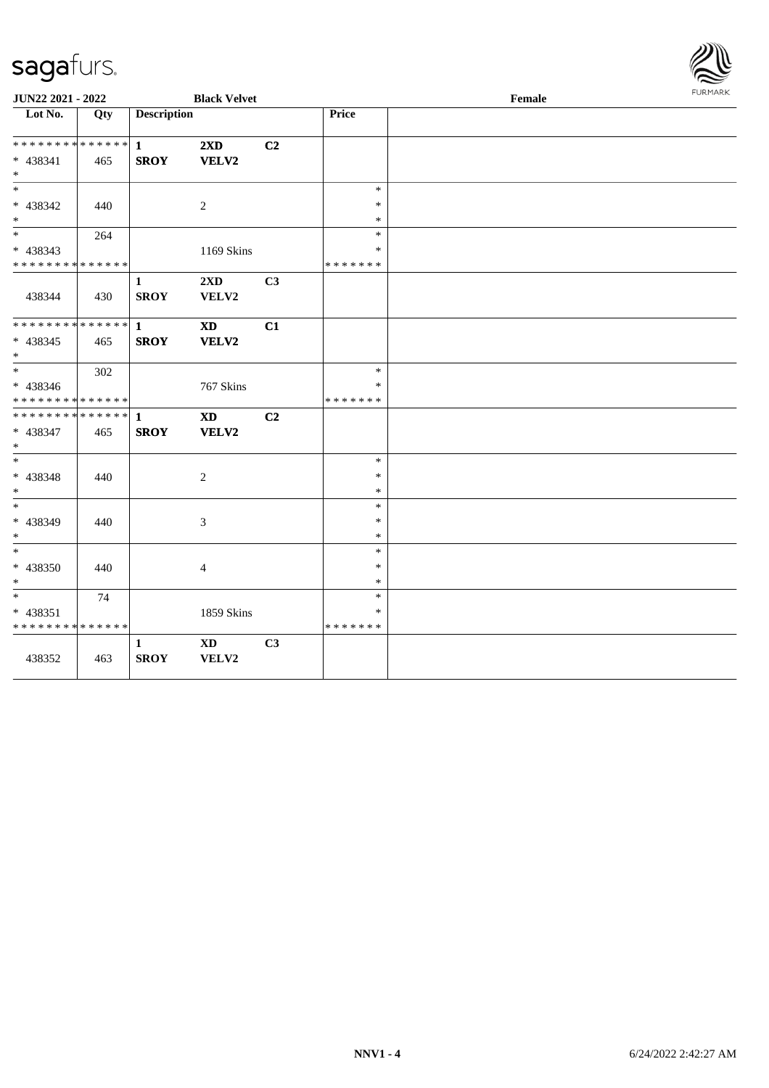

| JUN22 2021 - 2022                |     | <b>Black Velvet</b> |                        |    |                  | FURMARK |  |
|----------------------------------|-----|---------------------|------------------------|----|------------------|---------|--|
| $\overline{\phantom{1}}$ Lot No. | Qty | <b>Description</b>  |                        |    | Price            |         |  |
| * * * * * * * * * * * * * *      |     | $\mathbf{1}$        | 2XD                    | C2 |                  |         |  |
| * 438341                         | 465 | <b>SROY</b>         | VELV2                  |    |                  |         |  |
| $*$                              |     |                     |                        |    |                  |         |  |
| $\ast$                           |     |                     |                        |    | $\ast$           |         |  |
| $* 438342$                       | 440 |                     | 2                      |    | ∗                |         |  |
| $*$<br>$*$                       | 264 |                     |                        |    | $\ast$<br>$\ast$ |         |  |
| * 438343                         |     |                     | 1169 Skins             |    | *                |         |  |
| * * * * * * * * * * * * * *      |     |                     |                        |    | * * * * * * *    |         |  |
|                                  |     | $\mathbf{1}$        | 2XD                    | C3 |                  |         |  |
| 438344                           | 430 | <b>SROY</b>         | VELV2                  |    |                  |         |  |
|                                  |     |                     |                        |    |                  |         |  |
| ******** <mark>******</mark>     |     | $\mathbf{1}$        | <b>XD</b>              | C1 |                  |         |  |
| $* 438345$                       | 465 | <b>SROY</b>         | VELV2                  |    |                  |         |  |
| $*$                              |     |                     |                        |    |                  |         |  |
| $*$                              | 302 |                     |                        |    | $\ast$           |         |  |
| * 438346                         |     |                     | 767 Skins              |    | *                |         |  |
| * * * * * * * * * * * * * *      |     |                     |                        |    | * * * * * * *    |         |  |
| * * * * * * * * * * * * * *      |     | $\mathbf{1}$        | <b>XD</b>              | C2 |                  |         |  |
| $* 438347$<br>$\ast$             | 465 | <b>SROY</b>         | VELV2                  |    |                  |         |  |
| $\ast$                           |     |                     |                        |    | $\ast$           |         |  |
| * 438348                         | 440 |                     | 2                      |    | *                |         |  |
| $*$                              |     |                     |                        |    | $\ast$           |         |  |
| $*$                              |     |                     |                        |    | $\ast$           |         |  |
| * 438349                         | 440 |                     | 3                      |    | ∗                |         |  |
| $*$                              |     |                     |                        |    | $\ast$           |         |  |
| $*$                              |     |                     |                        |    | $\ast$           |         |  |
| $* 438350$                       | 440 |                     | $\overline{4}$         |    | $\ast$           |         |  |
| $*$                              |     |                     |                        |    | $\ast$           |         |  |
| $\ast$                           | 74  |                     |                        |    | $\ast$           |         |  |
| * 438351                         |     |                     | 1859 Skins             |    | *                |         |  |
| * * * * * * * * * * * * * *      |     |                     |                        |    | * * * * * * *    |         |  |
|                                  |     | $\mathbf{1}$        | $\mathbf{X}\mathbf{D}$ | C3 |                  |         |  |
| 438352                           | 463 | <b>SROY</b>         | VELV2                  |    |                  |         |  |
|                                  |     |                     |                        |    |                  |         |  |